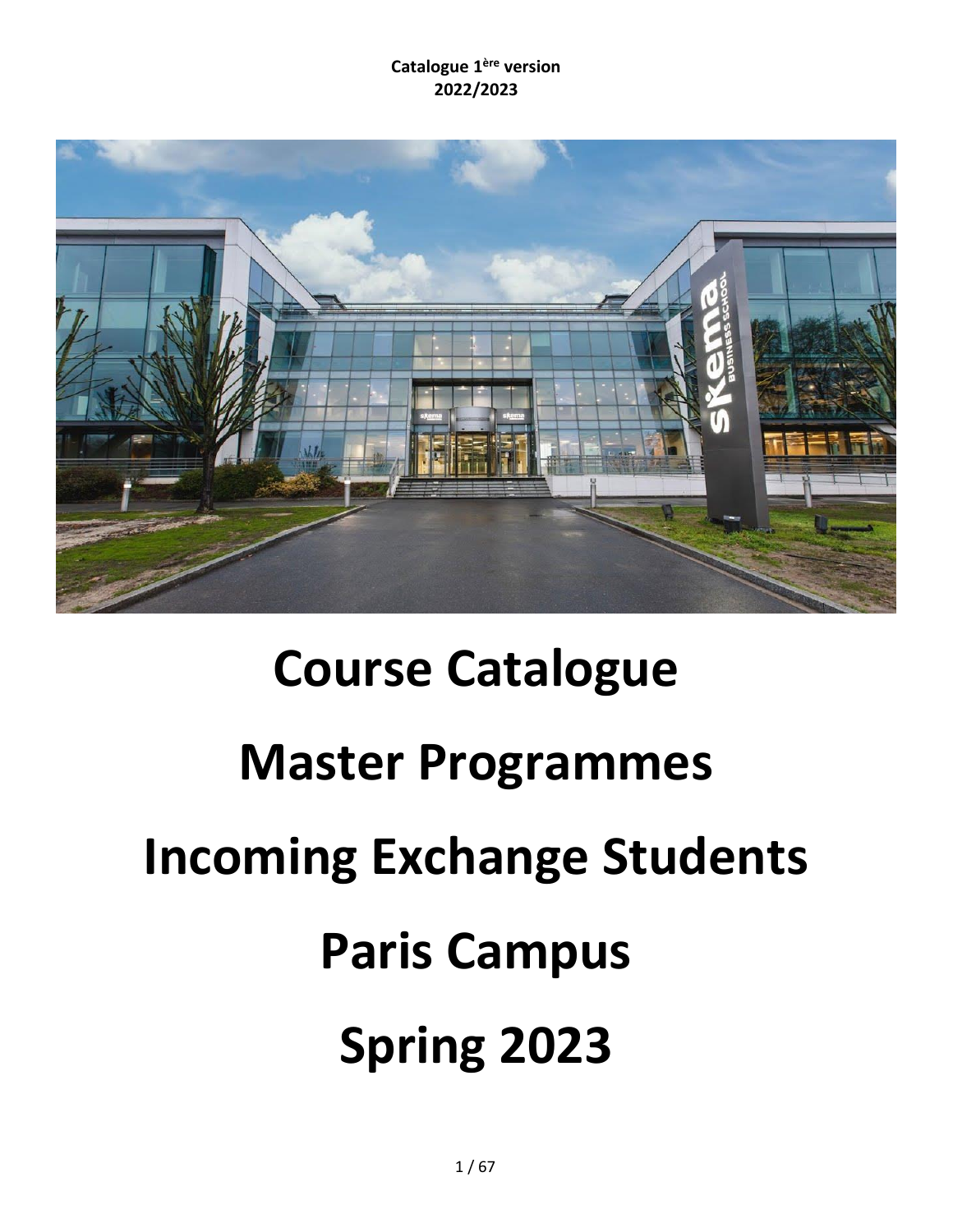

# **Course Catalogue Master Programmes Incoming Exchange Students Paris Campus Spring 2023**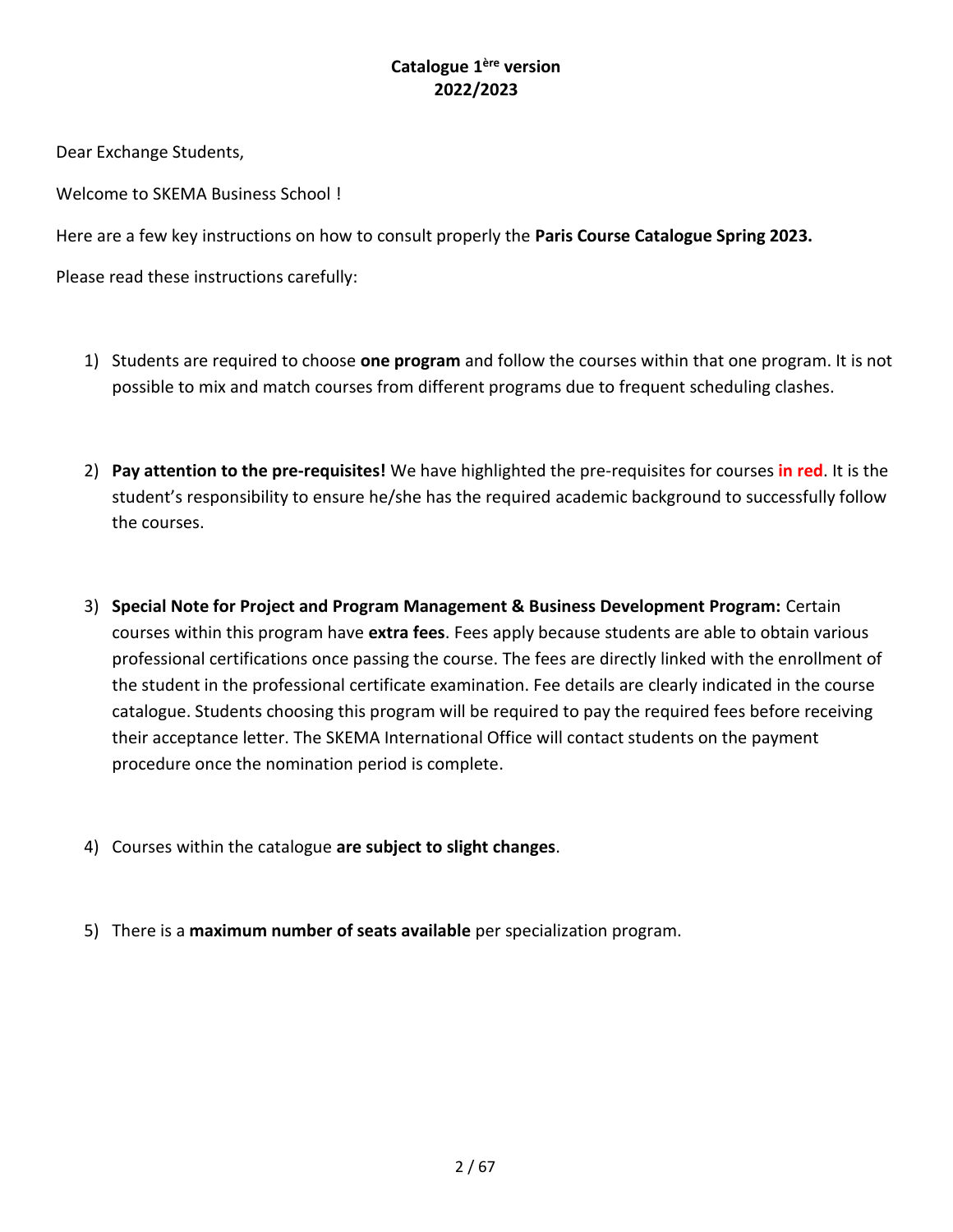Dear Exchange Students,

Welcome to SKEMA Business School !

Here are a few key instructions on how to consult properly the **Paris Course Catalogue Spring 2023.**

Please read these instructions carefully:

- 1) Students are required to choose **one program** and follow the courses within that one program. It is not possible to mix and match courses from different programs due to frequent scheduling clashes.
- 2) **Pay attention to the pre-requisites!** We have highlighted the pre-requisites for courses **in red**. It is the student's responsibility to ensure he/she has the required academic background to successfully follow the courses.
- 3) **Special Note for Project and Program Management & Business Development Program:** Certain courses within this program have **extra fees**. Fees apply because students are able to obtain various professional certifications once passing the course. The fees are directly linked with the enrollment of the student in the professional certificate examination. Fee details are clearly indicated in the course catalogue. Students choosing this program will be required to pay the required fees before receiving their acceptance letter. The SKEMA International Office will contact students on the payment procedure once the nomination period is complete.
- 4) Courses within the catalogue **are subject to slight changes**.
- 5) There is a **maximum number of seats available** per specialization program.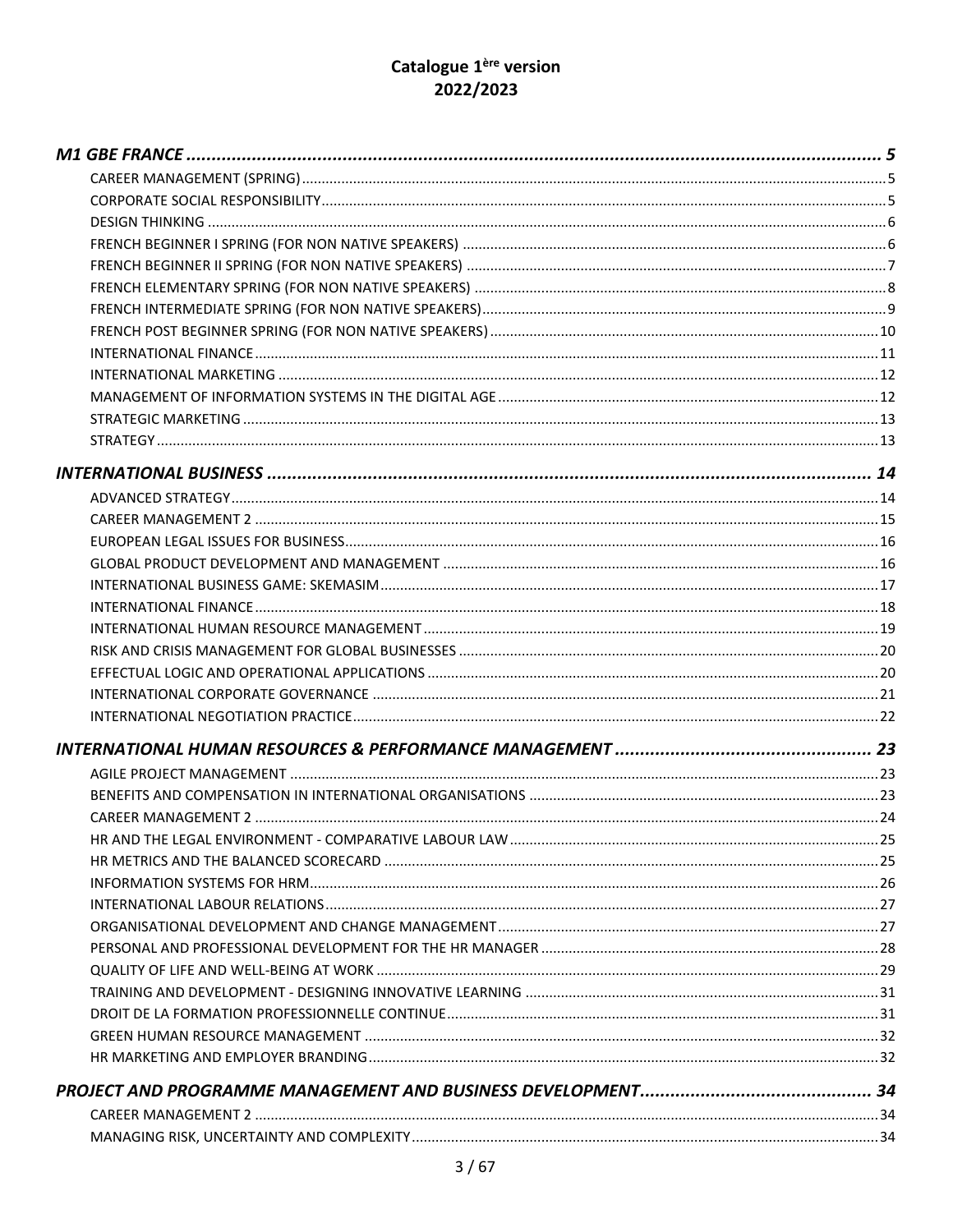# Catalogue 1<sup>ère</sup> version 2022/2023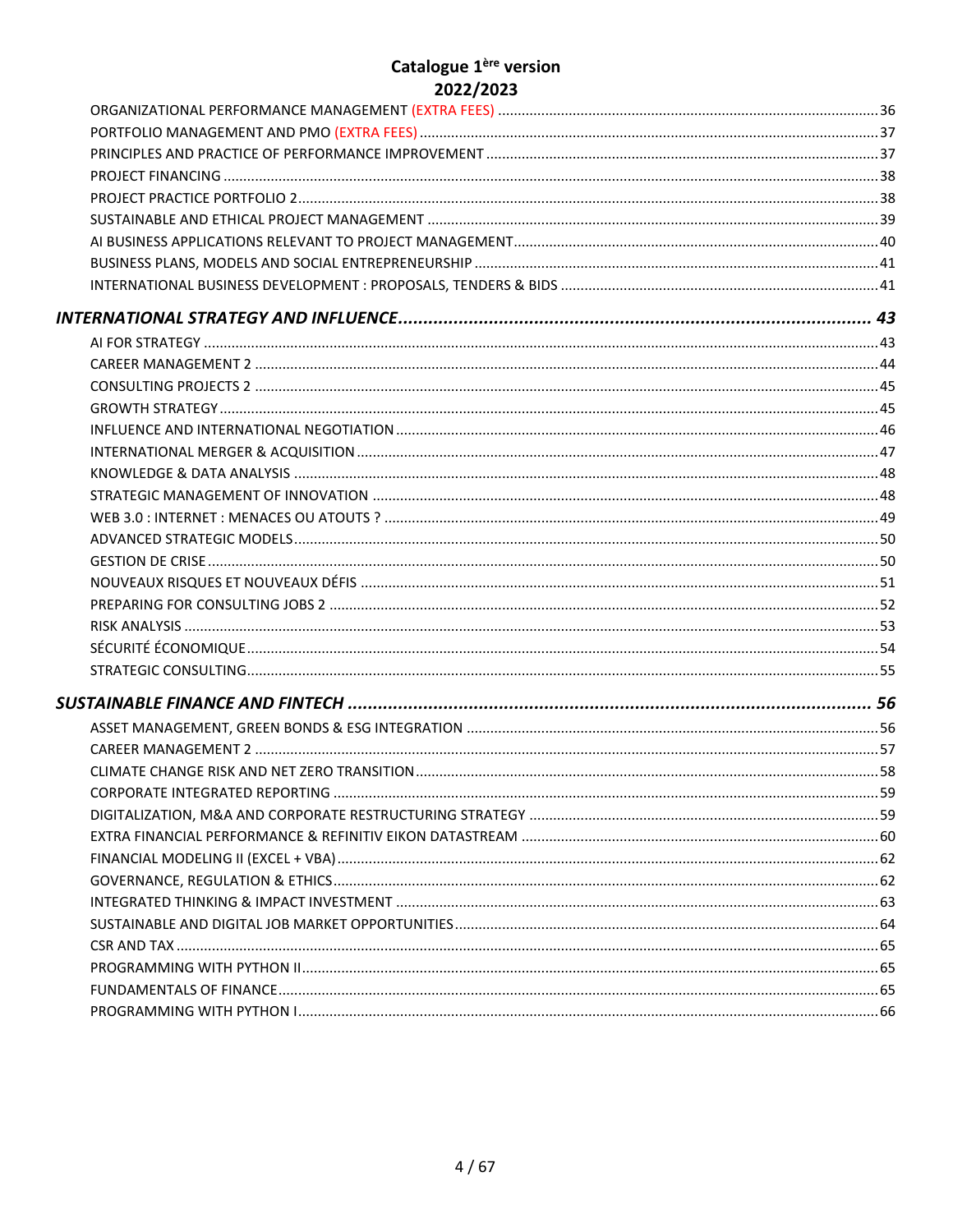# Catalogue 1<sup>ère</sup> version 2022/2023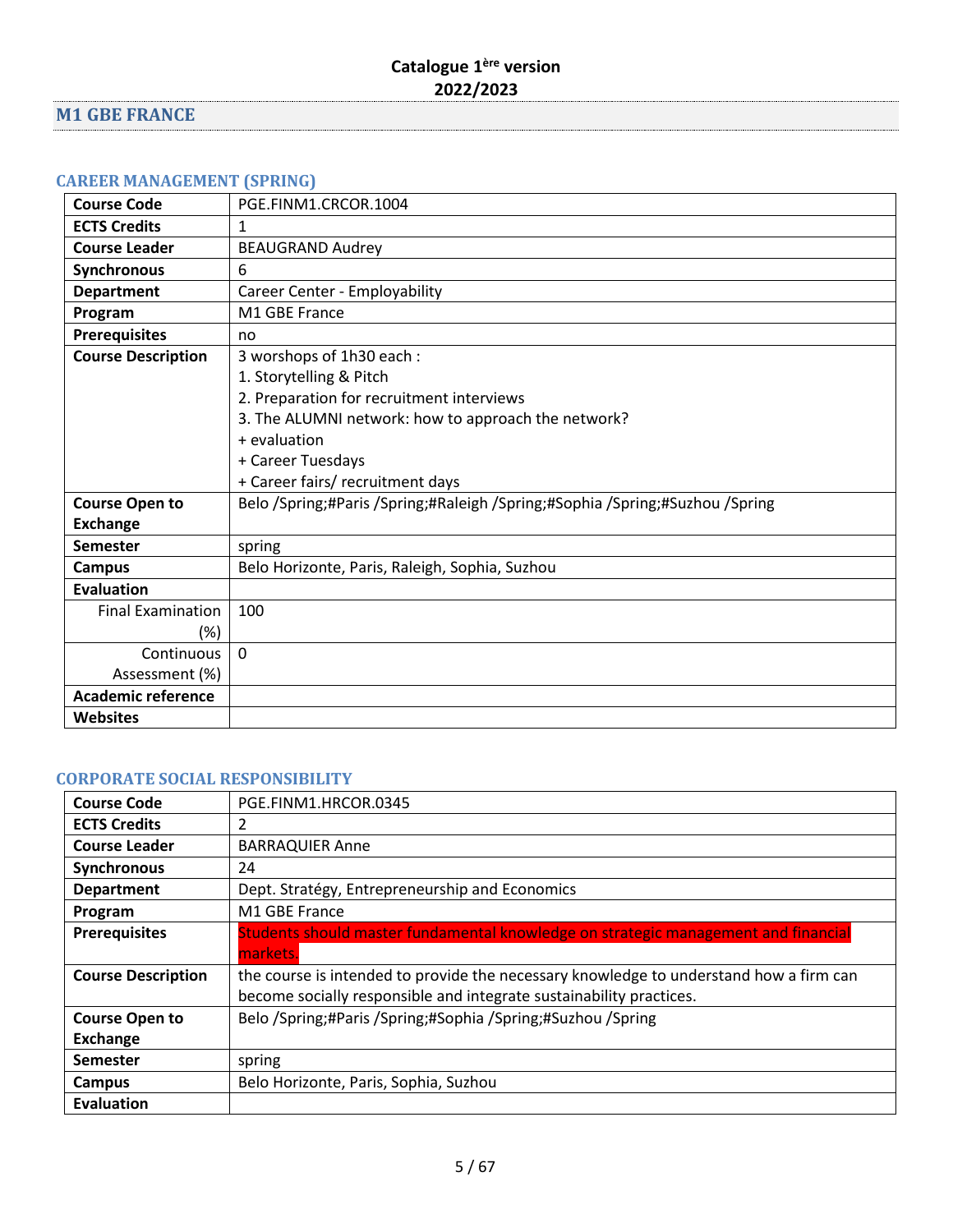# <span id="page-4-0"></span>**M1 GBE FRANCE**

# <span id="page-4-1"></span>**CAREER MANAGEMENT (SPRING)**

| <b>Course Code</b>        | PGE.FINM1.CRCOR.1004                                                         |
|---------------------------|------------------------------------------------------------------------------|
| <b>ECTS Credits</b>       | 1                                                                            |
| <b>Course Leader</b>      | <b>BEAUGRAND Audrey</b>                                                      |
| <b>Synchronous</b>        | 6                                                                            |
| <b>Department</b>         | Career Center - Employability                                                |
| Program                   | M1 GBE France                                                                |
| <b>Prerequisites</b>      | no                                                                           |
| <b>Course Description</b> | 3 worshops of 1h30 each:                                                     |
|                           | 1. Storytelling & Pitch                                                      |
|                           | 2. Preparation for recruitment interviews                                    |
|                           | 3. The ALUMNI network: how to approach the network?                          |
|                           | + evaluation                                                                 |
|                           | + Career Tuesdays                                                            |
|                           | + Career fairs/ recruitment days                                             |
| <b>Course Open to</b>     | Belo /Spring;#Paris /Spring;#Raleigh /Spring;#Sophia /Spring;#Suzhou /Spring |
| <b>Exchange</b>           |                                                                              |
| <b>Semester</b>           | spring                                                                       |
| <b>Campus</b>             | Belo Horizonte, Paris, Raleigh, Sophia, Suzhou                               |
| <b>Evaluation</b>         |                                                                              |
| <b>Final Examination</b>  | 100                                                                          |
| $(\%)$                    |                                                                              |
| Continuous                | $\Omega$                                                                     |
| Assessment (%)            |                                                                              |
| <b>Academic reference</b> |                                                                              |
| <b>Websites</b>           |                                                                              |

#### <span id="page-4-2"></span>**CORPORATE SOCIAL RESPONSIBILITY**

| <b>Course Code</b>        | PGE.FINM1.HRCOR.0345                                                                   |
|---------------------------|----------------------------------------------------------------------------------------|
| <b>ECTS Credits</b>       | 2                                                                                      |
| <b>Course Leader</b>      | <b>BARRAQUIER Anne</b>                                                                 |
| Synchronous               | 24                                                                                     |
| <b>Department</b>         | Dept. Stratégy, Entrepreneurship and Economics                                         |
| Program                   | M1 GBE France                                                                          |
| <b>Prerequisites</b>      | Students should master fundamental knowledge on strategic management and financial     |
|                           | markets.                                                                               |
| <b>Course Description</b> | the course is intended to provide the necessary knowledge to understand how a firm can |
|                           | become socially responsible and integrate sustainability practices.                    |
| <b>Course Open to</b>     | Belo /Spring;#Paris /Spring;#Sophia /Spring;#Suzhou /Spring                            |
| Exchange                  |                                                                                        |
| <b>Semester</b>           | spring                                                                                 |
| Campus                    | Belo Horizonte, Paris, Sophia, Suzhou                                                  |
| Evaluation                |                                                                                        |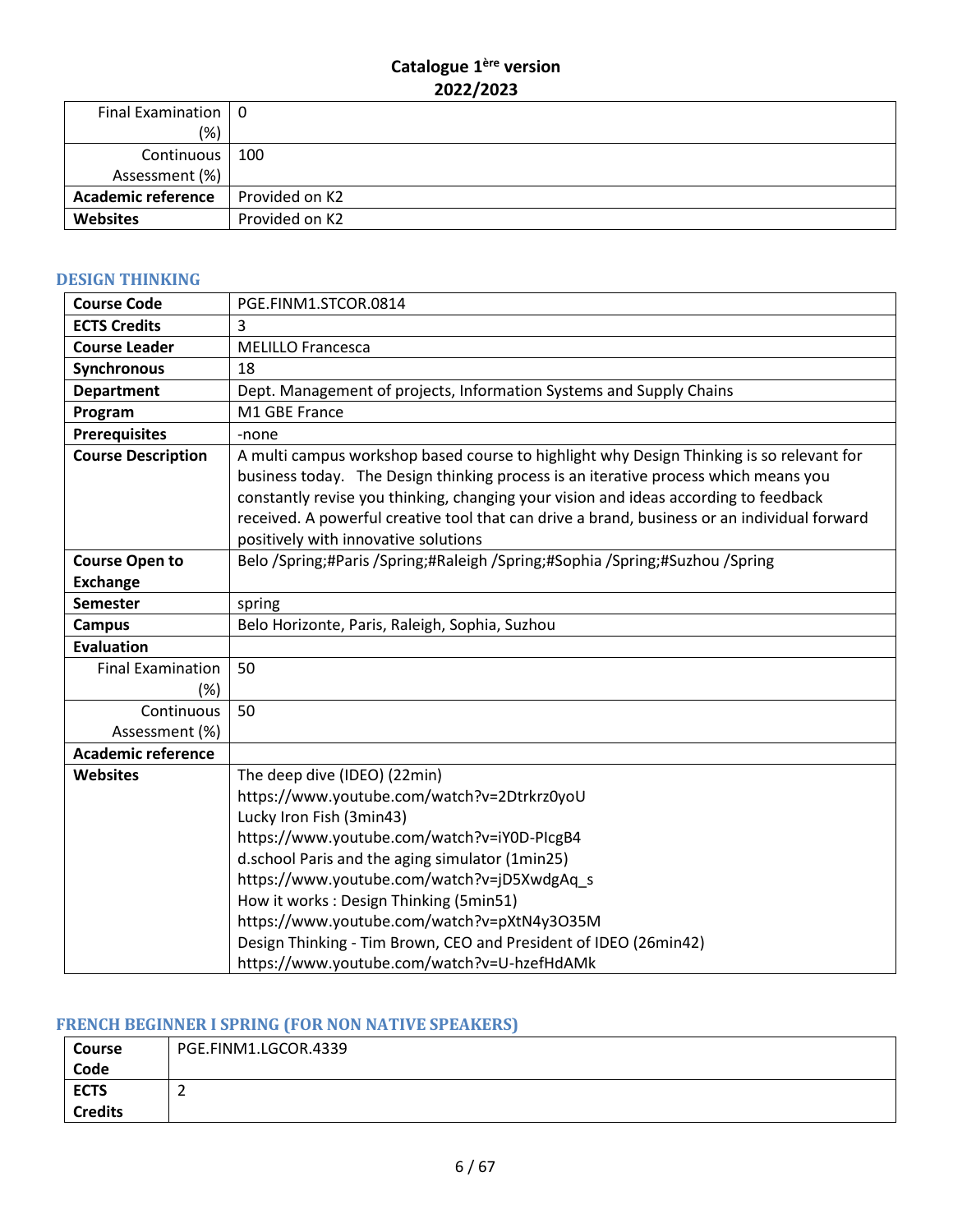| Final Examination   0     |                |
|---------------------------|----------------|
| (% )                      |                |
| Continuous   100          |                |
| Assessment (%)            |                |
| <b>Academic reference</b> | Provided on K2 |
| <b>Websites</b>           | Provided on K2 |

#### <span id="page-5-0"></span>**DESIGN THINKING**

| <b>Course Code</b>        | PGE.FINM1.STCOR.0814                                                                                                                                                                                                                                                                                                                                                                                            |
|---------------------------|-----------------------------------------------------------------------------------------------------------------------------------------------------------------------------------------------------------------------------------------------------------------------------------------------------------------------------------------------------------------------------------------------------------------|
| <b>ECTS Credits</b>       | 3                                                                                                                                                                                                                                                                                                                                                                                                               |
| <b>Course Leader</b>      | <b>MELILLO Francesca</b>                                                                                                                                                                                                                                                                                                                                                                                        |
| Synchronous               | 18                                                                                                                                                                                                                                                                                                                                                                                                              |
| <b>Department</b>         | Dept. Management of projects, Information Systems and Supply Chains                                                                                                                                                                                                                                                                                                                                             |
| Program                   | M1 GBE France                                                                                                                                                                                                                                                                                                                                                                                                   |
| <b>Prerequisites</b>      | -none                                                                                                                                                                                                                                                                                                                                                                                                           |
| <b>Course Description</b> | A multi campus workshop based course to highlight why Design Thinking is so relevant for<br>business today. The Design thinking process is an iterative process which means you<br>constantly revise you thinking, changing your vision and ideas according to feedback<br>received. A powerful creative tool that can drive a brand, business or an individual forward<br>positively with innovative solutions |
| <b>Course Open to</b>     | Belo /Spring;#Paris /Spring;#Raleigh /Spring;#Sophia /Spring;#Suzhou /Spring                                                                                                                                                                                                                                                                                                                                    |
| <b>Exchange</b>           |                                                                                                                                                                                                                                                                                                                                                                                                                 |
| <b>Semester</b>           | spring                                                                                                                                                                                                                                                                                                                                                                                                          |
| <b>Campus</b>             | Belo Horizonte, Paris, Raleigh, Sophia, Suzhou                                                                                                                                                                                                                                                                                                                                                                  |
| <b>Evaluation</b>         |                                                                                                                                                                                                                                                                                                                                                                                                                 |
| <b>Final Examination</b>  | 50                                                                                                                                                                                                                                                                                                                                                                                                              |
| (%)                       |                                                                                                                                                                                                                                                                                                                                                                                                                 |
| Continuous                | 50                                                                                                                                                                                                                                                                                                                                                                                                              |
| Assessment (%)            |                                                                                                                                                                                                                                                                                                                                                                                                                 |
| <b>Academic reference</b> |                                                                                                                                                                                                                                                                                                                                                                                                                 |
| <b>Websites</b>           | The deep dive (IDEO) (22min)                                                                                                                                                                                                                                                                                                                                                                                    |
|                           | https://www.youtube.com/watch?v=2Dtrkrz0yoU                                                                                                                                                                                                                                                                                                                                                                     |
|                           | Lucky Iron Fish (3min43)                                                                                                                                                                                                                                                                                                                                                                                        |
|                           | https://www.youtube.com/watch?v=iY0D-PIcgB4                                                                                                                                                                                                                                                                                                                                                                     |
|                           | d.school Paris and the aging simulator (1min25)                                                                                                                                                                                                                                                                                                                                                                 |
|                           | https://www.youtube.com/watch?v=jD5XwdgAq s                                                                                                                                                                                                                                                                                                                                                                     |
|                           | How it works: Design Thinking (5min51)                                                                                                                                                                                                                                                                                                                                                                          |
|                           | https://www.youtube.com/watch?v=pXtN4y3O35M                                                                                                                                                                                                                                                                                                                                                                     |
|                           | Design Thinking - Tim Brown, CEO and President of IDEO (26min42)                                                                                                                                                                                                                                                                                                                                                |
|                           | https://www.youtube.com/watch?v=U-hzefHdAMk                                                                                                                                                                                                                                                                                                                                                                     |

# <span id="page-5-1"></span>**FRENCH BEGINNER I SPRING (FOR NON NATIVE SPEAKERS)**

| <b>Course</b>  | PGE.FINM1.LGCOR.4339 |
|----------------|----------------------|
| Code           |                      |
| <b>ECTS</b>    |                      |
| <b>Credits</b> |                      |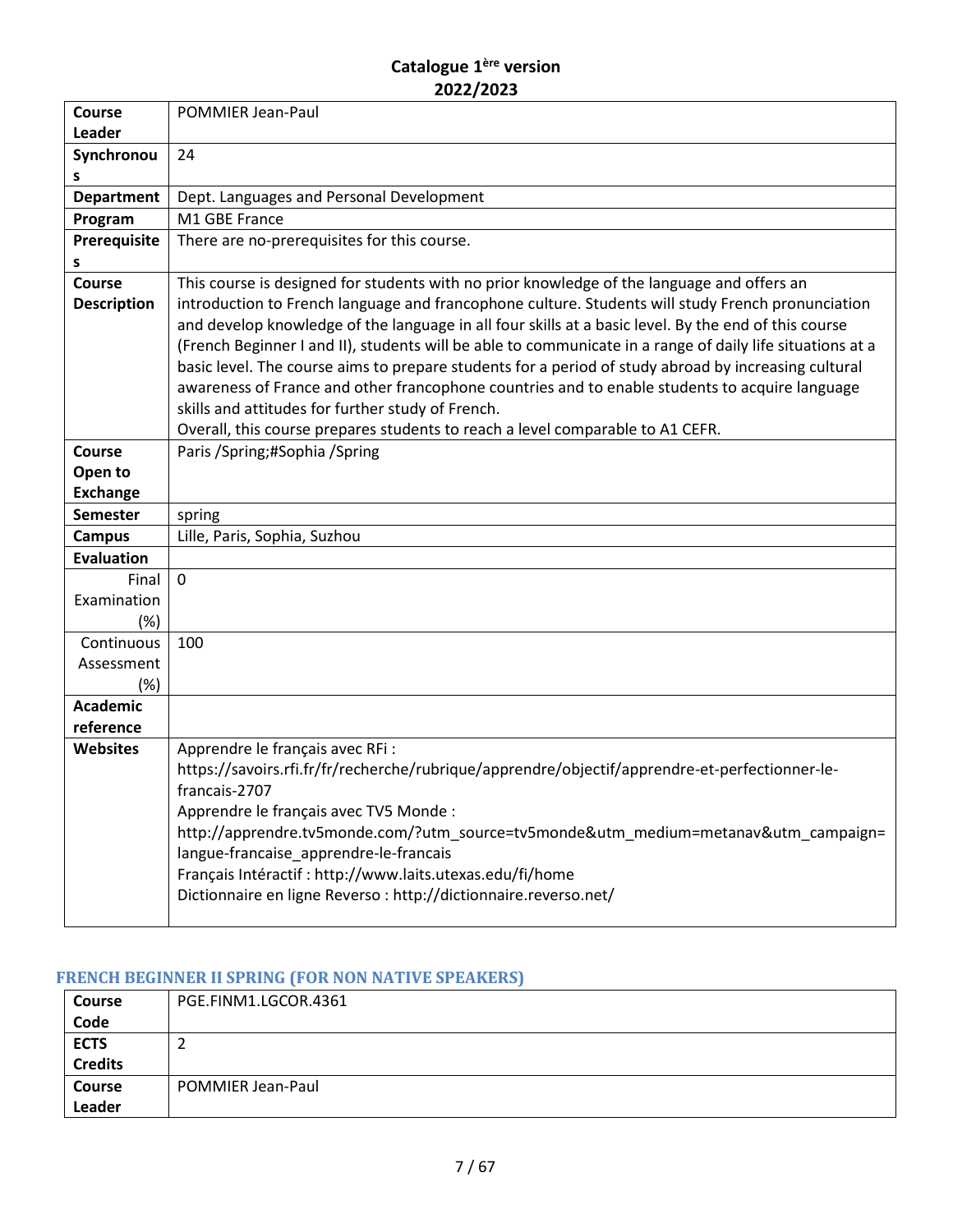| Course                 | <b>POMMIER Jean-Paul</b>                                                                                  |
|------------------------|-----------------------------------------------------------------------------------------------------------|
| Leader                 |                                                                                                           |
| Synchronou             | 24                                                                                                        |
| s<br><b>Department</b> | Dept. Languages and Personal Development                                                                  |
|                        | M1 GBE France                                                                                             |
| Program                |                                                                                                           |
| Prerequisite<br>s      | There are no-prerequisites for this course.                                                               |
| <b>Course</b>          | This course is designed for students with no prior knowledge of the language and offers an                |
| <b>Description</b>     | introduction to French language and francophone culture. Students will study French pronunciation         |
|                        | and develop knowledge of the language in all four skills at a basic level. By the end of this course      |
|                        | (French Beginner I and II), students will be able to communicate in a range of daily life situations at a |
|                        | basic level. The course aims to prepare students for a period of study abroad by increasing cultural      |
|                        | awareness of France and other francophone countries and to enable students to acquire language            |
|                        | skills and attitudes for further study of French.                                                         |
|                        | Overall, this course prepares students to reach a level comparable to A1 CEFR.                            |
| Course                 | Paris / Spring; #Sophia / Spring                                                                          |
| Open to                |                                                                                                           |
| <b>Exchange</b>        |                                                                                                           |
| <b>Semester</b>        | spring                                                                                                    |
| <b>Campus</b>          | Lille, Paris, Sophia, Suzhou                                                                              |
| <b>Evaluation</b>      |                                                                                                           |
| Final                  | $\mathbf 0$                                                                                               |
| Examination            |                                                                                                           |
| $(\%)$                 |                                                                                                           |
| Continuous             | 100                                                                                                       |
| Assessment             |                                                                                                           |
| (%)                    |                                                                                                           |
| <b>Academic</b>        |                                                                                                           |
| reference              |                                                                                                           |
| <b>Websites</b>        | Apprendre le français avec RFi :                                                                          |
|                        | https://savoirs.rfi.fr/fr/recherche/rubrique/apprendre/objectif/apprendre-et-perfectionner-le-            |
|                        | francais-2707                                                                                             |
|                        | Apprendre le français avec TV5 Monde :                                                                    |
|                        | http://apprendre.tv5monde.com/?utm_source=tv5monde&utm_medium=metanav&utm_campaign=                       |
|                        | langue-francaise_apprendre-le-francais                                                                    |
|                        | Français Intéractif : http://www.laits.utexas.edu/fi/home                                                 |
|                        | Dictionnaire en ligne Reverso : http://dictionnaire.reverso.net/                                          |
|                        |                                                                                                           |

# <span id="page-6-0"></span>**FRENCH BEGINNER II SPRING (FOR NON NATIVE SPEAKERS)**

| <b>Course</b>  | PGE.FINM1.LGCOR.4361 |
|----------------|----------------------|
| Code           |                      |
| <b>ECTS</b>    |                      |
| <b>Credits</b> |                      |
| <b>Course</b>  | POMMIER Jean-Paul    |
| Leader         |                      |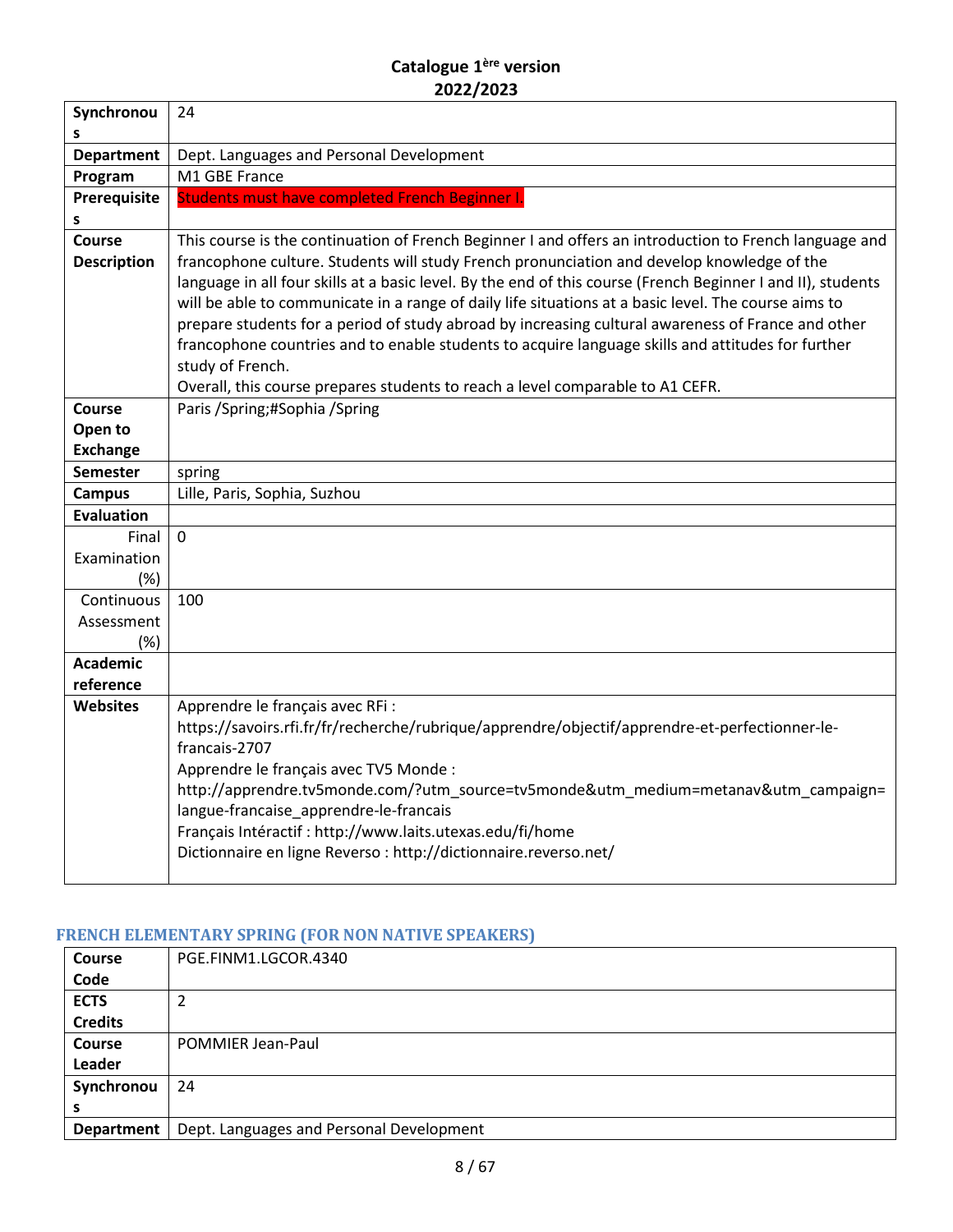| Synchronou         | 24                                                                                                                 |
|--------------------|--------------------------------------------------------------------------------------------------------------------|
| s                  |                                                                                                                    |
| <b>Department</b>  | Dept. Languages and Personal Development                                                                           |
| Program            | M1 GBE France                                                                                                      |
| Prerequisite       | Students must have completed French Beginner I.                                                                    |
| S                  |                                                                                                                    |
| Course             | This course is the continuation of French Beginner I and offers an introduction to French language and             |
| <b>Description</b> | francophone culture. Students will study French pronunciation and develop knowledge of the                         |
|                    | language in all four skills at a basic level. By the end of this course (French Beginner I and II), students       |
|                    | will be able to communicate in a range of daily life situations at a basic level. The course aims to               |
|                    | prepare students for a period of study abroad by increasing cultural awareness of France and other                 |
|                    | francophone countries and to enable students to acquire language skills and attitudes for further                  |
|                    | study of French.                                                                                                   |
| Course             | Overall, this course prepares students to reach a level comparable to A1 CEFR.<br>Paris / Spring; #Sophia / Spring |
| Open to            |                                                                                                                    |
| <b>Exchange</b>    |                                                                                                                    |
| <b>Semester</b>    | spring                                                                                                             |
| <b>Campus</b>      | Lille, Paris, Sophia, Suzhou                                                                                       |
| <b>Evaluation</b>  |                                                                                                                    |
| Final              | $\Omega$                                                                                                           |
| Examination        |                                                                                                                    |
| (%)                |                                                                                                                    |
| Continuous         | 100                                                                                                                |
| Assessment         |                                                                                                                    |
| (%)                |                                                                                                                    |
| <b>Academic</b>    |                                                                                                                    |
| reference          |                                                                                                                    |
| <b>Websites</b>    | Apprendre le français avec RFi :                                                                                   |
|                    | https://savoirs.rfi.fr/fr/recherche/rubrique/apprendre/objectif/apprendre-et-perfectionner-le-                     |
|                    | francais-2707                                                                                                      |
|                    | Apprendre le français avec TV5 Monde :                                                                             |
|                    | http://apprendre.tv5monde.com/?utm_source=tv5monde&utm_medium=metanav&utm_campaign=                                |
|                    | langue-francaise_apprendre-le-francais                                                                             |
|                    | Français Intéractif : http://www.laits.utexas.edu/fi/home                                                          |
|                    | Dictionnaire en ligne Reverso : http://dictionnaire.reverso.net/                                                   |
|                    |                                                                                                                    |

# <span id="page-7-0"></span>**FRENCH ELEMENTARY SPRING (FOR NON NATIVE SPEAKERS)**

| <b>Course</b>     | PGE.FINM1.LGCOR.4340                     |
|-------------------|------------------------------------------|
| Code              |                                          |
| <b>ECTS</b>       | 1                                        |
| <b>Credits</b>    |                                          |
| <b>Course</b>     | POMMIER Jean-Paul                        |
| Leader            |                                          |
| Synchronou        | 24                                       |
| s                 |                                          |
| <b>Department</b> | Dept. Languages and Personal Development |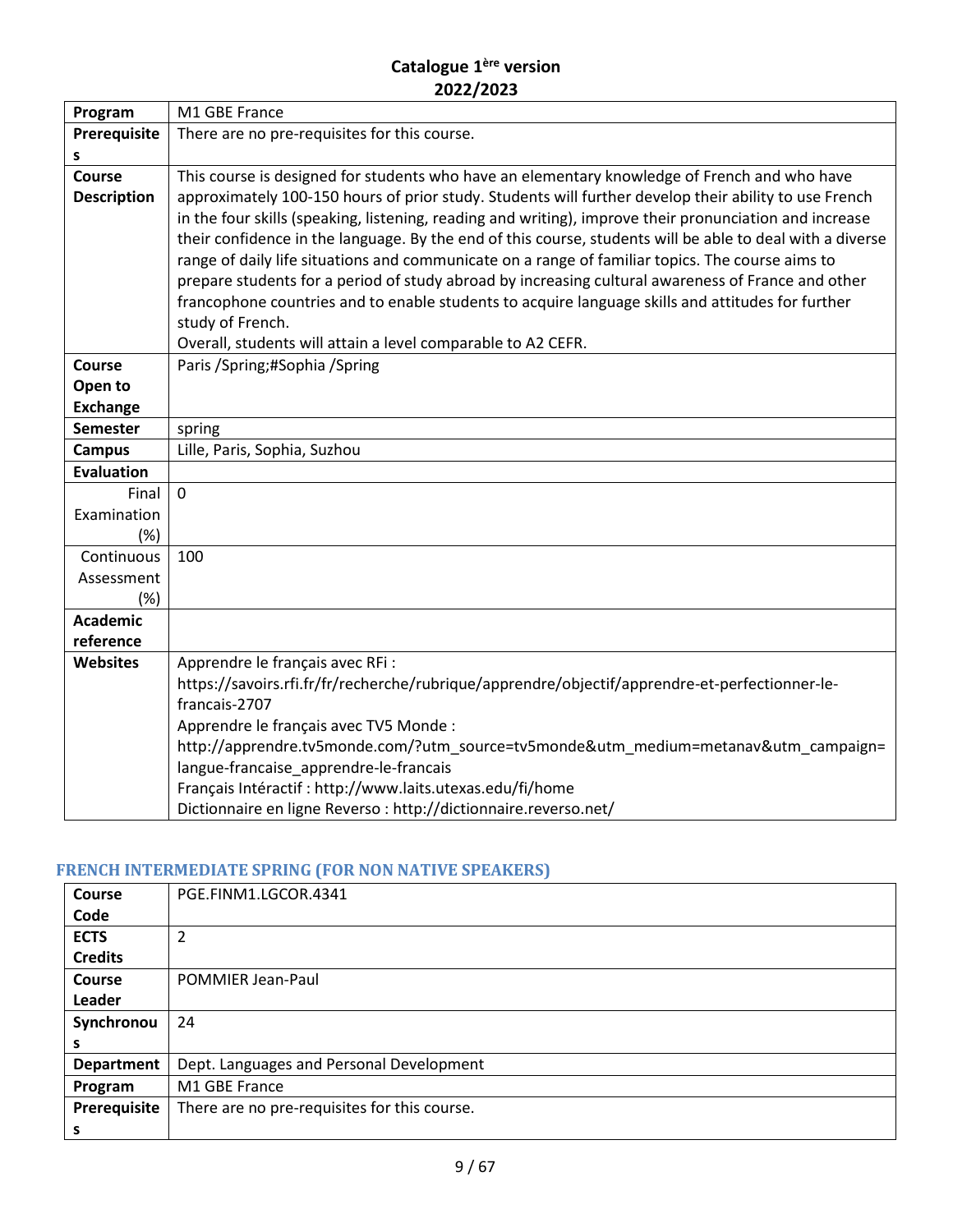| Program            | M1 GBE France                                                                                                                                                                                           |
|--------------------|---------------------------------------------------------------------------------------------------------------------------------------------------------------------------------------------------------|
| Prerequisite       | There are no pre-requisites for this course.                                                                                                                                                            |
| s                  |                                                                                                                                                                                                         |
| Course             | This course is designed for students who have an elementary knowledge of French and who have                                                                                                            |
| <b>Description</b> | approximately 100-150 hours of prior study. Students will further develop their ability to use French                                                                                                   |
|                    | in the four skills (speaking, listening, reading and writing), improve their pronunciation and increase                                                                                                 |
|                    | their confidence in the language. By the end of this course, students will be able to deal with a diverse                                                                                               |
|                    | range of daily life situations and communicate on a range of familiar topics. The course aims to                                                                                                        |
|                    | prepare students for a period of study abroad by increasing cultural awareness of France and other<br>francophone countries and to enable students to acquire language skills and attitudes for further |
|                    | study of French.                                                                                                                                                                                        |
|                    | Overall, students will attain a level comparable to A2 CEFR.                                                                                                                                            |
| <b>Course</b>      | Paris / Spring; # Sophia / Spring                                                                                                                                                                       |
| Open to            |                                                                                                                                                                                                         |
| <b>Exchange</b>    |                                                                                                                                                                                                         |
| <b>Semester</b>    | spring                                                                                                                                                                                                  |
| <b>Campus</b>      | Lille, Paris, Sophia, Suzhou                                                                                                                                                                            |
| <b>Evaluation</b>  |                                                                                                                                                                                                         |
| Final              | $\mathbf 0$                                                                                                                                                                                             |
| Examination        |                                                                                                                                                                                                         |
| (%)                |                                                                                                                                                                                                         |
| Continuous         | 100                                                                                                                                                                                                     |
| Assessment         |                                                                                                                                                                                                         |
| (%)                |                                                                                                                                                                                                         |
| <b>Academic</b>    |                                                                                                                                                                                                         |
| reference          |                                                                                                                                                                                                         |
| <b>Websites</b>    | Apprendre le français avec RFi :                                                                                                                                                                        |
|                    | https://savoirs.rfi.fr/fr/recherche/rubrique/apprendre/objectif/apprendre-et-perfectionner-le-<br>francais-2707                                                                                         |
|                    | Apprendre le français avec TV5 Monde :                                                                                                                                                                  |
|                    | http://apprendre.tv5monde.com/?utm_source=tv5monde&utm_medium=metanav&utm_campaign=                                                                                                                     |
|                    | langue-francaise_apprendre-le-francais                                                                                                                                                                  |
|                    | Français Intéractif : http://www.laits.utexas.edu/fi/home                                                                                                                                               |
|                    | Dictionnaire en ligne Reverso : http://dictionnaire.reverso.net/                                                                                                                                        |

# <span id="page-8-0"></span>**FRENCH INTERMEDIATE SPRING (FOR NON NATIVE SPEAKERS)**

| Course            | PGE.FINM1.LGCOR.4341                         |
|-------------------|----------------------------------------------|
| Code              |                                              |
| <b>ECTS</b>       | $\overline{2}$                               |
| <b>Credits</b>    |                                              |
| Course            | POMMIER Jean-Paul                            |
| Leader            |                                              |
| Synchronou        | 24                                           |
| s                 |                                              |
| <b>Department</b> | Dept. Languages and Personal Development     |
| Program           | M1 GBE France                                |
| Prerequisite      | There are no pre-requisites for this course. |
| s                 |                                              |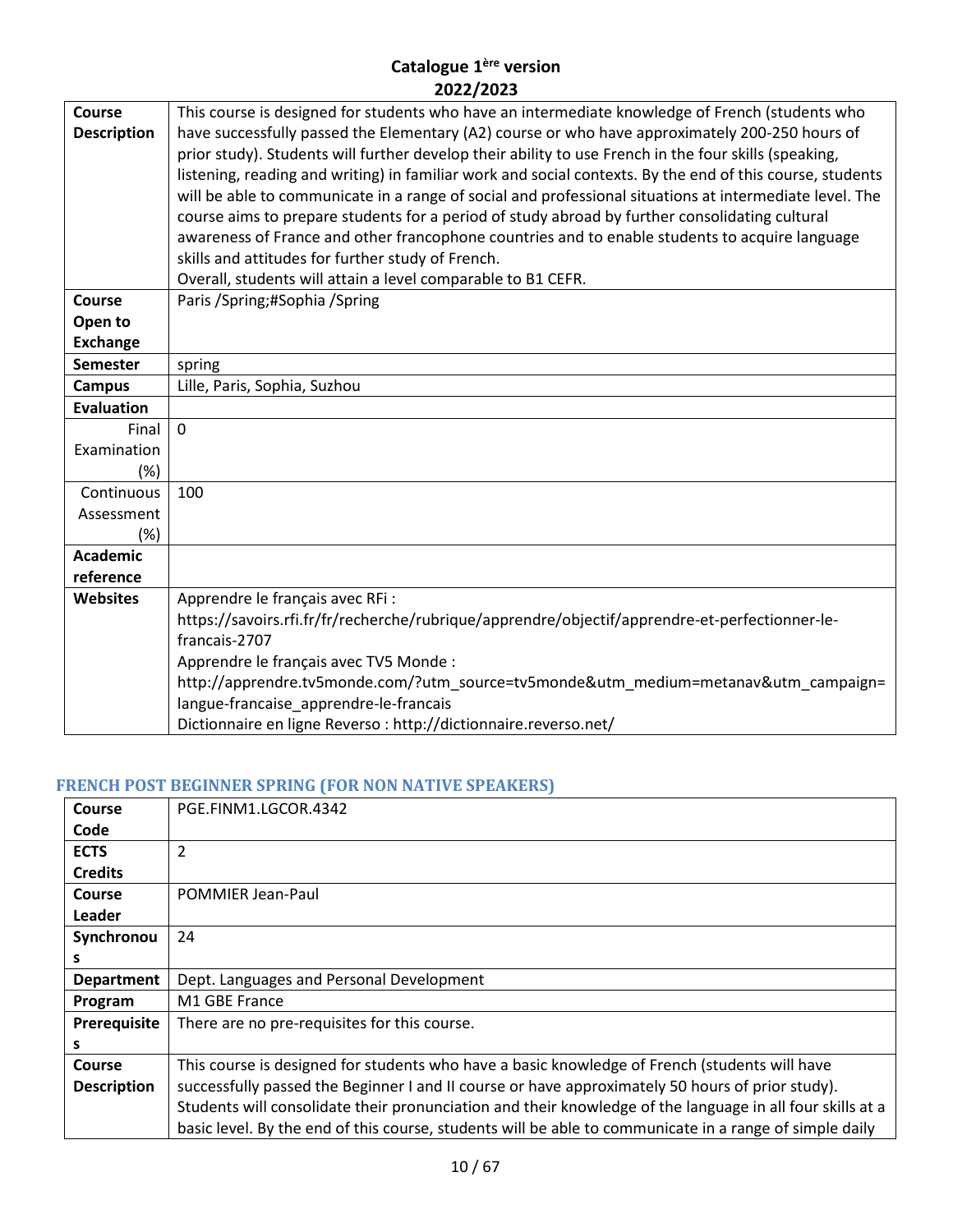| Course             | This course is designed for students who have an intermediate knowledge of French (students who           |
|--------------------|-----------------------------------------------------------------------------------------------------------|
| <b>Description</b> | have successfully passed the Elementary (A2) course or who have approximately 200-250 hours of            |
|                    | prior study). Students will further develop their ability to use French in the four skills (speaking,     |
|                    | listening, reading and writing) in familiar work and social contexts. By the end of this course, students |
|                    | will be able to communicate in a range of social and professional situations at intermediate level. The   |
|                    | course aims to prepare students for a period of study abroad by further consolidating cultural            |
|                    | awareness of France and other francophone countries and to enable students to acquire language            |
|                    | skills and attitudes for further study of French.                                                         |
|                    | Overall, students will attain a level comparable to B1 CEFR.                                              |
| Course             | Paris / Spring; # Sophia / Spring                                                                         |
| Open to            |                                                                                                           |
| <b>Exchange</b>    |                                                                                                           |
| <b>Semester</b>    | spring                                                                                                    |
| <b>Campus</b>      | Lille, Paris, Sophia, Suzhou                                                                              |
| <b>Evaluation</b>  |                                                                                                           |
| Final              | $\mathbf{0}$                                                                                              |
| Examination        |                                                                                                           |
| (%)                |                                                                                                           |
| Continuous         | 100                                                                                                       |
| Assessment         |                                                                                                           |
| (%)                |                                                                                                           |
| Academic           |                                                                                                           |
| reference          |                                                                                                           |
| <b>Websites</b>    | Apprendre le français avec RFi :                                                                          |
|                    | https://savoirs.rfi.fr/fr/recherche/rubrique/apprendre/objectif/apprendre-et-perfectionner-le-            |
|                    | francais-2707                                                                                             |
|                    | Apprendre le français avec TV5 Monde :                                                                    |
|                    | http://apprendre.tv5monde.com/?utm_source=tv5monde&utm_medium=metanav&utm_campaign=                       |
|                    | langue-francaise_apprendre-le-francais                                                                    |
|                    | Dictionnaire en ligne Reverso : http://dictionnaire.reverso.net/                                          |

# <span id="page-9-0"></span>**FRENCH POST BEGINNER SPRING (FOR NON NATIVE SPEAKERS)**

| Course             | PGE.FINM1.LGCOR.4342                                                                                      |  |
|--------------------|-----------------------------------------------------------------------------------------------------------|--|
| Code               |                                                                                                           |  |
| <b>ECTS</b>        | $\overline{2}$                                                                                            |  |
| <b>Credits</b>     |                                                                                                           |  |
| Course             | <b>POMMIER Jean-Paul</b>                                                                                  |  |
| Leader             |                                                                                                           |  |
| Synchronou         | 24                                                                                                        |  |
|                    |                                                                                                           |  |
| <b>Department</b>  | Dept. Languages and Personal Development                                                                  |  |
| Program            | M1 GBE France                                                                                             |  |
| Prerequisite       | There are no pre-requisites for this course.                                                              |  |
| s                  |                                                                                                           |  |
| Course             | This course is designed for students who have a basic knowledge of French (students will have             |  |
| <b>Description</b> | successfully passed the Beginner I and II course or have approximately 50 hours of prior study).          |  |
|                    | Students will consolidate their pronunciation and their knowledge of the language in all four skills at a |  |
|                    | basic level. By the end of this course, students will be able to communicate in a range of simple daily   |  |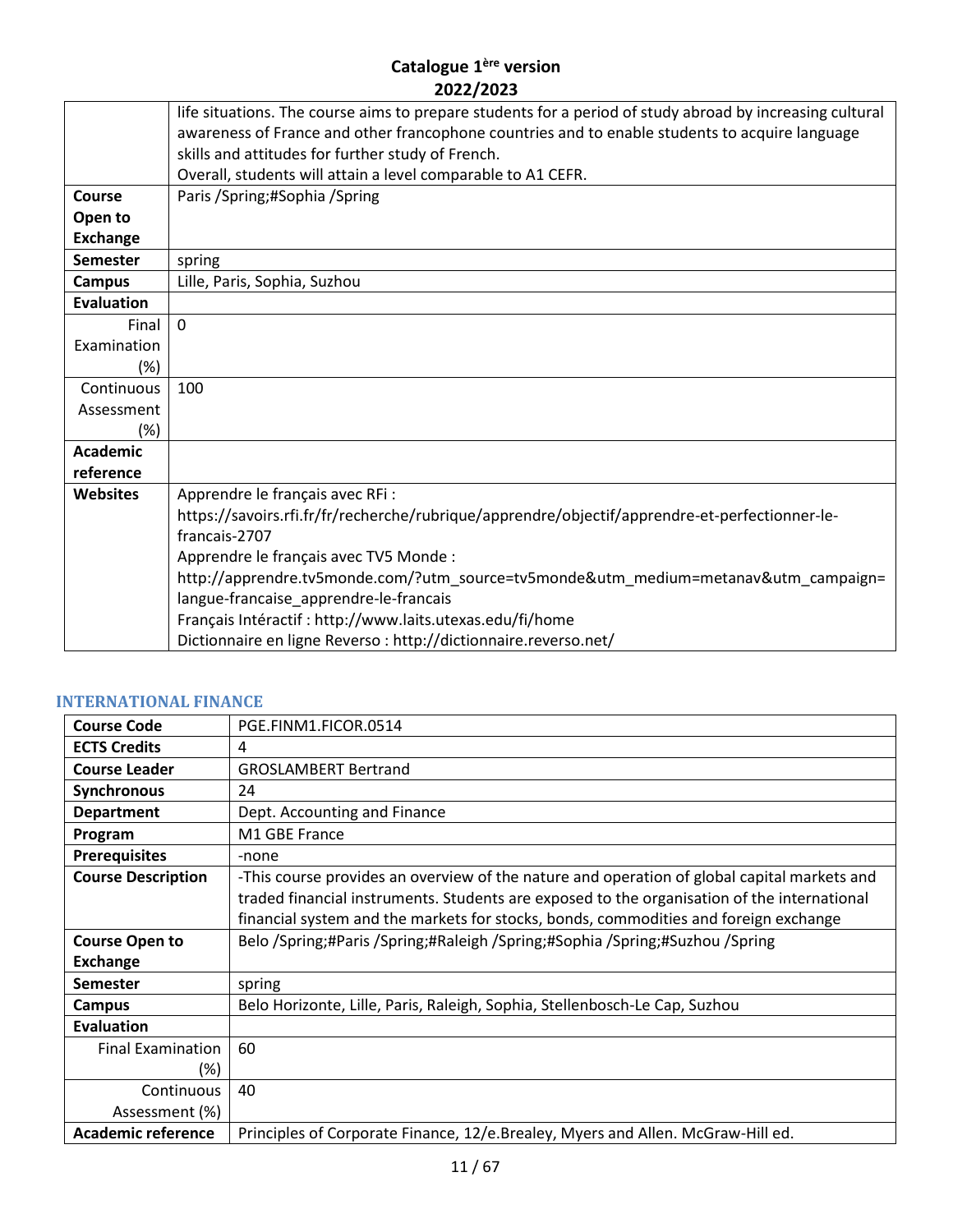|                   | life situations. The course aims to prepare students for a period of study abroad by increasing cultural |
|-------------------|----------------------------------------------------------------------------------------------------------|
|                   | awareness of France and other francophone countries and to enable students to acquire language           |
|                   | skills and attitudes for further study of French.                                                        |
|                   | Overall, students will attain a level comparable to A1 CEFR.                                             |
| <b>Course</b>     | Paris / Spring; # Sophia / Spring                                                                        |
| Open to           |                                                                                                          |
| <b>Exchange</b>   |                                                                                                          |
| <b>Semester</b>   | spring                                                                                                   |
| Campus            | Lille, Paris, Sophia, Suzhou                                                                             |
| <b>Evaluation</b> |                                                                                                          |
| Final             | $\Omega$                                                                                                 |
| Examination       |                                                                                                          |
| (%)               |                                                                                                          |
| Continuous        | 100                                                                                                      |
| Assessment        |                                                                                                          |
| $(\%)$            |                                                                                                          |
| <b>Academic</b>   |                                                                                                          |
| reference         |                                                                                                          |
| <b>Websites</b>   | Apprendre le français avec RFi :                                                                         |
|                   | https://savoirs.rfi.fr/fr/recherche/rubrique/apprendre/objectif/apprendre-et-perfectionner-le-           |
|                   | francais-2707                                                                                            |
|                   | Apprendre le français avec TV5 Monde :                                                                   |
|                   | http://apprendre.tv5monde.com/?utm_source=tv5monde&utm_medium=metanav&utm_campaign=                      |
|                   | langue-francaise_apprendre-le-francais                                                                   |
|                   | Français Intéractif : http://www.laits.utexas.edu/fi/home                                                |
|                   | Dictionnaire en ligne Reverso: http://dictionnaire.reverso.net/                                          |

#### <span id="page-10-0"></span>**INTERNATIONAL FINANCE**

| <b>Course Code</b>        | PGE.FINM1.FICOR.0514                                                                                                                                                                                                                                                               |
|---------------------------|------------------------------------------------------------------------------------------------------------------------------------------------------------------------------------------------------------------------------------------------------------------------------------|
| <b>ECTS Credits</b>       | 4                                                                                                                                                                                                                                                                                  |
| <b>Course Leader</b>      | <b>GROSLAMBERT Bertrand</b>                                                                                                                                                                                                                                                        |
| <b>Synchronous</b>        | 24                                                                                                                                                                                                                                                                                 |
| <b>Department</b>         | Dept. Accounting and Finance                                                                                                                                                                                                                                                       |
| Program                   | M1 GBE France                                                                                                                                                                                                                                                                      |
| <b>Prerequisites</b>      | -none                                                                                                                                                                                                                                                                              |
| <b>Course Description</b> | -This course provides an overview of the nature and operation of global capital markets and<br>traded financial instruments. Students are exposed to the organisation of the international<br>financial system and the markets for stocks, bonds, commodities and foreign exchange |
| <b>Course Open to</b>     | Belo /Spring;#Paris /Spring;#Raleigh /Spring;#Sophia /Spring;#Suzhou /Spring                                                                                                                                                                                                       |
| <b>Exchange</b>           |                                                                                                                                                                                                                                                                                    |
| <b>Semester</b>           | spring                                                                                                                                                                                                                                                                             |
| Campus                    | Belo Horizonte, Lille, Paris, Raleigh, Sophia, Stellenbosch-Le Cap, Suzhou                                                                                                                                                                                                         |
| Evaluation                |                                                                                                                                                                                                                                                                                    |
| <b>Final Examination</b>  | 60                                                                                                                                                                                                                                                                                 |
| (%)                       |                                                                                                                                                                                                                                                                                    |
| Continuous                | 40                                                                                                                                                                                                                                                                                 |
| Assessment (%)            |                                                                                                                                                                                                                                                                                    |
| <b>Academic reference</b> | Principles of Corporate Finance, 12/e.Brealey, Myers and Allen. McGraw-Hill ed.                                                                                                                                                                                                    |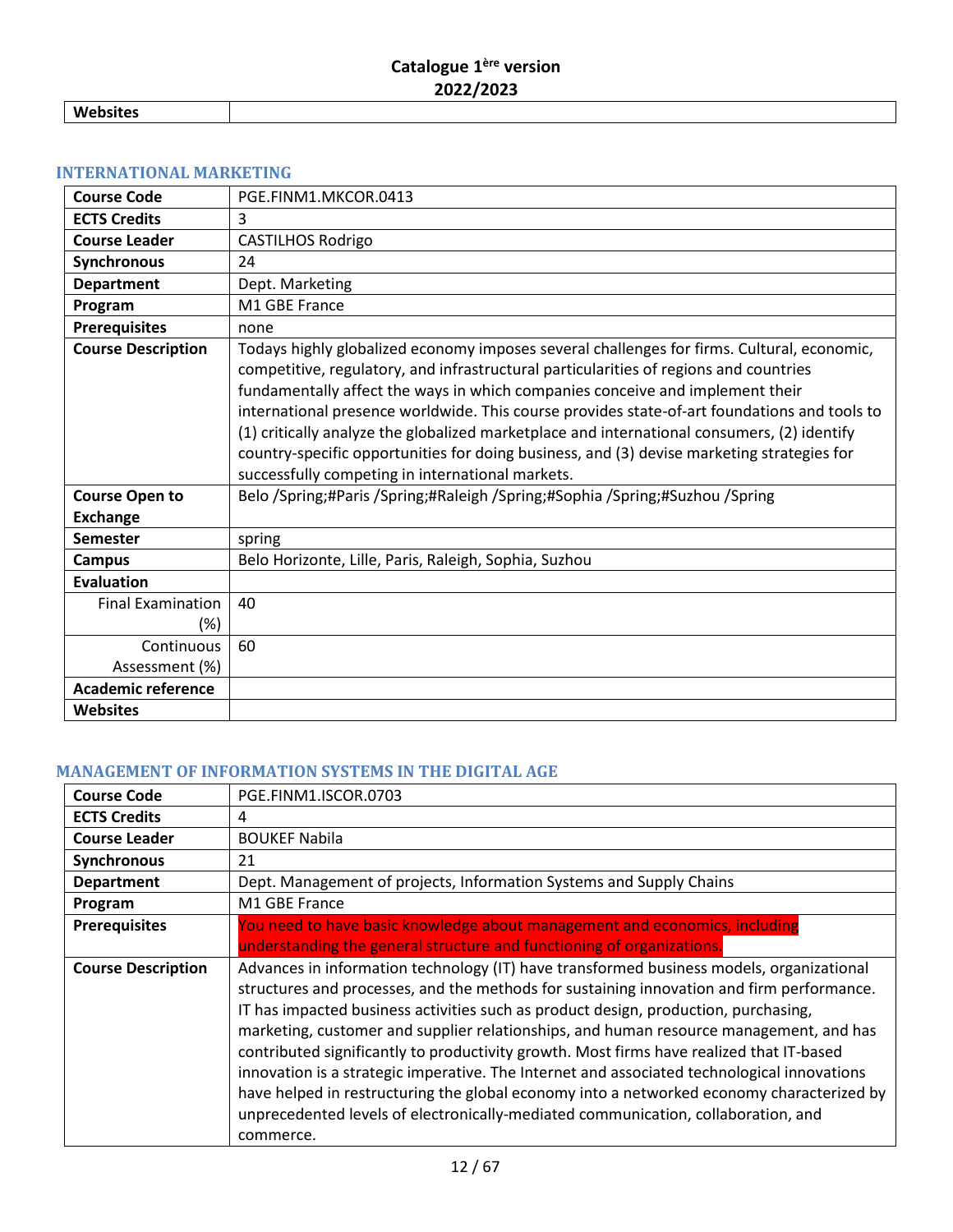**Websites**

# <span id="page-11-0"></span>**INTERNATIONAL MARKETING**

| <b>Course Code</b>                       | PGE.FINM1.MKCOR.0413                                                                                                                                                                                                                                                                                                                                                                                                                                                                                                                                                                                                  |
|------------------------------------------|-----------------------------------------------------------------------------------------------------------------------------------------------------------------------------------------------------------------------------------------------------------------------------------------------------------------------------------------------------------------------------------------------------------------------------------------------------------------------------------------------------------------------------------------------------------------------------------------------------------------------|
| <b>ECTS Credits</b>                      | 3                                                                                                                                                                                                                                                                                                                                                                                                                                                                                                                                                                                                                     |
| <b>Course Leader</b>                     | <b>CASTILHOS Rodrigo</b>                                                                                                                                                                                                                                                                                                                                                                                                                                                                                                                                                                                              |
| <b>Synchronous</b>                       | 24                                                                                                                                                                                                                                                                                                                                                                                                                                                                                                                                                                                                                    |
| <b>Department</b>                        | Dept. Marketing                                                                                                                                                                                                                                                                                                                                                                                                                                                                                                                                                                                                       |
| Program                                  | M1 GBE France                                                                                                                                                                                                                                                                                                                                                                                                                                                                                                                                                                                                         |
| <b>Prerequisites</b>                     | none                                                                                                                                                                                                                                                                                                                                                                                                                                                                                                                                                                                                                  |
| <b>Course Description</b>                | Todays highly globalized economy imposes several challenges for firms. Cultural, economic,<br>competitive, regulatory, and infrastructural particularities of regions and countries<br>fundamentally affect the ways in which companies conceive and implement their<br>international presence worldwide. This course provides state-of-art foundations and tools to<br>(1) critically analyze the globalized marketplace and international consumers, (2) identify<br>country-specific opportunities for doing business, and (3) devise marketing strategies for<br>successfully competing in international markets. |
| <b>Course Open to</b><br><b>Exchange</b> | Belo /Spring;#Paris /Spring;#Raleigh /Spring;#Sophia /Spring;#Suzhou /Spring                                                                                                                                                                                                                                                                                                                                                                                                                                                                                                                                          |
| <b>Semester</b>                          | spring                                                                                                                                                                                                                                                                                                                                                                                                                                                                                                                                                                                                                |
| <b>Campus</b>                            | Belo Horizonte, Lille, Paris, Raleigh, Sophia, Suzhou                                                                                                                                                                                                                                                                                                                                                                                                                                                                                                                                                                 |
| <b>Evaluation</b>                        |                                                                                                                                                                                                                                                                                                                                                                                                                                                                                                                                                                                                                       |
| <b>Final Examination</b>                 | 40                                                                                                                                                                                                                                                                                                                                                                                                                                                                                                                                                                                                                    |
| (%)                                      |                                                                                                                                                                                                                                                                                                                                                                                                                                                                                                                                                                                                                       |
| Continuous                               | 60                                                                                                                                                                                                                                                                                                                                                                                                                                                                                                                                                                                                                    |
| Assessment (%)                           |                                                                                                                                                                                                                                                                                                                                                                                                                                                                                                                                                                                                                       |
| <b>Academic reference</b>                |                                                                                                                                                                                                                                                                                                                                                                                                                                                                                                                                                                                                                       |
| <b>Websites</b>                          |                                                                                                                                                                                                                                                                                                                                                                                                                                                                                                                                                                                                                       |

#### <span id="page-11-1"></span>**MANAGEMENT OF INFORMATION SYSTEMS IN THE DIGITAL AGE**

| <b>Course Code</b>        | PGE.FINM1.ISCOR.0703                                                                                                                                                                                                                                                                                                                                                                                                                                                                                                                                                                                                                                                                                                                                             |
|---------------------------|------------------------------------------------------------------------------------------------------------------------------------------------------------------------------------------------------------------------------------------------------------------------------------------------------------------------------------------------------------------------------------------------------------------------------------------------------------------------------------------------------------------------------------------------------------------------------------------------------------------------------------------------------------------------------------------------------------------------------------------------------------------|
| <b>ECTS Credits</b>       | 4                                                                                                                                                                                                                                                                                                                                                                                                                                                                                                                                                                                                                                                                                                                                                                |
| <b>Course Leader</b>      | <b>BOUKEF Nabila</b>                                                                                                                                                                                                                                                                                                                                                                                                                                                                                                                                                                                                                                                                                                                                             |
| Synchronous               | 21                                                                                                                                                                                                                                                                                                                                                                                                                                                                                                                                                                                                                                                                                                                                                               |
| <b>Department</b>         | Dept. Management of projects, Information Systems and Supply Chains                                                                                                                                                                                                                                                                                                                                                                                                                                                                                                                                                                                                                                                                                              |
| Program                   | M1 GBE France                                                                                                                                                                                                                                                                                                                                                                                                                                                                                                                                                                                                                                                                                                                                                    |
| <b>Prerequisites</b>      | You need to have basic knowledge about management and economics, including                                                                                                                                                                                                                                                                                                                                                                                                                                                                                                                                                                                                                                                                                       |
|                           | understanding the general structure and functioning of organizations.                                                                                                                                                                                                                                                                                                                                                                                                                                                                                                                                                                                                                                                                                            |
| <b>Course Description</b> | Advances in information technology (IT) have transformed business models, organizational<br>structures and processes, and the methods for sustaining innovation and firm performance.<br>IT has impacted business activities such as product design, production, purchasing,<br>marketing, customer and supplier relationships, and human resource management, and has<br>contributed significantly to productivity growth. Most firms have realized that IT-based<br>innovation is a strategic imperative. The Internet and associated technological innovations<br>have helped in restructuring the global economy into a networked economy characterized by<br>unprecedented levels of electronically-mediated communication, collaboration, and<br>commerce. |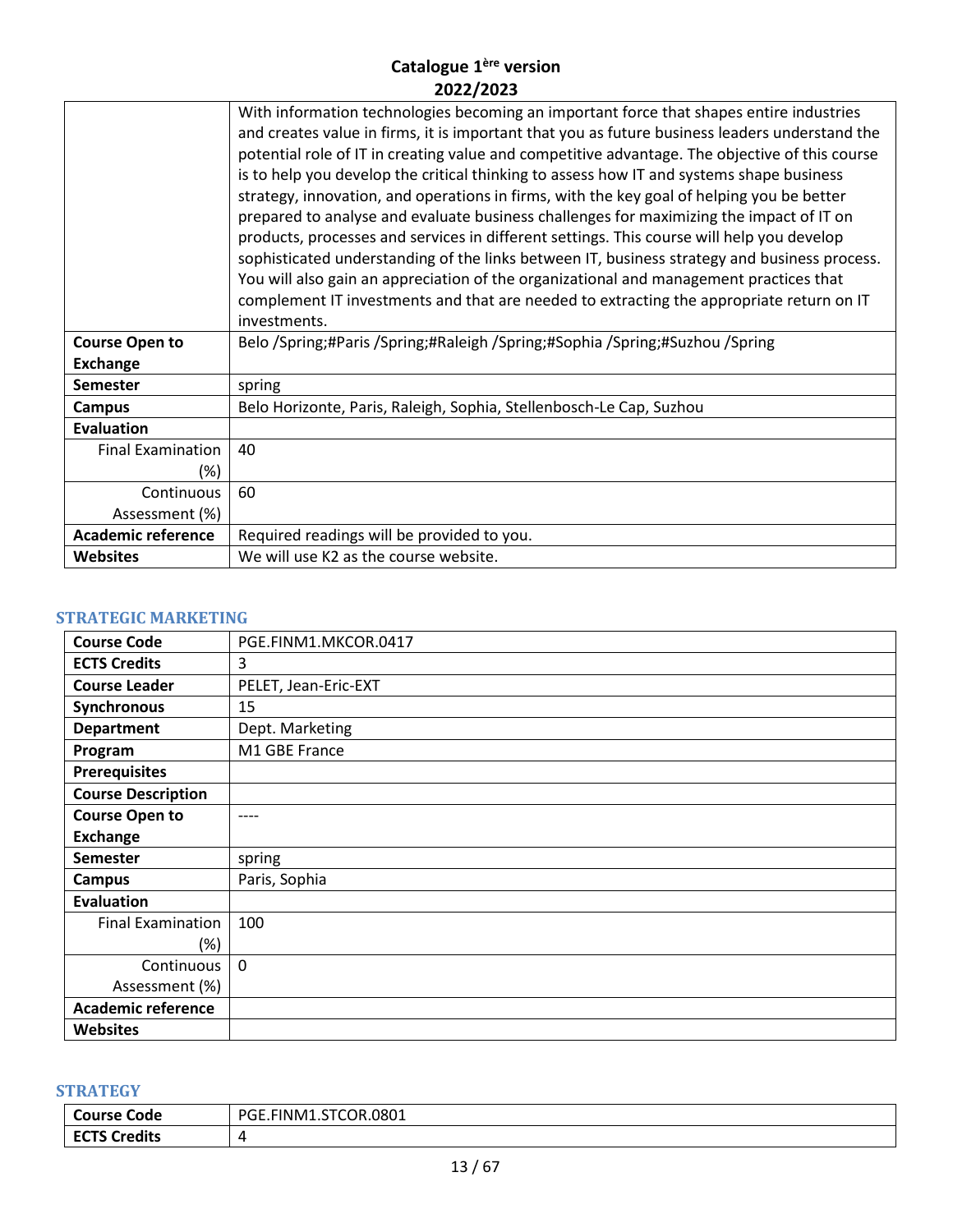|                                          | With information technologies becoming an important force that shapes entire industries<br>and creates value in firms, it is important that you as future business leaders understand the<br>potential role of IT in creating value and competitive advantage. The objective of this course<br>is to help you develop the critical thinking to assess how IT and systems shape business<br>strategy, innovation, and operations in firms, with the key goal of helping you be better<br>prepared to analyse and evaluate business challenges for maximizing the impact of IT on<br>products, processes and services in different settings. This course will help you develop<br>sophisticated understanding of the links between IT, business strategy and business process.<br>You will also gain an appreciation of the organizational and management practices that<br>complement IT investments and that are needed to extracting the appropriate return on IT<br>investments. |
|------------------------------------------|------------------------------------------------------------------------------------------------------------------------------------------------------------------------------------------------------------------------------------------------------------------------------------------------------------------------------------------------------------------------------------------------------------------------------------------------------------------------------------------------------------------------------------------------------------------------------------------------------------------------------------------------------------------------------------------------------------------------------------------------------------------------------------------------------------------------------------------------------------------------------------------------------------------------------------------------------------------------------------|
| <b>Course Open to</b><br><b>Exchange</b> | Belo /Spring;#Paris /Spring;#Raleigh /Spring;#Sophia /Spring;#Suzhou /Spring                                                                                                                                                                                                                                                                                                                                                                                                                                                                                                                                                                                                                                                                                                                                                                                                                                                                                                       |
| <b>Semester</b>                          | spring                                                                                                                                                                                                                                                                                                                                                                                                                                                                                                                                                                                                                                                                                                                                                                                                                                                                                                                                                                             |
| <b>Campus</b>                            | Belo Horizonte, Paris, Raleigh, Sophia, Stellenbosch-Le Cap, Suzhou                                                                                                                                                                                                                                                                                                                                                                                                                                                                                                                                                                                                                                                                                                                                                                                                                                                                                                                |
| <b>Evaluation</b>                        |                                                                                                                                                                                                                                                                                                                                                                                                                                                                                                                                                                                                                                                                                                                                                                                                                                                                                                                                                                                    |
| <b>Final Examination</b>                 | 40                                                                                                                                                                                                                                                                                                                                                                                                                                                                                                                                                                                                                                                                                                                                                                                                                                                                                                                                                                                 |
| (%)                                      |                                                                                                                                                                                                                                                                                                                                                                                                                                                                                                                                                                                                                                                                                                                                                                                                                                                                                                                                                                                    |
| Continuous                               | 60                                                                                                                                                                                                                                                                                                                                                                                                                                                                                                                                                                                                                                                                                                                                                                                                                                                                                                                                                                                 |
| Assessment (%)                           |                                                                                                                                                                                                                                                                                                                                                                                                                                                                                                                                                                                                                                                                                                                                                                                                                                                                                                                                                                                    |
| <b>Academic reference</b>                | Required readings will be provided to you.                                                                                                                                                                                                                                                                                                                                                                                                                                                                                                                                                                                                                                                                                                                                                                                                                                                                                                                                         |
| <b>Websites</b>                          | We will use K2 as the course website.                                                                                                                                                                                                                                                                                                                                                                                                                                                                                                                                                                                                                                                                                                                                                                                                                                                                                                                                              |

## <span id="page-12-0"></span>**STRATEGIC MARKETING**

| <b>Course Code</b>        | PGE.FINM1.MKCOR.0417 |
|---------------------------|----------------------|
| <b>ECTS Credits</b>       | 3                    |
| <b>Course Leader</b>      | PELET, Jean-Eric-EXT |
| Synchronous               | 15                   |
| <b>Department</b>         | Dept. Marketing      |
| Program                   | M1 GBE France        |
| <b>Prerequisites</b>      |                      |
| <b>Course Description</b> |                      |
| <b>Course Open to</b>     | ----                 |
| <b>Exchange</b>           |                      |
| <b>Semester</b>           | spring               |
| <b>Campus</b>             | Paris, Sophia        |
| <b>Evaluation</b>         |                      |
| <b>Final Examination</b>  | 100                  |
| (%)                       |                      |
| Continuous                | $\mathbf{0}$         |
| Assessment (%)            |                      |
| <b>Academic reference</b> |                      |
| <b>Websites</b>           |                      |

# <span id="page-12-1"></span>**STRATEGY**

| <b>Course Code</b>            | <b>STCOR.0801</b><br>PGE.<br><b>FINM</b><br>. <i>. .</i> |
|-------------------------------|----------------------------------------------------------|
| <b>Credits</b><br><b>ECTS</b> |                                                          |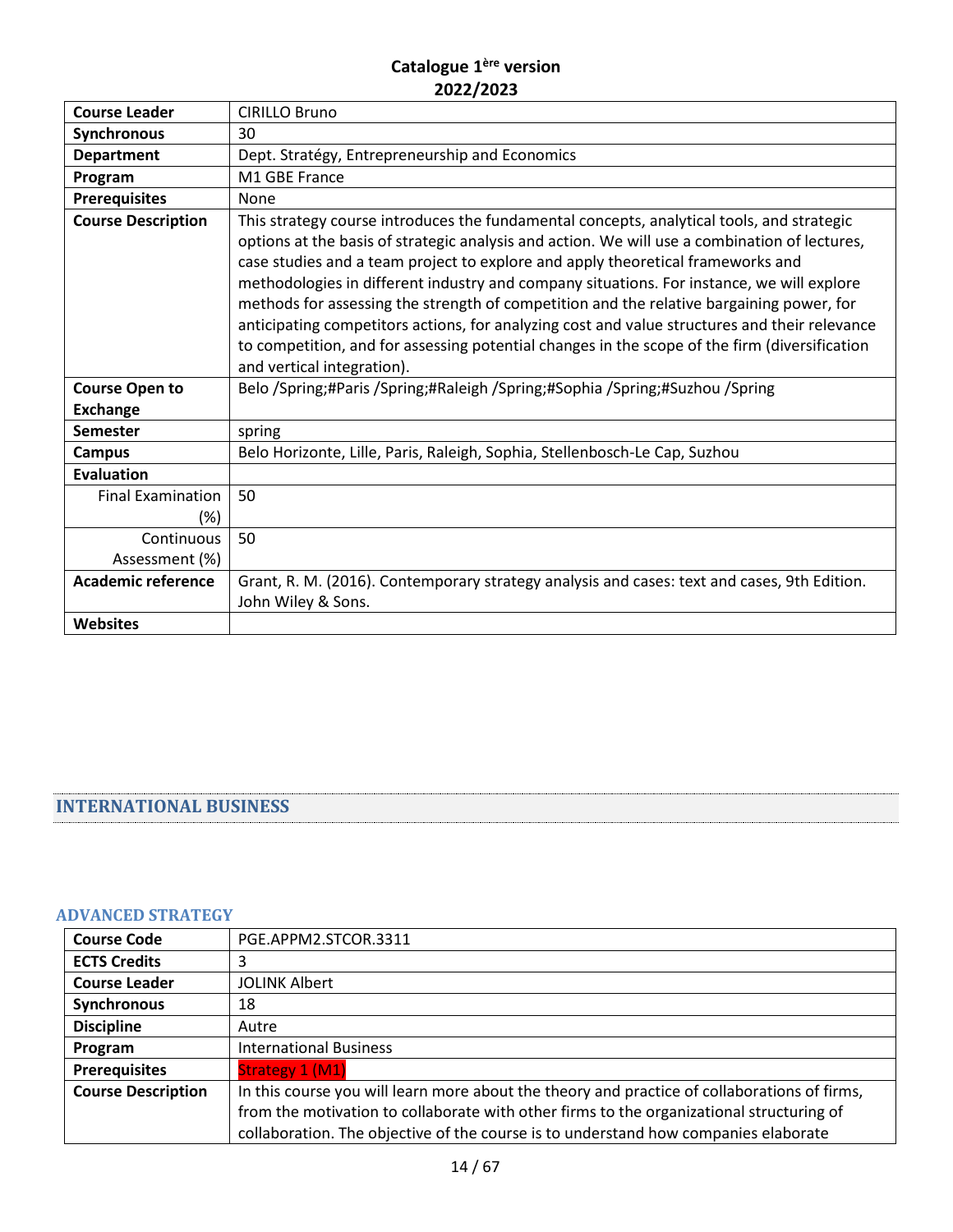| <b>Course Leader</b>      | <b>CIRILLO Bruno</b>                                                                                                                                                                                                                                                                                                                                                                                                                                                                                                                                                                                                                                                                                   |
|---------------------------|--------------------------------------------------------------------------------------------------------------------------------------------------------------------------------------------------------------------------------------------------------------------------------------------------------------------------------------------------------------------------------------------------------------------------------------------------------------------------------------------------------------------------------------------------------------------------------------------------------------------------------------------------------------------------------------------------------|
| Synchronous               | 30                                                                                                                                                                                                                                                                                                                                                                                                                                                                                                                                                                                                                                                                                                     |
| <b>Department</b>         | Dept. Stratégy, Entrepreneurship and Economics                                                                                                                                                                                                                                                                                                                                                                                                                                                                                                                                                                                                                                                         |
| Program                   | M1 GBE France                                                                                                                                                                                                                                                                                                                                                                                                                                                                                                                                                                                                                                                                                          |
| <b>Prerequisites</b>      | None                                                                                                                                                                                                                                                                                                                                                                                                                                                                                                                                                                                                                                                                                                   |
| <b>Course Description</b> | This strategy course introduces the fundamental concepts, analytical tools, and strategic<br>options at the basis of strategic analysis and action. We will use a combination of lectures,<br>case studies and a team project to explore and apply theoretical frameworks and<br>methodologies in different industry and company situations. For instance, we will explore<br>methods for assessing the strength of competition and the relative bargaining power, for<br>anticipating competitors actions, for analyzing cost and value structures and their relevance<br>to competition, and for assessing potential changes in the scope of the firm (diversification<br>and vertical integration). |
| <b>Course Open to</b>     | Belo /Spring;#Paris /Spring;#Raleigh /Spring;#Sophia /Spring;#Suzhou /Spring                                                                                                                                                                                                                                                                                                                                                                                                                                                                                                                                                                                                                           |
| <b>Exchange</b>           |                                                                                                                                                                                                                                                                                                                                                                                                                                                                                                                                                                                                                                                                                                        |
| <b>Semester</b>           | spring                                                                                                                                                                                                                                                                                                                                                                                                                                                                                                                                                                                                                                                                                                 |
| <b>Campus</b>             | Belo Horizonte, Lille, Paris, Raleigh, Sophia, Stellenbosch-Le Cap, Suzhou                                                                                                                                                                                                                                                                                                                                                                                                                                                                                                                                                                                                                             |
| <b>Evaluation</b>         |                                                                                                                                                                                                                                                                                                                                                                                                                                                                                                                                                                                                                                                                                                        |
| <b>Final Examination</b>  | 50                                                                                                                                                                                                                                                                                                                                                                                                                                                                                                                                                                                                                                                                                                     |
| $(\%)$                    |                                                                                                                                                                                                                                                                                                                                                                                                                                                                                                                                                                                                                                                                                                        |
| Continuous                | 50                                                                                                                                                                                                                                                                                                                                                                                                                                                                                                                                                                                                                                                                                                     |
| Assessment (%)            |                                                                                                                                                                                                                                                                                                                                                                                                                                                                                                                                                                                                                                                                                                        |
| <b>Academic reference</b> | Grant, R. M. (2016). Contemporary strategy analysis and cases: text and cases, 9th Edition.<br>John Wiley & Sons.                                                                                                                                                                                                                                                                                                                                                                                                                                                                                                                                                                                      |
| <b>Websites</b>           |                                                                                                                                                                                                                                                                                                                                                                                                                                                                                                                                                                                                                                                                                                        |

# <span id="page-13-0"></span>**INTERNATIONAL BUSINESS**

#### <span id="page-13-1"></span>**ADVANCED STRATEGY**

| <b>Course Code</b>        | PGE.APPM2.STCOR.3311                                                                         |
|---------------------------|----------------------------------------------------------------------------------------------|
| <b>ECTS Credits</b>       | 3                                                                                            |
| <b>Course Leader</b>      | <b>JOLINK Albert</b>                                                                         |
| Synchronous               | 18                                                                                           |
| <b>Discipline</b>         | Autre                                                                                        |
| Program                   | <b>International Business</b>                                                                |
| <b>Prerequisites</b>      | Strategy 1 (M1)                                                                              |
| <b>Course Description</b> | In this course you will learn more about the theory and practice of collaborations of firms, |
|                           | from the motivation to collaborate with other firms to the organizational structuring of     |
|                           | collaboration. The objective of the course is to understand how companies elaborate          |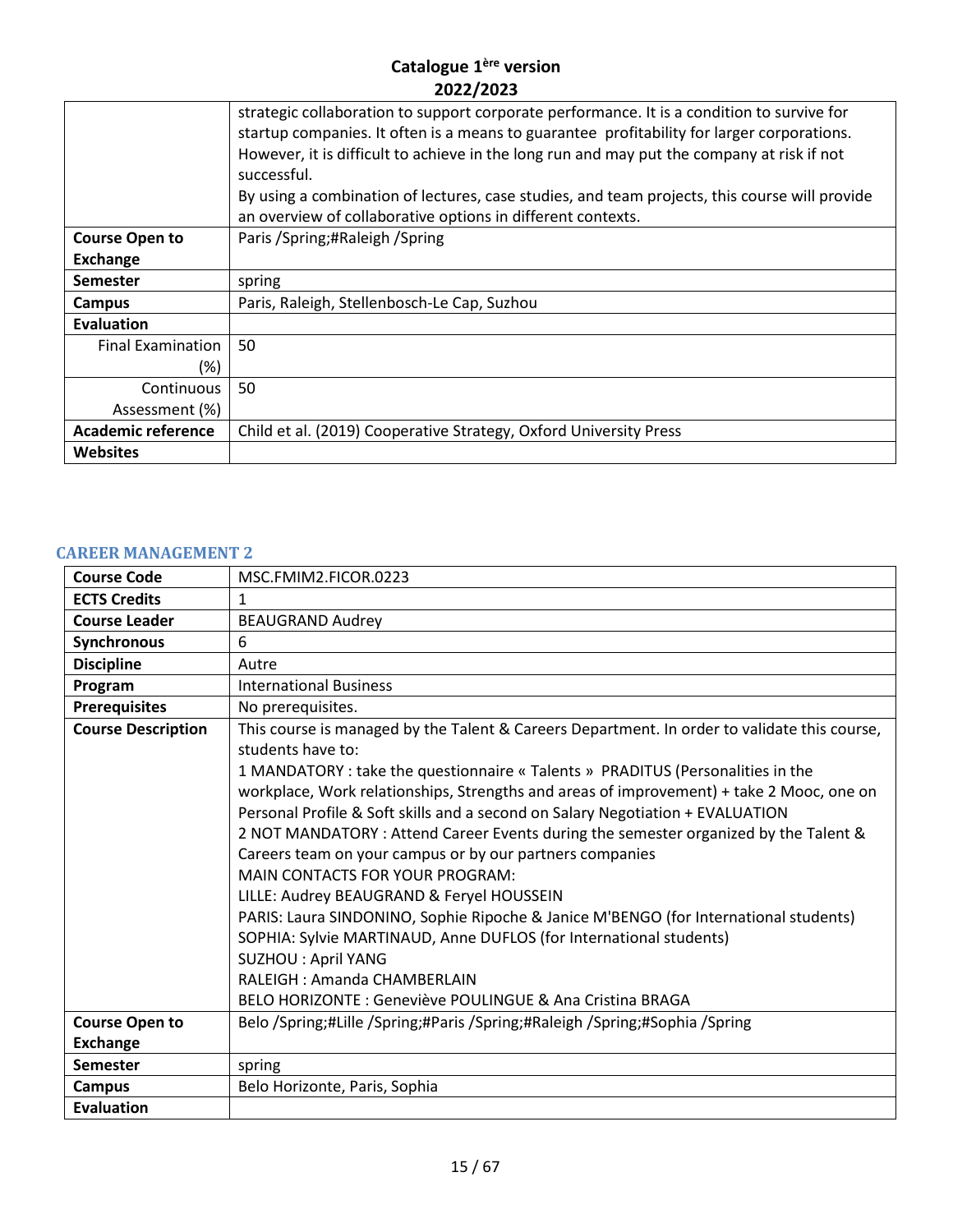|                           | strategic collaboration to support corporate performance. It is a condition to survive for<br>startup companies. It often is a means to guarantee profitability for larger corporations.<br>However, it is difficult to achieve in the long run and may put the company at risk if not<br>successful.<br>By using a combination of lectures, case studies, and team projects, this course will provide<br>an overview of collaborative options in different contexts. |
|---------------------------|-----------------------------------------------------------------------------------------------------------------------------------------------------------------------------------------------------------------------------------------------------------------------------------------------------------------------------------------------------------------------------------------------------------------------------------------------------------------------|
| <b>Course Open to</b>     | Paris / Spring; #Raleigh / Spring                                                                                                                                                                                                                                                                                                                                                                                                                                     |
| <b>Exchange</b>           |                                                                                                                                                                                                                                                                                                                                                                                                                                                                       |
| <b>Semester</b>           | spring                                                                                                                                                                                                                                                                                                                                                                                                                                                                |
| Campus                    | Paris, Raleigh, Stellenbosch-Le Cap, Suzhou                                                                                                                                                                                                                                                                                                                                                                                                                           |
| Evaluation                |                                                                                                                                                                                                                                                                                                                                                                                                                                                                       |
| <b>Final Examination</b>  | 50                                                                                                                                                                                                                                                                                                                                                                                                                                                                    |
| (%)                       |                                                                                                                                                                                                                                                                                                                                                                                                                                                                       |
| Continuous                | 50                                                                                                                                                                                                                                                                                                                                                                                                                                                                    |
| Assessment (%)            |                                                                                                                                                                                                                                                                                                                                                                                                                                                                       |
| <b>Academic reference</b> | Child et al. (2019) Cooperative Strategy, Oxford University Press                                                                                                                                                                                                                                                                                                                                                                                                     |
| <b>Websites</b>           |                                                                                                                                                                                                                                                                                                                                                                                                                                                                       |

#### <span id="page-14-0"></span>**CAREER MANAGEMENT 2**

| <b>Course Code</b>        | MSC.FMIM2.FICOR.0223                                                                                                                                                                                                                                                                                                                                                                                                                                                                                                                                                                                                                                                                                                                                                                                                                                                                                           |
|---------------------------|----------------------------------------------------------------------------------------------------------------------------------------------------------------------------------------------------------------------------------------------------------------------------------------------------------------------------------------------------------------------------------------------------------------------------------------------------------------------------------------------------------------------------------------------------------------------------------------------------------------------------------------------------------------------------------------------------------------------------------------------------------------------------------------------------------------------------------------------------------------------------------------------------------------|
| <b>ECTS Credits</b>       | $\mathbf{1}$                                                                                                                                                                                                                                                                                                                                                                                                                                                                                                                                                                                                                                                                                                                                                                                                                                                                                                   |
| <b>Course Leader</b>      | <b>BEAUGRAND Audrey</b>                                                                                                                                                                                                                                                                                                                                                                                                                                                                                                                                                                                                                                                                                                                                                                                                                                                                                        |
| <b>Synchronous</b>        | 6                                                                                                                                                                                                                                                                                                                                                                                                                                                                                                                                                                                                                                                                                                                                                                                                                                                                                                              |
| <b>Discipline</b>         | Autre                                                                                                                                                                                                                                                                                                                                                                                                                                                                                                                                                                                                                                                                                                                                                                                                                                                                                                          |
| Program                   | <b>International Business</b>                                                                                                                                                                                                                                                                                                                                                                                                                                                                                                                                                                                                                                                                                                                                                                                                                                                                                  |
| <b>Prerequisites</b>      | No prerequisites.                                                                                                                                                                                                                                                                                                                                                                                                                                                                                                                                                                                                                                                                                                                                                                                                                                                                                              |
| <b>Course Description</b> | This course is managed by the Talent & Careers Department. In order to validate this course,<br>students have to:<br>1 MANDATORY : take the questionnaire « Talents » PRADITUS (Personalities in the<br>workplace, Work relationships, Strengths and areas of improvement) + take 2 Mooc, one on<br>Personal Profile & Soft skills and a second on Salary Negotiation + EVALUATION<br>2 NOT MANDATORY : Attend Career Events during the semester organized by the Talent &<br>Careers team on your campus or by our partners companies<br><b>MAIN CONTACTS FOR YOUR PROGRAM:</b><br>LILLE: Audrey BEAUGRAND & Feryel HOUSSEIN<br>PARIS: Laura SINDONINO, Sophie Ripoche & Janice M'BENGO (for International students)<br>SOPHIA: Sylvie MARTINAUD, Anne DUFLOS (for International students)<br>SUZHOU : April YANG<br>RALEIGH: Amanda CHAMBERLAIN<br>BELO HORIZONTE : Geneviève POULINGUE & Ana Cristina BRAGA |
| <b>Course Open to</b>     | Belo /Spring;#Lille /Spring;#Paris /Spring;#Raleigh /Spring;#Sophia /Spring                                                                                                                                                                                                                                                                                                                                                                                                                                                                                                                                                                                                                                                                                                                                                                                                                                    |
| <b>Exchange</b>           |                                                                                                                                                                                                                                                                                                                                                                                                                                                                                                                                                                                                                                                                                                                                                                                                                                                                                                                |
| <b>Semester</b>           | spring                                                                                                                                                                                                                                                                                                                                                                                                                                                                                                                                                                                                                                                                                                                                                                                                                                                                                                         |
| <b>Campus</b>             | Belo Horizonte, Paris, Sophia                                                                                                                                                                                                                                                                                                                                                                                                                                                                                                                                                                                                                                                                                                                                                                                                                                                                                  |
| <b>Evaluation</b>         |                                                                                                                                                                                                                                                                                                                                                                                                                                                                                                                                                                                                                                                                                                                                                                                                                                                                                                                |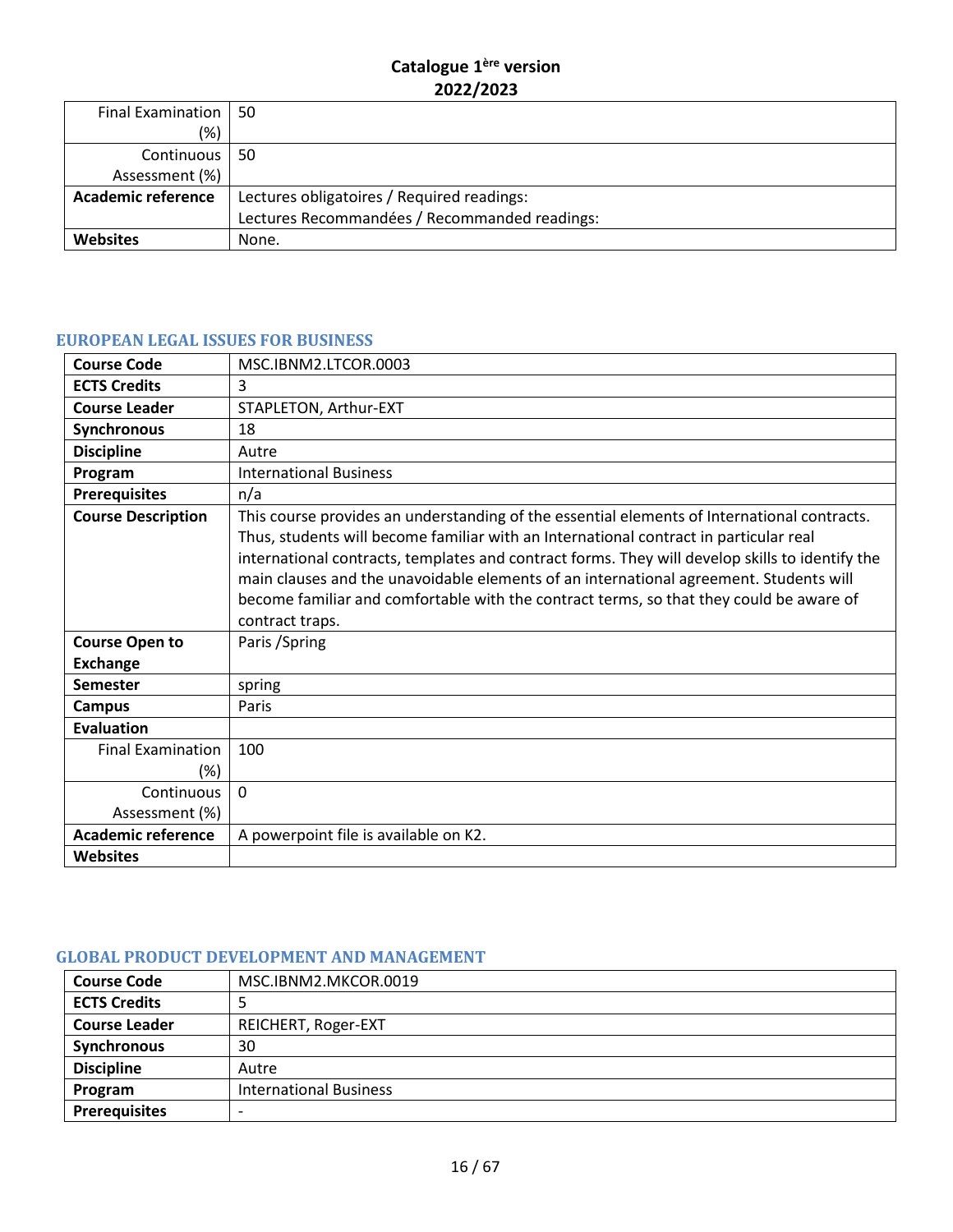| Final Examination   50    |                                               |
|---------------------------|-----------------------------------------------|
| (% )                      |                                               |
| Continuous 50             |                                               |
| Assessment (%)            |                                               |
| <b>Academic reference</b> | Lectures obligatoires / Required readings:    |
|                           | Lectures Recommandées / Recommanded readings: |
| Websites                  | None.                                         |

#### <span id="page-15-0"></span>**EUROPEAN LEGAL ISSUES FOR BUSINESS**

| <b>Course Code</b>                       | MSC.IBNM2.LTCOR.0003                                                                                                                                                                                                                                                                                                                                                                                                                                                                            |
|------------------------------------------|-------------------------------------------------------------------------------------------------------------------------------------------------------------------------------------------------------------------------------------------------------------------------------------------------------------------------------------------------------------------------------------------------------------------------------------------------------------------------------------------------|
| <b>ECTS Credits</b>                      | 3                                                                                                                                                                                                                                                                                                                                                                                                                                                                                               |
| <b>Course Leader</b>                     | STAPLETON, Arthur-EXT                                                                                                                                                                                                                                                                                                                                                                                                                                                                           |
| <b>Synchronous</b>                       | 18                                                                                                                                                                                                                                                                                                                                                                                                                                                                                              |
| <b>Discipline</b>                        | Autre                                                                                                                                                                                                                                                                                                                                                                                                                                                                                           |
| Program                                  | <b>International Business</b>                                                                                                                                                                                                                                                                                                                                                                                                                                                                   |
| <b>Prerequisites</b>                     | n/a                                                                                                                                                                                                                                                                                                                                                                                                                                                                                             |
| <b>Course Description</b>                | This course provides an understanding of the essential elements of International contracts.<br>Thus, students will become familiar with an International contract in particular real<br>international contracts, templates and contract forms. They will develop skills to identify the<br>main clauses and the unavoidable elements of an international agreement. Students will<br>become familiar and comfortable with the contract terms, so that they could be aware of<br>contract traps. |
| <b>Course Open to</b><br><b>Exchange</b> | Paris / Spring                                                                                                                                                                                                                                                                                                                                                                                                                                                                                  |
| <b>Semester</b>                          | spring                                                                                                                                                                                                                                                                                                                                                                                                                                                                                          |
| <b>Campus</b>                            | Paris                                                                                                                                                                                                                                                                                                                                                                                                                                                                                           |
| <b>Evaluation</b>                        |                                                                                                                                                                                                                                                                                                                                                                                                                                                                                                 |
| <b>Final Examination</b><br>$(\%)$       | 100                                                                                                                                                                                                                                                                                                                                                                                                                                                                                             |
| Continuous<br>Assessment (%)             | $\Omega$                                                                                                                                                                                                                                                                                                                                                                                                                                                                                        |
| <b>Academic reference</b>                | A powerpoint file is available on K2.                                                                                                                                                                                                                                                                                                                                                                                                                                                           |
| <b>Websites</b>                          |                                                                                                                                                                                                                                                                                                                                                                                                                                                                                                 |

#### <span id="page-15-1"></span>**GLOBAL PRODUCT DEVELOPMENT AND MANAGEMENT**

| <b>Course Code</b>   | MSC.IBNM2.MKCOR.0019          |
|----------------------|-------------------------------|
| <b>ECTS Credits</b>  |                               |
| <b>Course Leader</b> | REICHERT, Roger-EXT           |
| Synchronous          | 30                            |
| <b>Discipline</b>    | Autre                         |
| Program              | <b>International Business</b> |
| <b>Prerequisites</b> | $\overline{\phantom{0}}$      |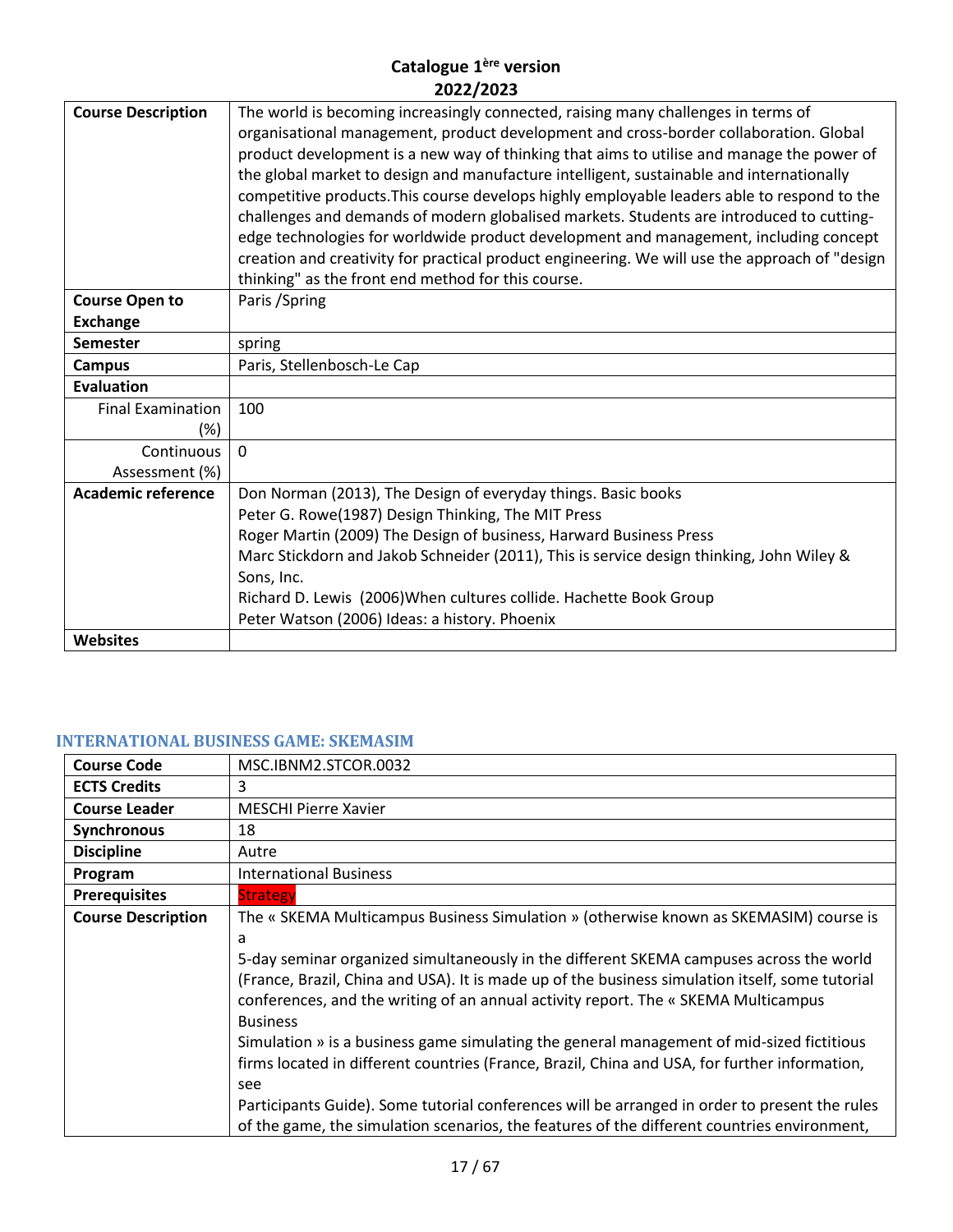| <b>Course Description</b> | The world is becoming increasingly connected, raising many challenges in terms of<br>organisational management, product development and cross-border collaboration. Global<br>product development is a new way of thinking that aims to utilise and manage the power of<br>the global market to design and manufacture intelligent, sustainable and internationally<br>competitive products. This course develops highly employable leaders able to respond to the<br>challenges and demands of modern globalised markets. Students are introduced to cutting-<br>edge technologies for worldwide product development and management, including concept<br>creation and creativity for practical product engineering. We will use the approach of "design<br>thinking" as the front end method for this course. |
|---------------------------|-----------------------------------------------------------------------------------------------------------------------------------------------------------------------------------------------------------------------------------------------------------------------------------------------------------------------------------------------------------------------------------------------------------------------------------------------------------------------------------------------------------------------------------------------------------------------------------------------------------------------------------------------------------------------------------------------------------------------------------------------------------------------------------------------------------------|
| <b>Course Open to</b>     | Paris / Spring                                                                                                                                                                                                                                                                                                                                                                                                                                                                                                                                                                                                                                                                                                                                                                                                  |
| <b>Exchange</b>           |                                                                                                                                                                                                                                                                                                                                                                                                                                                                                                                                                                                                                                                                                                                                                                                                                 |
| <b>Semester</b>           | spring                                                                                                                                                                                                                                                                                                                                                                                                                                                                                                                                                                                                                                                                                                                                                                                                          |
| <b>Campus</b>             | Paris, Stellenbosch-Le Cap                                                                                                                                                                                                                                                                                                                                                                                                                                                                                                                                                                                                                                                                                                                                                                                      |
| <b>Evaluation</b>         |                                                                                                                                                                                                                                                                                                                                                                                                                                                                                                                                                                                                                                                                                                                                                                                                                 |
| <b>Final Examination</b>  | 100                                                                                                                                                                                                                                                                                                                                                                                                                                                                                                                                                                                                                                                                                                                                                                                                             |
| $(\%)$                    |                                                                                                                                                                                                                                                                                                                                                                                                                                                                                                                                                                                                                                                                                                                                                                                                                 |
| Continuous                | $\Omega$                                                                                                                                                                                                                                                                                                                                                                                                                                                                                                                                                                                                                                                                                                                                                                                                        |
| Assessment (%)            |                                                                                                                                                                                                                                                                                                                                                                                                                                                                                                                                                                                                                                                                                                                                                                                                                 |
| <b>Academic reference</b> | Don Norman (2013), The Design of everyday things. Basic books                                                                                                                                                                                                                                                                                                                                                                                                                                                                                                                                                                                                                                                                                                                                                   |
|                           | Peter G. Rowe(1987) Design Thinking, The MIT Press                                                                                                                                                                                                                                                                                                                                                                                                                                                                                                                                                                                                                                                                                                                                                              |
|                           | Roger Martin (2009) The Design of business, Harward Business Press                                                                                                                                                                                                                                                                                                                                                                                                                                                                                                                                                                                                                                                                                                                                              |
|                           | Marc Stickdorn and Jakob Schneider (2011), This is service design thinking, John Wiley &                                                                                                                                                                                                                                                                                                                                                                                                                                                                                                                                                                                                                                                                                                                        |
|                           | Sons, Inc.                                                                                                                                                                                                                                                                                                                                                                                                                                                                                                                                                                                                                                                                                                                                                                                                      |
|                           | Richard D. Lewis (2006) When cultures collide. Hachette Book Group                                                                                                                                                                                                                                                                                                                                                                                                                                                                                                                                                                                                                                                                                                                                              |
|                           | Peter Watson (2006) Ideas: a history. Phoenix                                                                                                                                                                                                                                                                                                                                                                                                                                                                                                                                                                                                                                                                                                                                                                   |
| <b>Websites</b>           |                                                                                                                                                                                                                                                                                                                                                                                                                                                                                                                                                                                                                                                                                                                                                                                                                 |

# <span id="page-16-0"></span>**INTERNATIONAL BUSINESS GAME: SKEMASIM**

| <b>Course Code</b>        | MSC.IBNM2.STCOR.0032                                                                            |
|---------------------------|-------------------------------------------------------------------------------------------------|
| <b>ECTS Credits</b>       | 3                                                                                               |
| <b>Course Leader</b>      | <b>MESCHI Pierre Xavier</b>                                                                     |
| Synchronous               | 18                                                                                              |
| <b>Discipline</b>         | Autre                                                                                           |
| Program                   | <b>International Business</b>                                                                   |
| <b>Prerequisites</b>      | <b>Strategy</b>                                                                                 |
| <b>Course Description</b> | The « SKEMA Multicampus Business Simulation » (otherwise known as SKEMASIM) course is           |
|                           | a                                                                                               |
|                           | 5-day seminar organized simultaneously in the different SKEMA campuses across the world         |
|                           | (France, Brazil, China and USA). It is made up of the business simulation itself, some tutorial |
|                           | conferences, and the writing of an annual activity report. The « SKEMA Multicampus              |
|                           | <b>Business</b>                                                                                 |
|                           | Simulation » is a business game simulating the general management of mid-sized fictitious       |
|                           | firms located in different countries (France, Brazil, China and USA, for further information,   |
|                           | see                                                                                             |
|                           | Participants Guide). Some tutorial conferences will be arranged in order to present the rules   |
|                           | of the game, the simulation scenarios, the features of the different countries environment,     |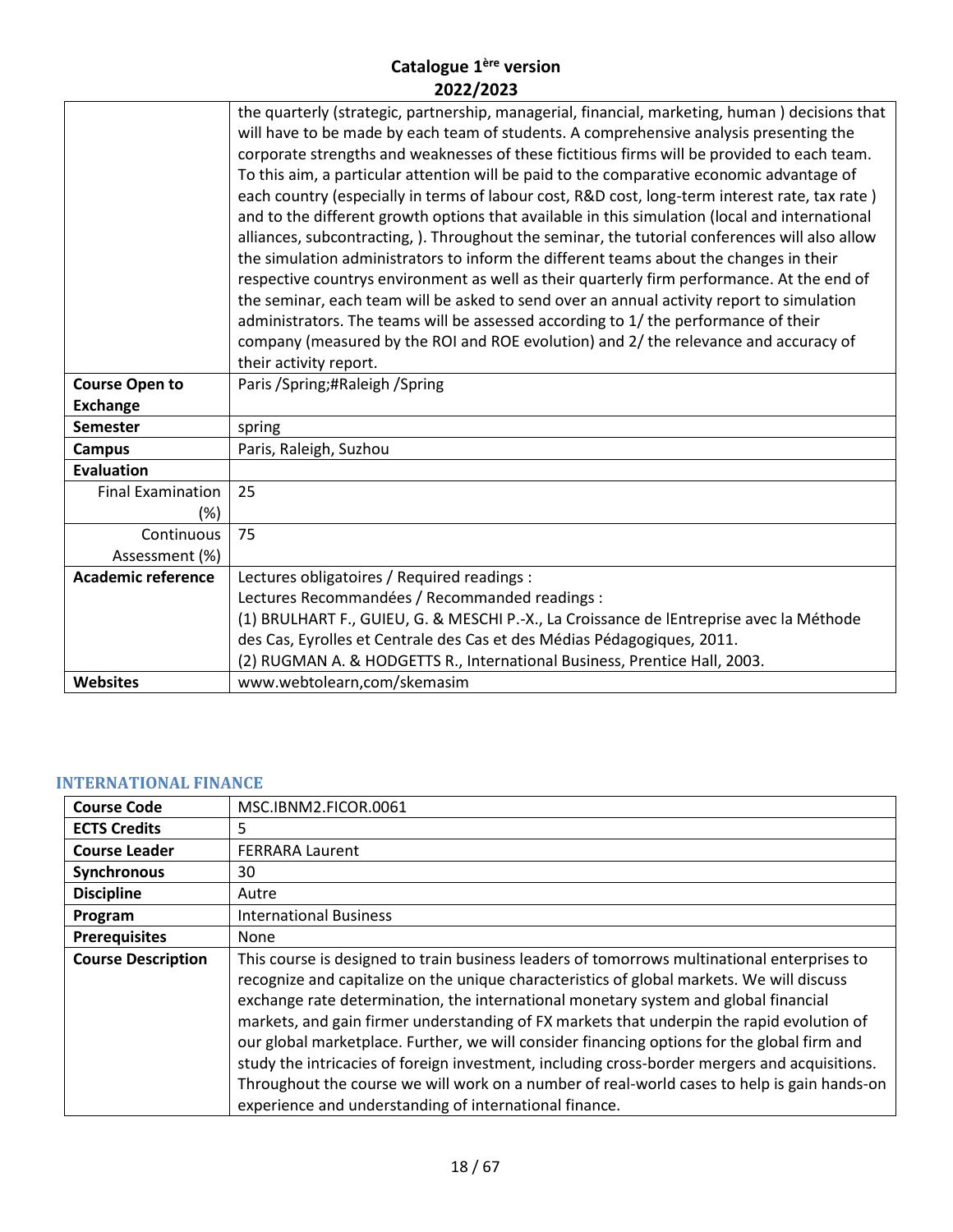|                           | the quarterly (strategic, partnership, managerial, financial, marketing, human) decisions that<br>will have to be made by each team of students. A comprehensive analysis presenting the<br>corporate strengths and weaknesses of these fictitious firms will be provided to each team.<br>To this aim, a particular attention will be paid to the comparative economic advantage of<br>each country (especially in terms of labour cost, R&D cost, long-term interest rate, tax rate)<br>and to the different growth options that available in this simulation (local and international<br>alliances, subcontracting, ). Throughout the seminar, the tutorial conferences will also allow<br>the simulation administrators to inform the different teams about the changes in their<br>respective countrys environment as well as their quarterly firm performance. At the end of<br>the seminar, each team will be asked to send over an annual activity report to simulation<br>administrators. The teams will be assessed according to 1/ the performance of their<br>company (measured by the ROI and ROE evolution) and 2/ the relevance and accuracy of<br>their activity report. |
|---------------------------|------------------------------------------------------------------------------------------------------------------------------------------------------------------------------------------------------------------------------------------------------------------------------------------------------------------------------------------------------------------------------------------------------------------------------------------------------------------------------------------------------------------------------------------------------------------------------------------------------------------------------------------------------------------------------------------------------------------------------------------------------------------------------------------------------------------------------------------------------------------------------------------------------------------------------------------------------------------------------------------------------------------------------------------------------------------------------------------------------------------------------------------------------------------------------------------|
| <b>Course Open to</b>     | Paris / Spring; #Raleigh / Spring                                                                                                                                                                                                                                                                                                                                                                                                                                                                                                                                                                                                                                                                                                                                                                                                                                                                                                                                                                                                                                                                                                                                                        |
| <b>Exchange</b>           |                                                                                                                                                                                                                                                                                                                                                                                                                                                                                                                                                                                                                                                                                                                                                                                                                                                                                                                                                                                                                                                                                                                                                                                          |
| <b>Semester</b>           | spring                                                                                                                                                                                                                                                                                                                                                                                                                                                                                                                                                                                                                                                                                                                                                                                                                                                                                                                                                                                                                                                                                                                                                                                   |
| <b>Campus</b>             | Paris, Raleigh, Suzhou                                                                                                                                                                                                                                                                                                                                                                                                                                                                                                                                                                                                                                                                                                                                                                                                                                                                                                                                                                                                                                                                                                                                                                   |
| <b>Evaluation</b>         |                                                                                                                                                                                                                                                                                                                                                                                                                                                                                                                                                                                                                                                                                                                                                                                                                                                                                                                                                                                                                                                                                                                                                                                          |
| <b>Final Examination</b>  | 25                                                                                                                                                                                                                                                                                                                                                                                                                                                                                                                                                                                                                                                                                                                                                                                                                                                                                                                                                                                                                                                                                                                                                                                       |
| (%)                       |                                                                                                                                                                                                                                                                                                                                                                                                                                                                                                                                                                                                                                                                                                                                                                                                                                                                                                                                                                                                                                                                                                                                                                                          |
| Continuous                | 75                                                                                                                                                                                                                                                                                                                                                                                                                                                                                                                                                                                                                                                                                                                                                                                                                                                                                                                                                                                                                                                                                                                                                                                       |
| Assessment (%)            |                                                                                                                                                                                                                                                                                                                                                                                                                                                                                                                                                                                                                                                                                                                                                                                                                                                                                                                                                                                                                                                                                                                                                                                          |
| <b>Academic reference</b> | Lectures obligatoires / Required readings :                                                                                                                                                                                                                                                                                                                                                                                                                                                                                                                                                                                                                                                                                                                                                                                                                                                                                                                                                                                                                                                                                                                                              |
|                           | Lectures Recommandées / Recommanded readings :                                                                                                                                                                                                                                                                                                                                                                                                                                                                                                                                                                                                                                                                                                                                                                                                                                                                                                                                                                                                                                                                                                                                           |
|                           | (1) BRULHART F., GUIEU, G. & MESCHI P.-X., La Croissance de lEntreprise avec la Méthode                                                                                                                                                                                                                                                                                                                                                                                                                                                                                                                                                                                                                                                                                                                                                                                                                                                                                                                                                                                                                                                                                                  |
|                           | des Cas, Eyrolles et Centrale des Cas et des Médias Pédagogiques, 2011.                                                                                                                                                                                                                                                                                                                                                                                                                                                                                                                                                                                                                                                                                                                                                                                                                                                                                                                                                                                                                                                                                                                  |
|                           | (2) RUGMAN A. & HODGETTS R., International Business, Prentice Hall, 2003.                                                                                                                                                                                                                                                                                                                                                                                                                                                                                                                                                                                                                                                                                                                                                                                                                                                                                                                                                                                                                                                                                                                |
| <b>Websites</b>           | www.webtolearn,com/skemasim                                                                                                                                                                                                                                                                                                                                                                                                                                                                                                                                                                                                                                                                                                                                                                                                                                                                                                                                                                                                                                                                                                                                                              |
|                           |                                                                                                                                                                                                                                                                                                                                                                                                                                                                                                                                                                                                                                                                                                                                                                                                                                                                                                                                                                                                                                                                                                                                                                                          |

# <span id="page-17-0"></span>**INTERNATIONAL FINANCE**

| <b>Course Code</b>        | MSC.IBNM2.FICOR.0061                                                                                                                                                                                                                                                                                                                                                                                                                                                                                                                                                                                                                                                                                                                  |
|---------------------------|---------------------------------------------------------------------------------------------------------------------------------------------------------------------------------------------------------------------------------------------------------------------------------------------------------------------------------------------------------------------------------------------------------------------------------------------------------------------------------------------------------------------------------------------------------------------------------------------------------------------------------------------------------------------------------------------------------------------------------------|
| <b>ECTS Credits</b>       | 5.                                                                                                                                                                                                                                                                                                                                                                                                                                                                                                                                                                                                                                                                                                                                    |
| <b>Course Leader</b>      | <b>FERRARA Laurent</b>                                                                                                                                                                                                                                                                                                                                                                                                                                                                                                                                                                                                                                                                                                                |
| Synchronous               | 30                                                                                                                                                                                                                                                                                                                                                                                                                                                                                                                                                                                                                                                                                                                                    |
| <b>Discipline</b>         | Autre                                                                                                                                                                                                                                                                                                                                                                                                                                                                                                                                                                                                                                                                                                                                 |
| Program                   | <b>International Business</b>                                                                                                                                                                                                                                                                                                                                                                                                                                                                                                                                                                                                                                                                                                         |
| <b>Prerequisites</b>      | <b>None</b>                                                                                                                                                                                                                                                                                                                                                                                                                                                                                                                                                                                                                                                                                                                           |
| <b>Course Description</b> | This course is designed to train business leaders of tomorrows multinational enterprises to<br>recognize and capitalize on the unique characteristics of global markets. We will discuss<br>exchange rate determination, the international monetary system and global financial<br>markets, and gain firmer understanding of FX markets that underpin the rapid evolution of<br>our global marketplace. Further, we will consider financing options for the global firm and<br>study the intricacies of foreign investment, including cross-border mergers and acquisitions.<br>Throughout the course we will work on a number of real-world cases to help is gain hands-on<br>experience and understanding of international finance. |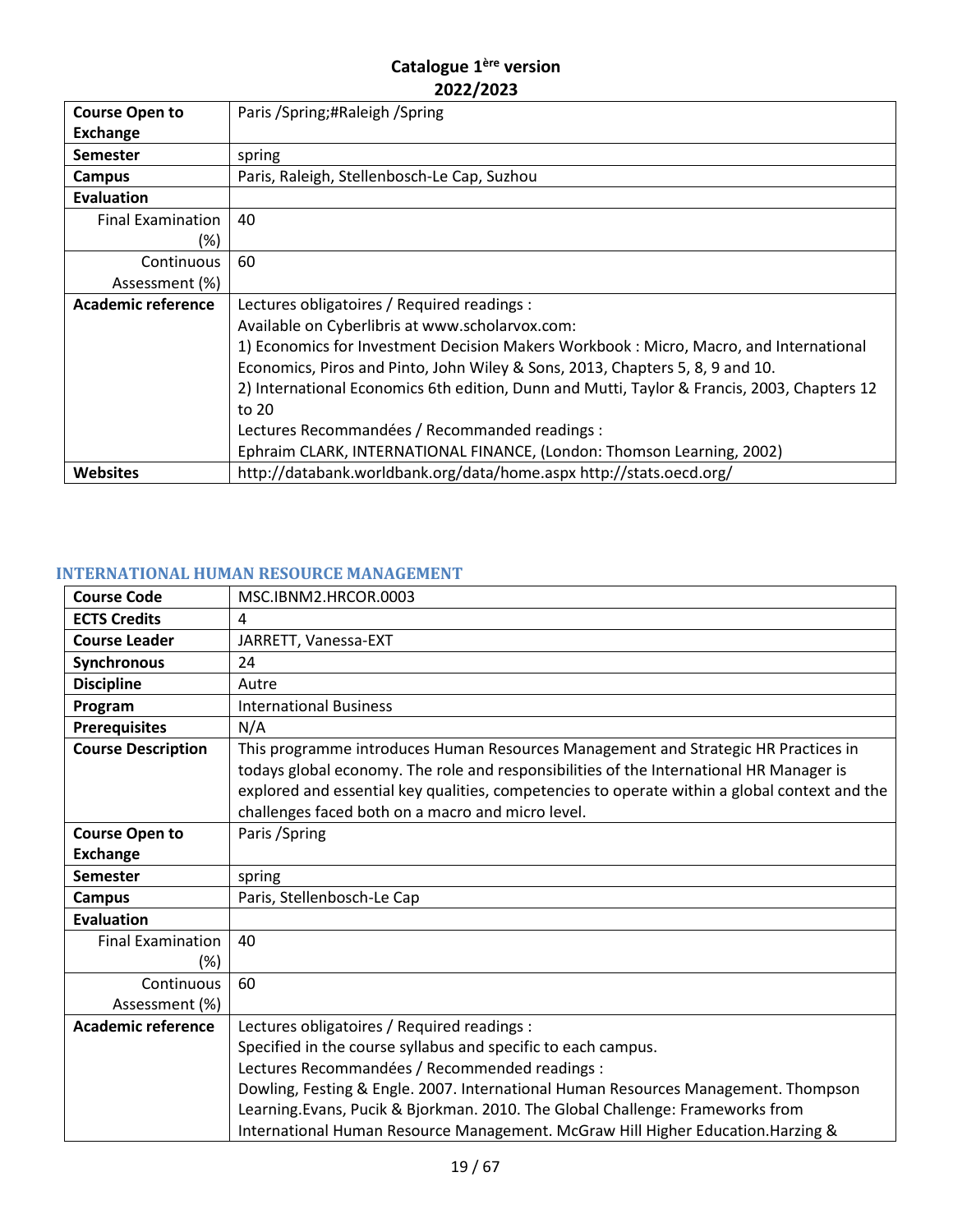| <b>Course Open to</b>     | Paris /Spring;#Raleigh /Spring                                                              |
|---------------------------|---------------------------------------------------------------------------------------------|
| <b>Exchange</b>           |                                                                                             |
| <b>Semester</b>           | spring                                                                                      |
| Campus                    | Paris, Raleigh, Stellenbosch-Le Cap, Suzhou                                                 |
| <b>Evaluation</b>         |                                                                                             |
| <b>Final Examination</b>  | 40                                                                                          |
| (%)                       |                                                                                             |
| Continuous                | 60                                                                                          |
| Assessment (%)            |                                                                                             |
| <b>Academic reference</b> | Lectures obligatoires / Required readings :                                                 |
|                           | Available on Cyberlibris at www.scholarvox.com:                                             |
|                           | 1) Economics for Investment Decision Makers Workbook : Micro, Macro, and International      |
|                           | Economics, Piros and Pinto, John Wiley & Sons, 2013, Chapters 5, 8, 9 and 10.               |
|                           | 2) International Economics 6th edition, Dunn and Mutti, Taylor & Francis, 2003, Chapters 12 |
|                           | to 20                                                                                       |
|                           | Lectures Recommandées / Recommanded readings :                                              |
|                           | Ephraim CLARK, INTERNATIONAL FINANCE, (London: Thomson Learning, 2002)                      |
| <b>Websites</b>           | http://databank.worldbank.org/data/home.aspx http://stats.oecd.org/                         |

# <span id="page-18-0"></span>**INTERNATIONAL HUMAN RESOURCE MANAGEMENT**

| <b>Course Code</b>        | MSC.IBNM2.HRCOR.0003                                                                                                                                                                                                                                                                                                                |
|---------------------------|-------------------------------------------------------------------------------------------------------------------------------------------------------------------------------------------------------------------------------------------------------------------------------------------------------------------------------------|
| <b>ECTS Credits</b>       | 4                                                                                                                                                                                                                                                                                                                                   |
| <b>Course Leader</b>      | JARRETT, Vanessa-EXT                                                                                                                                                                                                                                                                                                                |
| Synchronous               | 24                                                                                                                                                                                                                                                                                                                                  |
| <b>Discipline</b>         | Autre                                                                                                                                                                                                                                                                                                                               |
| Program                   | <b>International Business</b>                                                                                                                                                                                                                                                                                                       |
| <b>Prerequisites</b>      | N/A                                                                                                                                                                                                                                                                                                                                 |
| <b>Course Description</b> | This programme introduces Human Resources Management and Strategic HR Practices in<br>todays global economy. The role and responsibilities of the International HR Manager is<br>explored and essential key qualities, competencies to operate within a global context and the<br>challenges faced both on a macro and micro level. |
| <b>Course Open to</b>     | Paris / Spring                                                                                                                                                                                                                                                                                                                      |
| <b>Exchange</b>           |                                                                                                                                                                                                                                                                                                                                     |
| <b>Semester</b>           | spring                                                                                                                                                                                                                                                                                                                              |
| Campus                    | Paris, Stellenbosch-Le Cap                                                                                                                                                                                                                                                                                                          |
| <b>Evaluation</b>         |                                                                                                                                                                                                                                                                                                                                     |
| <b>Final Examination</b>  | 40                                                                                                                                                                                                                                                                                                                                  |
| (%)                       |                                                                                                                                                                                                                                                                                                                                     |
| Continuous                | 60                                                                                                                                                                                                                                                                                                                                  |
| Assessment (%)            |                                                                                                                                                                                                                                                                                                                                     |
| <b>Academic reference</b> | Lectures obligatoires / Required readings :                                                                                                                                                                                                                                                                                         |
|                           | Specified in the course syllabus and specific to each campus.                                                                                                                                                                                                                                                                       |
|                           | Lectures Recommandées / Recommended readings :                                                                                                                                                                                                                                                                                      |
|                           | Dowling, Festing & Engle. 2007. International Human Resources Management. Thompson                                                                                                                                                                                                                                                  |
|                           | Learning. Evans, Pucik & Bjorkman. 2010. The Global Challenge: Frameworks from                                                                                                                                                                                                                                                      |
|                           | International Human Resource Management. McGraw Hill Higher Education. Harzing &                                                                                                                                                                                                                                                    |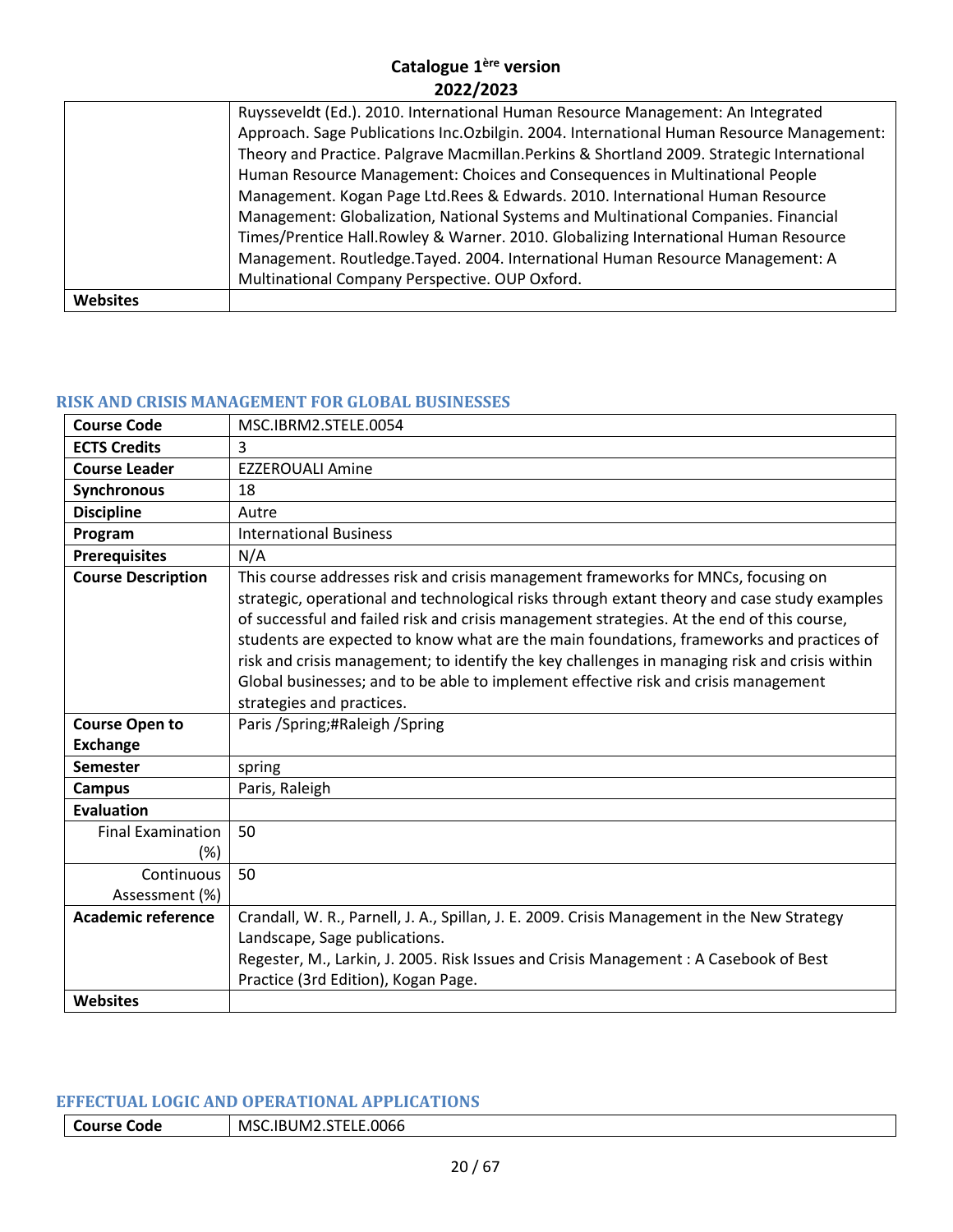|                 | Ruysseveldt (Ed.). 2010. International Human Resource Management: An Integrated            |
|-----------------|--------------------------------------------------------------------------------------------|
|                 | Approach. Sage Publications Inc. Ozbilgin. 2004. International Human Resource Management:  |
|                 | Theory and Practice. Palgrave Macmillan. Perkins & Shortland 2009. Strategic International |
|                 | Human Resource Management: Choices and Consequences in Multinational People                |
|                 | Management. Kogan Page Ltd.Rees & Edwards. 2010. International Human Resource              |
|                 | Management: Globalization, National Systems and Multinational Companies. Financial         |
|                 | Times/Prentice Hall.Rowley & Warner. 2010. Globalizing International Human Resource        |
|                 | Management. Routledge.Tayed. 2004. International Human Resource Management: A              |
|                 | Multinational Company Perspective. OUP Oxford.                                             |
| <b>Websites</b> |                                                                                            |

#### <span id="page-19-0"></span>**RISK AND CRISIS MANAGEMENT FOR GLOBAL BUSINESSES**

| <b>Course Code</b>                 | MSC.IBRM2.STELE.0054                                                                                                                                                                                                                                                                                                                                                                                                                                                                                                                                                                             |
|------------------------------------|--------------------------------------------------------------------------------------------------------------------------------------------------------------------------------------------------------------------------------------------------------------------------------------------------------------------------------------------------------------------------------------------------------------------------------------------------------------------------------------------------------------------------------------------------------------------------------------------------|
| <b>ECTS Credits</b>                | 3                                                                                                                                                                                                                                                                                                                                                                                                                                                                                                                                                                                                |
| <b>Course Leader</b>               | <b>EZZEROUALI Amine</b>                                                                                                                                                                                                                                                                                                                                                                                                                                                                                                                                                                          |
| Synchronous                        | 18                                                                                                                                                                                                                                                                                                                                                                                                                                                                                                                                                                                               |
| <b>Discipline</b>                  | Autre                                                                                                                                                                                                                                                                                                                                                                                                                                                                                                                                                                                            |
| Program                            | <b>International Business</b>                                                                                                                                                                                                                                                                                                                                                                                                                                                                                                                                                                    |
| <b>Prerequisites</b>               | N/A                                                                                                                                                                                                                                                                                                                                                                                                                                                                                                                                                                                              |
| <b>Course Description</b>          | This course addresses risk and crisis management frameworks for MNCs, focusing on<br>strategic, operational and technological risks through extant theory and case study examples<br>of successful and failed risk and crisis management strategies. At the end of this course,<br>students are expected to know what are the main foundations, frameworks and practices of<br>risk and crisis management; to identify the key challenges in managing risk and crisis within<br>Global businesses; and to be able to implement effective risk and crisis management<br>strategies and practices. |
| <b>Course Open to</b>              | Paris / Spring; #Raleigh / Spring                                                                                                                                                                                                                                                                                                                                                                                                                                                                                                                                                                |
| <b>Exchange</b>                    |                                                                                                                                                                                                                                                                                                                                                                                                                                                                                                                                                                                                  |
| <b>Semester</b>                    | spring                                                                                                                                                                                                                                                                                                                                                                                                                                                                                                                                                                                           |
| <b>Campus</b>                      | Paris, Raleigh                                                                                                                                                                                                                                                                                                                                                                                                                                                                                                                                                                                   |
| Evaluation                         |                                                                                                                                                                                                                                                                                                                                                                                                                                                                                                                                                                                                  |
| <b>Final Examination</b><br>$(\%)$ | 50                                                                                                                                                                                                                                                                                                                                                                                                                                                                                                                                                                                               |
| Continuous                         | 50                                                                                                                                                                                                                                                                                                                                                                                                                                                                                                                                                                                               |
| Assessment (%)                     |                                                                                                                                                                                                                                                                                                                                                                                                                                                                                                                                                                                                  |
| Academic reference                 | Crandall, W. R., Parnell, J. A., Spillan, J. E. 2009. Crisis Management in the New Strategy<br>Landscape, Sage publications.<br>Regester, M., Larkin, J. 2005. Risk Issues and Crisis Management: A Casebook of Best<br>Practice (3rd Edition), Kogan Page.                                                                                                                                                                                                                                                                                                                                      |
| Websites                           |                                                                                                                                                                                                                                                                                                                                                                                                                                                                                                                                                                                                  |

## <span id="page-19-1"></span>**EFFECTUAL LOGIC AND OPERATIONAL APPLICATIONS**

**Course Code** MSC.IBUM2.STELE.0066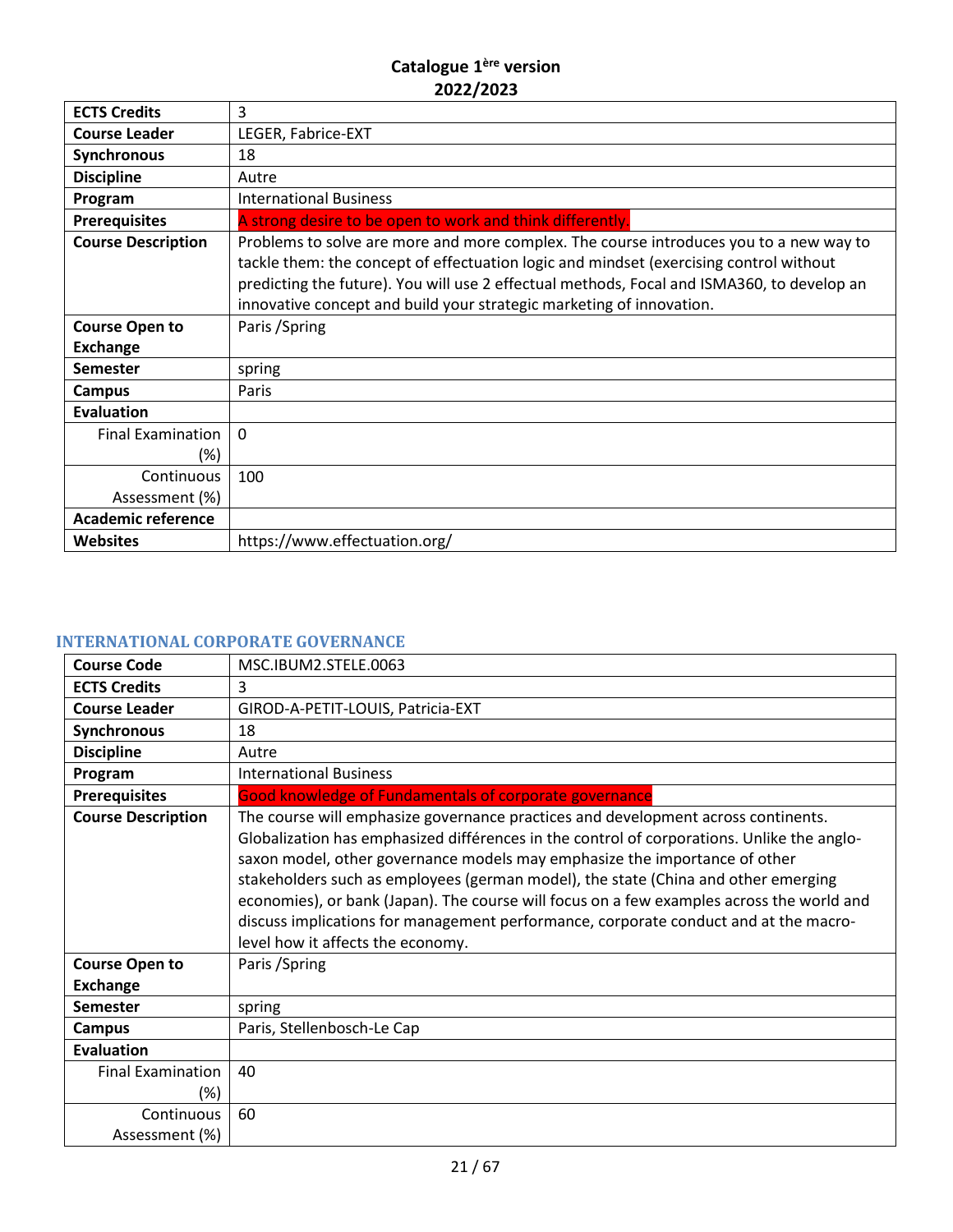| <b>ECTS Credits</b>             | 3                                                                                                                                                                                                                                                                                                                                                      |
|---------------------------------|--------------------------------------------------------------------------------------------------------------------------------------------------------------------------------------------------------------------------------------------------------------------------------------------------------------------------------------------------------|
| <b>Course Leader</b>            | LEGER, Fabrice-EXT                                                                                                                                                                                                                                                                                                                                     |
| <b>Synchronous</b>              | 18                                                                                                                                                                                                                                                                                                                                                     |
| <b>Discipline</b>               | Autre                                                                                                                                                                                                                                                                                                                                                  |
| Program                         | <b>International Business</b>                                                                                                                                                                                                                                                                                                                          |
| <b>Prerequisites</b>            | A strong desire to be open to work and think differently.                                                                                                                                                                                                                                                                                              |
| <b>Course Description</b>       | Problems to solve are more and more complex. The course introduces you to a new way to<br>tackle them: the concept of effectuation logic and mindset (exercising control without<br>predicting the future). You will use 2 effectual methods, Focal and ISMA360, to develop an<br>innovative concept and build your strategic marketing of innovation. |
| <b>Course Open to</b>           | Paris / Spring                                                                                                                                                                                                                                                                                                                                         |
| <b>Exchange</b>                 |                                                                                                                                                                                                                                                                                                                                                        |
| <b>Semester</b>                 | spring                                                                                                                                                                                                                                                                                                                                                 |
| <b>Campus</b>                   | Paris                                                                                                                                                                                                                                                                                                                                                  |
| <b>Evaluation</b>               |                                                                                                                                                                                                                                                                                                                                                        |
| <b>Final Examination</b><br>(%) | $\Omega$                                                                                                                                                                                                                                                                                                                                               |
| Continuous                      | 100                                                                                                                                                                                                                                                                                                                                                    |
| Assessment (%)                  |                                                                                                                                                                                                                                                                                                                                                        |
| <b>Academic reference</b>       |                                                                                                                                                                                                                                                                                                                                                        |
| <b>Websites</b>                 | https://www.effectuation.org/                                                                                                                                                                                                                                                                                                                          |

# <span id="page-20-0"></span>**INTERNATIONAL CORPORATE GOVERNANCE**

| <b>Course Code</b>                 | MSC.IBUM2.STELE.0063                                                                                                                                                                                                                                                                                                                                                                                                                                                                                                                                                          |
|------------------------------------|-------------------------------------------------------------------------------------------------------------------------------------------------------------------------------------------------------------------------------------------------------------------------------------------------------------------------------------------------------------------------------------------------------------------------------------------------------------------------------------------------------------------------------------------------------------------------------|
| <b>ECTS Credits</b>                | 3                                                                                                                                                                                                                                                                                                                                                                                                                                                                                                                                                                             |
| <b>Course Leader</b>               | GIROD-A-PETIT-LOUIS, Patricia-EXT                                                                                                                                                                                                                                                                                                                                                                                                                                                                                                                                             |
| Synchronous                        | 18                                                                                                                                                                                                                                                                                                                                                                                                                                                                                                                                                                            |
| <b>Discipline</b>                  | Autre                                                                                                                                                                                                                                                                                                                                                                                                                                                                                                                                                                         |
| Program                            | <b>International Business</b>                                                                                                                                                                                                                                                                                                                                                                                                                                                                                                                                                 |
| <b>Prerequisites</b>               | <b>Good knowledge of Fundamentals of corporate governance</b>                                                                                                                                                                                                                                                                                                                                                                                                                                                                                                                 |
| <b>Course Description</b>          | The course will emphasize governance practices and development across continents.<br>Globalization has emphasized différences in the control of corporations. Unlike the anglo-<br>saxon model, other governance models may emphasize the importance of other<br>stakeholders such as employees (german model), the state (China and other emerging<br>economies), or bank (Japan). The course will focus on a few examples across the world and<br>discuss implications for management performance, corporate conduct and at the macro-<br>level how it affects the economy. |
| <b>Course Open to</b>              | Paris / Spring                                                                                                                                                                                                                                                                                                                                                                                                                                                                                                                                                                |
| <b>Exchange</b>                    |                                                                                                                                                                                                                                                                                                                                                                                                                                                                                                                                                                               |
| <b>Semester</b>                    | spring                                                                                                                                                                                                                                                                                                                                                                                                                                                                                                                                                                        |
| <b>Campus</b>                      | Paris, Stellenbosch-Le Cap                                                                                                                                                                                                                                                                                                                                                                                                                                                                                                                                                    |
| <b>Evaluation</b>                  |                                                                                                                                                                                                                                                                                                                                                                                                                                                                                                                                                                               |
| <b>Final Examination</b><br>$(\%)$ | 40                                                                                                                                                                                                                                                                                                                                                                                                                                                                                                                                                                            |
| Continuous<br>Assessment (%)       | 60                                                                                                                                                                                                                                                                                                                                                                                                                                                                                                                                                                            |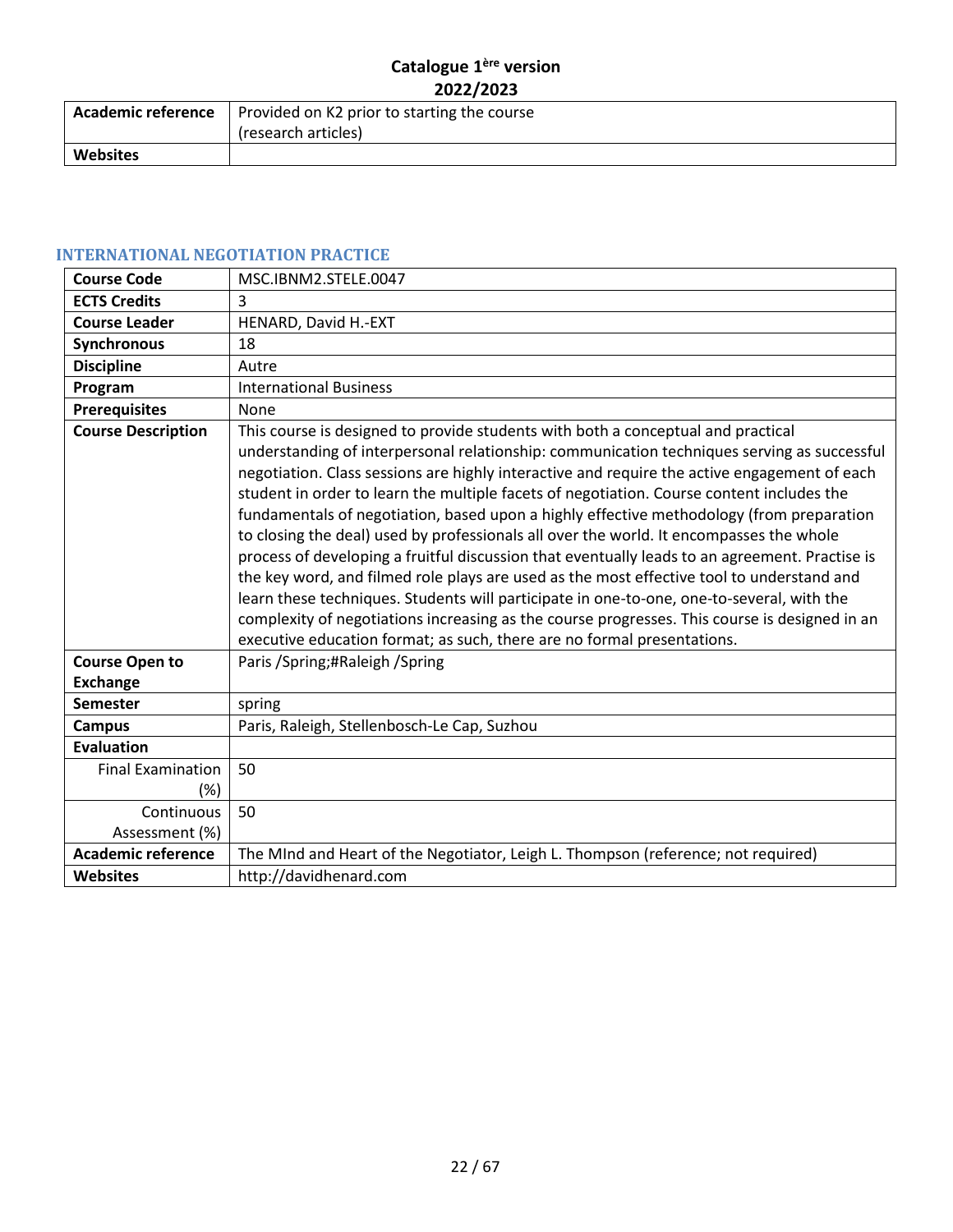|                 | <b>Academic reference</b>   Provided on K2 prior to starting the course<br>(research articles) |
|-----------------|------------------------------------------------------------------------------------------------|
| <b>Websites</b> |                                                                                                |

# <span id="page-21-0"></span>**INTERNATIONAL NEGOTIATION PRACTICE**

| <b>Course Code</b>        | MSC.IBNM2.STELE.0047                                                                                                                                                                                                                                                                                                                                                                                                                                                                                                                                                                                                                                                                                                                                                                                                                                                                                                                                                                                                                        |
|---------------------------|---------------------------------------------------------------------------------------------------------------------------------------------------------------------------------------------------------------------------------------------------------------------------------------------------------------------------------------------------------------------------------------------------------------------------------------------------------------------------------------------------------------------------------------------------------------------------------------------------------------------------------------------------------------------------------------------------------------------------------------------------------------------------------------------------------------------------------------------------------------------------------------------------------------------------------------------------------------------------------------------------------------------------------------------|
| <b>ECTS Credits</b>       | 3                                                                                                                                                                                                                                                                                                                                                                                                                                                                                                                                                                                                                                                                                                                                                                                                                                                                                                                                                                                                                                           |
| <b>Course Leader</b>      | HENARD, David H.-EXT                                                                                                                                                                                                                                                                                                                                                                                                                                                                                                                                                                                                                                                                                                                                                                                                                                                                                                                                                                                                                        |
| Synchronous               | 18                                                                                                                                                                                                                                                                                                                                                                                                                                                                                                                                                                                                                                                                                                                                                                                                                                                                                                                                                                                                                                          |
| <b>Discipline</b>         | Autre                                                                                                                                                                                                                                                                                                                                                                                                                                                                                                                                                                                                                                                                                                                                                                                                                                                                                                                                                                                                                                       |
| Program                   | <b>International Business</b>                                                                                                                                                                                                                                                                                                                                                                                                                                                                                                                                                                                                                                                                                                                                                                                                                                                                                                                                                                                                               |
| <b>Prerequisites</b>      | None                                                                                                                                                                                                                                                                                                                                                                                                                                                                                                                                                                                                                                                                                                                                                                                                                                                                                                                                                                                                                                        |
| <b>Course Description</b> | This course is designed to provide students with both a conceptual and practical<br>understanding of interpersonal relationship: communication techniques serving as successful<br>negotiation. Class sessions are highly interactive and require the active engagement of each<br>student in order to learn the multiple facets of negotiation. Course content includes the<br>fundamentals of negotiation, based upon a highly effective methodology (from preparation<br>to closing the deal) used by professionals all over the world. It encompasses the whole<br>process of developing a fruitful discussion that eventually leads to an agreement. Practise is<br>the key word, and filmed role plays are used as the most effective tool to understand and<br>learn these techniques. Students will participate in one-to-one, one-to-several, with the<br>complexity of negotiations increasing as the course progresses. This course is designed in an<br>executive education format; as such, there are no formal presentations. |
| <b>Course Open to</b>     | Paris / Spring; #Raleigh / Spring                                                                                                                                                                                                                                                                                                                                                                                                                                                                                                                                                                                                                                                                                                                                                                                                                                                                                                                                                                                                           |
| <b>Exchange</b>           |                                                                                                                                                                                                                                                                                                                                                                                                                                                                                                                                                                                                                                                                                                                                                                                                                                                                                                                                                                                                                                             |
| <b>Semester</b>           | spring                                                                                                                                                                                                                                                                                                                                                                                                                                                                                                                                                                                                                                                                                                                                                                                                                                                                                                                                                                                                                                      |
| <b>Campus</b>             | Paris, Raleigh, Stellenbosch-Le Cap, Suzhou                                                                                                                                                                                                                                                                                                                                                                                                                                                                                                                                                                                                                                                                                                                                                                                                                                                                                                                                                                                                 |
| <b>Evaluation</b>         |                                                                                                                                                                                                                                                                                                                                                                                                                                                                                                                                                                                                                                                                                                                                                                                                                                                                                                                                                                                                                                             |
| <b>Final Examination</b>  | 50                                                                                                                                                                                                                                                                                                                                                                                                                                                                                                                                                                                                                                                                                                                                                                                                                                                                                                                                                                                                                                          |
| $(\%)$                    |                                                                                                                                                                                                                                                                                                                                                                                                                                                                                                                                                                                                                                                                                                                                                                                                                                                                                                                                                                                                                                             |
| Continuous                | 50                                                                                                                                                                                                                                                                                                                                                                                                                                                                                                                                                                                                                                                                                                                                                                                                                                                                                                                                                                                                                                          |
| Assessment (%)            |                                                                                                                                                                                                                                                                                                                                                                                                                                                                                                                                                                                                                                                                                                                                                                                                                                                                                                                                                                                                                                             |
| <b>Academic reference</b> | The MInd and Heart of the Negotiator, Leigh L. Thompson (reference; not required)                                                                                                                                                                                                                                                                                                                                                                                                                                                                                                                                                                                                                                                                                                                                                                                                                                                                                                                                                           |
| <b>Websites</b>           | http://davidhenard.com                                                                                                                                                                                                                                                                                                                                                                                                                                                                                                                                                                                                                                                                                                                                                                                                                                                                                                                                                                                                                      |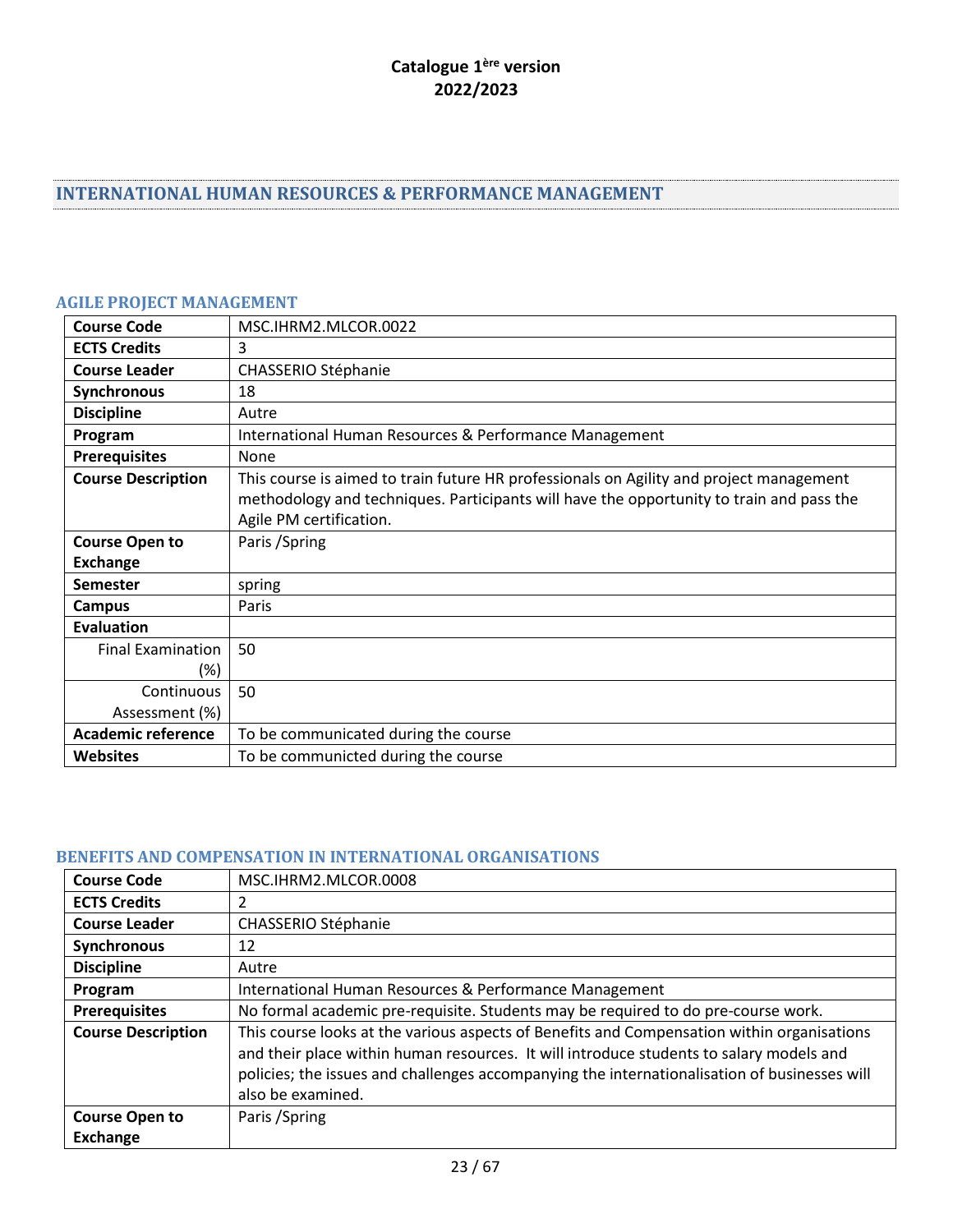# <span id="page-22-0"></span>**INTERNATIONAL HUMAN RESOURCES & PERFORMANCE MANAGEMENT**

# <span id="page-22-1"></span>**AGILE PROJECT MANAGEMENT**

| <b>Course Code</b>        | MSC.IHRM2.MLCOR.0022                                                                     |
|---------------------------|------------------------------------------------------------------------------------------|
| <b>ECTS Credits</b>       | 3                                                                                        |
| <b>Course Leader</b>      | <b>CHASSERIO Stéphanie</b>                                                               |
| Synchronous               | 18                                                                                       |
| <b>Discipline</b>         | Autre                                                                                    |
| Program                   | International Human Resources & Performance Management                                   |
| <b>Prerequisites</b>      | None                                                                                     |
| <b>Course Description</b> | This course is aimed to train future HR professionals on Agility and project management  |
|                           | methodology and techniques. Participants will have the opportunity to train and pass the |
|                           | Agile PM certification.                                                                  |
| <b>Course Open to</b>     | Paris / Spring                                                                           |
| <b>Exchange</b>           |                                                                                          |
| Semester                  | spring                                                                                   |
| <b>Campus</b>             | Paris                                                                                    |
| Evaluation                |                                                                                          |
| <b>Final Examination</b>  | 50                                                                                       |
| (%)                       |                                                                                          |
| Continuous                | 50                                                                                       |
| Assessment (%)            |                                                                                          |
| <b>Academic reference</b> | To be communicated during the course                                                     |
| <b>Websites</b>           | To be communicted during the course                                                      |

#### <span id="page-22-2"></span>**BENEFITS AND COMPENSATION IN INTERNATIONAL ORGANISATIONS**

| <b>Course Code</b>                       | MSC.IHRM2.MLCOR.0008                                                                                                                                                                                                                                                                                       |
|------------------------------------------|------------------------------------------------------------------------------------------------------------------------------------------------------------------------------------------------------------------------------------------------------------------------------------------------------------|
| <b>ECTS Credits</b>                      |                                                                                                                                                                                                                                                                                                            |
| <b>Course Leader</b>                     | CHASSERIO Stéphanie                                                                                                                                                                                                                                                                                        |
| Synchronous                              | 12                                                                                                                                                                                                                                                                                                         |
| <b>Discipline</b>                        | Autre                                                                                                                                                                                                                                                                                                      |
| Program                                  | International Human Resources & Performance Management                                                                                                                                                                                                                                                     |
| <b>Prerequisites</b>                     | No formal academic pre-requisite. Students may be required to do pre-course work.                                                                                                                                                                                                                          |
| <b>Course Description</b>                | This course looks at the various aspects of Benefits and Compensation within organisations<br>and their place within human resources. It will introduce students to salary models and<br>policies; the issues and challenges accompanying the internationalisation of businesses will<br>also be examined. |
| <b>Course Open to</b><br><b>Exchange</b> | Paris / Spring                                                                                                                                                                                                                                                                                             |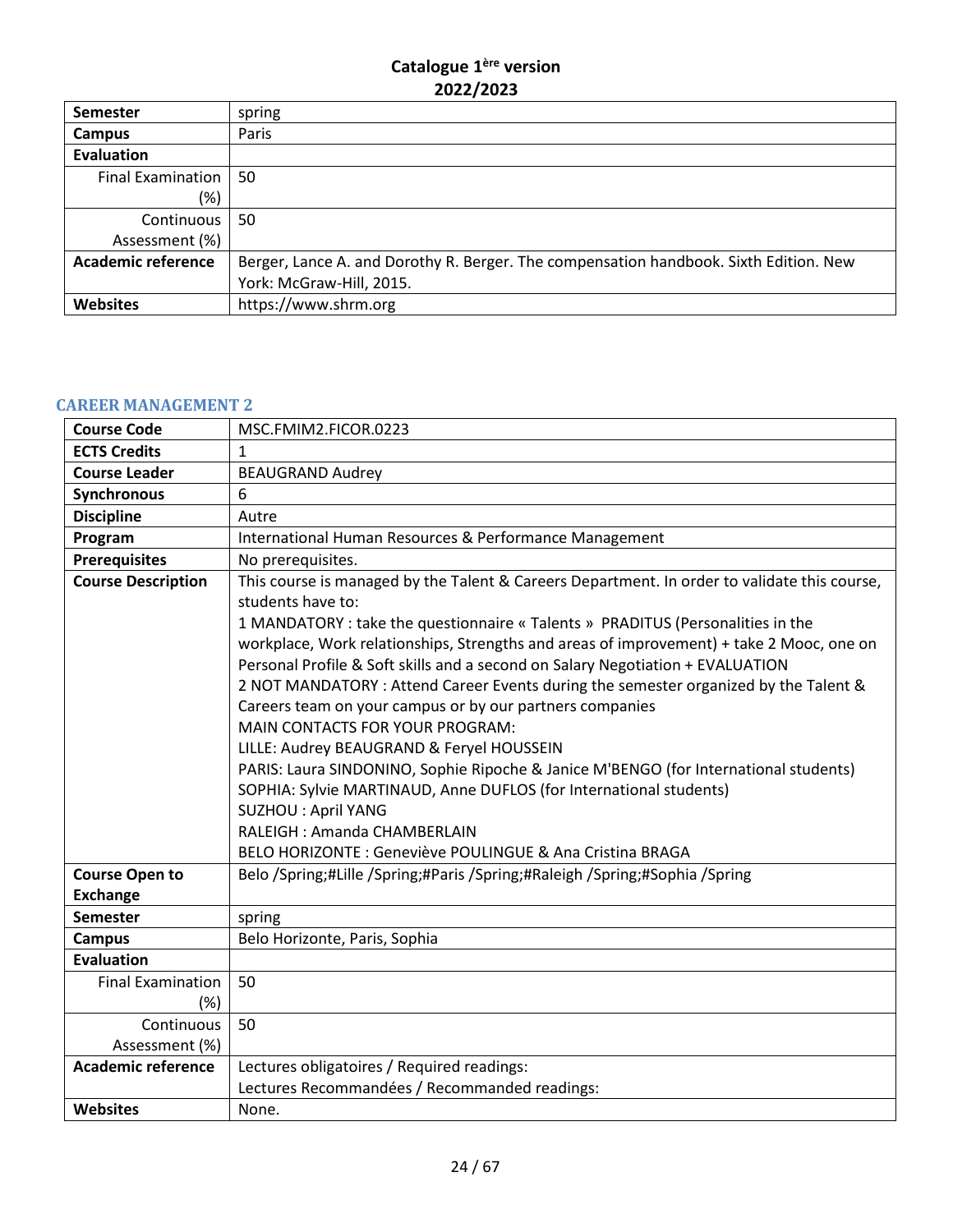| <b>Semester</b>           | spring                                                                                |
|---------------------------|---------------------------------------------------------------------------------------|
| Campus                    | Paris                                                                                 |
| <b>Evaluation</b>         |                                                                                       |
| Final Examination         | 50                                                                                    |
| (%)                       |                                                                                       |
| Continuous                | 50                                                                                    |
| Assessment (%)            |                                                                                       |
| <b>Academic reference</b> | Berger, Lance A. and Dorothy R. Berger. The compensation handbook. Sixth Edition. New |
|                           | York: McGraw-Hill, 2015.                                                              |
| <b>Websites</b>           | https://www.shrm.org                                                                  |

#### <span id="page-23-0"></span>**CAREER MANAGEMENT 2**

| <b>Course Code</b>        | MSC.FMIM2.FICOR.0223                                                                                                                                                                                                                                                                                                                                                                                                                                                                                                                                                                                                                                                                                                                                                                                                                                                                                          |
|---------------------------|---------------------------------------------------------------------------------------------------------------------------------------------------------------------------------------------------------------------------------------------------------------------------------------------------------------------------------------------------------------------------------------------------------------------------------------------------------------------------------------------------------------------------------------------------------------------------------------------------------------------------------------------------------------------------------------------------------------------------------------------------------------------------------------------------------------------------------------------------------------------------------------------------------------|
| <b>ECTS Credits</b>       | $\mathbf{1}$                                                                                                                                                                                                                                                                                                                                                                                                                                                                                                                                                                                                                                                                                                                                                                                                                                                                                                  |
| <b>Course Leader</b>      | <b>BEAUGRAND Audrey</b>                                                                                                                                                                                                                                                                                                                                                                                                                                                                                                                                                                                                                                                                                                                                                                                                                                                                                       |
| Synchronous               | 6                                                                                                                                                                                                                                                                                                                                                                                                                                                                                                                                                                                                                                                                                                                                                                                                                                                                                                             |
| <b>Discipline</b>         | Autre                                                                                                                                                                                                                                                                                                                                                                                                                                                                                                                                                                                                                                                                                                                                                                                                                                                                                                         |
| Program                   | International Human Resources & Performance Management                                                                                                                                                                                                                                                                                                                                                                                                                                                                                                                                                                                                                                                                                                                                                                                                                                                        |
| <b>Prerequisites</b>      | No prerequisites.                                                                                                                                                                                                                                                                                                                                                                                                                                                                                                                                                                                                                                                                                                                                                                                                                                                                                             |
| <b>Course Description</b> | This course is managed by the Talent & Careers Department. In order to validate this course,<br>students have to:<br>1 MANDATORY : take the questionnaire « Talents » PRADITUS (Personalities in the<br>workplace, Work relationships, Strengths and areas of improvement) + take 2 Mooc, one on<br>Personal Profile & Soft skills and a second on Salary Negotiation + EVALUATION<br>2 NOT MANDATORY : Attend Career Events during the semester organized by the Talent &<br>Careers team on your campus or by our partners companies<br>MAIN CONTACTS FOR YOUR PROGRAM:<br>LILLE: Audrey BEAUGRAND & Feryel HOUSSEIN<br>PARIS: Laura SINDONINO, Sophie Ripoche & Janice M'BENGO (for International students)<br>SOPHIA: Sylvie MARTINAUD, Anne DUFLOS (for International students)<br><b>SUZHOU: April YANG</b><br>RALEIGH: Amanda CHAMBERLAIN<br>BELO HORIZONTE : Geneviève POULINGUE & Ana Cristina BRAGA |
| <b>Course Open to</b>     | Belo /Spring;#Lille /Spring;#Paris /Spring;#Raleigh /Spring;#Sophia /Spring                                                                                                                                                                                                                                                                                                                                                                                                                                                                                                                                                                                                                                                                                                                                                                                                                                   |
| <b>Exchange</b>           |                                                                                                                                                                                                                                                                                                                                                                                                                                                                                                                                                                                                                                                                                                                                                                                                                                                                                                               |
| <b>Semester</b>           | spring                                                                                                                                                                                                                                                                                                                                                                                                                                                                                                                                                                                                                                                                                                                                                                                                                                                                                                        |
| <b>Campus</b>             | Belo Horizonte, Paris, Sophia                                                                                                                                                                                                                                                                                                                                                                                                                                                                                                                                                                                                                                                                                                                                                                                                                                                                                 |
| <b>Evaluation</b>         |                                                                                                                                                                                                                                                                                                                                                                                                                                                                                                                                                                                                                                                                                                                                                                                                                                                                                                               |
| <b>Final Examination</b>  | 50                                                                                                                                                                                                                                                                                                                                                                                                                                                                                                                                                                                                                                                                                                                                                                                                                                                                                                            |
| $(\%)$                    |                                                                                                                                                                                                                                                                                                                                                                                                                                                                                                                                                                                                                                                                                                                                                                                                                                                                                                               |
| Continuous                | 50                                                                                                                                                                                                                                                                                                                                                                                                                                                                                                                                                                                                                                                                                                                                                                                                                                                                                                            |
| Assessment (%)            |                                                                                                                                                                                                                                                                                                                                                                                                                                                                                                                                                                                                                                                                                                                                                                                                                                                                                                               |
| <b>Academic reference</b> | Lectures obligatoires / Required readings:                                                                                                                                                                                                                                                                                                                                                                                                                                                                                                                                                                                                                                                                                                                                                                                                                                                                    |
|                           | Lectures Recommandées / Recommanded readings:                                                                                                                                                                                                                                                                                                                                                                                                                                                                                                                                                                                                                                                                                                                                                                                                                                                                 |
| Websites                  | None.                                                                                                                                                                                                                                                                                                                                                                                                                                                                                                                                                                                                                                                                                                                                                                                                                                                                                                         |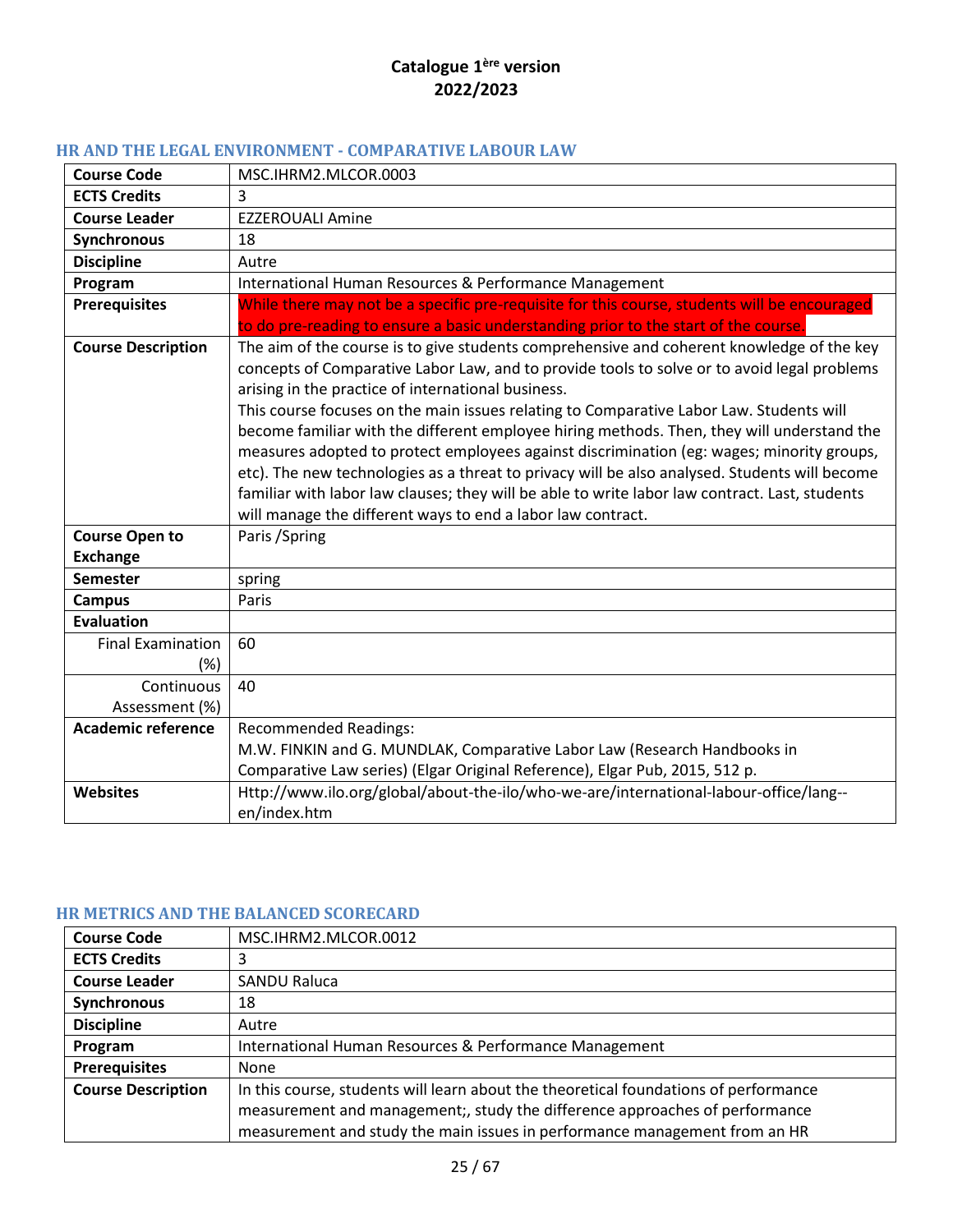# <span id="page-24-0"></span>**HR AND THE LEGAL ENVIRONMENT - COMPARATIVE LABOUR LAW**

| <b>Course Code</b>                       | MSC.IHRM2.MLCOR.0003                                                                                                                                                                                                                                                                                                                                                                                                                                                                                                                                                                                                                                                                                                                                                                                   |
|------------------------------------------|--------------------------------------------------------------------------------------------------------------------------------------------------------------------------------------------------------------------------------------------------------------------------------------------------------------------------------------------------------------------------------------------------------------------------------------------------------------------------------------------------------------------------------------------------------------------------------------------------------------------------------------------------------------------------------------------------------------------------------------------------------------------------------------------------------|
| <b>ECTS Credits</b>                      | 3                                                                                                                                                                                                                                                                                                                                                                                                                                                                                                                                                                                                                                                                                                                                                                                                      |
| <b>Course Leader</b>                     | <b>EZZEROUALI Amine</b>                                                                                                                                                                                                                                                                                                                                                                                                                                                                                                                                                                                                                                                                                                                                                                                |
| <b>Synchronous</b>                       | 18                                                                                                                                                                                                                                                                                                                                                                                                                                                                                                                                                                                                                                                                                                                                                                                                     |
| <b>Discipline</b>                        | Autre                                                                                                                                                                                                                                                                                                                                                                                                                                                                                                                                                                                                                                                                                                                                                                                                  |
| Program                                  | International Human Resources & Performance Management                                                                                                                                                                                                                                                                                                                                                                                                                                                                                                                                                                                                                                                                                                                                                 |
| <b>Prerequisites</b>                     | While there may not be a specific pre-requisite for this course, students will be encouraged<br>to do pre-reading to ensure a basic understanding prior to the start of the course.                                                                                                                                                                                                                                                                                                                                                                                                                                                                                                                                                                                                                    |
| <b>Course Description</b>                | The aim of the course is to give students comprehensive and coherent knowledge of the key<br>concepts of Comparative Labor Law, and to provide tools to solve or to avoid legal problems<br>arising in the practice of international business.<br>This course focuses on the main issues relating to Comparative Labor Law. Students will<br>become familiar with the different employee hiring methods. Then, they will understand the<br>measures adopted to protect employees against discrimination (eg: wages; minority groups,<br>etc). The new technologies as a threat to privacy will be also analysed. Students will become<br>familiar with labor law clauses; they will be able to write labor law contract. Last, students<br>will manage the different ways to end a labor law contract. |
| <b>Course Open to</b><br><b>Exchange</b> | Paris / Spring                                                                                                                                                                                                                                                                                                                                                                                                                                                                                                                                                                                                                                                                                                                                                                                         |
| <b>Semester</b>                          | spring                                                                                                                                                                                                                                                                                                                                                                                                                                                                                                                                                                                                                                                                                                                                                                                                 |
| <b>Campus</b>                            | Paris                                                                                                                                                                                                                                                                                                                                                                                                                                                                                                                                                                                                                                                                                                                                                                                                  |
| <b>Evaluation</b>                        |                                                                                                                                                                                                                                                                                                                                                                                                                                                                                                                                                                                                                                                                                                                                                                                                        |
| <b>Final Examination</b><br>$(\%)$       | 60                                                                                                                                                                                                                                                                                                                                                                                                                                                                                                                                                                                                                                                                                                                                                                                                     |
| Continuous                               | 40                                                                                                                                                                                                                                                                                                                                                                                                                                                                                                                                                                                                                                                                                                                                                                                                     |
| Assessment (%)                           |                                                                                                                                                                                                                                                                                                                                                                                                                                                                                                                                                                                                                                                                                                                                                                                                        |
| <b>Academic reference</b>                | <b>Recommended Readings:</b>                                                                                                                                                                                                                                                                                                                                                                                                                                                                                                                                                                                                                                                                                                                                                                           |
|                                          | M.W. FINKIN and G. MUNDLAK, Comparative Labor Law (Research Handbooks in                                                                                                                                                                                                                                                                                                                                                                                                                                                                                                                                                                                                                                                                                                                               |
|                                          | Comparative Law series) (Elgar Original Reference), Elgar Pub, 2015, 512 p.                                                                                                                                                                                                                                                                                                                                                                                                                                                                                                                                                                                                                                                                                                                            |
| <b>Websites</b>                          | Http://www.ilo.org/global/about-the-ilo/who-we-are/international-labour-office/lang--<br>en/index.htm                                                                                                                                                                                                                                                                                                                                                                                                                                                                                                                                                                                                                                                                                                  |

#### <span id="page-24-1"></span>**HR METRICS AND THE BALANCED SCORECARD**

| <b>Course Code</b>        | MSC.IHRM2.MLCOR.0012                                                                 |
|---------------------------|--------------------------------------------------------------------------------------|
| <b>ECTS Credits</b>       | 3                                                                                    |
| <b>Course Leader</b>      | <b>SANDU Raluca</b>                                                                  |
| Synchronous               | 18                                                                                   |
| <b>Discipline</b>         | Autre                                                                                |
| Program                   | International Human Resources & Performance Management                               |
| <b>Prerequisites</b>      | None                                                                                 |
| <b>Course Description</b> | In this course, students will learn about the theoretical foundations of performance |
|                           | measurement and management;, study the difference approaches of performance          |
|                           | measurement and study the main issues in performance management from an HR           |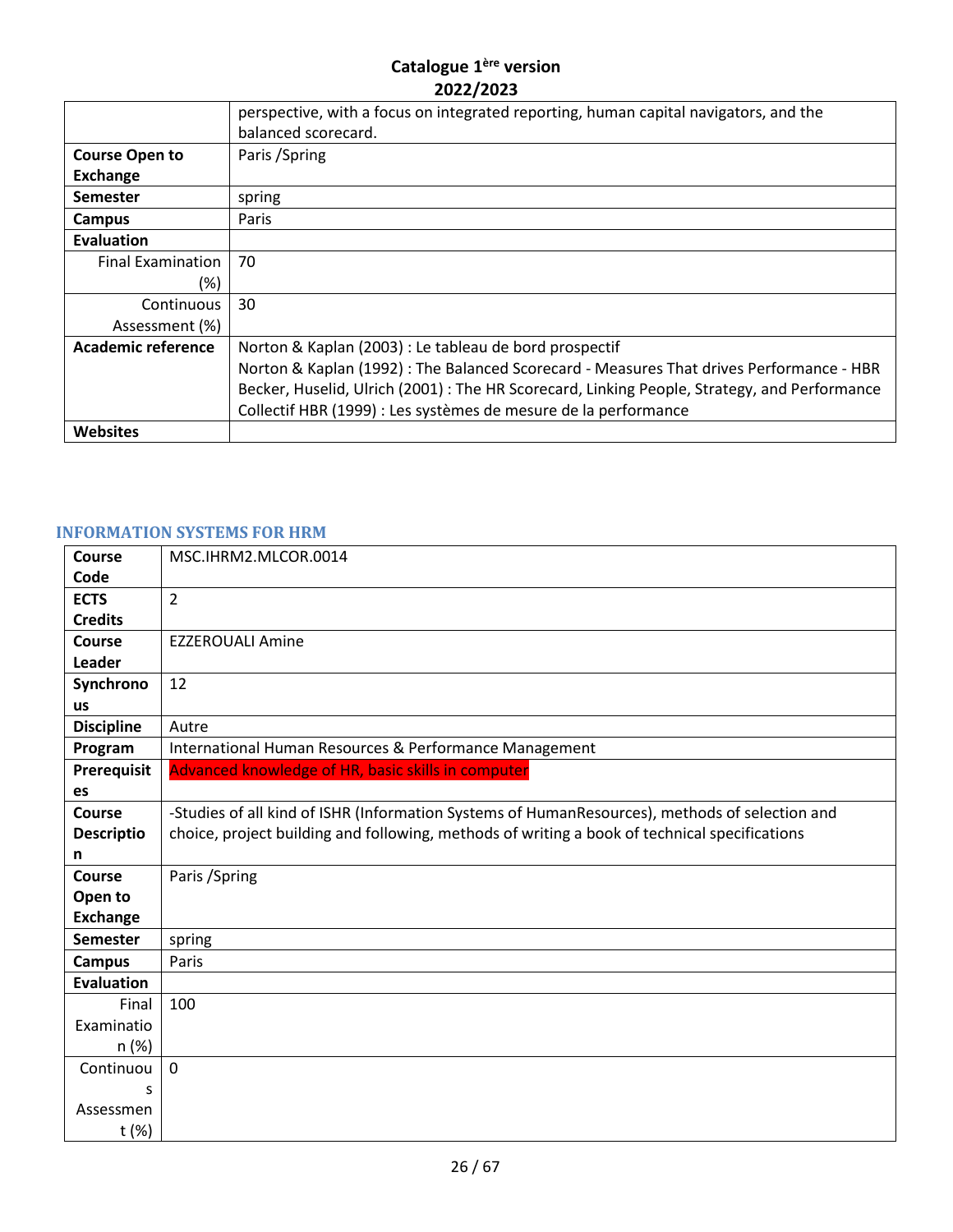|                           | perspective, with a focus on integrated reporting, human capital navigators, and the<br>balanced scorecard. |
|---------------------------|-------------------------------------------------------------------------------------------------------------|
| <b>Course Open to</b>     | Paris / Spring                                                                                              |
| <b>Exchange</b>           |                                                                                                             |
| <b>Semester</b>           | spring                                                                                                      |
| Campus                    | Paris                                                                                                       |
| Evaluation                |                                                                                                             |
| <b>Final Examination</b>  | 70                                                                                                          |
| (%)                       |                                                                                                             |
| Continuous                | 30                                                                                                          |
| Assessment (%)            |                                                                                                             |
| <b>Academic reference</b> | Norton & Kaplan (2003) : Le tableau de bord prospectif                                                      |
|                           | Norton & Kaplan (1992) : The Balanced Scorecard - Measures That drives Performance - HBR                    |
|                           | Becker, Huselid, Ulrich (2001) : The HR Scorecard, Linking People, Strategy, and Performance                |
|                           | Collectif HBR (1999) : Les systèmes de mesure de la performance                                             |
| <b>Websites</b>           |                                                                                                             |

## <span id="page-25-0"></span>**INFORMATION SYSTEMS FOR HRM**

| Course             | MSC.IHRM2.MLCOR.0014                                                                           |
|--------------------|------------------------------------------------------------------------------------------------|
| Code               |                                                                                                |
| <b>ECTS</b>        | $\overline{2}$                                                                                 |
| <b>Credits</b>     |                                                                                                |
| Course             | <b>EZZEROUALI Amine</b>                                                                        |
| Leader             |                                                                                                |
| Synchrono          | 12                                                                                             |
| <b>us</b>          |                                                                                                |
| <b>Discipline</b>  | Autre                                                                                          |
| Program            | International Human Resources & Performance Management                                         |
| <b>Prerequisit</b> | Advanced knowledge of HR, basic skills in computer                                             |
| es                 |                                                                                                |
| Course             | -Studies of all kind of ISHR (Information Systems of HumanResources), methods of selection and |
| <b>Descriptio</b>  | choice, project building and following, methods of writing a book of technical specifications  |
| n                  |                                                                                                |
| Course             | Paris / Spring                                                                                 |
| Open to            |                                                                                                |
| <b>Exchange</b>    |                                                                                                |
| <b>Semester</b>    | spring                                                                                         |
| <b>Campus</b>      | Paris                                                                                          |
| <b>Evaluation</b>  |                                                                                                |
| Final              | 100                                                                                            |
| Examinatio         |                                                                                                |
| n (%)              |                                                                                                |
| Continuou          | $\mathbf 0$                                                                                    |
| S                  |                                                                                                |
| Assessmen          |                                                                                                |
| t (%)              |                                                                                                |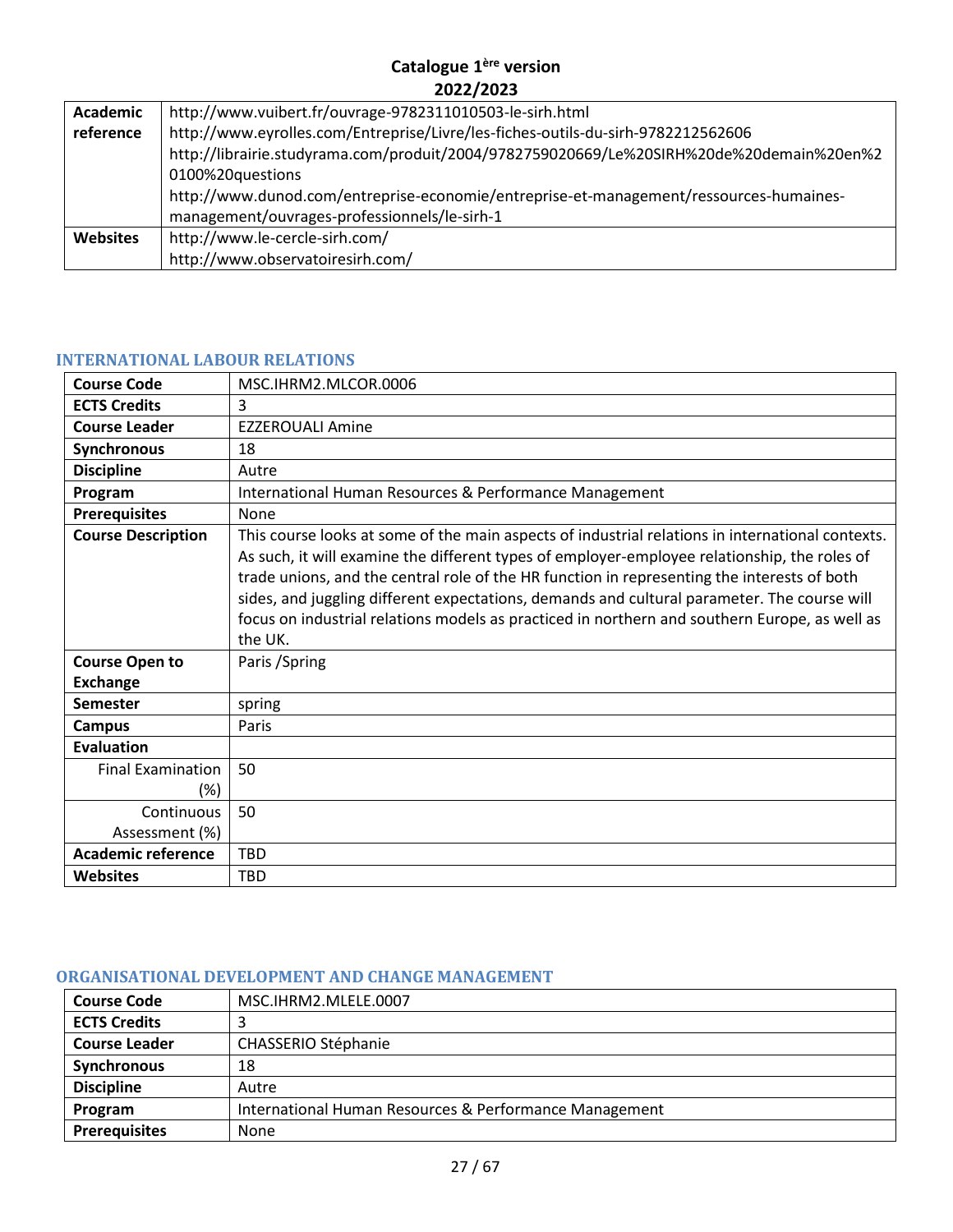| Academic        | http://www.vuibert.fr/ouvrage-9782311010503-le-sirh.html                                 |  |
|-----------------|------------------------------------------------------------------------------------------|--|
| reference       | http://www.eyrolles.com/Entreprise/Livre/les-fiches-outils-du-sirh-9782212562606         |  |
|                 | http://librairie.studyrama.com/produit/2004/9782759020669/Le%20SIRH%20de%20demain%20en%2 |  |
|                 | 0100%20questions                                                                         |  |
|                 | http://www.dunod.com/entreprise-economie/entreprise-et-management/ressources-humaines-   |  |
|                 | management/ouvrages-professionnels/le-sirh-1                                             |  |
| <b>Websites</b> | http://www.le-cercle-sirh.com/                                                           |  |
|                 | http://www.observatoiresirh.com/                                                         |  |

#### <span id="page-26-0"></span>**INTERNATIONAL LABOUR RELATIONS**

| <b>Course Code</b>                       | MSC.IHRM2.MLCOR.0006                                                                                                                                                                                                                                                                                                                                                                                                                                                                                       |
|------------------------------------------|------------------------------------------------------------------------------------------------------------------------------------------------------------------------------------------------------------------------------------------------------------------------------------------------------------------------------------------------------------------------------------------------------------------------------------------------------------------------------------------------------------|
| <b>ECTS Credits</b>                      | 3                                                                                                                                                                                                                                                                                                                                                                                                                                                                                                          |
| <b>Course Leader</b>                     | <b>EZZEROUALI Amine</b>                                                                                                                                                                                                                                                                                                                                                                                                                                                                                    |
| Synchronous                              | 18                                                                                                                                                                                                                                                                                                                                                                                                                                                                                                         |
| <b>Discipline</b>                        | Autre                                                                                                                                                                                                                                                                                                                                                                                                                                                                                                      |
| Program                                  | International Human Resources & Performance Management                                                                                                                                                                                                                                                                                                                                                                                                                                                     |
| <b>Prerequisites</b>                     | None                                                                                                                                                                                                                                                                                                                                                                                                                                                                                                       |
| <b>Course Description</b>                | This course looks at some of the main aspects of industrial relations in international contexts.<br>As such, it will examine the different types of employer-employee relationship, the roles of<br>trade unions, and the central role of the HR function in representing the interests of both<br>sides, and juggling different expectations, demands and cultural parameter. The course will<br>focus on industrial relations models as practiced in northern and southern Europe, as well as<br>the UK. |
| <b>Course Open to</b><br><b>Exchange</b> | Paris / Spring                                                                                                                                                                                                                                                                                                                                                                                                                                                                                             |
| <b>Semester</b>                          | spring                                                                                                                                                                                                                                                                                                                                                                                                                                                                                                     |
| <b>Campus</b>                            | Paris                                                                                                                                                                                                                                                                                                                                                                                                                                                                                                      |
| <b>Evaluation</b>                        |                                                                                                                                                                                                                                                                                                                                                                                                                                                                                                            |
| <b>Final Examination</b><br>$(\%)$       | 50                                                                                                                                                                                                                                                                                                                                                                                                                                                                                                         |
| Continuous<br>Assessment (%)             | 50                                                                                                                                                                                                                                                                                                                                                                                                                                                                                                         |
| <b>Academic reference</b>                | <b>TBD</b>                                                                                                                                                                                                                                                                                                                                                                                                                                                                                                 |
| <b>Websites</b>                          | <b>TBD</b>                                                                                                                                                                                                                                                                                                                                                                                                                                                                                                 |

#### <span id="page-26-1"></span>**ORGANISATIONAL DEVELOPMENT AND CHANGE MANAGEMENT**

| <b>Course Code</b>   | MSC.IHRM2.MLELE.0007                                   |
|----------------------|--------------------------------------------------------|
| <b>ECTS Credits</b>  |                                                        |
| <b>Course Leader</b> | CHASSERIO Stéphanie                                    |
| Synchronous          | 18                                                     |
| <b>Discipline</b>    | Autre                                                  |
| Program              | International Human Resources & Performance Management |
| <b>Prerequisites</b> | None                                                   |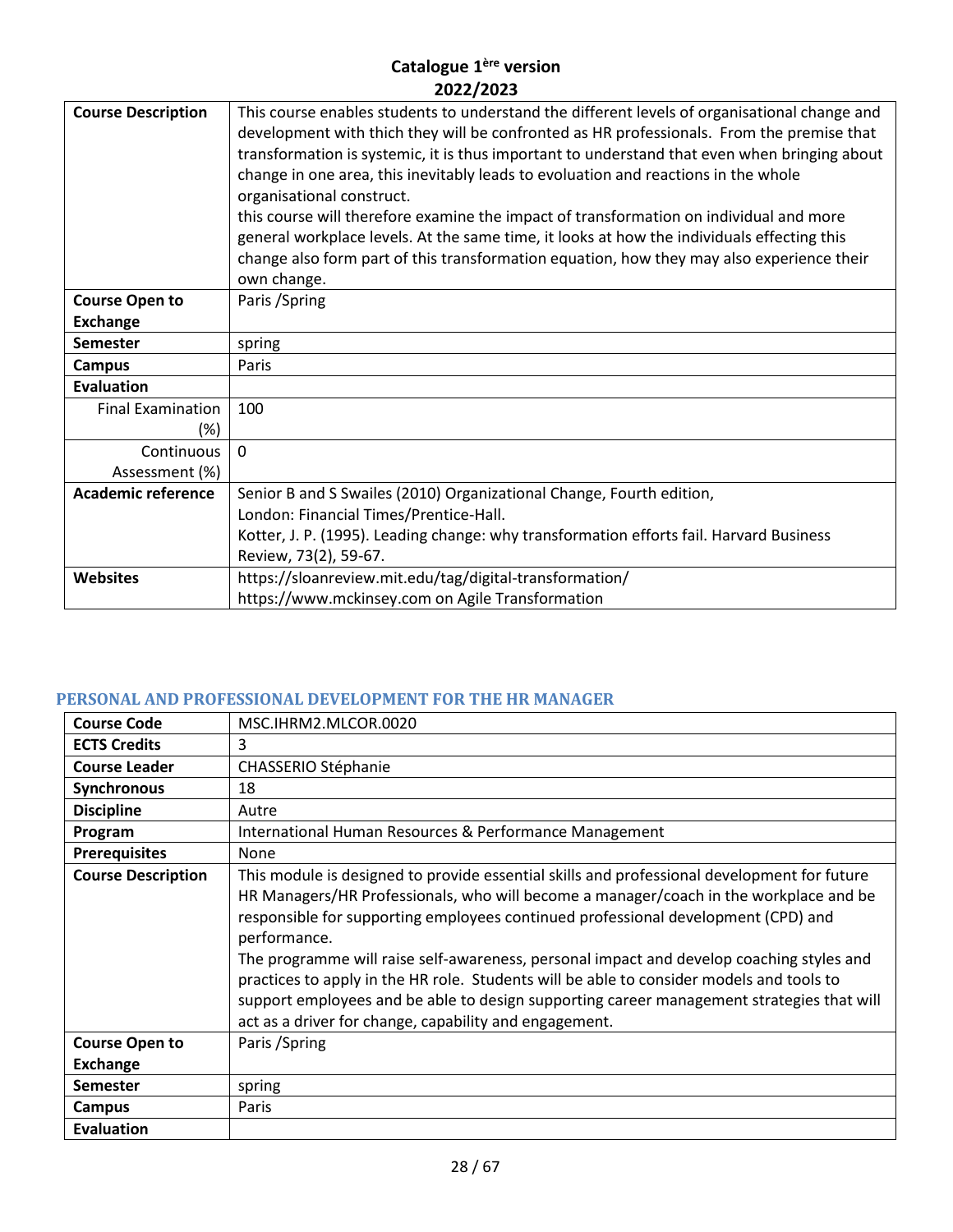| <b>Course Description</b> | This course enables students to understand the different levels of organisational change and<br>development with thich they will be confronted as HR professionals. From the premise that<br>transformation is systemic, it is thus important to understand that even when bringing about<br>change in one area, this inevitably leads to evoluation and reactions in the whole<br>organisational construct.<br>this course will therefore examine the impact of transformation on individual and more<br>general workplace levels. At the same time, it looks at how the individuals effecting this<br>change also form part of this transformation equation, how they may also experience their<br>own change. |
|---------------------------|------------------------------------------------------------------------------------------------------------------------------------------------------------------------------------------------------------------------------------------------------------------------------------------------------------------------------------------------------------------------------------------------------------------------------------------------------------------------------------------------------------------------------------------------------------------------------------------------------------------------------------------------------------------------------------------------------------------|
| <b>Course Open to</b>     | Paris / Spring                                                                                                                                                                                                                                                                                                                                                                                                                                                                                                                                                                                                                                                                                                   |
| <b>Exchange</b>           |                                                                                                                                                                                                                                                                                                                                                                                                                                                                                                                                                                                                                                                                                                                  |
| <b>Semester</b>           | spring                                                                                                                                                                                                                                                                                                                                                                                                                                                                                                                                                                                                                                                                                                           |
| <b>Campus</b>             | Paris                                                                                                                                                                                                                                                                                                                                                                                                                                                                                                                                                                                                                                                                                                            |
| Evaluation                |                                                                                                                                                                                                                                                                                                                                                                                                                                                                                                                                                                                                                                                                                                                  |
| <b>Final Examination</b>  | 100                                                                                                                                                                                                                                                                                                                                                                                                                                                                                                                                                                                                                                                                                                              |
| (%)                       |                                                                                                                                                                                                                                                                                                                                                                                                                                                                                                                                                                                                                                                                                                                  |
| Continuous                | $\Omega$                                                                                                                                                                                                                                                                                                                                                                                                                                                                                                                                                                                                                                                                                                         |
| Assessment (%)            |                                                                                                                                                                                                                                                                                                                                                                                                                                                                                                                                                                                                                                                                                                                  |
| <b>Academic reference</b> | Senior B and S Swailes (2010) Organizational Change, Fourth edition,                                                                                                                                                                                                                                                                                                                                                                                                                                                                                                                                                                                                                                             |
|                           | London: Financial Times/Prentice-Hall.                                                                                                                                                                                                                                                                                                                                                                                                                                                                                                                                                                                                                                                                           |
|                           | Kotter, J. P. (1995). Leading change: why transformation efforts fail. Harvard Business                                                                                                                                                                                                                                                                                                                                                                                                                                                                                                                                                                                                                          |
|                           | Review, 73(2), 59-67.                                                                                                                                                                                                                                                                                                                                                                                                                                                                                                                                                                                                                                                                                            |
| <b>Websites</b>           | https://sloanreview.mit.edu/tag/digital-transformation/                                                                                                                                                                                                                                                                                                                                                                                                                                                                                                                                                                                                                                                          |
|                           | https://www.mckinsey.com on Agile Transformation                                                                                                                                                                                                                                                                                                                                                                                                                                                                                                                                                                                                                                                                 |

#### <span id="page-27-0"></span>**PERSONAL AND PROFESSIONAL DEVELOPMENT FOR THE HR MANAGER**

| <b>Course Code</b>        | MSC.IHRM2.MLCOR.0020                                                                                                                                                                                                                                                                                                                                                                                                                                                                                                                                                                                                                     |
|---------------------------|------------------------------------------------------------------------------------------------------------------------------------------------------------------------------------------------------------------------------------------------------------------------------------------------------------------------------------------------------------------------------------------------------------------------------------------------------------------------------------------------------------------------------------------------------------------------------------------------------------------------------------------|
| <b>ECTS Credits</b>       | 3                                                                                                                                                                                                                                                                                                                                                                                                                                                                                                                                                                                                                                        |
| <b>Course Leader</b>      | CHASSERIO Stéphanie                                                                                                                                                                                                                                                                                                                                                                                                                                                                                                                                                                                                                      |
| Synchronous               | 18                                                                                                                                                                                                                                                                                                                                                                                                                                                                                                                                                                                                                                       |
| <b>Discipline</b>         | Autre                                                                                                                                                                                                                                                                                                                                                                                                                                                                                                                                                                                                                                    |
| Program                   | International Human Resources & Performance Management                                                                                                                                                                                                                                                                                                                                                                                                                                                                                                                                                                                   |
| <b>Prerequisites</b>      | None                                                                                                                                                                                                                                                                                                                                                                                                                                                                                                                                                                                                                                     |
| <b>Course Description</b> | This module is designed to provide essential skills and professional development for future<br>HR Managers/HR Professionals, who will become a manager/coach in the workplace and be<br>responsible for supporting employees continued professional development (CPD) and<br>performance.<br>The programme will raise self-awareness, personal impact and develop coaching styles and<br>practices to apply in the HR role. Students will be able to consider models and tools to<br>support employees and be able to design supporting career management strategies that will<br>act as a driver for change, capability and engagement. |
| <b>Course Open to</b>     | Paris / Spring                                                                                                                                                                                                                                                                                                                                                                                                                                                                                                                                                                                                                           |
| Exchange                  |                                                                                                                                                                                                                                                                                                                                                                                                                                                                                                                                                                                                                                          |
| <b>Semester</b>           | spring                                                                                                                                                                                                                                                                                                                                                                                                                                                                                                                                                                                                                                   |
| <b>Campus</b>             | Paris                                                                                                                                                                                                                                                                                                                                                                                                                                                                                                                                                                                                                                    |
| Evaluation                |                                                                                                                                                                                                                                                                                                                                                                                                                                                                                                                                                                                                                                          |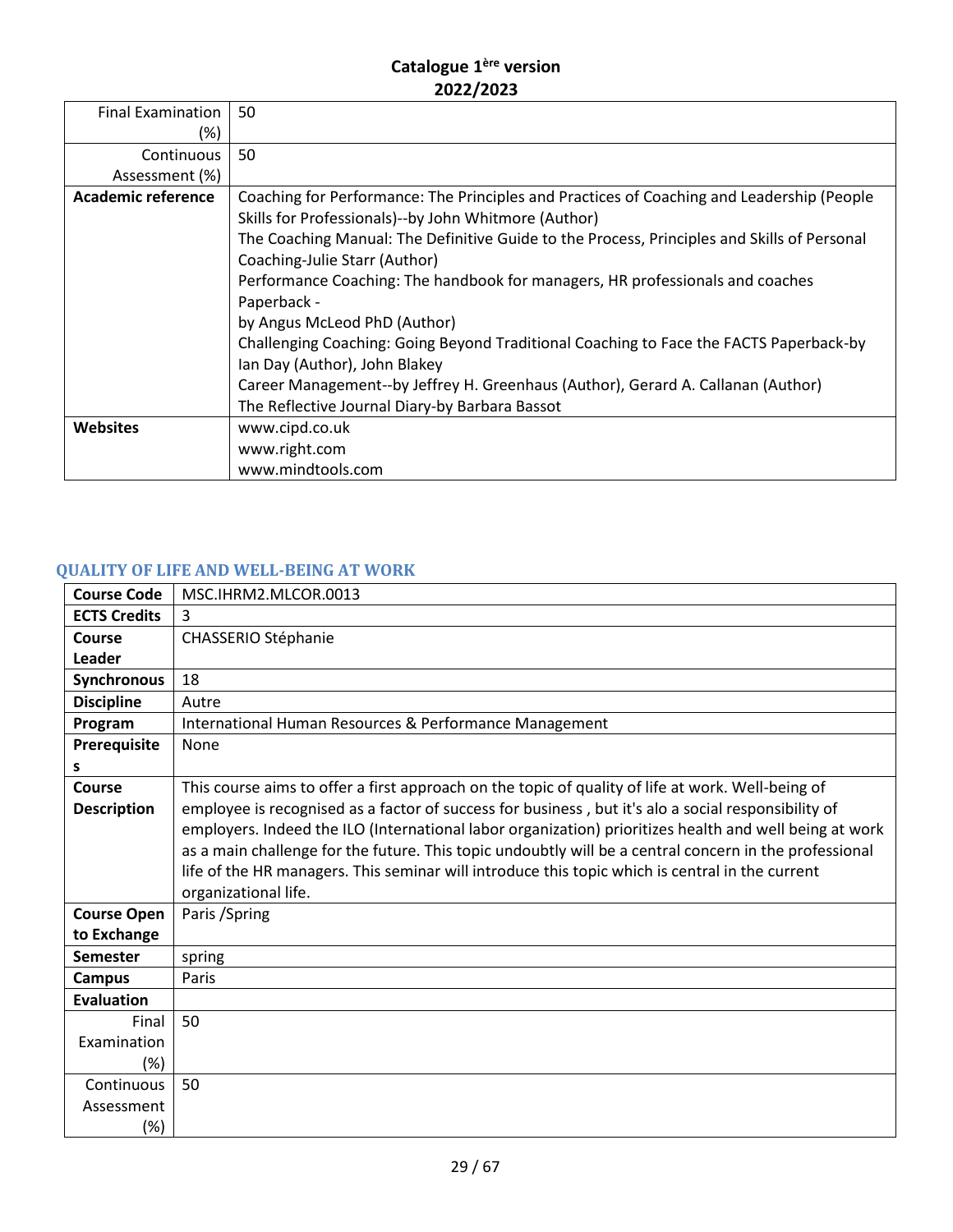| <b>Final Examination</b>  | 50                                                                                                                                                |
|---------------------------|---------------------------------------------------------------------------------------------------------------------------------------------------|
| (%)                       |                                                                                                                                                   |
| Continuous                | 50                                                                                                                                                |
| Assessment (%)            |                                                                                                                                                   |
| <b>Academic reference</b> | Coaching for Performance: The Principles and Practices of Coaching and Leadership (People<br>Skills for Professionals)--by John Whitmore (Author) |
|                           | The Coaching Manual: The Definitive Guide to the Process, Principles and Skills of Personal<br>Coaching-Julie Starr (Author)                      |
|                           | Performance Coaching: The handbook for managers, HR professionals and coaches<br>Paperback -                                                      |
|                           | by Angus McLeod PhD (Author)                                                                                                                      |
|                           | Challenging Coaching: Going Beyond Traditional Coaching to Face the FACTS Paperback-by<br>Ian Day (Author), John Blakey                           |
|                           | Career Management--by Jeffrey H. Greenhaus (Author), Gerard A. Callanan (Author)                                                                  |
|                           | The Reflective Journal Diary-by Barbara Bassot                                                                                                    |
| Websites                  | www.cipd.co.uk                                                                                                                                    |
|                           | www.right.com                                                                                                                                     |
|                           | www.mindtools.com                                                                                                                                 |

# <span id="page-28-0"></span>**QUALITY OF LIFE AND WELL-BEING AT WORK**

| <b>Course Code</b>  | MSC.IHRM2.MLCOR.0013                                                                                   |
|---------------------|--------------------------------------------------------------------------------------------------------|
| <b>ECTS Credits</b> | 3                                                                                                      |
| Course              | CHASSERIO Stéphanie                                                                                    |
| Leader              |                                                                                                        |
| Synchronous         | 18                                                                                                     |
| <b>Discipline</b>   | Autre                                                                                                  |
| Program             | International Human Resources & Performance Management                                                 |
| Prerequisite        | None                                                                                                   |
| s                   |                                                                                                        |
| Course              | This course aims to offer a first approach on the topic of quality of life at work. Well-being of      |
| <b>Description</b>  | employee is recognised as a factor of success for business, but it's alo a social responsibility of    |
|                     | employers. Indeed the ILO (International labor organization) prioritizes health and well being at work |
|                     | as a main challenge for the future. This topic undoubtly will be a central concern in the professional |
|                     | life of the HR managers. This seminar will introduce this topic which is central in the current        |
|                     | organizational life.                                                                                   |
| <b>Course Open</b>  | Paris / Spring                                                                                         |
| to Exchange         |                                                                                                        |
| Semester            | spring                                                                                                 |
| <b>Campus</b>       | Paris                                                                                                  |
| <b>Evaluation</b>   |                                                                                                        |
| Final               | 50                                                                                                     |
| Examination         |                                                                                                        |
| $(\%)$              |                                                                                                        |
| Continuous          | 50                                                                                                     |
| Assessment          |                                                                                                        |
| (%)                 |                                                                                                        |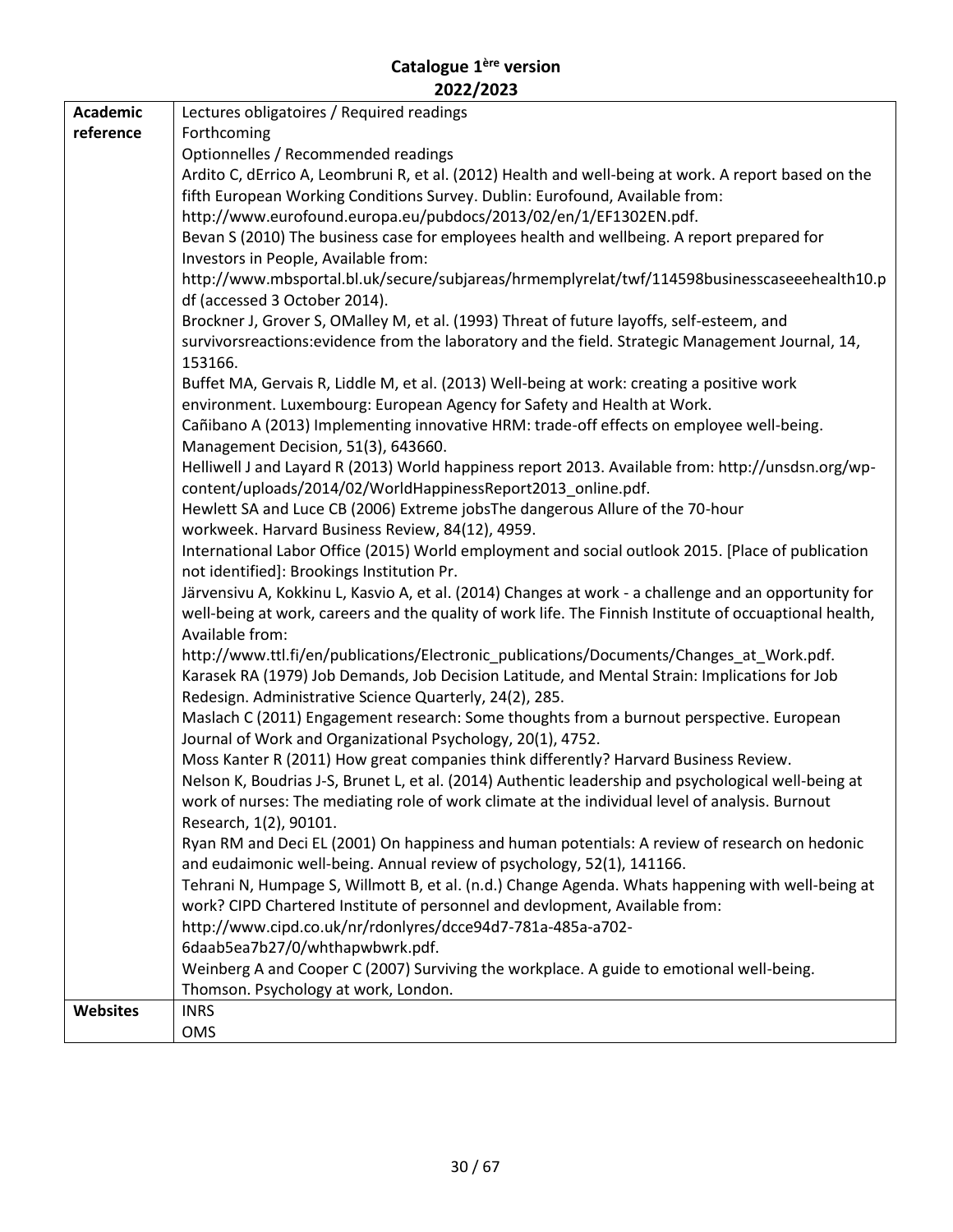| <b>Academic</b> | Lectures obligatoires / Required readings                                                               |
|-----------------|---------------------------------------------------------------------------------------------------------|
| reference       | Forthcoming                                                                                             |
|                 | Optionnelles / Recommended readings                                                                     |
|                 | Ardito C, dErrico A, Leombruni R, et al. (2012) Health and well-being at work. A report based on the    |
|                 | fifth European Working Conditions Survey. Dublin: Eurofound, Available from:                            |
|                 | http://www.eurofound.europa.eu/pubdocs/2013/02/en/1/EF1302EN.pdf.                                       |
|                 | Bevan S (2010) The business case for employees health and wellbeing. A report prepared for              |
|                 | Investors in People, Available from:                                                                    |
|                 | http://www.mbsportal.bl.uk/secure/subjareas/hrmemplyrelat/twf/114598businesscaseeehealth10.p            |
|                 | df (accessed 3 October 2014).                                                                           |
|                 | Brockner J, Grover S, OMalley M, et al. (1993) Threat of future layoffs, self-esteem, and               |
|                 | survivorsreactions: evidence from the laboratory and the field. Strategic Management Journal, 14,       |
|                 | 153166.                                                                                                 |
|                 | Buffet MA, Gervais R, Liddle M, et al. (2013) Well-being at work: creating a positive work              |
|                 | environment. Luxembourg: European Agency for Safety and Health at Work.                                 |
|                 | Cañibano A (2013) Implementing innovative HRM: trade-off effects on employee well-being.                |
|                 | Management Decision, 51(3), 643660.                                                                     |
|                 | Helliwell J and Layard R (2013) World happiness report 2013. Available from: http://unsdsn.org/wp-      |
|                 | content/uploads/2014/02/WorldHappinessReport2013_online.pdf.                                            |
|                 | Hewlett SA and Luce CB (2006) Extreme jobsThe dangerous Allure of the 70-hour                           |
|                 | workweek. Harvard Business Review, 84(12), 4959.                                                        |
|                 | International Labor Office (2015) World employment and social outlook 2015. [Place of publication       |
|                 | not identified]: Brookings Institution Pr.                                                              |
|                 | Järvensivu A, Kokkinu L, Kasvio A, et al. (2014) Changes at work - a challenge and an opportunity for   |
|                 | well-being at work, careers and the quality of work life. The Finnish Institute of occuaptional health, |
|                 | Available from:                                                                                         |
|                 | http://www.ttl.fi/en/publications/Electronic_publications/Documents/Changes_at_Work.pdf.                |
|                 | Karasek RA (1979) Job Demands, Job Decision Latitude, and Mental Strain: Implications for Job           |
|                 | Redesign. Administrative Science Quarterly, 24(2), 285.                                                 |
|                 | Maslach C (2011) Engagement research: Some thoughts from a burnout perspective. European                |
|                 | Journal of Work and Organizational Psychology, 20(1), 4752.                                             |
|                 | Moss Kanter R (2011) How great companies think differently? Harvard Business Review.                    |
|                 | Nelson K, Boudrias J-S, Brunet L, et al. (2014) Authentic leadership and psychological well-being at    |
|                 | work of nurses: The mediating role of work climate at the individual level of analysis. Burnout         |
|                 | Research, 1(2), 90101.                                                                                  |
|                 | Ryan RM and Deci EL (2001) On happiness and human potentials: A review of research on hedonic           |
|                 | and eudaimonic well-being. Annual review of psychology, 52(1), 141166.                                  |
|                 | Tehrani N, Humpage S, Willmott B, et al. (n.d.) Change Agenda. Whats happening with well-being at       |
|                 | work? CIPD Chartered Institute of personnel and devlopment, Available from:                             |
|                 | http://www.cipd.co.uk/nr/rdonlyres/dcce94d7-781a-485a-a702-                                             |
|                 | 6daab5ea7b27/0/whthapwbwrk.pdf.                                                                         |
|                 | Weinberg A and Cooper C (2007) Surviving the workplace. A guide to emotional well-being.                |
|                 | Thomson. Psychology at work, London.                                                                    |
| <b>Websites</b> | <b>INRS</b>                                                                                             |
|                 | <b>OMS</b>                                                                                              |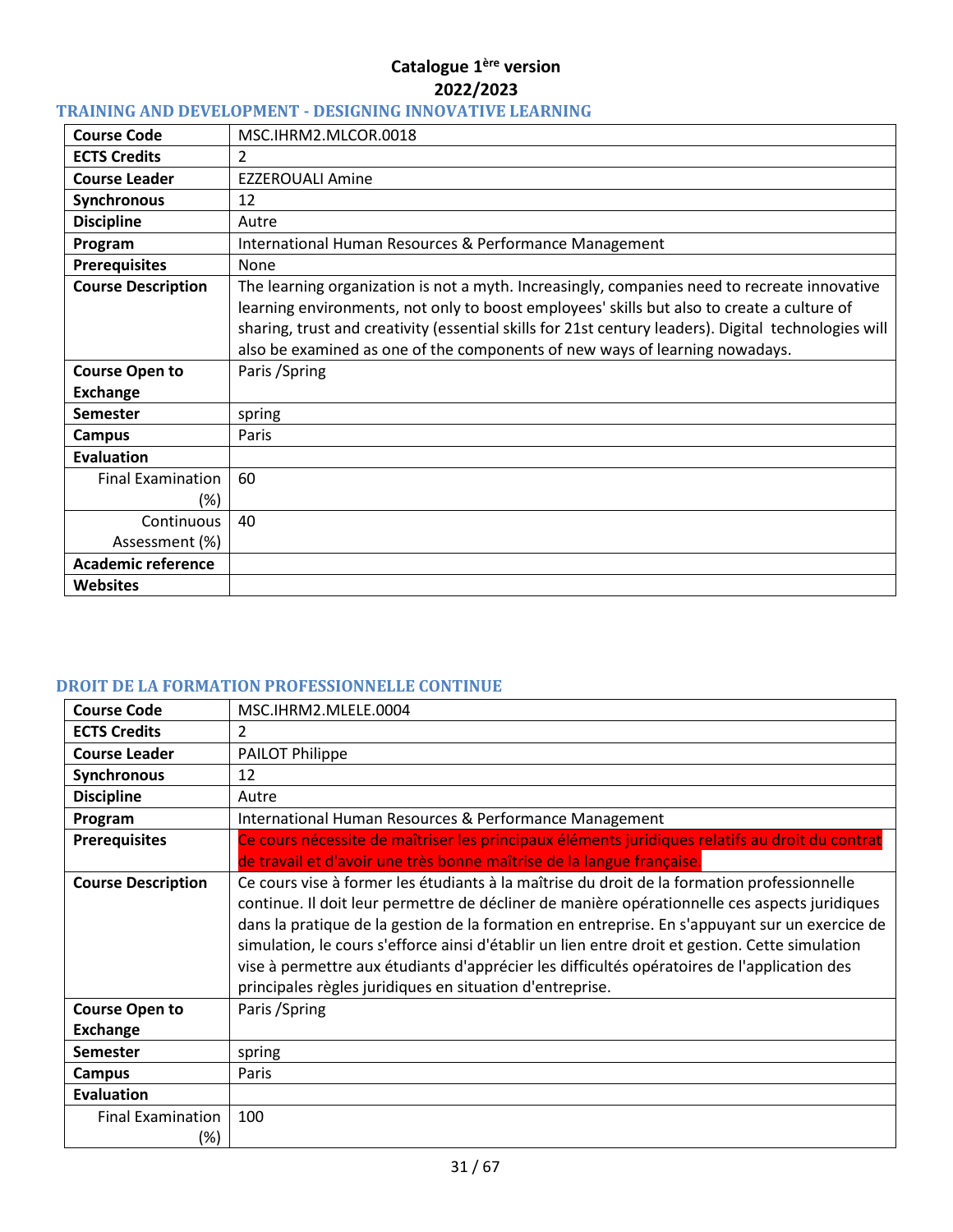# <span id="page-30-0"></span>**TRAINING AND DEVELOPMENT - DESIGNING INNOVATIVE LEARNING**

| <b>Course Code</b>                | MSC.IHRM2.MLCOR.0018                                                                                                                                                                                                                                                                                                                                                              |
|-----------------------------------|-----------------------------------------------------------------------------------------------------------------------------------------------------------------------------------------------------------------------------------------------------------------------------------------------------------------------------------------------------------------------------------|
| <b>ECTS Credits</b>               | 2                                                                                                                                                                                                                                                                                                                                                                                 |
| <b>Course Leader</b>              | <b>EZZEROUALI Amine</b>                                                                                                                                                                                                                                                                                                                                                           |
| Synchronous                       | 12                                                                                                                                                                                                                                                                                                                                                                                |
| <b>Discipline</b>                 | Autre                                                                                                                                                                                                                                                                                                                                                                             |
| Program                           | International Human Resources & Performance Management                                                                                                                                                                                                                                                                                                                            |
| <b>Prerequisites</b>              | None                                                                                                                                                                                                                                                                                                                                                                              |
| <b>Course Description</b>         | The learning organization is not a myth. Increasingly, companies need to recreate innovative<br>learning environments, not only to boost employees' skills but also to create a culture of<br>sharing, trust and creativity (essential skills for 21st century leaders). Digital technologies will<br>also be examined as one of the components of new ways of learning nowadays. |
| <b>Course Open to</b><br>Exchange | Paris / Spring                                                                                                                                                                                                                                                                                                                                                                    |
| <b>Semester</b>                   | spring                                                                                                                                                                                                                                                                                                                                                                            |
| <b>Campus</b>                     | Paris                                                                                                                                                                                                                                                                                                                                                                             |
| <b>Evaluation</b>                 |                                                                                                                                                                                                                                                                                                                                                                                   |
| <b>Final Examination</b><br>(%)   | 60                                                                                                                                                                                                                                                                                                                                                                                |
| Continuous                        | 40                                                                                                                                                                                                                                                                                                                                                                                |
| Assessment (%)                    |                                                                                                                                                                                                                                                                                                                                                                                   |
| <b>Academic reference</b>         |                                                                                                                                                                                                                                                                                                                                                                                   |
| <b>Websites</b>                   |                                                                                                                                                                                                                                                                                                                                                                                   |

# <span id="page-30-1"></span>**DROIT DE LA FORMATION PROFESSIONNELLE CONTINUE**

| <b>Course Code</b>              | MSC.IHRM2.MLELE.0004                                                                                                                                                                                                                                                                                                                                                                                                                                                                                                                                         |
|---------------------------------|--------------------------------------------------------------------------------------------------------------------------------------------------------------------------------------------------------------------------------------------------------------------------------------------------------------------------------------------------------------------------------------------------------------------------------------------------------------------------------------------------------------------------------------------------------------|
| <b>ECTS Credits</b>             | 2                                                                                                                                                                                                                                                                                                                                                                                                                                                                                                                                                            |
| <b>Course Leader</b>            | <b>PAILOT Philippe</b>                                                                                                                                                                                                                                                                                                                                                                                                                                                                                                                                       |
| Synchronous                     | 12                                                                                                                                                                                                                                                                                                                                                                                                                                                                                                                                                           |
| <b>Discipline</b>               | Autre                                                                                                                                                                                                                                                                                                                                                                                                                                                                                                                                                        |
| Program                         | International Human Resources & Performance Management                                                                                                                                                                                                                                                                                                                                                                                                                                                                                                       |
| <b>Prerequisites</b>            | Ce cours nécessite de maîtriser les principaux éléments juridiques relatifs au droit du contrat<br>de travail et d'avoir une très bonne maîtrise de la langue française.                                                                                                                                                                                                                                                                                                                                                                                     |
| <b>Course Description</b>       | Ce cours vise à former les étudiants à la maîtrise du droit de la formation professionnelle<br>continue. Il doit leur permettre de décliner de manière opérationnelle ces aspects juridiques<br>dans la pratique de la gestion de la formation en entreprise. En s'appuyant sur un exercice de<br>simulation, le cours s'efforce ainsi d'établir un lien entre droit et gestion. Cette simulation<br>vise à permettre aux étudiants d'apprécier les difficultés opératoires de l'application des<br>principales règles juridiques en situation d'entreprise. |
| <b>Course Open to</b>           | Paris / Spring                                                                                                                                                                                                                                                                                                                                                                                                                                                                                                                                               |
| Exchange                        |                                                                                                                                                                                                                                                                                                                                                                                                                                                                                                                                                              |
| <b>Semester</b>                 | spring                                                                                                                                                                                                                                                                                                                                                                                                                                                                                                                                                       |
| <b>Campus</b>                   | Paris                                                                                                                                                                                                                                                                                                                                                                                                                                                                                                                                                        |
| <b>Evaluation</b>               |                                                                                                                                                                                                                                                                                                                                                                                                                                                                                                                                                              |
| <b>Final Examination</b><br>(%) | 100                                                                                                                                                                                                                                                                                                                                                                                                                                                                                                                                                          |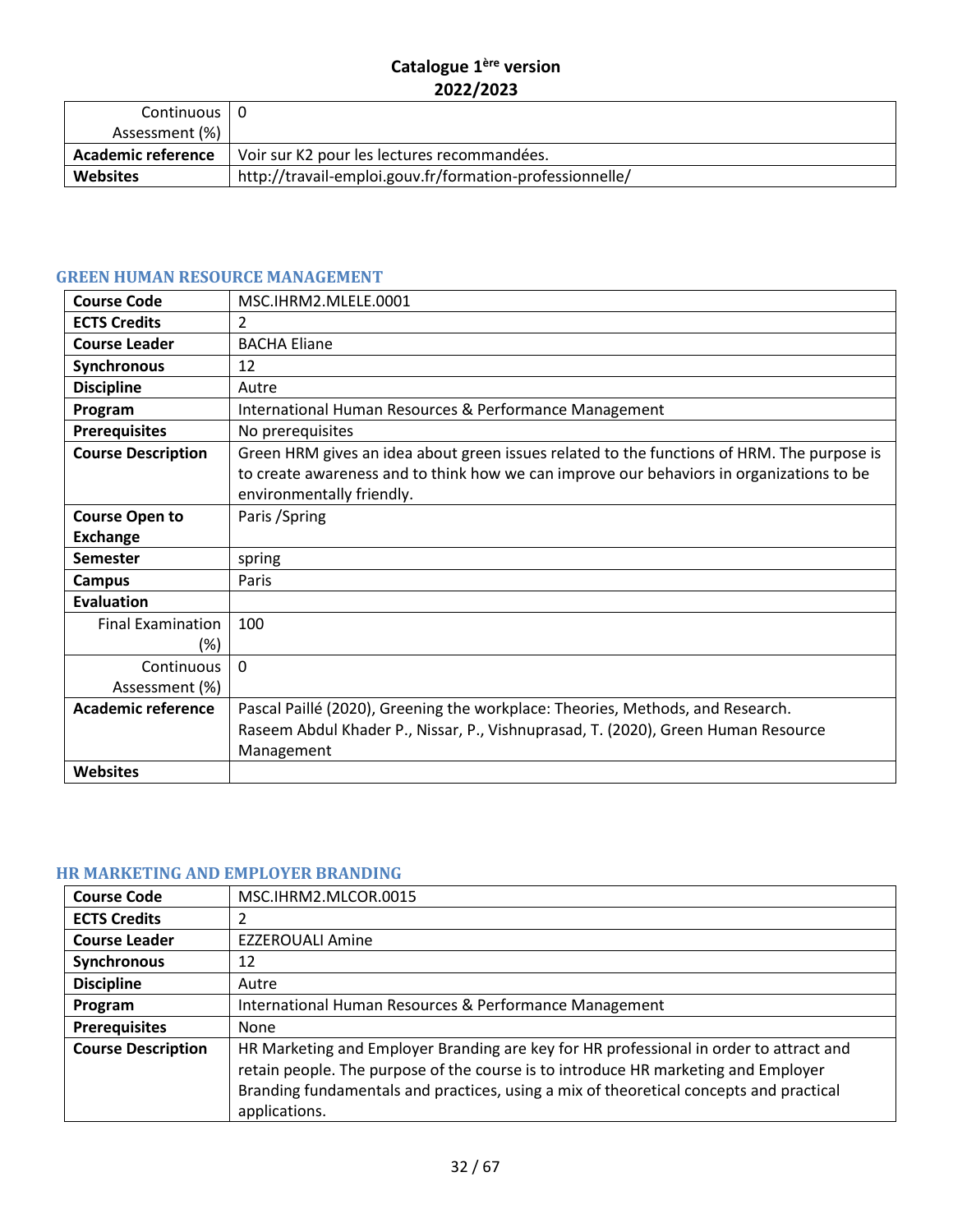| Continuous   0<br>Assessment (%) + |                                                          |
|------------------------------------|----------------------------------------------------------|
| <b>Academic reference</b>          | Voir sur K2 pour les lectures recommandées.              |
| <b>Websites</b>                    | http://travail-emploi.gouv.fr/formation-professionnelle/ |

# <span id="page-31-0"></span>**GREEN HUMAN RESOURCE MANAGEMENT**

| <b>Course Code</b>                 | MSC.IHRM2.MLELE.0001                                                                                                                                                                                                |
|------------------------------------|---------------------------------------------------------------------------------------------------------------------------------------------------------------------------------------------------------------------|
| <b>ECTS Credits</b>                | $\overline{2}$                                                                                                                                                                                                      |
| <b>Course Leader</b>               | <b>BACHA Eliane</b>                                                                                                                                                                                                 |
| <b>Synchronous</b>                 | 12                                                                                                                                                                                                                  |
| <b>Discipline</b>                  | Autre                                                                                                                                                                                                               |
| Program                            | International Human Resources & Performance Management                                                                                                                                                              |
| <b>Prerequisites</b>               | No prerequisites                                                                                                                                                                                                    |
| <b>Course Description</b>          | Green HRM gives an idea about green issues related to the functions of HRM. The purpose is<br>to create awareness and to think how we can improve our behaviors in organizations to be<br>environmentally friendly. |
| <b>Course Open to</b>              | Paris / Spring                                                                                                                                                                                                      |
| <b>Exchange</b>                    |                                                                                                                                                                                                                     |
| Semester                           | spring                                                                                                                                                                                                              |
| Campus                             | Paris                                                                                                                                                                                                               |
| <b>Evaluation</b>                  |                                                                                                                                                                                                                     |
| <b>Final Examination</b><br>$(\%)$ | 100                                                                                                                                                                                                                 |
| Continuous                         | $\Omega$                                                                                                                                                                                                            |
| Assessment (%)                     |                                                                                                                                                                                                                     |
| <b>Academic reference</b>          | Pascal Paillé (2020), Greening the workplace: Theories, Methods, and Research.                                                                                                                                      |
|                                    | Raseem Abdul Khader P., Nissar, P., Vishnuprasad, T. (2020), Green Human Resource                                                                                                                                   |
|                                    | Management                                                                                                                                                                                                          |
| <b>Websites</b>                    |                                                                                                                                                                                                                     |

# <span id="page-31-1"></span>**HR MARKETING AND EMPLOYER BRANDING**

| <b>Course Code</b>        | MSC.IHRM2.MLCOR.0015                                                                                                                                                                                                                                                                    |
|---------------------------|-----------------------------------------------------------------------------------------------------------------------------------------------------------------------------------------------------------------------------------------------------------------------------------------|
| <b>ECTS Credits</b>       | 2                                                                                                                                                                                                                                                                                       |
| <b>Course Leader</b>      | <b>EZZEROUALI Amine</b>                                                                                                                                                                                                                                                                 |
| Synchronous               | 12                                                                                                                                                                                                                                                                                      |
| <b>Discipline</b>         | Autre                                                                                                                                                                                                                                                                                   |
| Program                   | International Human Resources & Performance Management                                                                                                                                                                                                                                  |
| <b>Prerequisites</b>      | None                                                                                                                                                                                                                                                                                    |
| <b>Course Description</b> | HR Marketing and Employer Branding are key for HR professional in order to attract and<br>retain people. The purpose of the course is to introduce HR marketing and Employer<br>Branding fundamentals and practices, using a mix of theoretical concepts and practical<br>applications. |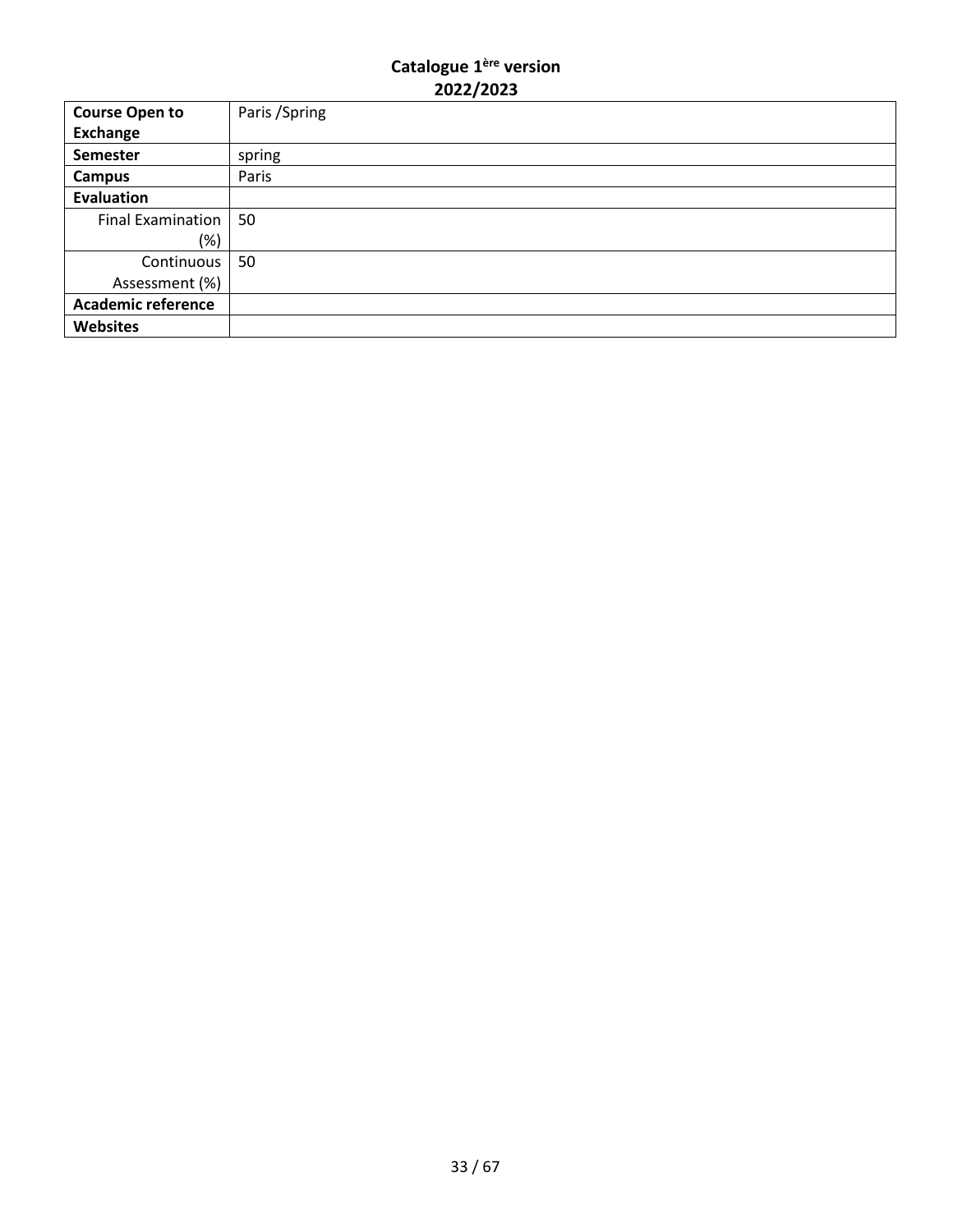| <b>Course Open to</b>     | Paris / Spring |
|---------------------------|----------------|
| <b>Exchange</b>           |                |
| <b>Semester</b>           | spring         |
| <b>Campus</b>             | Paris          |
| <b>Evaluation</b>         |                |
| Final Examination         | 50             |
| $(\%)$                    |                |
| Continuous                | 50             |
| Assessment (%)            |                |
| <b>Academic reference</b> |                |
| <b>Websites</b>           |                |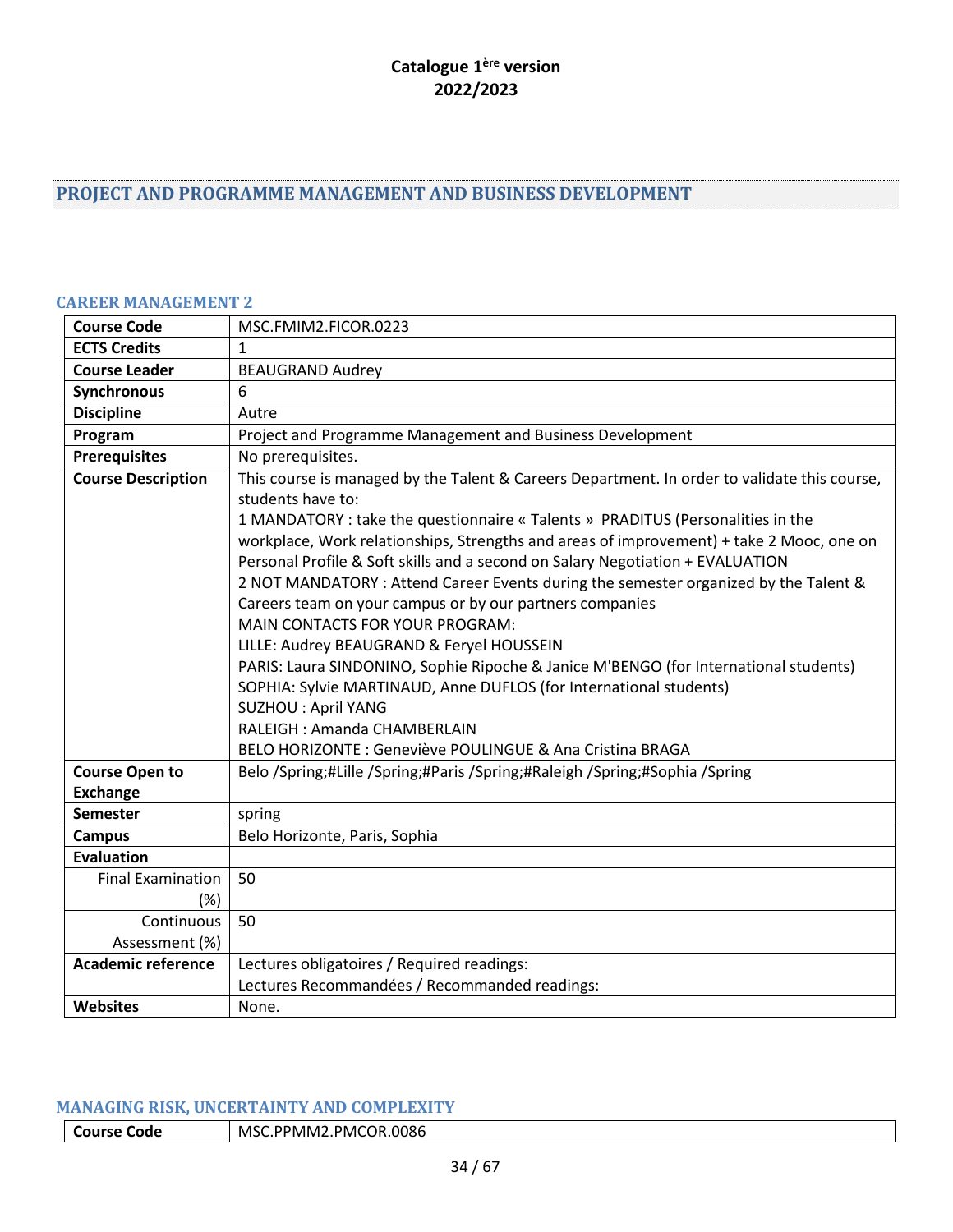# <span id="page-33-0"></span>**PROJECT AND PROGRAMME MANAGEMENT AND BUSINESS DEVELOPMENT**

#### <span id="page-33-1"></span>**CAREER MANAGEMENT 2**

| <b>Course Code</b>        | MSC.FMIM2.FICOR.0223                                                                                                                                                                                                                                                                                                                                                                                                                                                                                                                                                                                                                                                                                                                                                                                                                                                                                                 |
|---------------------------|----------------------------------------------------------------------------------------------------------------------------------------------------------------------------------------------------------------------------------------------------------------------------------------------------------------------------------------------------------------------------------------------------------------------------------------------------------------------------------------------------------------------------------------------------------------------------------------------------------------------------------------------------------------------------------------------------------------------------------------------------------------------------------------------------------------------------------------------------------------------------------------------------------------------|
| <b>ECTS Credits</b>       | $\mathbf{1}$                                                                                                                                                                                                                                                                                                                                                                                                                                                                                                                                                                                                                                                                                                                                                                                                                                                                                                         |
| <b>Course Leader</b>      | <b>BEAUGRAND Audrey</b>                                                                                                                                                                                                                                                                                                                                                                                                                                                                                                                                                                                                                                                                                                                                                                                                                                                                                              |
| Synchronous               | 6                                                                                                                                                                                                                                                                                                                                                                                                                                                                                                                                                                                                                                                                                                                                                                                                                                                                                                                    |
| <b>Discipline</b>         | Autre                                                                                                                                                                                                                                                                                                                                                                                                                                                                                                                                                                                                                                                                                                                                                                                                                                                                                                                |
| Program                   | Project and Programme Management and Business Development                                                                                                                                                                                                                                                                                                                                                                                                                                                                                                                                                                                                                                                                                                                                                                                                                                                            |
| <b>Prerequisites</b>      | No prerequisites.                                                                                                                                                                                                                                                                                                                                                                                                                                                                                                                                                                                                                                                                                                                                                                                                                                                                                                    |
| <b>Course Description</b> | This course is managed by the Talent & Careers Department. In order to validate this course,<br>students have to:<br>1 MANDATORY : take the questionnaire « Talents » PRADITUS (Personalities in the<br>workplace, Work relationships, Strengths and areas of improvement) + take 2 Mooc, one on<br>Personal Profile & Soft skills and a second on Salary Negotiation + EVALUATION<br>2 NOT MANDATORY : Attend Career Events during the semester organized by the Talent &<br>Careers team on your campus or by our partners companies<br><b>MAIN CONTACTS FOR YOUR PROGRAM:</b><br>LILLE: Audrey BEAUGRAND & Feryel HOUSSEIN<br>PARIS: Laura SINDONINO, Sophie Ripoche & Janice M'BENGO (for International students)<br>SOPHIA: Sylvie MARTINAUD, Anne DUFLOS (for International students)<br><b>SUZHOU: April YANG</b><br>RALEIGH: Amanda CHAMBERLAIN<br>BELO HORIZONTE : Geneviève POULINGUE & Ana Cristina BRAGA |
| <b>Course Open to</b>     | Belo /Spring;#Lille /Spring;#Paris /Spring;#Raleigh /Spring;#Sophia /Spring                                                                                                                                                                                                                                                                                                                                                                                                                                                                                                                                                                                                                                                                                                                                                                                                                                          |
| <b>Exchange</b>           |                                                                                                                                                                                                                                                                                                                                                                                                                                                                                                                                                                                                                                                                                                                                                                                                                                                                                                                      |
| <b>Semester</b>           | spring                                                                                                                                                                                                                                                                                                                                                                                                                                                                                                                                                                                                                                                                                                                                                                                                                                                                                                               |
| <b>Campus</b>             | Belo Horizonte, Paris, Sophia                                                                                                                                                                                                                                                                                                                                                                                                                                                                                                                                                                                                                                                                                                                                                                                                                                                                                        |
| <b>Evaluation</b>         |                                                                                                                                                                                                                                                                                                                                                                                                                                                                                                                                                                                                                                                                                                                                                                                                                                                                                                                      |
| <b>Final Examination</b>  | 50                                                                                                                                                                                                                                                                                                                                                                                                                                                                                                                                                                                                                                                                                                                                                                                                                                                                                                                   |
| $(\%)$                    |                                                                                                                                                                                                                                                                                                                                                                                                                                                                                                                                                                                                                                                                                                                                                                                                                                                                                                                      |
| Continuous                | 50                                                                                                                                                                                                                                                                                                                                                                                                                                                                                                                                                                                                                                                                                                                                                                                                                                                                                                                   |
| Assessment (%)            |                                                                                                                                                                                                                                                                                                                                                                                                                                                                                                                                                                                                                                                                                                                                                                                                                                                                                                                      |
| <b>Academic reference</b> | Lectures obligatoires / Required readings:                                                                                                                                                                                                                                                                                                                                                                                                                                                                                                                                                                                                                                                                                                                                                                                                                                                                           |
|                           | Lectures Recommandées / Recommanded readings:                                                                                                                                                                                                                                                                                                                                                                                                                                                                                                                                                                                                                                                                                                                                                                                                                                                                        |
| <b>Websites</b>           | None.                                                                                                                                                                                                                                                                                                                                                                                                                                                                                                                                                                                                                                                                                                                                                                                                                                                                                                                |

#### <span id="page-33-2"></span>**MANAGING RISK, UNCERTAINTY AND COMPLEXITY**

| l Course Code | MSC.PPMM2.PMCOR.0086 |
|---------------|----------------------|
|---------------|----------------------|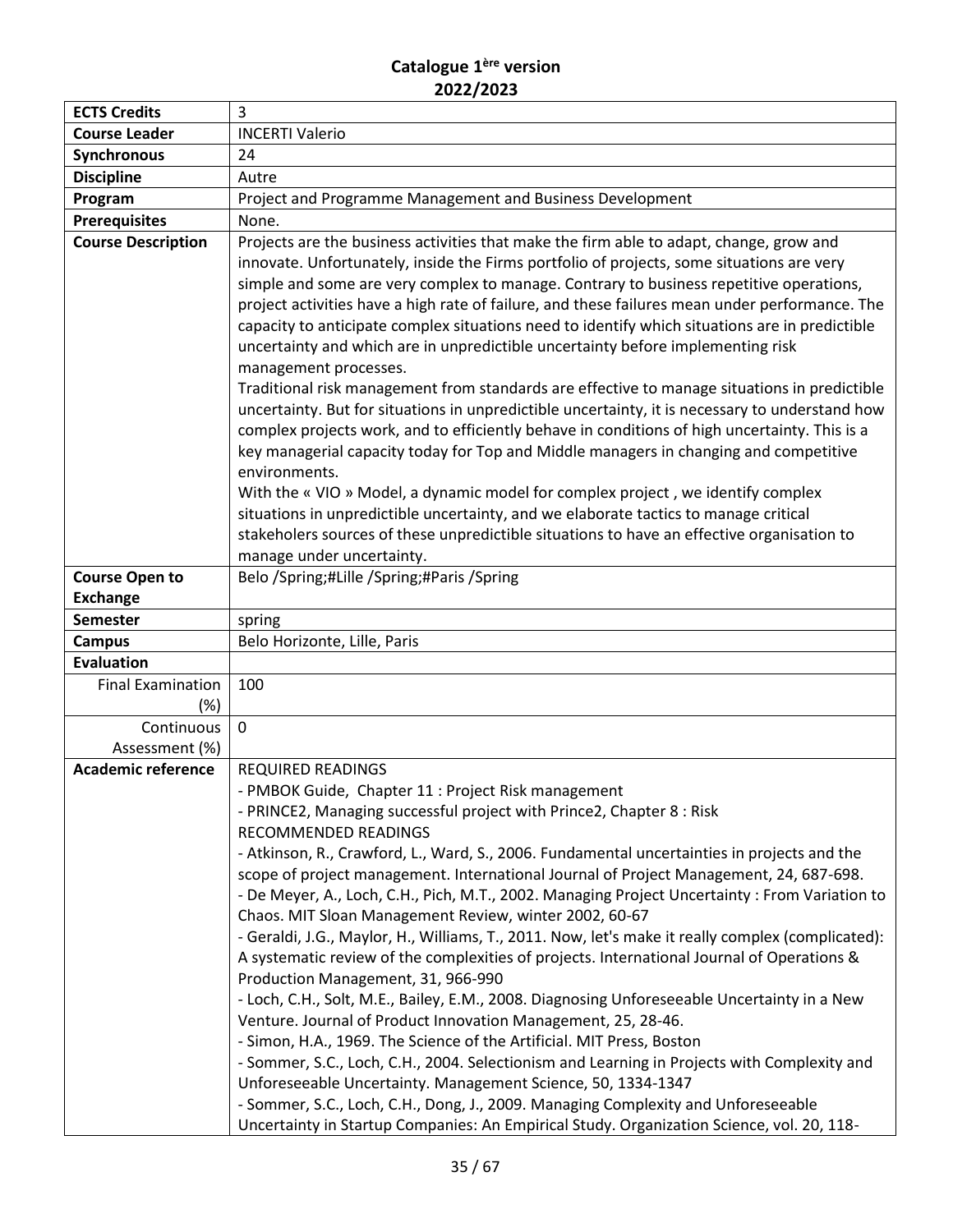| <b>Course Leader</b><br><b>INCERTI Valerio</b><br>Synchronous<br>24<br><b>Discipline</b><br>Autre<br>Project and Programme Management and Business Development<br>Program<br><b>Prerequisites</b><br>None.<br><b>Course Description</b><br>Projects are the business activities that make the firm able to adapt, change, grow and<br>innovate. Unfortunately, inside the Firms portfolio of projects, some situations are very<br>simple and some are very complex to manage. Contrary to business repetitive operations,<br>project activities have a high rate of failure, and these failures mean under performance. The<br>capacity to anticipate complex situations need to identify which situations are in predictible<br>uncertainty and which are in unpredictible uncertainty before implementing risk<br>management processes.<br>Traditional risk management from standards are effective to manage situations in predictible<br>complex projects work, and to efficiently behave in conditions of high uncertainty. This is a<br>key managerial capacity today for Top and Middle managers in changing and competitive<br>environments.<br>With the « VIO » Model, a dynamic model for complex project, we identify complex<br>situations in unpredictible uncertainty, and we elaborate tactics to manage critical<br>stakeholers sources of these unpredictible situations to have an effective organisation to<br>manage under uncertainty.<br>Belo /Spring;#Lille /Spring;#Paris /Spring<br><b>Course Open to</b><br><b>Exchange</b><br><b>Semester</b><br>spring<br>Belo Horizonte, Lille, Paris<br><b>Campus</b><br><b>Evaluation</b><br><b>Final Examination</b><br>100<br>$(\%)$<br>Continuous<br>0<br>Assessment (%)<br><b>Academic reference</b><br><b>REQUIRED READINGS</b><br>- PMBOK Guide, Chapter 11 : Project Risk management<br>- PRINCE2, Managing successful project with Prince2, Chapter 8 : Risk<br>RECOMMENDED READINGS<br>- Atkinson, R., Crawford, L., Ward, S., 2006. Fundamental uncertainties in projects and the<br>scope of project management. International Journal of Project Management, 24, 687-698.<br>Chaos. MIT Sloan Management Review, winter 2002, 60-67<br>A systematic review of the complexities of projects. International Journal of Operations &<br>Production Management, 31, 966-990<br>- Loch, C.H., Solt, M.E., Bailey, E.M., 2008. Diagnosing Unforeseeable Uncertainty in a New<br>Venture. Journal of Product Innovation Management, 25, 28-46.<br>- Simon, H.A., 1969. The Science of the Artificial. MIT Press, Boston<br>- Sommer, S.C., Loch, C.H., 2004. Selectionism and Learning in Projects with Complexity and<br>Unforeseeable Uncertainty. Management Science, 50, 1334-1347 | <b>ECTS Credits</b> | 3                                                                                                                                                                                                  |
|-------------------------------------------------------------------------------------------------------------------------------------------------------------------------------------------------------------------------------------------------------------------------------------------------------------------------------------------------------------------------------------------------------------------------------------------------------------------------------------------------------------------------------------------------------------------------------------------------------------------------------------------------------------------------------------------------------------------------------------------------------------------------------------------------------------------------------------------------------------------------------------------------------------------------------------------------------------------------------------------------------------------------------------------------------------------------------------------------------------------------------------------------------------------------------------------------------------------------------------------------------------------------------------------------------------------------------------------------------------------------------------------------------------------------------------------------------------------------------------------------------------------------------------------------------------------------------------------------------------------------------------------------------------------------------------------------------------------------------------------------------------------------------------------------------------------------------------------------------------------------------------------------------------------------------------------------------------------------------------------------------------------------------------------------------------------------------------------------------------------------------------------------------------------------------------------------------------------------------------------------------------------------------------------------------------------------------------------------------------------------------------------------------------------------------------------------------------------------------------------------------------------------------------------------------------------------------------------------------------------------------------------------------------------------------------------------------------------------------------------------------------|---------------------|----------------------------------------------------------------------------------------------------------------------------------------------------------------------------------------------------|
|                                                                                                                                                                                                                                                                                                                                                                                                                                                                                                                                                                                                                                                                                                                                                                                                                                                                                                                                                                                                                                                                                                                                                                                                                                                                                                                                                                                                                                                                                                                                                                                                                                                                                                                                                                                                                                                                                                                                                                                                                                                                                                                                                                                                                                                                                                                                                                                                                                                                                                                                                                                                                                                                                                                                                             |                     |                                                                                                                                                                                                    |
|                                                                                                                                                                                                                                                                                                                                                                                                                                                                                                                                                                                                                                                                                                                                                                                                                                                                                                                                                                                                                                                                                                                                                                                                                                                                                                                                                                                                                                                                                                                                                                                                                                                                                                                                                                                                                                                                                                                                                                                                                                                                                                                                                                                                                                                                                                                                                                                                                                                                                                                                                                                                                                                                                                                                                             |                     |                                                                                                                                                                                                    |
|                                                                                                                                                                                                                                                                                                                                                                                                                                                                                                                                                                                                                                                                                                                                                                                                                                                                                                                                                                                                                                                                                                                                                                                                                                                                                                                                                                                                                                                                                                                                                                                                                                                                                                                                                                                                                                                                                                                                                                                                                                                                                                                                                                                                                                                                                                                                                                                                                                                                                                                                                                                                                                                                                                                                                             |                     |                                                                                                                                                                                                    |
|                                                                                                                                                                                                                                                                                                                                                                                                                                                                                                                                                                                                                                                                                                                                                                                                                                                                                                                                                                                                                                                                                                                                                                                                                                                                                                                                                                                                                                                                                                                                                                                                                                                                                                                                                                                                                                                                                                                                                                                                                                                                                                                                                                                                                                                                                                                                                                                                                                                                                                                                                                                                                                                                                                                                                             |                     |                                                                                                                                                                                                    |
|                                                                                                                                                                                                                                                                                                                                                                                                                                                                                                                                                                                                                                                                                                                                                                                                                                                                                                                                                                                                                                                                                                                                                                                                                                                                                                                                                                                                                                                                                                                                                                                                                                                                                                                                                                                                                                                                                                                                                                                                                                                                                                                                                                                                                                                                                                                                                                                                                                                                                                                                                                                                                                                                                                                                                             |                     |                                                                                                                                                                                                    |
|                                                                                                                                                                                                                                                                                                                                                                                                                                                                                                                                                                                                                                                                                                                                                                                                                                                                                                                                                                                                                                                                                                                                                                                                                                                                                                                                                                                                                                                                                                                                                                                                                                                                                                                                                                                                                                                                                                                                                                                                                                                                                                                                                                                                                                                                                                                                                                                                                                                                                                                                                                                                                                                                                                                                                             |                     | uncertainty. But for situations in unpredictible uncertainty, it is necessary to understand how                                                                                                    |
|                                                                                                                                                                                                                                                                                                                                                                                                                                                                                                                                                                                                                                                                                                                                                                                                                                                                                                                                                                                                                                                                                                                                                                                                                                                                                                                                                                                                                                                                                                                                                                                                                                                                                                                                                                                                                                                                                                                                                                                                                                                                                                                                                                                                                                                                                                                                                                                                                                                                                                                                                                                                                                                                                                                                                             |                     |                                                                                                                                                                                                    |
|                                                                                                                                                                                                                                                                                                                                                                                                                                                                                                                                                                                                                                                                                                                                                                                                                                                                                                                                                                                                                                                                                                                                                                                                                                                                                                                                                                                                                                                                                                                                                                                                                                                                                                                                                                                                                                                                                                                                                                                                                                                                                                                                                                                                                                                                                                                                                                                                                                                                                                                                                                                                                                                                                                                                                             |                     |                                                                                                                                                                                                    |
|                                                                                                                                                                                                                                                                                                                                                                                                                                                                                                                                                                                                                                                                                                                                                                                                                                                                                                                                                                                                                                                                                                                                                                                                                                                                                                                                                                                                                                                                                                                                                                                                                                                                                                                                                                                                                                                                                                                                                                                                                                                                                                                                                                                                                                                                                                                                                                                                                                                                                                                                                                                                                                                                                                                                                             |                     |                                                                                                                                                                                                    |
|                                                                                                                                                                                                                                                                                                                                                                                                                                                                                                                                                                                                                                                                                                                                                                                                                                                                                                                                                                                                                                                                                                                                                                                                                                                                                                                                                                                                                                                                                                                                                                                                                                                                                                                                                                                                                                                                                                                                                                                                                                                                                                                                                                                                                                                                                                                                                                                                                                                                                                                                                                                                                                                                                                                                                             |                     |                                                                                                                                                                                                    |
|                                                                                                                                                                                                                                                                                                                                                                                                                                                                                                                                                                                                                                                                                                                                                                                                                                                                                                                                                                                                                                                                                                                                                                                                                                                                                                                                                                                                                                                                                                                                                                                                                                                                                                                                                                                                                                                                                                                                                                                                                                                                                                                                                                                                                                                                                                                                                                                                                                                                                                                                                                                                                                                                                                                                                             |                     |                                                                                                                                                                                                    |
|                                                                                                                                                                                                                                                                                                                                                                                                                                                                                                                                                                                                                                                                                                                                                                                                                                                                                                                                                                                                                                                                                                                                                                                                                                                                                                                                                                                                                                                                                                                                                                                                                                                                                                                                                                                                                                                                                                                                                                                                                                                                                                                                                                                                                                                                                                                                                                                                                                                                                                                                                                                                                                                                                                                                                             |                     |                                                                                                                                                                                                    |
|                                                                                                                                                                                                                                                                                                                                                                                                                                                                                                                                                                                                                                                                                                                                                                                                                                                                                                                                                                                                                                                                                                                                                                                                                                                                                                                                                                                                                                                                                                                                                                                                                                                                                                                                                                                                                                                                                                                                                                                                                                                                                                                                                                                                                                                                                                                                                                                                                                                                                                                                                                                                                                                                                                                                                             |                     |                                                                                                                                                                                                    |
|                                                                                                                                                                                                                                                                                                                                                                                                                                                                                                                                                                                                                                                                                                                                                                                                                                                                                                                                                                                                                                                                                                                                                                                                                                                                                                                                                                                                                                                                                                                                                                                                                                                                                                                                                                                                                                                                                                                                                                                                                                                                                                                                                                                                                                                                                                                                                                                                                                                                                                                                                                                                                                                                                                                                                             |                     |                                                                                                                                                                                                    |
|                                                                                                                                                                                                                                                                                                                                                                                                                                                                                                                                                                                                                                                                                                                                                                                                                                                                                                                                                                                                                                                                                                                                                                                                                                                                                                                                                                                                                                                                                                                                                                                                                                                                                                                                                                                                                                                                                                                                                                                                                                                                                                                                                                                                                                                                                                                                                                                                                                                                                                                                                                                                                                                                                                                                                             |                     |                                                                                                                                                                                                    |
|                                                                                                                                                                                                                                                                                                                                                                                                                                                                                                                                                                                                                                                                                                                                                                                                                                                                                                                                                                                                                                                                                                                                                                                                                                                                                                                                                                                                                                                                                                                                                                                                                                                                                                                                                                                                                                                                                                                                                                                                                                                                                                                                                                                                                                                                                                                                                                                                                                                                                                                                                                                                                                                                                                                                                             |                     |                                                                                                                                                                                                    |
|                                                                                                                                                                                                                                                                                                                                                                                                                                                                                                                                                                                                                                                                                                                                                                                                                                                                                                                                                                                                                                                                                                                                                                                                                                                                                                                                                                                                                                                                                                                                                                                                                                                                                                                                                                                                                                                                                                                                                                                                                                                                                                                                                                                                                                                                                                                                                                                                                                                                                                                                                                                                                                                                                                                                                             |                     |                                                                                                                                                                                                    |
|                                                                                                                                                                                                                                                                                                                                                                                                                                                                                                                                                                                                                                                                                                                                                                                                                                                                                                                                                                                                                                                                                                                                                                                                                                                                                                                                                                                                                                                                                                                                                                                                                                                                                                                                                                                                                                                                                                                                                                                                                                                                                                                                                                                                                                                                                                                                                                                                                                                                                                                                                                                                                                                                                                                                                             |                     |                                                                                                                                                                                                    |
|                                                                                                                                                                                                                                                                                                                                                                                                                                                                                                                                                                                                                                                                                                                                                                                                                                                                                                                                                                                                                                                                                                                                                                                                                                                                                                                                                                                                                                                                                                                                                                                                                                                                                                                                                                                                                                                                                                                                                                                                                                                                                                                                                                                                                                                                                                                                                                                                                                                                                                                                                                                                                                                                                                                                                             |                     |                                                                                                                                                                                                    |
| - Sommer, S.C., Loch, C.H., Dong, J., 2009. Managing Complexity and Unforeseeable                                                                                                                                                                                                                                                                                                                                                                                                                                                                                                                                                                                                                                                                                                                                                                                                                                                                                                                                                                                                                                                                                                                                                                                                                                                                                                                                                                                                                                                                                                                                                                                                                                                                                                                                                                                                                                                                                                                                                                                                                                                                                                                                                                                                                                                                                                                                                                                                                                                                                                                                                                                                                                                                           |                     | - De Meyer, A., Loch, C.H., Pich, M.T., 2002. Managing Project Uncertainty: From Variation to<br>- Geraldi, J.G., Maylor, H., Williams, T., 2011. Now, let's make it really complex (complicated): |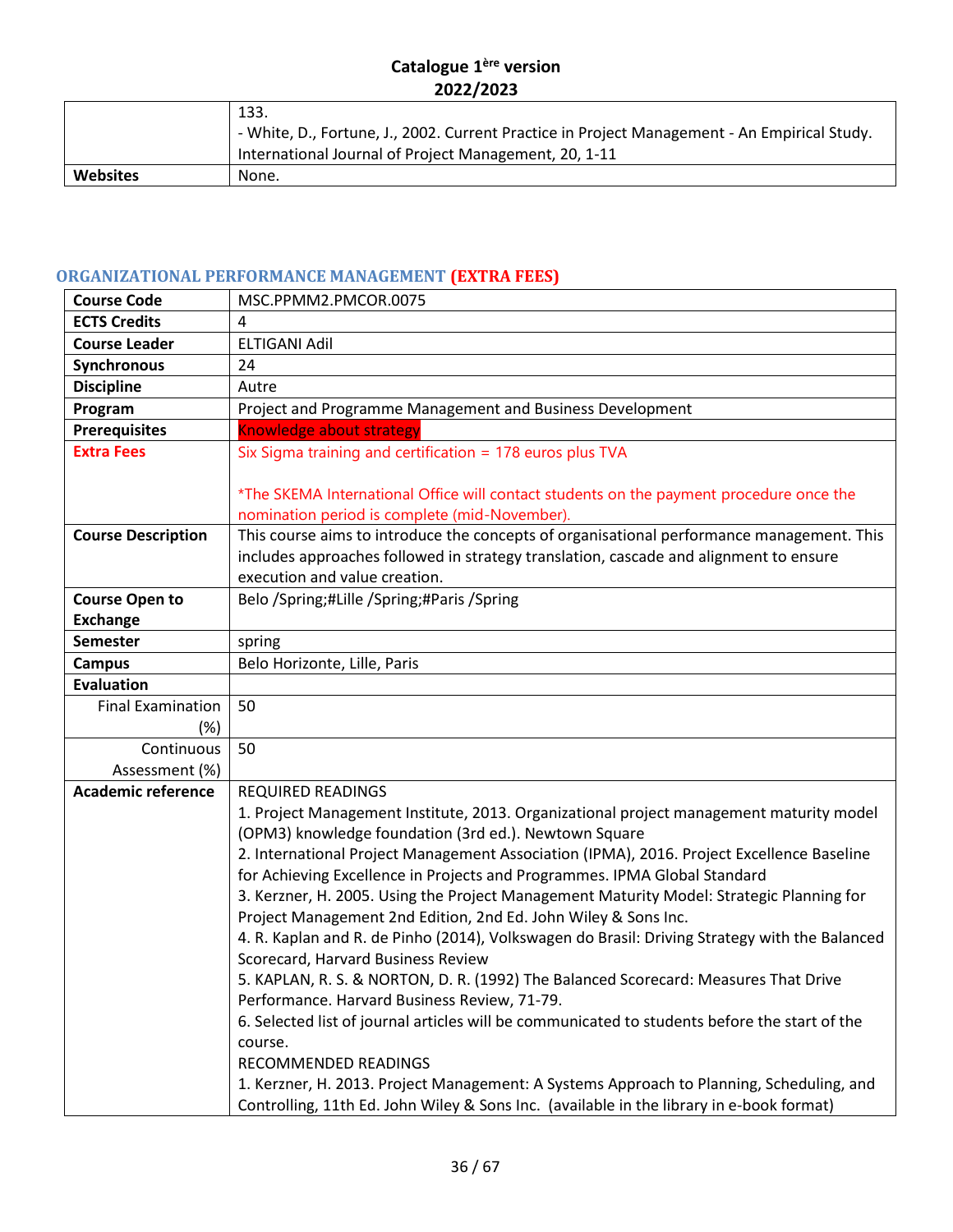|                 | 133.                                                                                         |
|-----------------|----------------------------------------------------------------------------------------------|
|                 | - White, D., Fortune, J., 2002. Current Practice in Project Management - An Empirical Study. |
|                 | International Journal of Project Management, 20, 1-11                                        |
| <b>Websites</b> | None.                                                                                        |

# <span id="page-35-0"></span>**ORGANIZATIONAL PERFORMANCE MANAGEMENT (EXTRA FEES)**

| MSC.PPMM2.PMCOR.0075                                                                                     |
|----------------------------------------------------------------------------------------------------------|
| 4                                                                                                        |
| <b>ELTIGANI Adil</b>                                                                                     |
| 24                                                                                                       |
| Autre                                                                                                    |
| Project and Programme Management and Business Development                                                |
| <b>Knowledge about strategy</b>                                                                          |
| Six Sigma training and certification = 178 euros plus TVA                                                |
|                                                                                                          |
| *The SKEMA International Office will contact students on the payment procedure once the                  |
| nomination period is complete (mid-November).                                                            |
| This course aims to introduce the concepts of organisational performance management. This                |
| includes approaches followed in strategy translation, cascade and alignment to ensure                    |
| execution and value creation.                                                                            |
| Belo /Spring;#Lille /Spring;#Paris /Spring                                                               |
|                                                                                                          |
| spring                                                                                                   |
| Belo Horizonte, Lille, Paris                                                                             |
|                                                                                                          |
| 50                                                                                                       |
|                                                                                                          |
| 50                                                                                                       |
|                                                                                                          |
| <b>REQUIRED READINGS</b>                                                                                 |
| 1. Project Management Institute, 2013. Organizational project management maturity model                  |
| (OPM3) knowledge foundation (3rd ed.). Newtown Square                                                    |
| 2. International Project Management Association (IPMA), 2016. Project Excellence Baseline                |
| for Achieving Excellence in Projects and Programmes. IPMA Global Standard                                |
| 3. Kerzner, H. 2005. Using the Project Management Maturity Model: Strategic Planning for                 |
| Project Management 2nd Edition, 2nd Ed. John Wiley & Sons Inc.                                           |
| 4. R. Kaplan and R. de Pinho (2014), Volkswagen do Brasil: Driving Strategy with the Balanced            |
| Scorecard, Harvard Business Review                                                                       |
| 5. KAPLAN, R. S. & NORTON, D. R. (1992) The Balanced Scorecard: Measures That Drive                      |
| Performance. Harvard Business Review, 71-79.                                                             |
| 6. Selected list of journal articles will be communicated to students before the start of the<br>course. |
| RECOMMENDED READINGS                                                                                     |
| 1. Kerzner, H. 2013. Project Management: A Systems Approach to Planning, Scheduling, and                 |
| Controlling, 11th Ed. John Wiley & Sons Inc. (available in the library in e-book format)                 |
|                                                                                                          |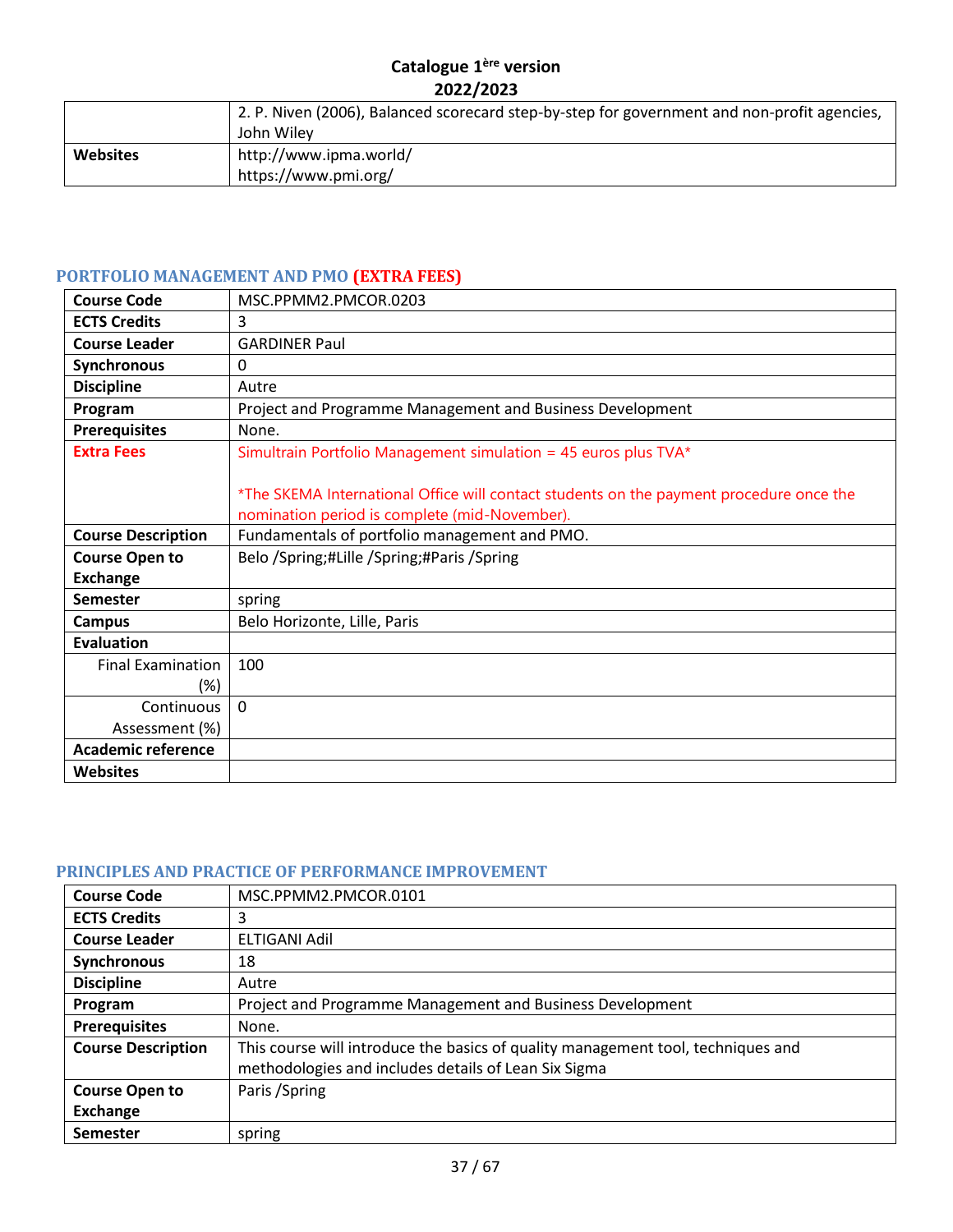|                 | 2. P. Niven (2006), Balanced scorecard step-by-step for government and non-profit agencies,<br>John Wiley |
|-----------------|-----------------------------------------------------------------------------------------------------------|
| <b>Websites</b> | http://www.ipma.world/<br>https://www.pmi.org/                                                            |

# <span id="page-36-0"></span>**PORTFOLIO MANAGEMENT AND PMO (EXTRA FEES)**

| <b>Course Code</b>        | MSC.PPMM2.PMCOR.0203                                                                                                                     |
|---------------------------|------------------------------------------------------------------------------------------------------------------------------------------|
| <b>ECTS Credits</b>       | 3                                                                                                                                        |
| <b>Course Leader</b>      | <b>GARDINER Paul</b>                                                                                                                     |
| Synchronous               | 0                                                                                                                                        |
| <b>Discipline</b>         | Autre                                                                                                                                    |
| Program                   | Project and Programme Management and Business Development                                                                                |
| <b>Prerequisites</b>      | None.                                                                                                                                    |
| <b>Extra Fees</b>         | Simultrain Portfolio Management simulation = 45 euros plus TVA*                                                                          |
|                           | *The SKEMA International Office will contact students on the payment procedure once the<br>nomination period is complete (mid-November). |
| <b>Course Description</b> | Fundamentals of portfolio management and PMO.                                                                                            |
| <b>Course Open to</b>     | Belo /Spring;#Lille /Spring;#Paris /Spring                                                                                               |
| <b>Exchange</b>           |                                                                                                                                          |
| <b>Semester</b>           | spring                                                                                                                                   |
| <b>Campus</b>             | Belo Horizonte, Lille, Paris                                                                                                             |
| <b>Evaluation</b>         |                                                                                                                                          |
| <b>Final Examination</b>  | 100                                                                                                                                      |
| (%)                       |                                                                                                                                          |
| Continuous                | $\Omega$                                                                                                                                 |
| Assessment (%)            |                                                                                                                                          |
| <b>Academic reference</b> |                                                                                                                                          |
| <b>Websites</b>           |                                                                                                                                          |

# <span id="page-36-1"></span>**PRINCIPLES AND PRACTICE OF PERFORMANCE IMPROVEMENT**

| <b>Course Code</b>        | MSC.PPMM2.PMCOR.0101                                                                                                                     |
|---------------------------|------------------------------------------------------------------------------------------------------------------------------------------|
| <b>ECTS Credits</b>       | 3                                                                                                                                        |
| <b>Course Leader</b>      | ELTIGANI Adil                                                                                                                            |
| Synchronous               | 18                                                                                                                                       |
| <b>Discipline</b>         | Autre                                                                                                                                    |
| Program                   | Project and Programme Management and Business Development                                                                                |
| <b>Prerequisites</b>      | None.                                                                                                                                    |
| <b>Course Description</b> | This course will introduce the basics of quality management tool, techniques and<br>methodologies and includes details of Lean Six Sigma |
| <b>Course Open to</b>     | Paris / Spring                                                                                                                           |
| <b>Exchange</b>           |                                                                                                                                          |
| <b>Semester</b>           | spring                                                                                                                                   |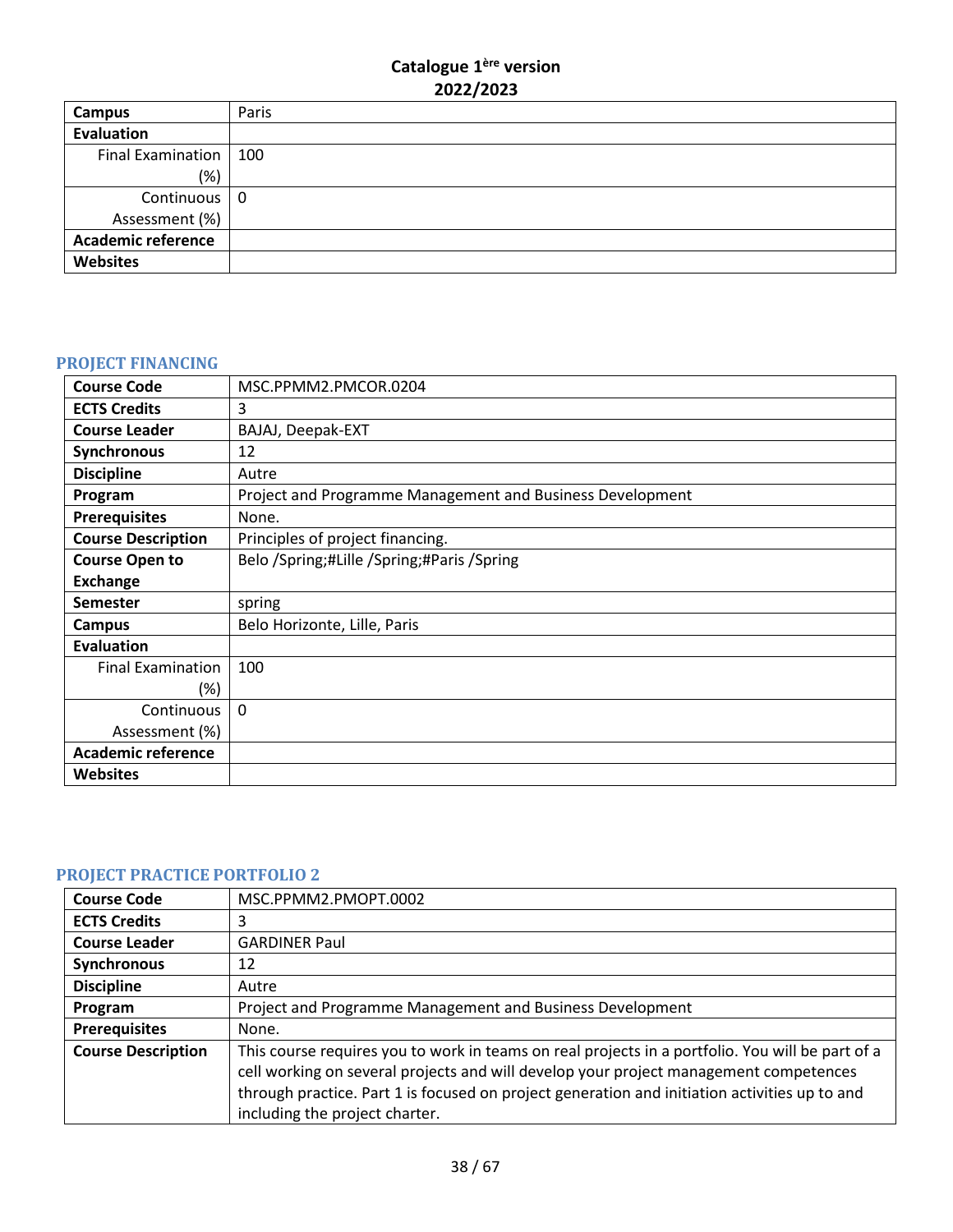| Campus                    | Paris |
|---------------------------|-------|
| Evaluation                |       |
| Final Examination   100   |       |
| (%)                       |       |
| Continuous 0              |       |
| Assessment (%)            |       |
| <b>Academic reference</b> |       |
| <b>Websites</b>           |       |

# <span id="page-37-0"></span>**PROJECT FINANCING**

| <b>Course Code</b>        | MSC.PPMM2.PMCOR.0204                                      |
|---------------------------|-----------------------------------------------------------|
| <b>ECTS Credits</b>       | 3                                                         |
| <b>Course Leader</b>      | BAJAJ, Deepak-EXT                                         |
| Synchronous               | 12                                                        |
| <b>Discipline</b>         | Autre                                                     |
| Program                   | Project and Programme Management and Business Development |
| <b>Prerequisites</b>      | None.                                                     |
| <b>Course Description</b> | Principles of project financing.                          |
| <b>Course Open to</b>     | Belo /Spring;#Lille /Spring;#Paris /Spring                |
| <b>Exchange</b>           |                                                           |
| <b>Semester</b>           | spring                                                    |
| Campus                    | Belo Horizonte, Lille, Paris                              |
| <b>Evaluation</b>         |                                                           |
| <b>Final Examination</b>  | 100                                                       |
| (%)                       |                                                           |
| Continuous                | $\Omega$                                                  |
| Assessment (%)            |                                                           |
| <b>Academic reference</b> |                                                           |
| <b>Websites</b>           |                                                           |

# <span id="page-37-1"></span>**PROJECT PRACTICE PORTFOLIO 2**

| <b>Course Code</b>        | MSC.PPMM2.PMOPT.0002                                                                                                                                                                                                                                                                                                         |
|---------------------------|------------------------------------------------------------------------------------------------------------------------------------------------------------------------------------------------------------------------------------------------------------------------------------------------------------------------------|
| <b>ECTS Credits</b>       | 3                                                                                                                                                                                                                                                                                                                            |
| <b>Course Leader</b>      | <b>GARDINER Paul</b>                                                                                                                                                                                                                                                                                                         |
| Synchronous               | 12                                                                                                                                                                                                                                                                                                                           |
| <b>Discipline</b>         | Autre                                                                                                                                                                                                                                                                                                                        |
| Program                   | Project and Programme Management and Business Development                                                                                                                                                                                                                                                                    |
| <b>Prerequisites</b>      | None.                                                                                                                                                                                                                                                                                                                        |
| <b>Course Description</b> | This course requires you to work in teams on real projects in a portfolio. You will be part of a<br>cell working on several projects and will develop your project management competences<br>through practice. Part 1 is focused on project generation and initiation activities up to and<br>including the project charter. |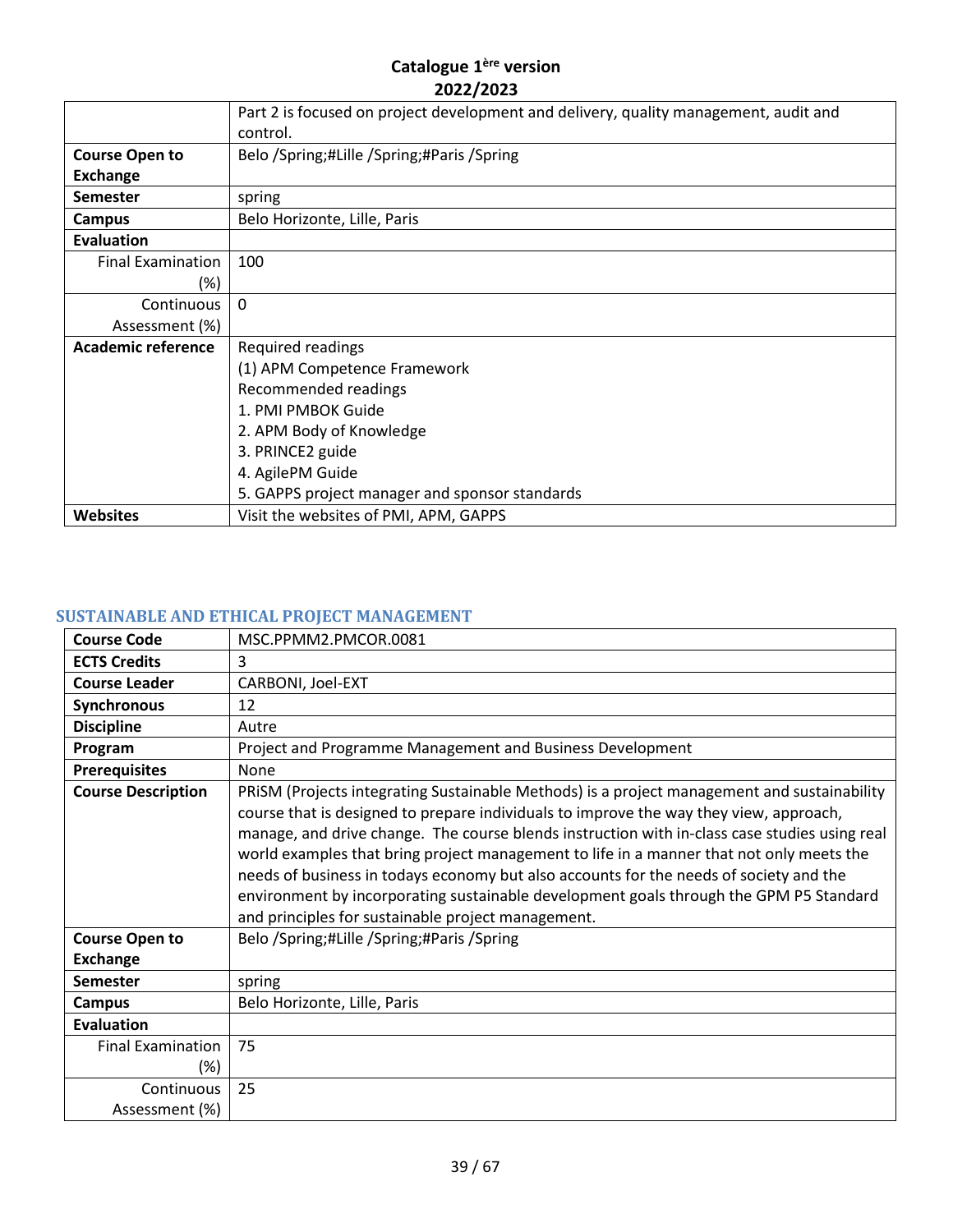|                           | Part 2 is focused on project development and delivery, quality management, audit and |
|---------------------------|--------------------------------------------------------------------------------------|
|                           | control.                                                                             |
| <b>Course Open to</b>     | Belo /Spring;#Lille /Spring;#Paris /Spring                                           |
| <b>Exchange</b>           |                                                                                      |
| <b>Semester</b>           | spring                                                                               |
| Campus                    | Belo Horizonte, Lille, Paris                                                         |
| Evaluation                |                                                                                      |
| <b>Final Examination</b>  | 100                                                                                  |
| (%)                       |                                                                                      |
| Continuous                | $\Omega$                                                                             |
| Assessment (%)            |                                                                                      |
| <b>Academic reference</b> | Required readings                                                                    |
|                           | (1) APM Competence Framework                                                         |
|                           | Recommended readings                                                                 |
|                           | 1. PMI PMBOK Guide                                                                   |
|                           | 2. APM Body of Knowledge                                                             |
|                           | 3. PRINCE2 guide                                                                     |
|                           | 4. AgilePM Guide                                                                     |
|                           | 5. GAPPS project manager and sponsor standards                                       |
| <b>Websites</b>           | Visit the websites of PMI, APM, GAPPS                                                |

# <span id="page-38-0"></span>**SUSTAINABLE AND ETHICAL PROJECT MANAGEMENT**

| <b>Course Code</b>        | MSC.PPMM2.PMCOR.0081                                                                                                                                                                                                                                                                                                                                                                                                                                                                                                                                                                                                         |
|---------------------------|------------------------------------------------------------------------------------------------------------------------------------------------------------------------------------------------------------------------------------------------------------------------------------------------------------------------------------------------------------------------------------------------------------------------------------------------------------------------------------------------------------------------------------------------------------------------------------------------------------------------------|
| <b>ECTS Credits</b>       | 3                                                                                                                                                                                                                                                                                                                                                                                                                                                                                                                                                                                                                            |
| <b>Course Leader</b>      | CARBONI, Joel-EXT                                                                                                                                                                                                                                                                                                                                                                                                                                                                                                                                                                                                            |
| Synchronous               | 12                                                                                                                                                                                                                                                                                                                                                                                                                                                                                                                                                                                                                           |
| <b>Discipline</b>         | Autre                                                                                                                                                                                                                                                                                                                                                                                                                                                                                                                                                                                                                        |
| Program                   | Project and Programme Management and Business Development                                                                                                                                                                                                                                                                                                                                                                                                                                                                                                                                                                    |
| <b>Prerequisites</b>      | None                                                                                                                                                                                                                                                                                                                                                                                                                                                                                                                                                                                                                         |
| <b>Course Description</b> | PRISM (Projects integrating Sustainable Methods) is a project management and sustainability<br>course that is designed to prepare individuals to improve the way they view, approach,<br>manage, and drive change. The course blends instruction with in-class case studies using real<br>world examples that bring project management to life in a manner that not only meets the<br>needs of business in todays economy but also accounts for the needs of society and the<br>environment by incorporating sustainable development goals through the GPM P5 Standard<br>and principles for sustainable project management. |
| <b>Course Open to</b>     | Belo /Spring;#Lille /Spring;#Paris /Spring                                                                                                                                                                                                                                                                                                                                                                                                                                                                                                                                                                                   |
| <b>Exchange</b>           |                                                                                                                                                                                                                                                                                                                                                                                                                                                                                                                                                                                                                              |
| <b>Semester</b>           | spring                                                                                                                                                                                                                                                                                                                                                                                                                                                                                                                                                                                                                       |
| <b>Campus</b>             | Belo Horizonte, Lille, Paris                                                                                                                                                                                                                                                                                                                                                                                                                                                                                                                                                                                                 |
| <b>Evaluation</b>         |                                                                                                                                                                                                                                                                                                                                                                                                                                                                                                                                                                                                                              |
| <b>Final Examination</b>  | 75                                                                                                                                                                                                                                                                                                                                                                                                                                                                                                                                                                                                                           |
| (%)                       |                                                                                                                                                                                                                                                                                                                                                                                                                                                                                                                                                                                                                              |
| Continuous                | 25                                                                                                                                                                                                                                                                                                                                                                                                                                                                                                                                                                                                                           |
| Assessment (%)            |                                                                                                                                                                                                                                                                                                                                                                                                                                                                                                                                                                                                                              |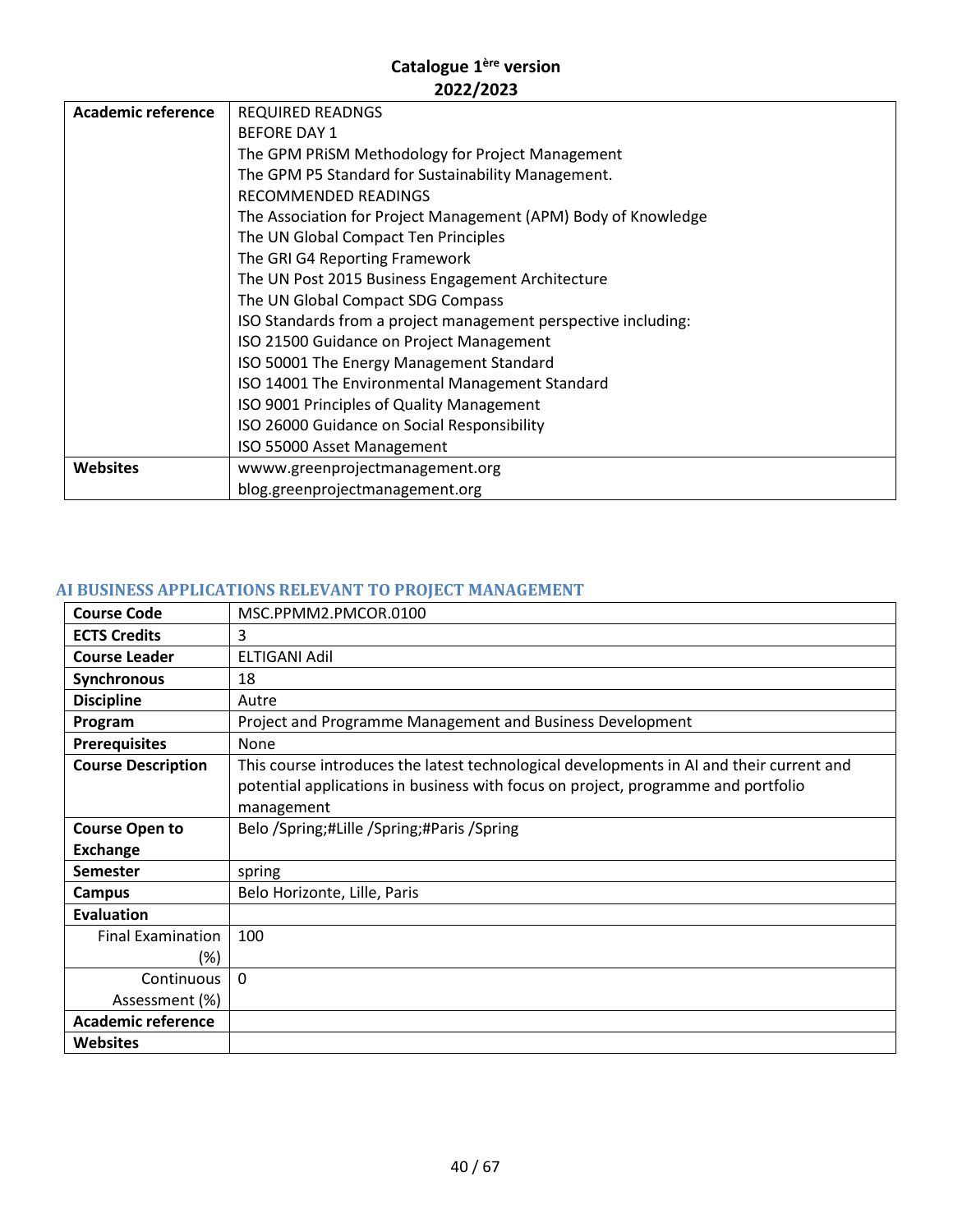| Academic reference | <b>REQUIRED READNGS</b>                                        |
|--------------------|----------------------------------------------------------------|
|                    | <b>BEFORE DAY 1</b>                                            |
|                    | The GPM PRISM Methodology for Project Management               |
|                    | The GPM P5 Standard for Sustainability Management.             |
|                    | RECOMMENDED READINGS                                           |
|                    | The Association for Project Management (APM) Body of Knowledge |
|                    | The UN Global Compact Ten Principles                           |
|                    | The GRI G4 Reporting Framework                                 |
|                    | The UN Post 2015 Business Engagement Architecture              |
|                    | The UN Global Compact SDG Compass                              |
|                    | ISO Standards from a project management perspective including: |
|                    | ISO 21500 Guidance on Project Management                       |
|                    | ISO 50001 The Energy Management Standard                       |
|                    | ISO 14001 The Environmental Management Standard                |
|                    | ISO 9001 Principles of Quality Management                      |
|                    | ISO 26000 Guidance on Social Responsibility                    |
|                    | ISO 55000 Asset Management                                     |
| <b>Websites</b>    | wwww.greenprojectmanagement.org                                |
|                    | blog.greenprojectmanagement.org                                |

# <span id="page-39-0"></span>**AI BUSINESS APPLICATIONS RELEVANT TO PROJECT MANAGEMENT**

| <b>Course Code</b>        | MSC.PPMM2.PMCOR.0100                                                                     |
|---------------------------|------------------------------------------------------------------------------------------|
| <b>ECTS Credits</b>       | 3                                                                                        |
| <b>Course Leader</b>      | ELTIGANI Adil                                                                            |
| Synchronous               | 18                                                                                       |
| <b>Discipline</b>         | Autre                                                                                    |
| Program                   | Project and Programme Management and Business Development                                |
| <b>Prerequisites</b>      | None                                                                                     |
| <b>Course Description</b> | This course introduces the latest technological developments in AI and their current and |
|                           | potential applications in business with focus on project, programme and portfolio        |
|                           | management                                                                               |
| <b>Course Open to</b>     | Belo /Spring;#Lille /Spring;#Paris /Spring                                               |
| <b>Exchange</b>           |                                                                                          |
| <b>Semester</b>           | spring                                                                                   |
| Campus                    | Belo Horizonte, Lille, Paris                                                             |
| <b>Evaluation</b>         |                                                                                          |
| <b>Final Examination</b>  | 100                                                                                      |
| (%)                       |                                                                                          |
| Continuous                | $\Omega$                                                                                 |
| Assessment (%)            |                                                                                          |
| <b>Academic reference</b> |                                                                                          |
| <b>Websites</b>           |                                                                                          |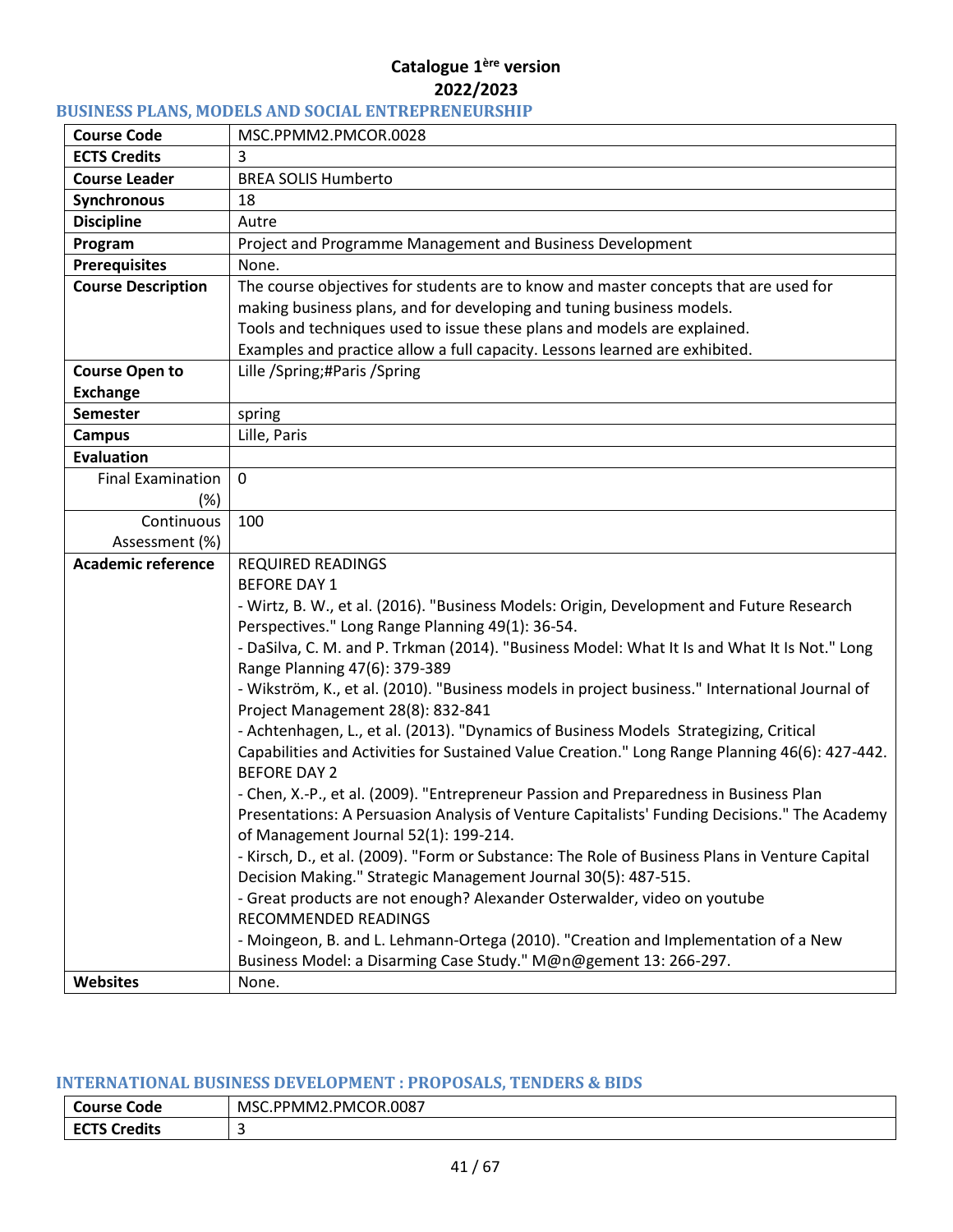# <span id="page-40-0"></span>**BUSINESS PLANS, MODELS AND SOCIAL ENTREPRENEURSHIP**

| <b>Course Code</b>        | MSC.PPMM2.PMCOR.0028                                                                                                                |
|---------------------------|-------------------------------------------------------------------------------------------------------------------------------------|
| <b>ECTS Credits</b>       | 3                                                                                                                                   |
| <b>Course Leader</b>      | <b>BREA SOLIS Humberto</b>                                                                                                          |
| Synchronous               | 18                                                                                                                                  |
| <b>Discipline</b>         | Autre                                                                                                                               |
| Program                   | Project and Programme Management and Business Development                                                                           |
| <b>Prerequisites</b>      | None.                                                                                                                               |
| <b>Course Description</b> | The course objectives for students are to know and master concepts that are used for                                                |
|                           | making business plans, and for developing and tuning business models.                                                               |
|                           | Tools and techniques used to issue these plans and models are explained.                                                            |
|                           | Examples and practice allow a full capacity. Lessons learned are exhibited.                                                         |
| <b>Course Open to</b>     | Lille /Spring;#Paris /Spring                                                                                                        |
| <b>Exchange</b>           |                                                                                                                                     |
| <b>Semester</b>           | spring                                                                                                                              |
| <b>Campus</b>             | Lille, Paris                                                                                                                        |
| <b>Evaluation</b>         |                                                                                                                                     |
| <b>Final Examination</b>  | $\mathbf 0$                                                                                                                         |
| (%)                       |                                                                                                                                     |
| Continuous                | 100                                                                                                                                 |
| Assessment (%)            |                                                                                                                                     |
| <b>Academic reference</b> | <b>REQUIRED READINGS</b>                                                                                                            |
|                           | <b>BEFORE DAY 1</b>                                                                                                                 |
|                           | - Wirtz, B. W., et al. (2016). "Business Models: Origin, Development and Future Research                                            |
|                           | Perspectives." Long Range Planning 49(1): 36-54.                                                                                    |
|                           | - DaSilva, C. M. and P. Trkman (2014). "Business Model: What It Is and What It Is Not." Long                                        |
|                           | Range Planning 47(6): 379-389                                                                                                       |
|                           | - Wikström, K., et al. (2010). "Business models in project business." International Journal of<br>Project Management 28(8): 832-841 |
|                           | - Achtenhagen, L., et al. (2013). "Dynamics of Business Models Strategizing, Critical                                               |
|                           | Capabilities and Activities for Sustained Value Creation." Long Range Planning 46(6): 427-442.                                      |
|                           | <b>BEFORE DAY 2</b>                                                                                                                 |
|                           | - Chen, X.-P., et al. (2009). "Entrepreneur Passion and Preparedness in Business Plan                                               |
|                           | Presentations: A Persuasion Analysis of Venture Capitalists' Funding Decisions." The Academy                                        |
|                           | of Management Journal 52(1): 199-214.                                                                                               |
|                           | - Kirsch, D., et al. (2009). "Form or Substance: The Role of Business Plans in Venture Capital                                      |
|                           | Decision Making." Strategic Management Journal 30(5): 487-515.                                                                      |
|                           | - Great products are not enough? Alexander Osterwalder, video on youtube                                                            |
|                           | <b>RECOMMENDED READINGS</b>                                                                                                         |
|                           | - Moingeon, B. and L. Lehmann-Ortega (2010). "Creation and Implementation of a New                                                  |
|                           | Business Model: a Disarming Case Study." M@n@gement 13: 266-297.                                                                    |
| Websites                  | None.                                                                                                                               |

#### <span id="page-40-1"></span>**INTERNATIONAL BUSINESS DEVELOPMENT : PROPOSALS, TENDERS & BIDS**

| <b>Course Code</b>                   | .PMCOR.0087<br>MSC.I<br>`PPMM2.r |
|--------------------------------------|----------------------------------|
| <b>FCTS</b><br><b>Credits</b><br>--- | . .                              |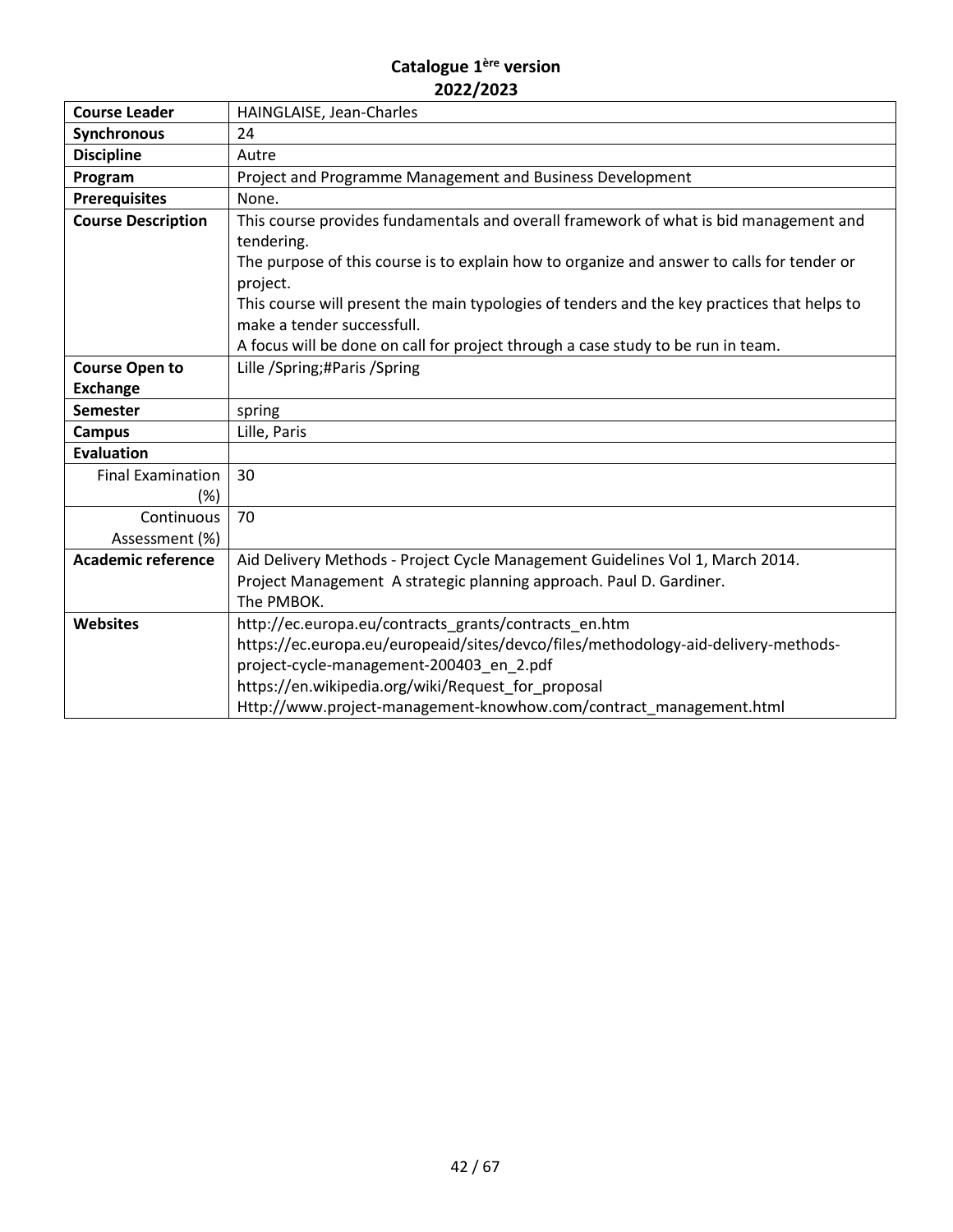| <b>Course Leader</b>      | HAINGLAISE, Jean-Charles                                                                    |
|---------------------------|---------------------------------------------------------------------------------------------|
| <b>Synchronous</b>        | 24                                                                                          |
| <b>Discipline</b>         | Autre                                                                                       |
| Program                   | Project and Programme Management and Business Development                                   |
| <b>Prerequisites</b>      | None.                                                                                       |
| <b>Course Description</b> | This course provides fundamentals and overall framework of what is bid management and       |
|                           | tendering.                                                                                  |
|                           | The purpose of this course is to explain how to organize and answer to calls for tender or  |
|                           | project.                                                                                    |
|                           | This course will present the main typologies of tenders and the key practices that helps to |
|                           | make a tender successfull.                                                                  |
|                           | A focus will be done on call for project through a case study to be run in team.            |
| <b>Course Open to</b>     | Lille /Spring;#Paris /Spring                                                                |
| <b>Exchange</b>           |                                                                                             |
| <b>Semester</b>           | spring                                                                                      |
| <b>Campus</b>             | Lille, Paris                                                                                |
| <b>Evaluation</b>         |                                                                                             |
| <b>Final Examination</b>  | 30                                                                                          |
| (%)                       |                                                                                             |
| Continuous                | 70                                                                                          |
| Assessment (%)            |                                                                                             |
| <b>Academic reference</b> | Aid Delivery Methods - Project Cycle Management Guidelines Vol 1, March 2014.               |
|                           | Project Management A strategic planning approach. Paul D. Gardiner.                         |
|                           | The PMBOK.                                                                                  |
| <b>Websites</b>           | http://ec.europa.eu/contracts_grants/contracts_en.htm                                       |
|                           | https://ec.europa.eu/europeaid/sites/devco/files/methodology-aid-delivery-methods-          |
|                           | project-cycle-management-200403_en_2.pdf                                                    |
|                           | https://en.wikipedia.org/wiki/Request_for_proposal                                          |
|                           | Http://www.project-management-knowhow.com/contract management.html                          |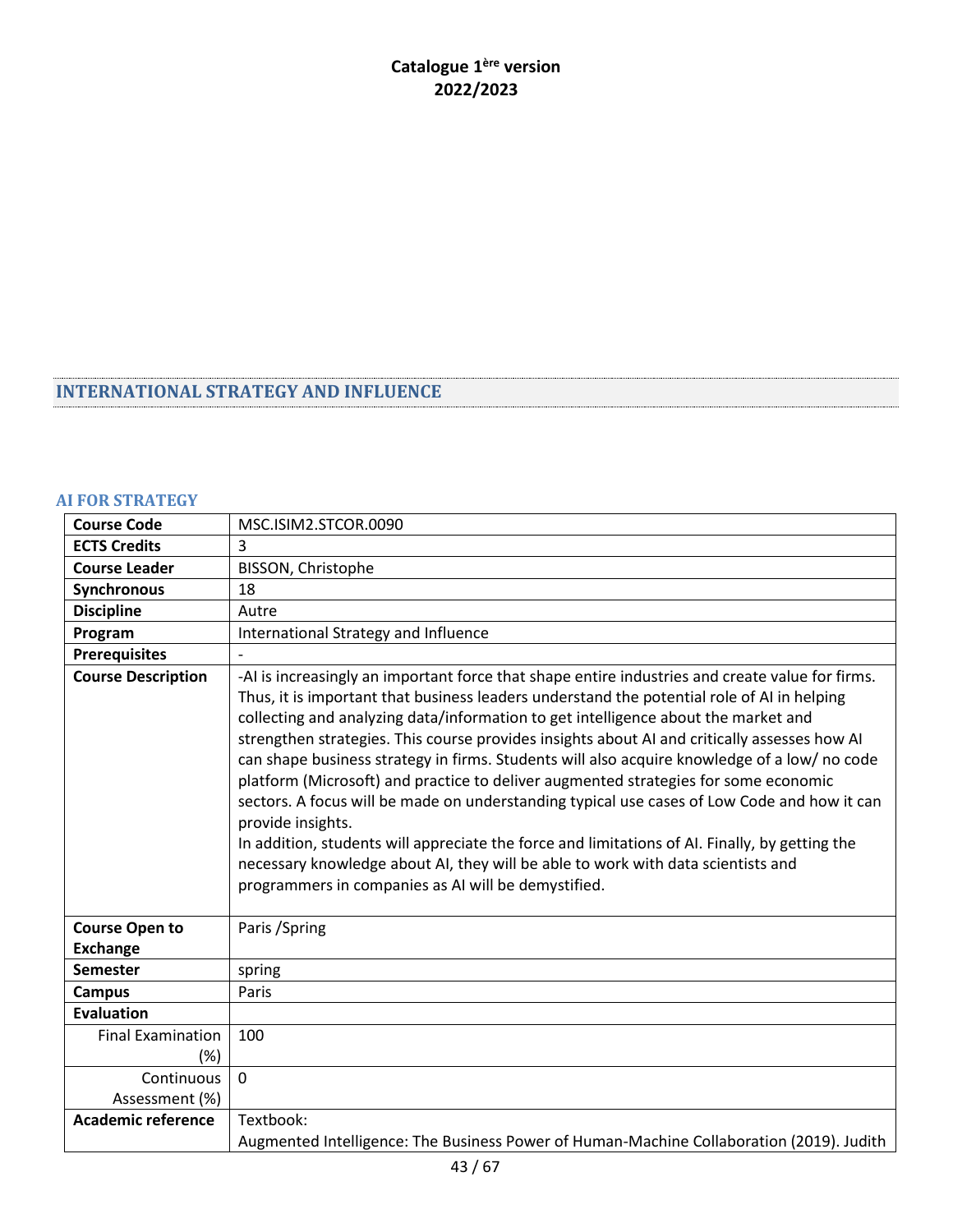# <span id="page-42-0"></span>**INTERNATIONAL STRATEGY AND INFLUENCE**

# <span id="page-42-1"></span>**AI FOR STRATEGY**

| <b>Course Code</b>                       | MSC.ISIM2.STCOR.0090                                                                                                                                                                                                                                                                                                                                                                                                                                                                                                                                                                                                                                                                                                                                                                                                                                                                                                                        |
|------------------------------------------|---------------------------------------------------------------------------------------------------------------------------------------------------------------------------------------------------------------------------------------------------------------------------------------------------------------------------------------------------------------------------------------------------------------------------------------------------------------------------------------------------------------------------------------------------------------------------------------------------------------------------------------------------------------------------------------------------------------------------------------------------------------------------------------------------------------------------------------------------------------------------------------------------------------------------------------------|
| <b>ECTS Credits</b>                      | 3                                                                                                                                                                                                                                                                                                                                                                                                                                                                                                                                                                                                                                                                                                                                                                                                                                                                                                                                           |
| <b>Course Leader</b>                     | BISSON, Christophe                                                                                                                                                                                                                                                                                                                                                                                                                                                                                                                                                                                                                                                                                                                                                                                                                                                                                                                          |
| <b>Synchronous</b>                       | 18                                                                                                                                                                                                                                                                                                                                                                                                                                                                                                                                                                                                                                                                                                                                                                                                                                                                                                                                          |
| <b>Discipline</b>                        | Autre                                                                                                                                                                                                                                                                                                                                                                                                                                                                                                                                                                                                                                                                                                                                                                                                                                                                                                                                       |
| Program                                  | International Strategy and Influence                                                                                                                                                                                                                                                                                                                                                                                                                                                                                                                                                                                                                                                                                                                                                                                                                                                                                                        |
| <b>Prerequisites</b>                     |                                                                                                                                                                                                                                                                                                                                                                                                                                                                                                                                                                                                                                                                                                                                                                                                                                                                                                                                             |
| <b>Course Description</b>                | -AI is increasingly an important force that shape entire industries and create value for firms.<br>Thus, it is important that business leaders understand the potential role of AI in helping<br>collecting and analyzing data/information to get intelligence about the market and<br>strengthen strategies. This course provides insights about AI and critically assesses how AI<br>can shape business strategy in firms. Students will also acquire knowledge of a low/ no code<br>platform (Microsoft) and practice to deliver augmented strategies for some economic<br>sectors. A focus will be made on understanding typical use cases of Low Code and how it can<br>provide insights.<br>In addition, students will appreciate the force and limitations of AI. Finally, by getting the<br>necessary knowledge about AI, they will be able to work with data scientists and<br>programmers in companies as AI will be demystified. |
| <b>Course Open to</b><br><b>Exchange</b> | Paris / Spring                                                                                                                                                                                                                                                                                                                                                                                                                                                                                                                                                                                                                                                                                                                                                                                                                                                                                                                              |
| <b>Semester</b>                          | spring                                                                                                                                                                                                                                                                                                                                                                                                                                                                                                                                                                                                                                                                                                                                                                                                                                                                                                                                      |
| <b>Campus</b>                            | Paris                                                                                                                                                                                                                                                                                                                                                                                                                                                                                                                                                                                                                                                                                                                                                                                                                                                                                                                                       |
| <b>Evaluation</b>                        |                                                                                                                                                                                                                                                                                                                                                                                                                                                                                                                                                                                                                                                                                                                                                                                                                                                                                                                                             |
| <b>Final Examination</b>                 | 100                                                                                                                                                                                                                                                                                                                                                                                                                                                                                                                                                                                                                                                                                                                                                                                                                                                                                                                                         |
| (%)                                      |                                                                                                                                                                                                                                                                                                                                                                                                                                                                                                                                                                                                                                                                                                                                                                                                                                                                                                                                             |
| Continuous                               | $\mathbf 0$                                                                                                                                                                                                                                                                                                                                                                                                                                                                                                                                                                                                                                                                                                                                                                                                                                                                                                                                 |
| Assessment (%)                           |                                                                                                                                                                                                                                                                                                                                                                                                                                                                                                                                                                                                                                                                                                                                                                                                                                                                                                                                             |
| <b>Academic reference</b>                | Textbook:                                                                                                                                                                                                                                                                                                                                                                                                                                                                                                                                                                                                                                                                                                                                                                                                                                                                                                                                   |
|                                          | Augmented Intelligence: The Business Power of Human-Machine Collaboration (2019). Judith                                                                                                                                                                                                                                                                                                                                                                                                                                                                                                                                                                                                                                                                                                                                                                                                                                                    |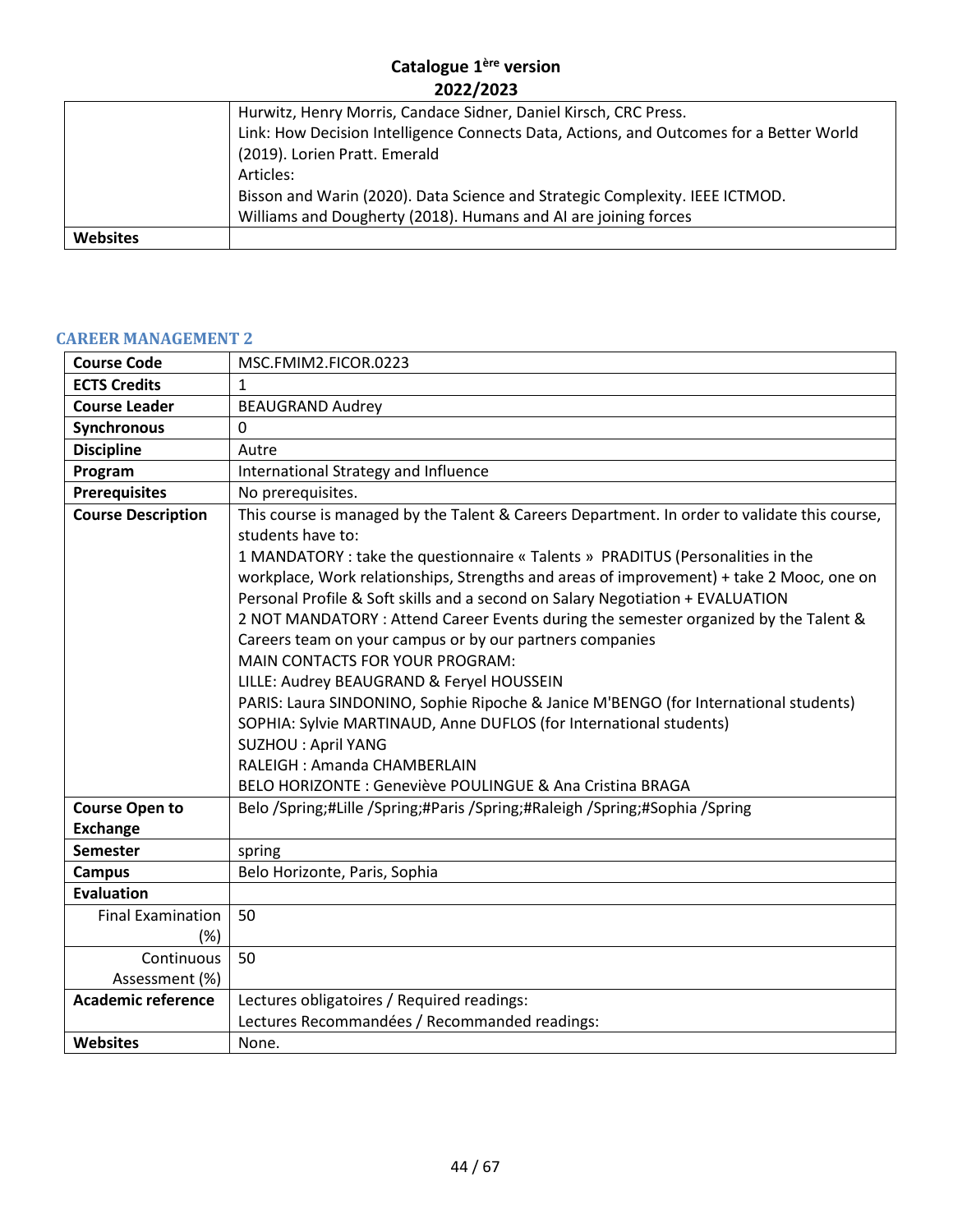|                 | Hurwitz, Henry Morris, Candace Sidner, Daniel Kirsch, CRC Press.                        |
|-----------------|-----------------------------------------------------------------------------------------|
|                 | Link: How Decision Intelligence Connects Data, Actions, and Outcomes for a Better World |
|                 | (2019). Lorien Pratt. Emerald                                                           |
|                 | Articles:                                                                               |
|                 | Bisson and Warin (2020). Data Science and Strategic Complexity. IEEE ICTMOD.            |
|                 | Williams and Dougherty (2018). Humans and AI are joining forces                         |
| <b>Websites</b> |                                                                                         |

#### <span id="page-43-0"></span>**CAREER MANAGEMENT 2**

| <b>Course Code</b>        | MSC.FMIM2.FICOR.0223                                                                                                                                                                                                                                                                                                                                                                                                                                                                                                                                                                                                                                                                                                                                                                                                                                                                                            |
|---------------------------|-----------------------------------------------------------------------------------------------------------------------------------------------------------------------------------------------------------------------------------------------------------------------------------------------------------------------------------------------------------------------------------------------------------------------------------------------------------------------------------------------------------------------------------------------------------------------------------------------------------------------------------------------------------------------------------------------------------------------------------------------------------------------------------------------------------------------------------------------------------------------------------------------------------------|
| <b>ECTS Credits</b>       | 1                                                                                                                                                                                                                                                                                                                                                                                                                                                                                                                                                                                                                                                                                                                                                                                                                                                                                                               |
| <b>Course Leader</b>      | <b>BEAUGRAND Audrey</b>                                                                                                                                                                                                                                                                                                                                                                                                                                                                                                                                                                                                                                                                                                                                                                                                                                                                                         |
| Synchronous               | 0                                                                                                                                                                                                                                                                                                                                                                                                                                                                                                                                                                                                                                                                                                                                                                                                                                                                                                               |
| <b>Discipline</b>         | Autre                                                                                                                                                                                                                                                                                                                                                                                                                                                                                                                                                                                                                                                                                                                                                                                                                                                                                                           |
| Program                   | International Strategy and Influence                                                                                                                                                                                                                                                                                                                                                                                                                                                                                                                                                                                                                                                                                                                                                                                                                                                                            |
| <b>Prerequisites</b>      | No prerequisites.                                                                                                                                                                                                                                                                                                                                                                                                                                                                                                                                                                                                                                                                                                                                                                                                                                                                                               |
| <b>Course Description</b> | This course is managed by the Talent & Careers Department. In order to validate this course,<br>students have to:<br>1 MANDATORY : take the questionnaire « Talents » PRADITUS (Personalities in the<br>workplace, Work relationships, Strengths and areas of improvement) + take 2 Mooc, one on<br>Personal Profile & Soft skills and a second on Salary Negotiation + EVALUATION<br>2 NOT MANDATORY : Attend Career Events during the semester organized by the Talent &<br>Careers team on your campus or by our partners companies<br>MAIN CONTACTS FOR YOUR PROGRAM:<br>LILLE: Audrey BEAUGRAND & Feryel HOUSSEIN<br>PARIS: Laura SINDONINO, Sophie Ripoche & Janice M'BENGO (for International students)<br>SOPHIA: Sylvie MARTINAUD, Anne DUFLOS (for International students)<br><b>SUZHOU : April YANG</b><br>RALEIGH : Amanda CHAMBERLAIN<br>BELO HORIZONTE : Geneviève POULINGUE & Ana Cristina BRAGA |
| <b>Course Open to</b>     | Belo /Spring;#Lille /Spring;#Paris /Spring;#Raleigh /Spring;#Sophia /Spring                                                                                                                                                                                                                                                                                                                                                                                                                                                                                                                                                                                                                                                                                                                                                                                                                                     |
| <b>Exchange</b>           |                                                                                                                                                                                                                                                                                                                                                                                                                                                                                                                                                                                                                                                                                                                                                                                                                                                                                                                 |
| <b>Semester</b>           | spring                                                                                                                                                                                                                                                                                                                                                                                                                                                                                                                                                                                                                                                                                                                                                                                                                                                                                                          |
| <b>Campus</b>             | Belo Horizonte, Paris, Sophia                                                                                                                                                                                                                                                                                                                                                                                                                                                                                                                                                                                                                                                                                                                                                                                                                                                                                   |
| <b>Evaluation</b>         |                                                                                                                                                                                                                                                                                                                                                                                                                                                                                                                                                                                                                                                                                                                                                                                                                                                                                                                 |
| <b>Final Examination</b>  | 50                                                                                                                                                                                                                                                                                                                                                                                                                                                                                                                                                                                                                                                                                                                                                                                                                                                                                                              |
| (%)                       |                                                                                                                                                                                                                                                                                                                                                                                                                                                                                                                                                                                                                                                                                                                                                                                                                                                                                                                 |
| Continuous                | 50                                                                                                                                                                                                                                                                                                                                                                                                                                                                                                                                                                                                                                                                                                                                                                                                                                                                                                              |
| Assessment (%)            |                                                                                                                                                                                                                                                                                                                                                                                                                                                                                                                                                                                                                                                                                                                                                                                                                                                                                                                 |
| <b>Academic reference</b> | Lectures obligatoires / Required readings:                                                                                                                                                                                                                                                                                                                                                                                                                                                                                                                                                                                                                                                                                                                                                                                                                                                                      |
|                           | Lectures Recommandées / Recommanded readings:                                                                                                                                                                                                                                                                                                                                                                                                                                                                                                                                                                                                                                                                                                                                                                                                                                                                   |
| <b>Websites</b>           | None.                                                                                                                                                                                                                                                                                                                                                                                                                                                                                                                                                                                                                                                                                                                                                                                                                                                                                                           |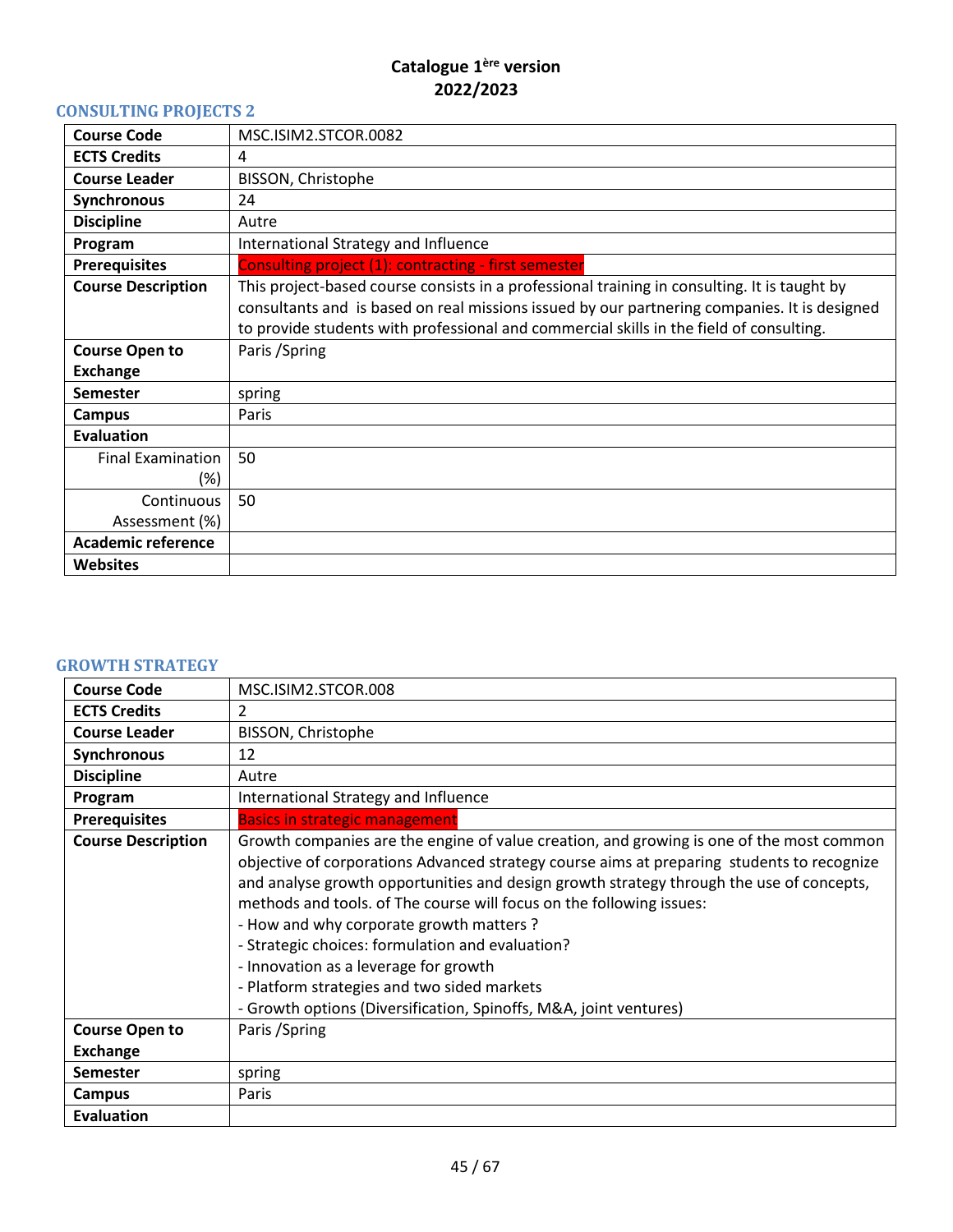# <span id="page-44-0"></span>**CONSULTING PROJECTS 2**

| <b>Course Code</b>        | MSC.ISIM2.STCOR.0082                                                                                                                                                                                                                                                                    |
|---------------------------|-----------------------------------------------------------------------------------------------------------------------------------------------------------------------------------------------------------------------------------------------------------------------------------------|
| <b>ECTS Credits</b>       | 4                                                                                                                                                                                                                                                                                       |
| <b>Course Leader</b>      | BISSON, Christophe                                                                                                                                                                                                                                                                      |
| Synchronous               | 24                                                                                                                                                                                                                                                                                      |
| <b>Discipline</b>         | Autre                                                                                                                                                                                                                                                                                   |
| Program                   | International Strategy and Influence                                                                                                                                                                                                                                                    |
| <b>Prerequisites</b>      | Consulting project (1): contracting - first semester                                                                                                                                                                                                                                    |
| <b>Course Description</b> | This project-based course consists in a professional training in consulting. It is taught by<br>consultants and is based on real missions issued by our partnering companies. It is designed<br>to provide students with professional and commercial skills in the field of consulting. |
| <b>Course Open to</b>     | Paris / Spring                                                                                                                                                                                                                                                                          |
| <b>Exchange</b>           |                                                                                                                                                                                                                                                                                         |
| <b>Semester</b>           | spring                                                                                                                                                                                                                                                                                  |
| <b>Campus</b>             | Paris                                                                                                                                                                                                                                                                                   |
| Evaluation                |                                                                                                                                                                                                                                                                                         |
| <b>Final Examination</b>  | 50                                                                                                                                                                                                                                                                                      |
| (%)                       |                                                                                                                                                                                                                                                                                         |
| Continuous                | 50                                                                                                                                                                                                                                                                                      |
| Assessment (%)            |                                                                                                                                                                                                                                                                                         |
| <b>Academic reference</b> |                                                                                                                                                                                                                                                                                         |
| <b>Websites</b>           |                                                                                                                                                                                                                                                                                         |

# <span id="page-44-1"></span>**GROWTH STRATEGY**

| <b>Course Code</b>        | MSC.ISIM2.STCOR.008                                                                                                                                                                                                                                                                                                                                                                                                                                                                                                                                                                                                    |
|---------------------------|------------------------------------------------------------------------------------------------------------------------------------------------------------------------------------------------------------------------------------------------------------------------------------------------------------------------------------------------------------------------------------------------------------------------------------------------------------------------------------------------------------------------------------------------------------------------------------------------------------------------|
| <b>ECTS Credits</b>       | 2                                                                                                                                                                                                                                                                                                                                                                                                                                                                                                                                                                                                                      |
| <b>Course Leader</b>      | BISSON, Christophe                                                                                                                                                                                                                                                                                                                                                                                                                                                                                                                                                                                                     |
| Synchronous               | 12                                                                                                                                                                                                                                                                                                                                                                                                                                                                                                                                                                                                                     |
| <b>Discipline</b>         | Autre                                                                                                                                                                                                                                                                                                                                                                                                                                                                                                                                                                                                                  |
| Program                   | International Strategy and Influence                                                                                                                                                                                                                                                                                                                                                                                                                                                                                                                                                                                   |
| <b>Prerequisites</b>      | <b>Basics in strategic management</b>                                                                                                                                                                                                                                                                                                                                                                                                                                                                                                                                                                                  |
| <b>Course Description</b> | Growth companies are the engine of value creation, and growing is one of the most common<br>objective of corporations Advanced strategy course aims at preparing students to recognize<br>and analyse growth opportunities and design growth strategy through the use of concepts,<br>methods and tools. of The course will focus on the following issues:<br>- How and why corporate growth matters?<br>- Strategic choices: formulation and evaluation?<br>- Innovation as a leverage for growth<br>- Platform strategies and two sided markets<br>- Growth options (Diversification, Spinoffs, M&A, joint ventures) |
| <b>Course Open to</b>     | Paris / Spring                                                                                                                                                                                                                                                                                                                                                                                                                                                                                                                                                                                                         |
| <b>Exchange</b>           |                                                                                                                                                                                                                                                                                                                                                                                                                                                                                                                                                                                                                        |
| Semester                  | spring                                                                                                                                                                                                                                                                                                                                                                                                                                                                                                                                                                                                                 |
| <b>Campus</b>             | Paris                                                                                                                                                                                                                                                                                                                                                                                                                                                                                                                                                                                                                  |
| <b>Evaluation</b>         |                                                                                                                                                                                                                                                                                                                                                                                                                                                                                                                                                                                                                        |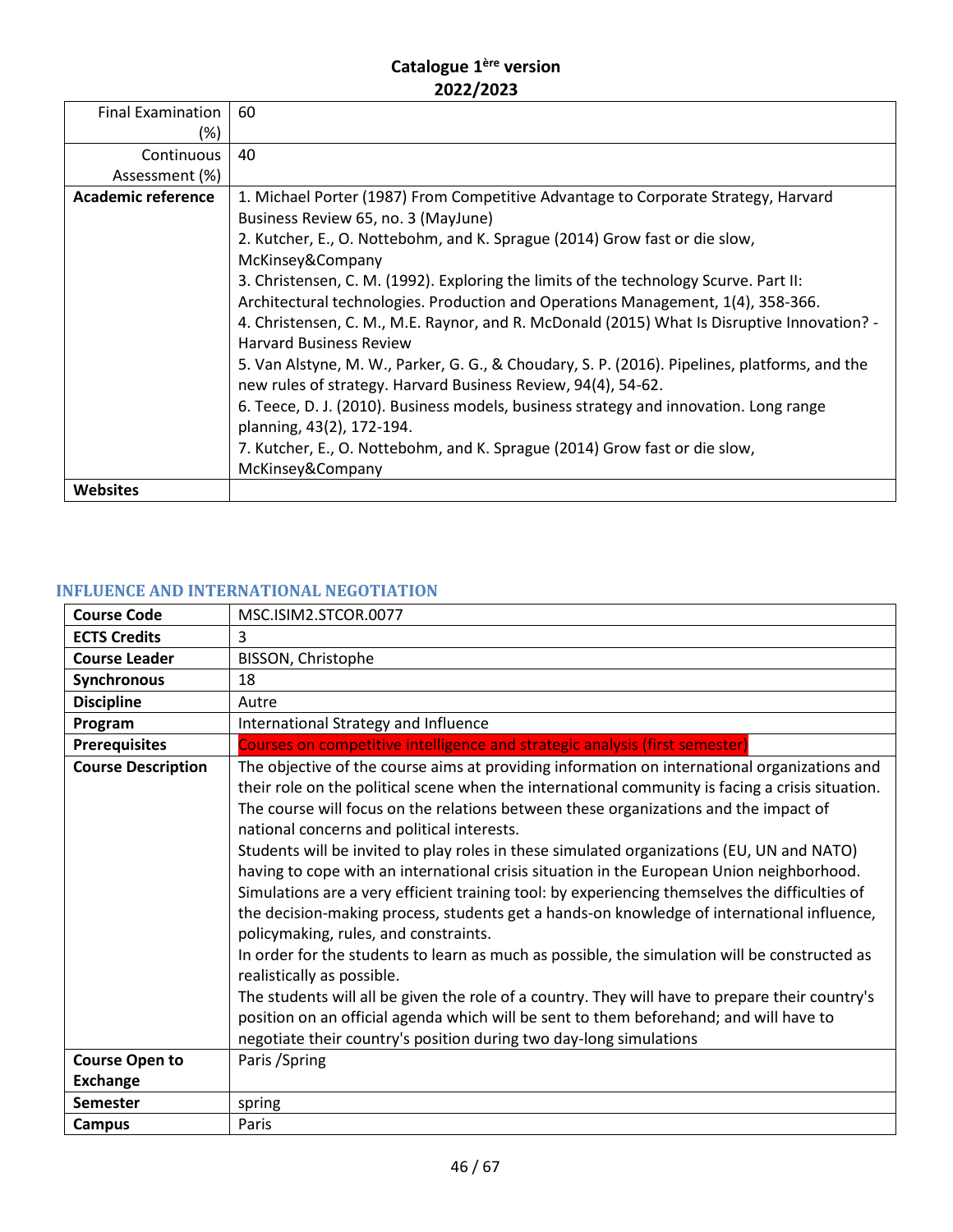| <b>Final Examination</b><br>(%) | 60                                                                                                                                                                        |
|---------------------------------|---------------------------------------------------------------------------------------------------------------------------------------------------------------------------|
| Continuous                      | 40                                                                                                                                                                        |
| Assessment (%)                  |                                                                                                                                                                           |
| <b>Academic reference</b>       | 1. Michael Porter (1987) From Competitive Advantage to Corporate Strategy, Harvard<br>Business Review 65, no. 3 (MayJune)                                                 |
|                                 | 2. Kutcher, E., O. Nottebohm, and K. Sprague (2014) Grow fast or die slow,<br>McKinsey&Company                                                                            |
|                                 | 3. Christensen, C. M. (1992). Exploring the limits of the technology Scurve. Part II:<br>Architectural technologies. Production and Operations Management, 1(4), 358-366. |
|                                 | 4. Christensen, C. M., M.E. Raynor, and R. McDonald (2015) What Is Disruptive Innovation? -<br><b>Harvard Business Review</b>                                             |
|                                 | 5. Van Alstyne, M. W., Parker, G. G., & Choudary, S. P. (2016). Pipelines, platforms, and the<br>new rules of strategy. Harvard Business Review, 94(4), 54-62.            |
|                                 | 6. Teece, D. J. (2010). Business models, business strategy and innovation. Long range<br>planning, 43(2), 172-194.                                                        |
|                                 | 7. Kutcher, E., O. Nottebohm, and K. Sprague (2014) Grow fast or die slow,                                                                                                |
|                                 | McKinsey&Company                                                                                                                                                          |
| <b>Websites</b>                 |                                                                                                                                                                           |

# <span id="page-45-0"></span>**INFLUENCE AND INTERNATIONAL NEGOTIATION**

| <b>Course Code</b>        | MSC.ISIM2.STCOR.0077                                                                                                                                                                                                                                                                                                                                                                                                                                                                                                                                                                                                                                                                                                                                                                                                                                                                                                                                                                                                                                                                                                                                                        |
|---------------------------|-----------------------------------------------------------------------------------------------------------------------------------------------------------------------------------------------------------------------------------------------------------------------------------------------------------------------------------------------------------------------------------------------------------------------------------------------------------------------------------------------------------------------------------------------------------------------------------------------------------------------------------------------------------------------------------------------------------------------------------------------------------------------------------------------------------------------------------------------------------------------------------------------------------------------------------------------------------------------------------------------------------------------------------------------------------------------------------------------------------------------------------------------------------------------------|
| <b>ECTS Credits</b>       | 3                                                                                                                                                                                                                                                                                                                                                                                                                                                                                                                                                                                                                                                                                                                                                                                                                                                                                                                                                                                                                                                                                                                                                                           |
| <b>Course Leader</b>      | BISSON, Christophe                                                                                                                                                                                                                                                                                                                                                                                                                                                                                                                                                                                                                                                                                                                                                                                                                                                                                                                                                                                                                                                                                                                                                          |
| Synchronous               | 18                                                                                                                                                                                                                                                                                                                                                                                                                                                                                                                                                                                                                                                                                                                                                                                                                                                                                                                                                                                                                                                                                                                                                                          |
| <b>Discipline</b>         | Autre                                                                                                                                                                                                                                                                                                                                                                                                                                                                                                                                                                                                                                                                                                                                                                                                                                                                                                                                                                                                                                                                                                                                                                       |
| Program                   | International Strategy and Influence                                                                                                                                                                                                                                                                                                                                                                                                                                                                                                                                                                                                                                                                                                                                                                                                                                                                                                                                                                                                                                                                                                                                        |
| <b>Prerequisites</b>      | Courses on competitive intelligence and strategic analysis (first semester)                                                                                                                                                                                                                                                                                                                                                                                                                                                                                                                                                                                                                                                                                                                                                                                                                                                                                                                                                                                                                                                                                                 |
| <b>Course Description</b> | The objective of the course aims at providing information on international organizations and<br>their role on the political scene when the international community is facing a crisis situation.<br>The course will focus on the relations between these organizations and the impact of<br>national concerns and political interests.<br>Students will be invited to play roles in these simulated organizations (EU, UN and NATO)<br>having to cope with an international crisis situation in the European Union neighborhood.<br>Simulations are a very efficient training tool: by experiencing themselves the difficulties of<br>the decision-making process, students get a hands-on knowledge of international influence,<br>policymaking, rules, and constraints.<br>In order for the students to learn as much as possible, the simulation will be constructed as<br>realistically as possible.<br>The students will all be given the role of a country. They will have to prepare their country's<br>position on an official agenda which will be sent to them beforehand; and will have to<br>negotiate their country's position during two day-long simulations |
| <b>Course Open to</b>     | Paris / Spring                                                                                                                                                                                                                                                                                                                                                                                                                                                                                                                                                                                                                                                                                                                                                                                                                                                                                                                                                                                                                                                                                                                                                              |
| <b>Exchange</b>           |                                                                                                                                                                                                                                                                                                                                                                                                                                                                                                                                                                                                                                                                                                                                                                                                                                                                                                                                                                                                                                                                                                                                                                             |
| <b>Semester</b>           | spring                                                                                                                                                                                                                                                                                                                                                                                                                                                                                                                                                                                                                                                                                                                                                                                                                                                                                                                                                                                                                                                                                                                                                                      |
| <b>Campus</b>             | Paris                                                                                                                                                                                                                                                                                                                                                                                                                                                                                                                                                                                                                                                                                                                                                                                                                                                                                                                                                                                                                                                                                                                                                                       |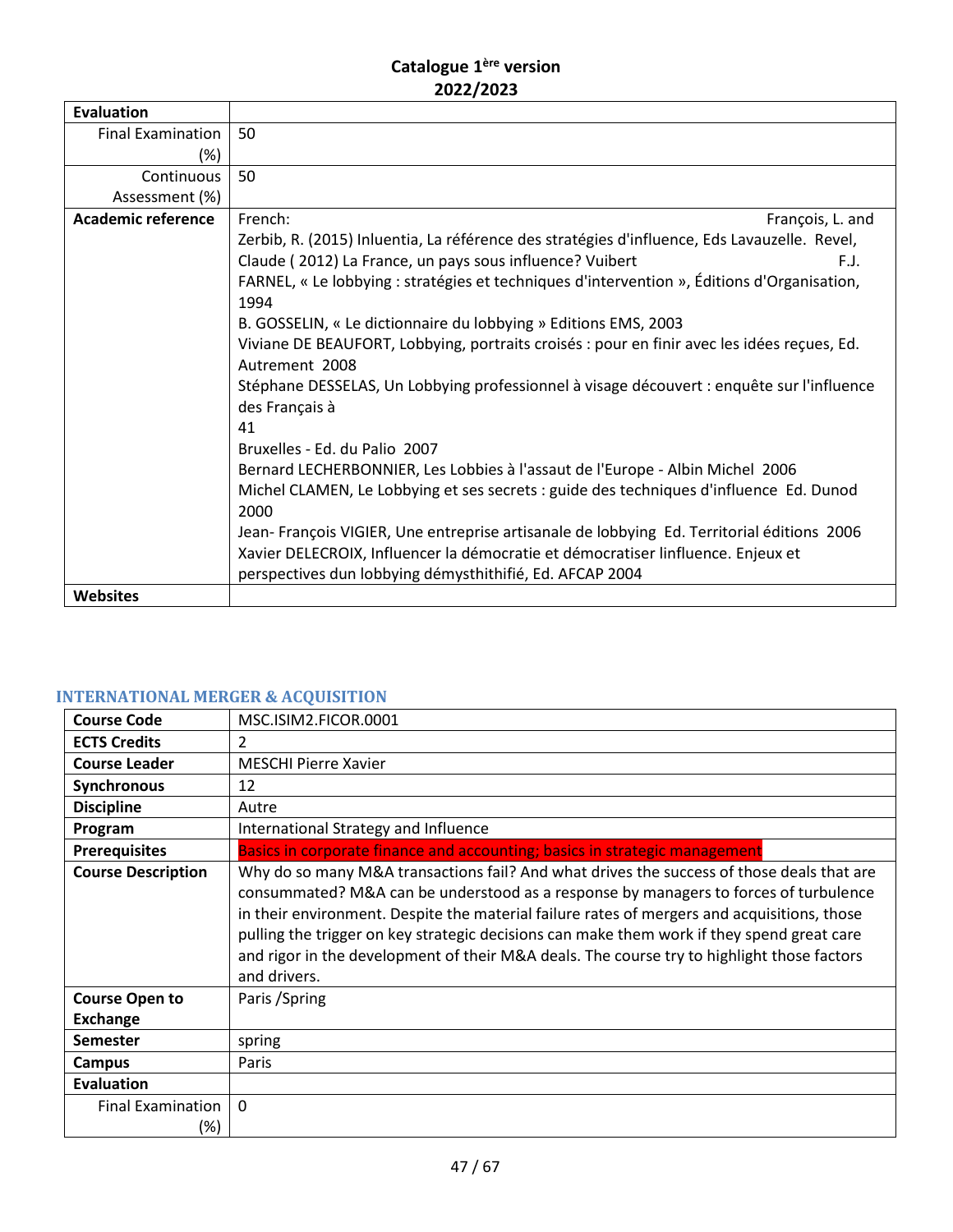| <b>Evaluation</b>         |                                                                                              |
|---------------------------|----------------------------------------------------------------------------------------------|
| <b>Final Examination</b>  | 50                                                                                           |
| (%)                       |                                                                                              |
| Continuous                | 50                                                                                           |
| Assessment (%)            |                                                                                              |
| <b>Academic reference</b> | French:<br>François, L. and                                                                  |
|                           | Zerbib, R. (2015) Inluentia, La référence des stratégies d'influence, Eds Lavauzelle. Revel, |
|                           | Claude (2012) La France, un pays sous influence? Vuibert<br>F.J.                             |
|                           | FARNEL, « Le lobbying : stratégies et techniques d'intervention », Éditions d'Organisation,  |
|                           | 1994                                                                                         |
|                           | B. GOSSELIN, « Le dictionnaire du lobbying » Editions EMS, 2003                              |
|                           | Viviane DE BEAUFORT, Lobbying, portraits croisés : pour en finir avec les idées reçues, Ed.  |
|                           | Autrement 2008                                                                               |
|                           | Stéphane DESSELAS, Un Lobbying professionnel à visage découvert : enquête sur l'influence    |
|                           | des Français à                                                                               |
|                           | 41                                                                                           |
|                           | Bruxelles - Ed. du Palio 2007                                                                |
|                           | Bernard LECHERBONNIER, Les Lobbies à l'assaut de l'Europe - Albin Michel 2006                |
|                           | Michel CLAMEN, Le Lobbying et ses secrets : guide des techniques d'influence Ed. Dunod       |
|                           | 2000                                                                                         |
|                           | Jean-François VIGIER, Une entreprise artisanale de lobbying Ed. Territorial éditions 2006    |
|                           | Xavier DELECROIX, Influencer la démocratie et démocratiser linfluence. Enjeux et             |
|                           | perspectives dun lobbying démysthithifié, Ed. AFCAP 2004                                     |
| Websites                  |                                                                                              |

# <span id="page-46-0"></span>**INTERNATIONAL MERGER & ACQUISITION**

| <b>Course Code</b>        | MSC.ISIM2.FICOR.0001                                                                                                                                                                                                                                                                                                                                                                                                                                                                         |
|---------------------------|----------------------------------------------------------------------------------------------------------------------------------------------------------------------------------------------------------------------------------------------------------------------------------------------------------------------------------------------------------------------------------------------------------------------------------------------------------------------------------------------|
| <b>ECTS Credits</b>       | 2                                                                                                                                                                                                                                                                                                                                                                                                                                                                                            |
| <b>Course Leader</b>      | <b>MESCHI Pierre Xavier</b>                                                                                                                                                                                                                                                                                                                                                                                                                                                                  |
| Synchronous               | 12                                                                                                                                                                                                                                                                                                                                                                                                                                                                                           |
| <b>Discipline</b>         | Autre                                                                                                                                                                                                                                                                                                                                                                                                                                                                                        |
| Program                   | International Strategy and Influence                                                                                                                                                                                                                                                                                                                                                                                                                                                         |
| <b>Prerequisites</b>      | Basics in corporate finance and accounting; basics in strategic management                                                                                                                                                                                                                                                                                                                                                                                                                   |
| <b>Course Description</b> | Why do so many M&A transactions fail? And what drives the success of those deals that are<br>consummated? M&A can be understood as a response by managers to forces of turbulence<br>in their environment. Despite the material failure rates of mergers and acquisitions, those<br>pulling the trigger on key strategic decisions can make them work if they spend great care<br>and rigor in the development of their M&A deals. The course try to highlight those factors<br>and drivers. |
| <b>Course Open to</b>     | Paris / Spring                                                                                                                                                                                                                                                                                                                                                                                                                                                                               |
| <b>Exchange</b>           |                                                                                                                                                                                                                                                                                                                                                                                                                                                                                              |
| <b>Semester</b>           | spring                                                                                                                                                                                                                                                                                                                                                                                                                                                                                       |
| Campus                    | Paris                                                                                                                                                                                                                                                                                                                                                                                                                                                                                        |
| <b>Evaluation</b>         |                                                                                                                                                                                                                                                                                                                                                                                                                                                                                              |
| <b>Final Examination</b>  | $\mathbf{0}$                                                                                                                                                                                                                                                                                                                                                                                                                                                                                 |
| (%)                       |                                                                                                                                                                                                                                                                                                                                                                                                                                                                                              |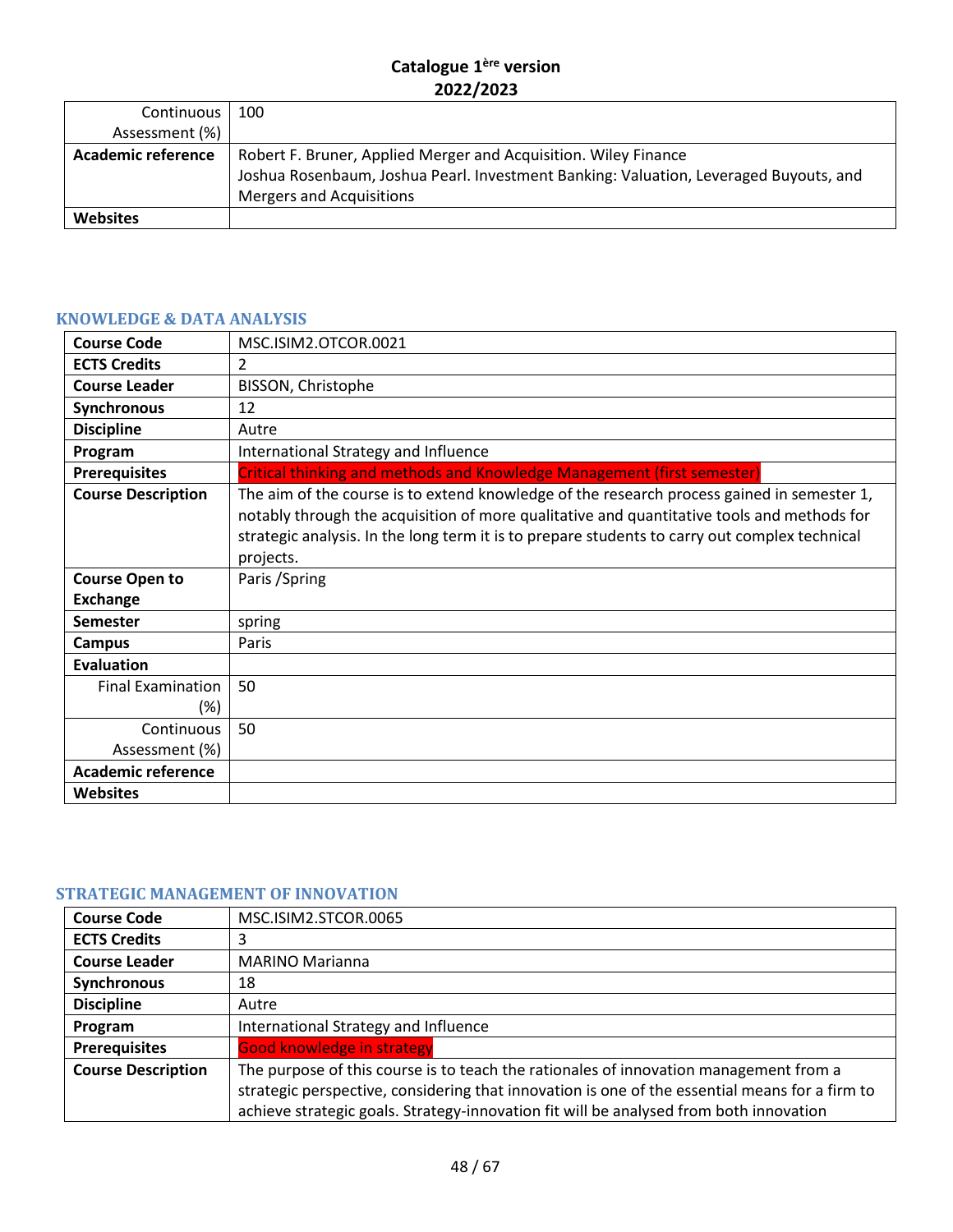| Continuous                | 100                                                                                   |
|---------------------------|---------------------------------------------------------------------------------------|
| Assessment (%)            |                                                                                       |
| <b>Academic reference</b> | Robert F. Bruner, Applied Merger and Acquisition. Wiley Finance                       |
|                           | Joshua Rosenbaum, Joshua Pearl. Investment Banking: Valuation, Leveraged Buyouts, and |
|                           | <b>Mergers and Acquisitions</b>                                                       |
| <b>Websites</b>           |                                                                                       |

# <span id="page-47-0"></span>**KNOWLEDGE & DATA ANALYSIS**

| <b>Course Code</b>              | MSC.ISIM2.OTCOR.0021                                                                                                                                                                                                                                                                                   |
|---------------------------------|--------------------------------------------------------------------------------------------------------------------------------------------------------------------------------------------------------------------------------------------------------------------------------------------------------|
| <b>ECTS Credits</b>             | 2                                                                                                                                                                                                                                                                                                      |
| <b>Course Leader</b>            | BISSON, Christophe                                                                                                                                                                                                                                                                                     |
| Synchronous                     | 12                                                                                                                                                                                                                                                                                                     |
| <b>Discipline</b>               | Autre                                                                                                                                                                                                                                                                                                  |
| Program                         | International Strategy and Influence                                                                                                                                                                                                                                                                   |
| <b>Prerequisites</b>            | Critical thinking and methods and Knowledge Management (first semester)                                                                                                                                                                                                                                |
| <b>Course Description</b>       | The aim of the course is to extend knowledge of the research process gained in semester 1,<br>notably through the acquisition of more qualitative and quantitative tools and methods for<br>strategic analysis. In the long term it is to prepare students to carry out complex technical<br>projects. |
| <b>Course Open to</b>           | Paris / Spring                                                                                                                                                                                                                                                                                         |
| <b>Exchange</b>                 |                                                                                                                                                                                                                                                                                                        |
| <b>Semester</b>                 | spring                                                                                                                                                                                                                                                                                                 |
| <b>Campus</b>                   | Paris                                                                                                                                                                                                                                                                                                  |
| <b>Evaluation</b>               |                                                                                                                                                                                                                                                                                                        |
| <b>Final Examination</b><br>(%) | 50                                                                                                                                                                                                                                                                                                     |
| Continuous                      | 50                                                                                                                                                                                                                                                                                                     |
| Assessment (%)                  |                                                                                                                                                                                                                                                                                                        |
| <b>Academic reference</b>       |                                                                                                                                                                                                                                                                                                        |
| <b>Websites</b>                 |                                                                                                                                                                                                                                                                                                        |

# <span id="page-47-1"></span>**STRATEGIC MANAGEMENT OF INNOVATION**

| <b>Course Code</b>        | MSC.ISIM2.STCOR.0065                                                                           |
|---------------------------|------------------------------------------------------------------------------------------------|
| <b>ECTS Credits</b>       | 3                                                                                              |
| <b>Course Leader</b>      | <b>MARINO Marianna</b>                                                                         |
| Synchronous               | 18                                                                                             |
| <b>Discipline</b>         | Autre                                                                                          |
| Program                   | International Strategy and Influence                                                           |
| <b>Prerequisites</b>      | <b>Good knowledge in strategy</b>                                                              |
| <b>Course Description</b> | The purpose of this course is to teach the rationales of innovation management from a          |
|                           | strategic perspective, considering that innovation is one of the essential means for a firm to |
|                           | achieve strategic goals. Strategy-innovation fit will be analysed from both innovation         |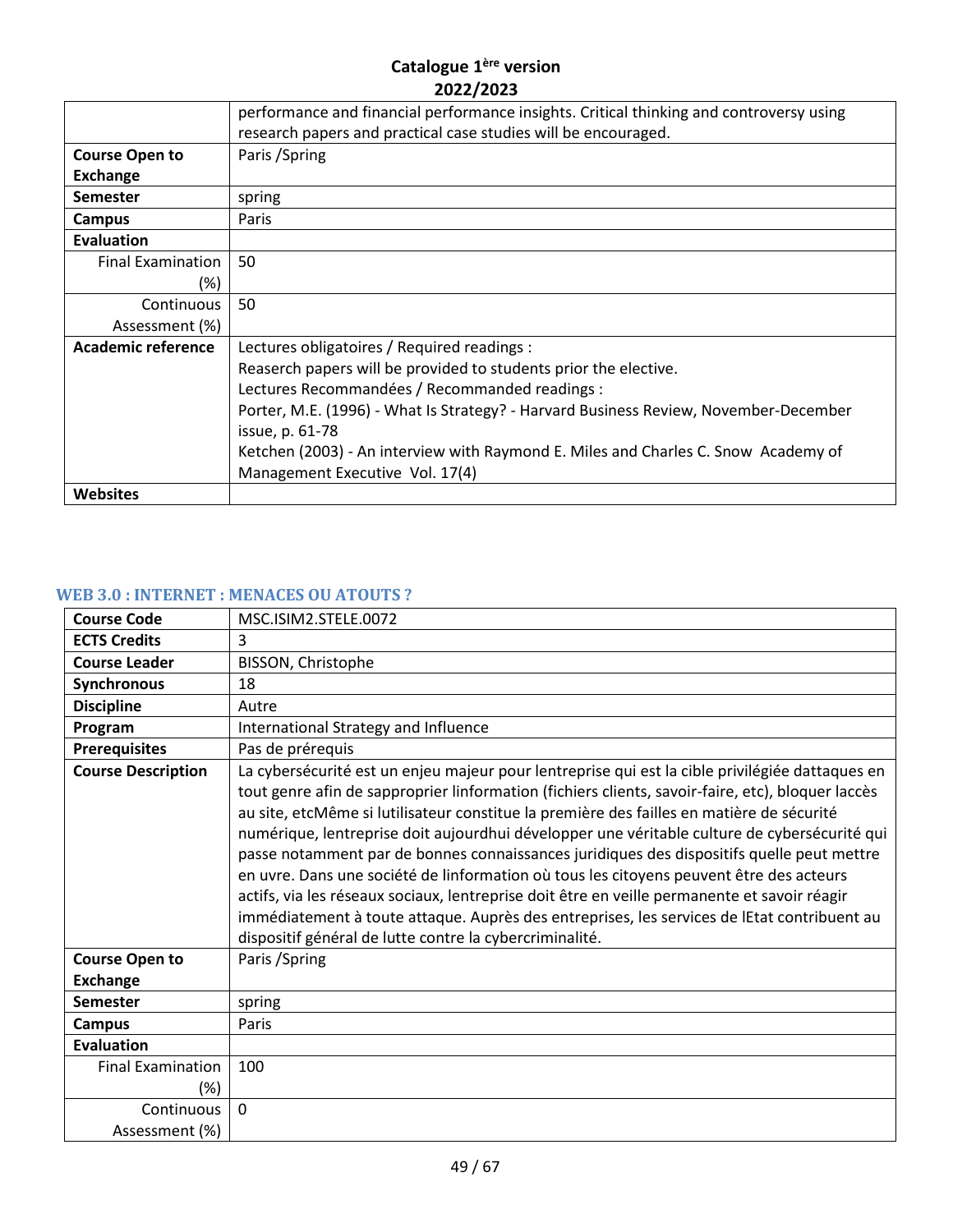|                           | performance and financial performance insights. Critical thinking and controversy using<br>research papers and practical case studies will be encouraged. |
|---------------------------|-----------------------------------------------------------------------------------------------------------------------------------------------------------|
|                           |                                                                                                                                                           |
| <b>Course Open to</b>     | Paris / Spring                                                                                                                                            |
| <b>Exchange</b>           |                                                                                                                                                           |
| <b>Semester</b>           | spring                                                                                                                                                    |
| Campus                    | Paris                                                                                                                                                     |
| <b>Evaluation</b>         |                                                                                                                                                           |
| <b>Final Examination</b>  | 50                                                                                                                                                        |
| (%)                       |                                                                                                                                                           |
| Continuous                | 50                                                                                                                                                        |
| Assessment (%)            |                                                                                                                                                           |
| <b>Academic reference</b> | Lectures obligatoires / Required readings :                                                                                                               |
|                           | Reaserch papers will be provided to students prior the elective.                                                                                          |
|                           | Lectures Recommandées / Recommanded readings :                                                                                                            |
|                           | Porter, M.E. (1996) - What Is Strategy? - Harvard Business Review, November-December                                                                      |
|                           | issue, p. 61-78                                                                                                                                           |
|                           | Ketchen (2003) - An interview with Raymond E. Miles and Charles C. Snow Academy of                                                                        |
|                           | Management Executive Vol. 17(4)                                                                                                                           |
| <b>Websites</b>           |                                                                                                                                                           |

# <span id="page-48-0"></span>**WEB 3.0 : INTERNET : MENACES OU ATOUTS ?**

| <b>Course Code</b>              | MSC.ISIM2.STELE.0072                                                                                                                                                                                                                                                                                                                                                                                                                                                                                                                                                                                                                                                                                                                                                                                                                                |
|---------------------------------|-----------------------------------------------------------------------------------------------------------------------------------------------------------------------------------------------------------------------------------------------------------------------------------------------------------------------------------------------------------------------------------------------------------------------------------------------------------------------------------------------------------------------------------------------------------------------------------------------------------------------------------------------------------------------------------------------------------------------------------------------------------------------------------------------------------------------------------------------------|
| <b>ECTS Credits</b>             | 3                                                                                                                                                                                                                                                                                                                                                                                                                                                                                                                                                                                                                                                                                                                                                                                                                                                   |
| <b>Course Leader</b>            | BISSON, Christophe                                                                                                                                                                                                                                                                                                                                                                                                                                                                                                                                                                                                                                                                                                                                                                                                                                  |
| Synchronous                     | 18                                                                                                                                                                                                                                                                                                                                                                                                                                                                                                                                                                                                                                                                                                                                                                                                                                                  |
| <b>Discipline</b>               | Autre                                                                                                                                                                                                                                                                                                                                                                                                                                                                                                                                                                                                                                                                                                                                                                                                                                               |
| Program                         | International Strategy and Influence                                                                                                                                                                                                                                                                                                                                                                                                                                                                                                                                                                                                                                                                                                                                                                                                                |
| <b>Prerequisites</b>            | Pas de prérequis                                                                                                                                                                                                                                                                                                                                                                                                                                                                                                                                                                                                                                                                                                                                                                                                                                    |
| <b>Course Description</b>       | La cybersécurité est un enjeu majeur pour lentreprise qui est la cible privilégiée dattaques en<br>tout genre afin de sapproprier linformation (fichiers clients, savoir-faire, etc), bloquer laccès<br>au site, etcMême si lutilisateur constitue la première des failles en matière de sécurité<br>numérique, lentreprise doit aujourdhui développer une véritable culture de cybersécurité qui<br>passe notamment par de bonnes connaissances juridiques des dispositifs quelle peut mettre<br>en uvre. Dans une société de linformation où tous les citoyens peuvent être des acteurs<br>actifs, via les réseaux sociaux, lentreprise doit être en veille permanente et savoir réagir<br>immédiatement à toute attaque. Auprès des entreprises, les services de lEtat contribuent au<br>dispositif général de lutte contre la cybercriminalité. |
| <b>Course Open to</b>           | Paris / Spring                                                                                                                                                                                                                                                                                                                                                                                                                                                                                                                                                                                                                                                                                                                                                                                                                                      |
| <b>Exchange</b>                 |                                                                                                                                                                                                                                                                                                                                                                                                                                                                                                                                                                                                                                                                                                                                                                                                                                                     |
| <b>Semester</b>                 | spring                                                                                                                                                                                                                                                                                                                                                                                                                                                                                                                                                                                                                                                                                                                                                                                                                                              |
| Campus                          | Paris                                                                                                                                                                                                                                                                                                                                                                                                                                                                                                                                                                                                                                                                                                                                                                                                                                               |
| <b>Evaluation</b>               |                                                                                                                                                                                                                                                                                                                                                                                                                                                                                                                                                                                                                                                                                                                                                                                                                                                     |
| <b>Final Examination</b><br>(%) | 100                                                                                                                                                                                                                                                                                                                                                                                                                                                                                                                                                                                                                                                                                                                                                                                                                                                 |
| Continuous<br>Assessment (%)    | $\Omega$                                                                                                                                                                                                                                                                                                                                                                                                                                                                                                                                                                                                                                                                                                                                                                                                                                            |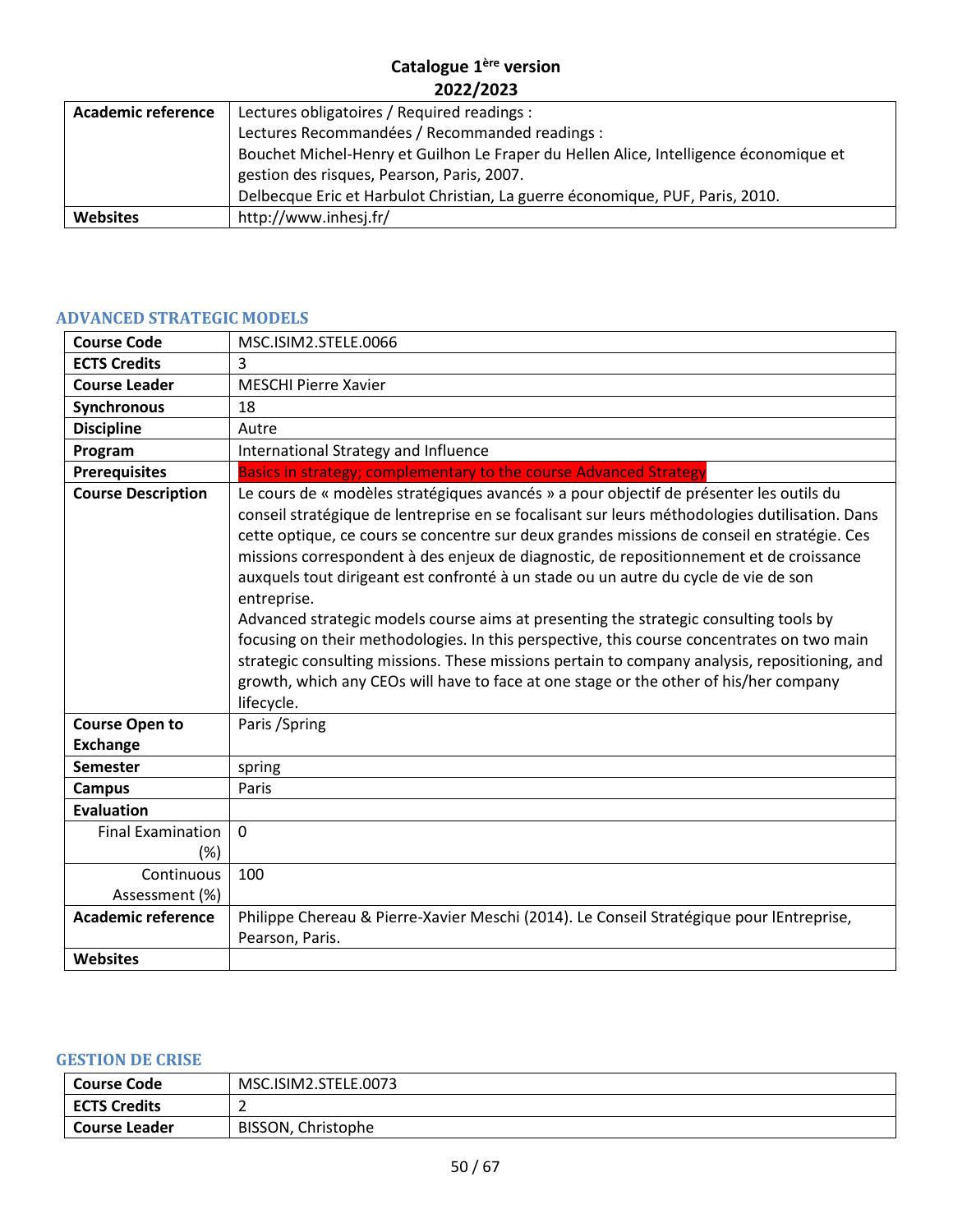| <b>Academic reference</b> | Lectures obligatoires / Required readings :                                           |
|---------------------------|---------------------------------------------------------------------------------------|
|                           | Lectures Recommandées / Recommanded readings :                                        |
|                           | Bouchet Michel-Henry et Guilhon Le Fraper du Hellen Alice, Intelligence économique et |
|                           | gestion des risques, Pearson, Paris, 2007.                                            |
|                           | Delbecque Eric et Harbulot Christian, La guerre économique, PUF, Paris, 2010.         |
| <b>Websites</b>           | http://www.inhesj.fr/                                                                 |

# <span id="page-49-0"></span>**ADVANCED STRATEGIC MODELS**

| <b>Course Code</b>                       | MSC.ISIM2.STELE.0066                                                                                                                                                                                                                                                                                                                                                                                                                                                                                                                                                                                                                                                                                                                                                                                                                                                                     |
|------------------------------------------|------------------------------------------------------------------------------------------------------------------------------------------------------------------------------------------------------------------------------------------------------------------------------------------------------------------------------------------------------------------------------------------------------------------------------------------------------------------------------------------------------------------------------------------------------------------------------------------------------------------------------------------------------------------------------------------------------------------------------------------------------------------------------------------------------------------------------------------------------------------------------------------|
| <b>ECTS Credits</b>                      | 3                                                                                                                                                                                                                                                                                                                                                                                                                                                                                                                                                                                                                                                                                                                                                                                                                                                                                        |
| <b>Course Leader</b>                     | <b>MESCHI Pierre Xavier</b>                                                                                                                                                                                                                                                                                                                                                                                                                                                                                                                                                                                                                                                                                                                                                                                                                                                              |
| <b>Synchronous</b>                       | 18                                                                                                                                                                                                                                                                                                                                                                                                                                                                                                                                                                                                                                                                                                                                                                                                                                                                                       |
| <b>Discipline</b>                        | Autre                                                                                                                                                                                                                                                                                                                                                                                                                                                                                                                                                                                                                                                                                                                                                                                                                                                                                    |
| Program                                  | International Strategy and Influence                                                                                                                                                                                                                                                                                                                                                                                                                                                                                                                                                                                                                                                                                                                                                                                                                                                     |
| <b>Prerequisites</b>                     | Basics in strategy; complementary to the course Advanced Strategy                                                                                                                                                                                                                                                                                                                                                                                                                                                                                                                                                                                                                                                                                                                                                                                                                        |
| <b>Course Description</b>                | Le cours de « modèles stratégiques avancés » a pour objectif de présenter les outils du<br>conseil stratégique de lentreprise en se focalisant sur leurs méthodologies dutilisation. Dans<br>cette optique, ce cours se concentre sur deux grandes missions de conseil en stratégie. Ces<br>missions correspondent à des enjeux de diagnostic, de repositionnement et de croissance<br>auxquels tout dirigeant est confronté à un stade ou un autre du cycle de vie de son<br>entreprise.<br>Advanced strategic models course aims at presenting the strategic consulting tools by<br>focusing on their methodologies. In this perspective, this course concentrates on two main<br>strategic consulting missions. These missions pertain to company analysis, repositioning, and<br>growth, which any CEOs will have to face at one stage or the other of his/her company<br>lifecycle. |
| <b>Course Open to</b><br><b>Exchange</b> | Paris / Spring                                                                                                                                                                                                                                                                                                                                                                                                                                                                                                                                                                                                                                                                                                                                                                                                                                                                           |
| <b>Semester</b>                          | spring                                                                                                                                                                                                                                                                                                                                                                                                                                                                                                                                                                                                                                                                                                                                                                                                                                                                                   |
| <b>Campus</b>                            | Paris                                                                                                                                                                                                                                                                                                                                                                                                                                                                                                                                                                                                                                                                                                                                                                                                                                                                                    |
| <b>Evaluation</b>                        |                                                                                                                                                                                                                                                                                                                                                                                                                                                                                                                                                                                                                                                                                                                                                                                                                                                                                          |
| <b>Final Examination</b><br>$(\%)$       | $\mathbf 0$                                                                                                                                                                                                                                                                                                                                                                                                                                                                                                                                                                                                                                                                                                                                                                                                                                                                              |
| Continuous<br>Assessment (%)             | 100                                                                                                                                                                                                                                                                                                                                                                                                                                                                                                                                                                                                                                                                                                                                                                                                                                                                                      |
| <b>Academic reference</b>                | Philippe Chereau & Pierre-Xavier Meschi (2014). Le Conseil Stratégique pour lEntreprise,<br>Pearson, Paris.                                                                                                                                                                                                                                                                                                                                                                                                                                                                                                                                                                                                                                                                                                                                                                              |
| <b>Websites</b>                          |                                                                                                                                                                                                                                                                                                                                                                                                                                                                                                                                                                                                                                                                                                                                                                                                                                                                                          |

#### <span id="page-49-1"></span>**GESTION DE CRISE**

| Course Code         | MSC.ISIM2.STELE.0073 |
|---------------------|----------------------|
| <b>ECTS Credits</b> |                      |
| Course Leader       | BISSON, Christophe   |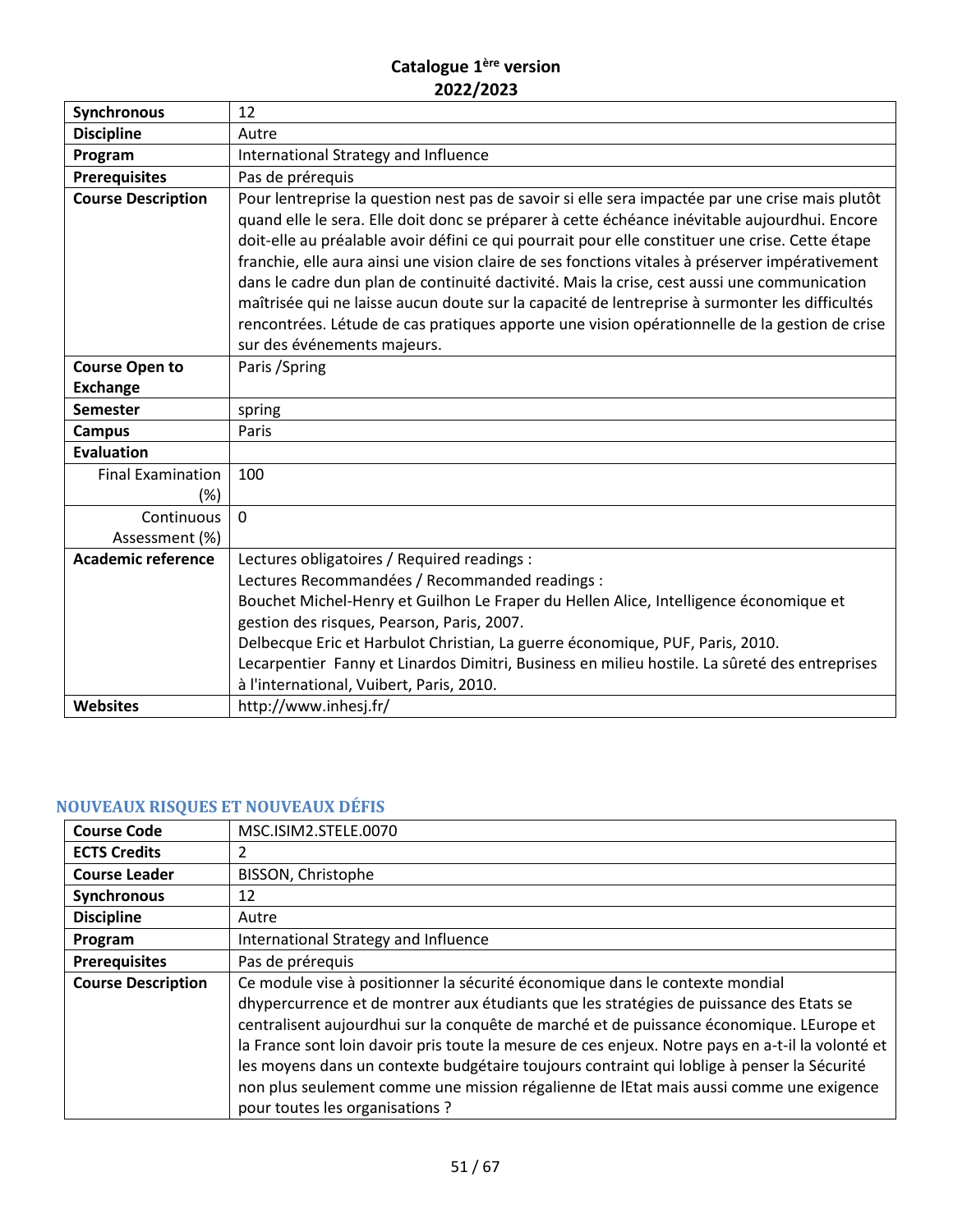| <b>Synchronous</b>        | 12                                                                                                                                                                                                                                                                                                                                                                                                                                                                                                                                                                                                                                                                                                                                      |
|---------------------------|-----------------------------------------------------------------------------------------------------------------------------------------------------------------------------------------------------------------------------------------------------------------------------------------------------------------------------------------------------------------------------------------------------------------------------------------------------------------------------------------------------------------------------------------------------------------------------------------------------------------------------------------------------------------------------------------------------------------------------------------|
| <b>Discipline</b>         | Autre                                                                                                                                                                                                                                                                                                                                                                                                                                                                                                                                                                                                                                                                                                                                   |
| Program                   | International Strategy and Influence                                                                                                                                                                                                                                                                                                                                                                                                                                                                                                                                                                                                                                                                                                    |
| <b>Prerequisites</b>      | Pas de prérequis                                                                                                                                                                                                                                                                                                                                                                                                                                                                                                                                                                                                                                                                                                                        |
| <b>Course Description</b> | Pour lentreprise la question nest pas de savoir si elle sera impactée par une crise mais plutôt<br>quand elle le sera. Elle doit donc se préparer à cette échéance inévitable aujourdhui. Encore<br>doit-elle au préalable avoir défini ce qui pourrait pour elle constituer une crise. Cette étape<br>franchie, elle aura ainsi une vision claire de ses fonctions vitales à préserver impérativement<br>dans le cadre dun plan de continuité dactivité. Mais la crise, cest aussi une communication<br>maîtrisée qui ne laisse aucun doute sur la capacité de lentreprise à surmonter les difficultés<br>rencontrées. Létude de cas pratiques apporte une vision opérationnelle de la gestion de crise<br>sur des événements majeurs. |
| <b>Course Open to</b>     | Paris / Spring                                                                                                                                                                                                                                                                                                                                                                                                                                                                                                                                                                                                                                                                                                                          |
| <b>Exchange</b>           |                                                                                                                                                                                                                                                                                                                                                                                                                                                                                                                                                                                                                                                                                                                                         |
| <b>Semester</b>           | spring                                                                                                                                                                                                                                                                                                                                                                                                                                                                                                                                                                                                                                                                                                                                  |
| <b>Campus</b>             | Paris                                                                                                                                                                                                                                                                                                                                                                                                                                                                                                                                                                                                                                                                                                                                   |
| <b>Evaluation</b>         |                                                                                                                                                                                                                                                                                                                                                                                                                                                                                                                                                                                                                                                                                                                                         |
| <b>Final Examination</b>  | 100                                                                                                                                                                                                                                                                                                                                                                                                                                                                                                                                                                                                                                                                                                                                     |
| (%)                       |                                                                                                                                                                                                                                                                                                                                                                                                                                                                                                                                                                                                                                                                                                                                         |
| Continuous                | $\Omega$                                                                                                                                                                                                                                                                                                                                                                                                                                                                                                                                                                                                                                                                                                                                |
| Assessment (%)            |                                                                                                                                                                                                                                                                                                                                                                                                                                                                                                                                                                                                                                                                                                                                         |
| <b>Academic reference</b> | Lectures obligatoires / Required readings :                                                                                                                                                                                                                                                                                                                                                                                                                                                                                                                                                                                                                                                                                             |
|                           | Lectures Recommandées / Recommanded readings :                                                                                                                                                                                                                                                                                                                                                                                                                                                                                                                                                                                                                                                                                          |
|                           | Bouchet Michel-Henry et Guilhon Le Fraper du Hellen Alice, Intelligence économique et                                                                                                                                                                                                                                                                                                                                                                                                                                                                                                                                                                                                                                                   |
|                           | gestion des risques, Pearson, Paris, 2007.                                                                                                                                                                                                                                                                                                                                                                                                                                                                                                                                                                                                                                                                                              |
|                           | Delbecque Eric et Harbulot Christian, La guerre économique, PUF, Paris, 2010.                                                                                                                                                                                                                                                                                                                                                                                                                                                                                                                                                                                                                                                           |
|                           | Lecarpentier Fanny et Linardos Dimitri, Business en milieu hostile. La sûreté des entreprises                                                                                                                                                                                                                                                                                                                                                                                                                                                                                                                                                                                                                                           |
|                           | à l'international, Vuibert, Paris, 2010.                                                                                                                                                                                                                                                                                                                                                                                                                                                                                                                                                                                                                                                                                                |
| <b>Websites</b>           | http://www.inhesj.fr/                                                                                                                                                                                                                                                                                                                                                                                                                                                                                                                                                                                                                                                                                                                   |

# <span id="page-50-0"></span>**NOUVEAUX RISQUES ET NOUVEAUX DÉFIS**

| <b>Course Code</b>        | MSC.ISIM2.STELE.0070                                                                              |
|---------------------------|---------------------------------------------------------------------------------------------------|
| <b>ECTS Credits</b>       |                                                                                                   |
| <b>Course Leader</b>      | BISSON, Christophe                                                                                |
| <b>Synchronous</b>        | 12                                                                                                |
| <b>Discipline</b>         | Autre                                                                                             |
| Program                   | International Strategy and Influence                                                              |
| <b>Prerequisites</b>      | Pas de prérequis                                                                                  |
| <b>Course Description</b> | Ce module vise à positionner la sécurité économique dans le contexte mondial                      |
|                           | dhypercurrence et de montrer aux étudiants que les stratégies de puissance des Etats se           |
|                           | centralisent aujourdhui sur la conquête de marché et de puissance économique. LEurope et          |
|                           | la France sont loin davoir pris toute la mesure de ces enjeux. Notre pays en a-t-il la volonté et |
|                           | les moyens dans un contexte budgétaire toujours contraint qui loblige à penser la Sécurité        |
|                           | non plus seulement comme une mission régalienne de lEtat mais aussi comme une exigence            |
|                           | pour toutes les organisations ?                                                                   |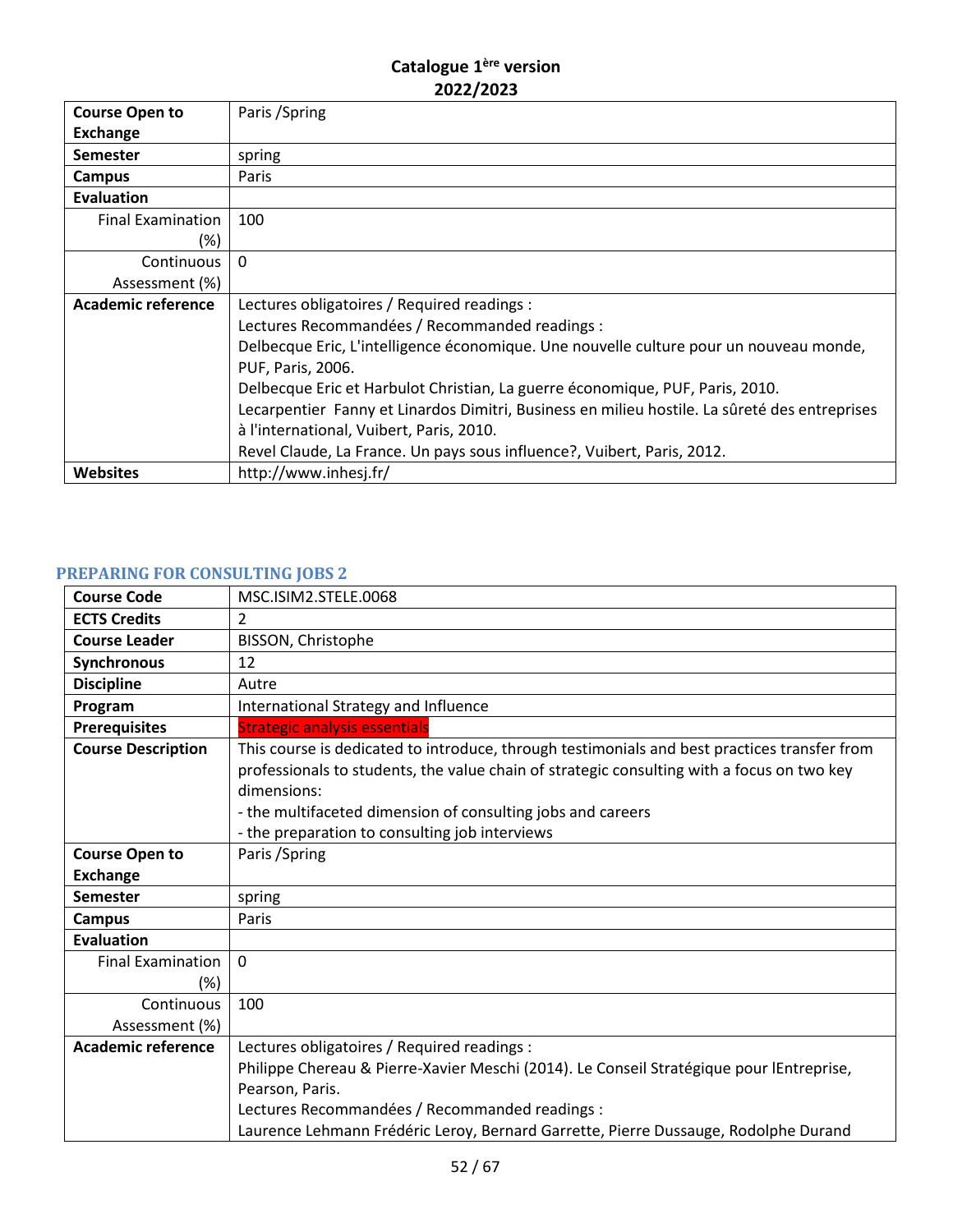| <b>Course Open to</b>     | Paris / Spring                                                                                |
|---------------------------|-----------------------------------------------------------------------------------------------|
| <b>Exchange</b>           |                                                                                               |
| <b>Semester</b>           | spring                                                                                        |
| Campus                    | Paris                                                                                         |
| Evaluation                |                                                                                               |
| <b>Final Examination</b>  | 100                                                                                           |
| (%)                       |                                                                                               |
| Continuous                | $\Omega$                                                                                      |
| Assessment (%)            |                                                                                               |
| <b>Academic reference</b> | Lectures obligatoires / Required readings :                                                   |
|                           | Lectures Recommandées / Recommanded readings :                                                |
|                           | Delbecque Eric, L'intelligence économique. Une nouvelle culture pour un nouveau monde,        |
|                           | PUF, Paris, 2006.                                                                             |
|                           | Delbecque Eric et Harbulot Christian, La guerre économique, PUF, Paris, 2010.                 |
|                           | Lecarpentier Fanny et Linardos Dimitri, Business en milieu hostile. La sûreté des entreprises |
|                           | à l'international, Vuibert, Paris, 2010.                                                      |
|                           | Revel Claude, La France. Un pays sous influence?, Vuibert, Paris, 2012.                       |
| <b>Websites</b>           | http://www.inhesj.fr/                                                                         |

# <span id="page-51-0"></span>**PREPARING FOR CONSULTING JOBS 2**

| <b>Course Code</b>                 | MSC.ISIM2.STELE.0068                                                                                                                                                                                                                                                                                                       |
|------------------------------------|----------------------------------------------------------------------------------------------------------------------------------------------------------------------------------------------------------------------------------------------------------------------------------------------------------------------------|
| <b>ECTS Credits</b>                | $\mathcal{P}$                                                                                                                                                                                                                                                                                                              |
| <b>Course Leader</b>               | BISSON, Christophe                                                                                                                                                                                                                                                                                                         |
| Synchronous                        | 12                                                                                                                                                                                                                                                                                                                         |
| <b>Discipline</b>                  | Autre                                                                                                                                                                                                                                                                                                                      |
| Program                            | International Strategy and Influence                                                                                                                                                                                                                                                                                       |
| <b>Prerequisites</b>               | <b>Strategic analysis essentials</b>                                                                                                                                                                                                                                                                                       |
| <b>Course Description</b>          | This course is dedicated to introduce, through testimonials and best practices transfer from<br>professionals to students, the value chain of strategic consulting with a focus on two key<br>dimensions:<br>- the multifaceted dimension of consulting jobs and careers<br>- the preparation to consulting job interviews |
| <b>Course Open to</b>              | Paris / Spring                                                                                                                                                                                                                                                                                                             |
| <b>Exchange</b>                    |                                                                                                                                                                                                                                                                                                                            |
| <b>Semester</b>                    | spring                                                                                                                                                                                                                                                                                                                     |
| <b>Campus</b>                      | Paris                                                                                                                                                                                                                                                                                                                      |
| Evaluation                         |                                                                                                                                                                                                                                                                                                                            |
| <b>Final Examination</b><br>$(\%)$ | $\mathbf 0$                                                                                                                                                                                                                                                                                                                |
| Continuous<br>Assessment (%)       | 100                                                                                                                                                                                                                                                                                                                        |
| <b>Academic reference</b>          | Lectures obligatoires / Required readings :<br>Philippe Chereau & Pierre-Xavier Meschi (2014). Le Conseil Stratégique pour lEntreprise,<br>Pearson, Paris.<br>Lectures Recommandées / Recommanded readings :<br>Laurence Lehmann Frédéric Leroy, Bernard Garrette, Pierre Dussauge, Rodolphe Durand                        |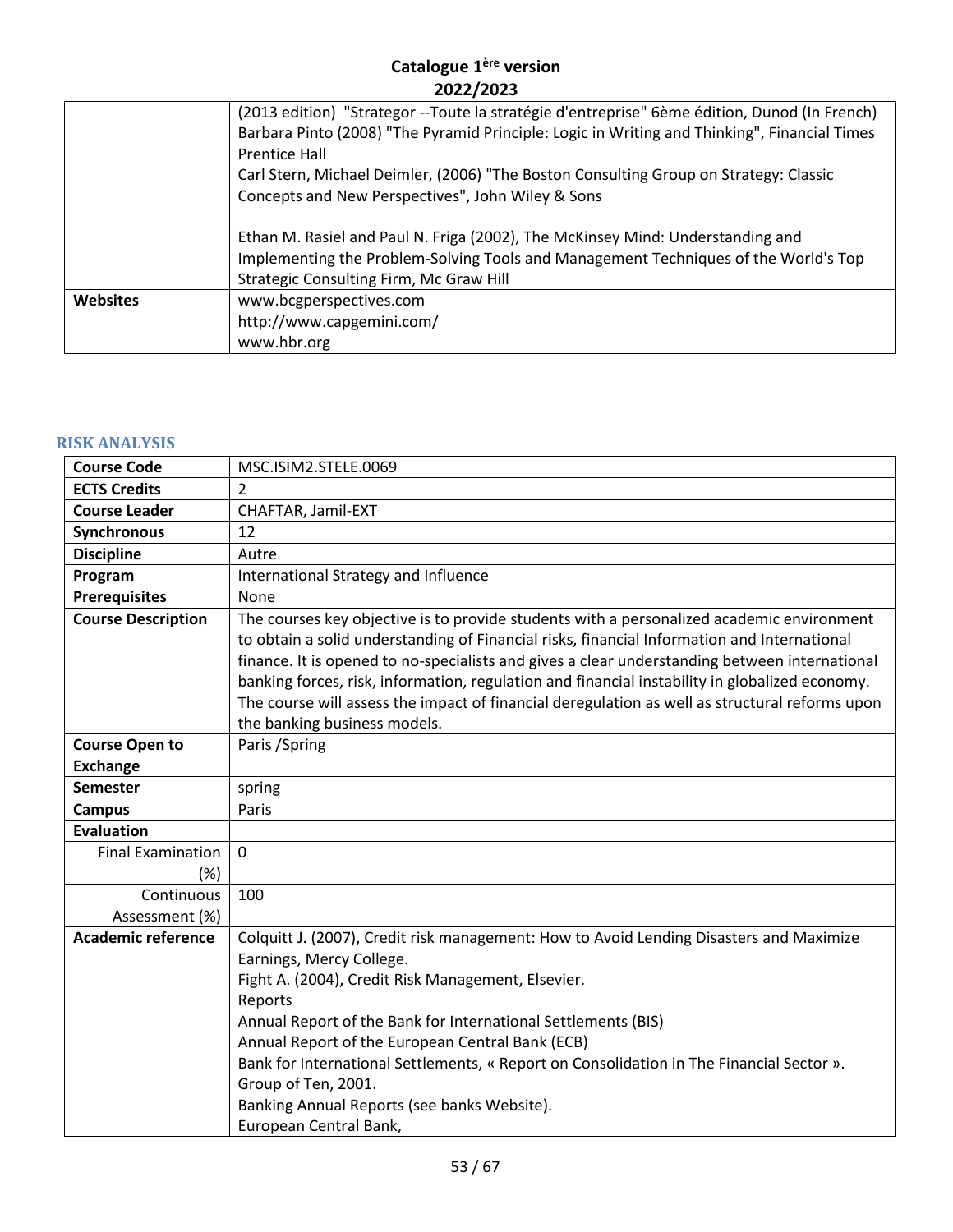|                 | (2013 edition) "Strategor --Toute la stratégie d'entreprise" 6ème édition, Dunod (In French)<br>Barbara Pinto (2008) "The Pyramid Principle: Logic in Writing and Thinking", Financial Times<br><b>Prentice Hall</b> |
|-----------------|----------------------------------------------------------------------------------------------------------------------------------------------------------------------------------------------------------------------|
|                 | Carl Stern, Michael Deimler, (2006) "The Boston Consulting Group on Strategy: Classic<br>Concepts and New Perspectives", John Wiley & Sons                                                                           |
|                 | Ethan M. Rasiel and Paul N. Friga (2002), The McKinsey Mind: Understanding and<br>Implementing the Problem-Solving Tools and Management Techniques of the World's Top<br>Strategic Consulting Firm, Mc Graw Hill     |
| <b>Websites</b> | www.bcgperspectives.com<br>http://www.capgemini.com/<br>www.hbr.org                                                                                                                                                  |

#### <span id="page-52-0"></span>**RISK ANALYSIS**

| <b>Course Code</b>        | MSC.ISIM2.STELE.0069                                                                                                                                                                                                                                                                                                                                                                                                                                                                                                          |
|---------------------------|-------------------------------------------------------------------------------------------------------------------------------------------------------------------------------------------------------------------------------------------------------------------------------------------------------------------------------------------------------------------------------------------------------------------------------------------------------------------------------------------------------------------------------|
| <b>ECTS Credits</b>       | $\overline{2}$                                                                                                                                                                                                                                                                                                                                                                                                                                                                                                                |
| <b>Course Leader</b>      | CHAFTAR, Jamil-EXT                                                                                                                                                                                                                                                                                                                                                                                                                                                                                                            |
| Synchronous               | 12                                                                                                                                                                                                                                                                                                                                                                                                                                                                                                                            |
| <b>Discipline</b>         | Autre                                                                                                                                                                                                                                                                                                                                                                                                                                                                                                                         |
| Program                   | International Strategy and Influence                                                                                                                                                                                                                                                                                                                                                                                                                                                                                          |
| <b>Prerequisites</b>      | None                                                                                                                                                                                                                                                                                                                                                                                                                                                                                                                          |
| <b>Course Description</b> | The courses key objective is to provide students with a personalized academic environment<br>to obtain a solid understanding of Financial risks, financial Information and International<br>finance. It is opened to no-specialists and gives a clear understanding between international<br>banking forces, risk, information, regulation and financial instability in globalized economy.<br>The course will assess the impact of financial deregulation as well as structural reforms upon<br>the banking business models. |
| <b>Course Open to</b>     | Paris / Spring                                                                                                                                                                                                                                                                                                                                                                                                                                                                                                                |
| <b>Exchange</b>           |                                                                                                                                                                                                                                                                                                                                                                                                                                                                                                                               |
| <b>Semester</b>           | spring                                                                                                                                                                                                                                                                                                                                                                                                                                                                                                                        |
| <b>Campus</b>             | Paris                                                                                                                                                                                                                                                                                                                                                                                                                                                                                                                         |
| <b>Evaluation</b>         |                                                                                                                                                                                                                                                                                                                                                                                                                                                                                                                               |
| <b>Final Examination</b>  | 0                                                                                                                                                                                                                                                                                                                                                                                                                                                                                                                             |
| (%)                       |                                                                                                                                                                                                                                                                                                                                                                                                                                                                                                                               |
| Continuous                | 100                                                                                                                                                                                                                                                                                                                                                                                                                                                                                                                           |
| Assessment (%)            |                                                                                                                                                                                                                                                                                                                                                                                                                                                                                                                               |
| <b>Academic reference</b> | Colquitt J. (2007), Credit risk management: How to Avoid Lending Disasters and Maximize                                                                                                                                                                                                                                                                                                                                                                                                                                       |
|                           | Earnings, Mercy College.                                                                                                                                                                                                                                                                                                                                                                                                                                                                                                      |
|                           | Fight A. (2004), Credit Risk Management, Elsevier.                                                                                                                                                                                                                                                                                                                                                                                                                                                                            |
|                           | Reports                                                                                                                                                                                                                                                                                                                                                                                                                                                                                                                       |
|                           | Annual Report of the Bank for International Settlements (BIS)                                                                                                                                                                                                                                                                                                                                                                                                                                                                 |
|                           | Annual Report of the European Central Bank (ECB)                                                                                                                                                                                                                                                                                                                                                                                                                                                                              |
|                           | Bank for International Settlements, « Report on Consolidation in The Financial Sector ».                                                                                                                                                                                                                                                                                                                                                                                                                                      |
|                           | Group of Ten, 2001.                                                                                                                                                                                                                                                                                                                                                                                                                                                                                                           |
|                           | Banking Annual Reports (see banks Website).<br>European Central Bank,                                                                                                                                                                                                                                                                                                                                                                                                                                                         |
|                           |                                                                                                                                                                                                                                                                                                                                                                                                                                                                                                                               |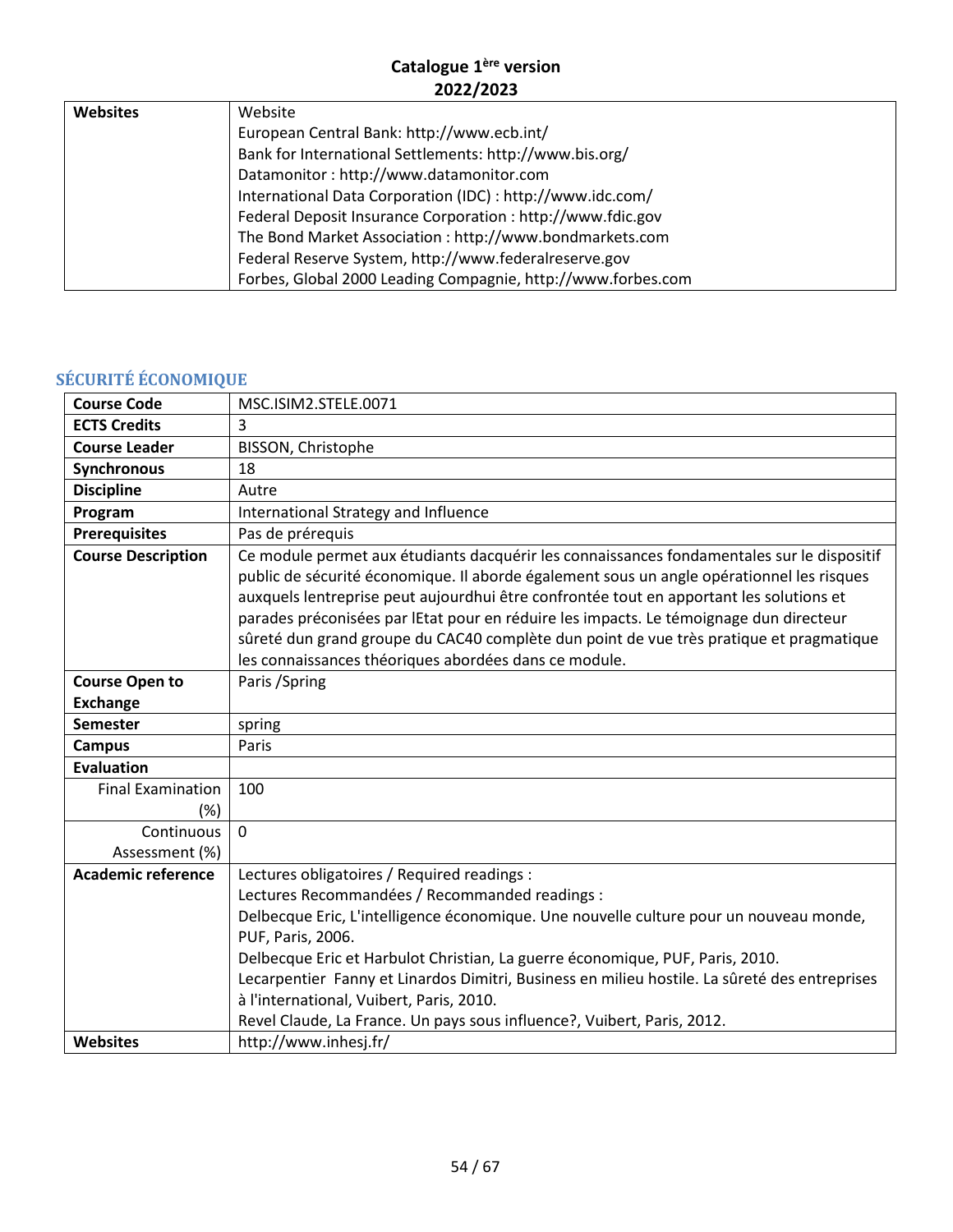| <b>Websites</b> | Website                                                      |
|-----------------|--------------------------------------------------------------|
|                 | European Central Bank: http://www.ecb.int/                   |
|                 | Bank for International Settlements: http://www.bis.org/      |
|                 | Datamonitor: http://www.datamonitor.com                      |
|                 | International Data Corporation (IDC) : http://www.idc.com/   |
|                 | Federal Deposit Insurance Corporation : http://www.fdic.gov  |
|                 | The Bond Market Association : http://www.bondmarkets.com     |
|                 | Federal Reserve System, http://www.federalreserve.gov        |
|                 | Forbes, Global 2000 Leading Compagnie, http://www.forbes.com |

# <span id="page-53-0"></span>**SÉCURITÉ ÉCONOMIQUE**

| <b>Course Code</b>        | MSC.ISIM2.STELE.0071                                                                                                                                                                                                                                                                                                                                                                                                                                                                                                             |
|---------------------------|----------------------------------------------------------------------------------------------------------------------------------------------------------------------------------------------------------------------------------------------------------------------------------------------------------------------------------------------------------------------------------------------------------------------------------------------------------------------------------------------------------------------------------|
| <b>ECTS Credits</b>       | 3                                                                                                                                                                                                                                                                                                                                                                                                                                                                                                                                |
| <b>Course Leader</b>      | BISSON, Christophe                                                                                                                                                                                                                                                                                                                                                                                                                                                                                                               |
| Synchronous               | 18                                                                                                                                                                                                                                                                                                                                                                                                                                                                                                                               |
| <b>Discipline</b>         | Autre                                                                                                                                                                                                                                                                                                                                                                                                                                                                                                                            |
| Program                   | International Strategy and Influence                                                                                                                                                                                                                                                                                                                                                                                                                                                                                             |
| <b>Prerequisites</b>      | Pas de prérequis                                                                                                                                                                                                                                                                                                                                                                                                                                                                                                                 |
| <b>Course Description</b> | Ce module permet aux étudiants dacquérir les connaissances fondamentales sur le dispositif<br>public de sécurité économique. Il aborde également sous un angle opérationnel les risques<br>auxquels lentreprise peut aujourdhui être confrontée tout en apportant les solutions et<br>parades préconisées par lEtat pour en réduire les impacts. Le témoignage dun directeur<br>sûreté dun grand groupe du CAC40 complète dun point de vue très pratique et pragmatique<br>les connaissances théoriques abordées dans ce module. |
| <b>Course Open to</b>     | Paris / Spring                                                                                                                                                                                                                                                                                                                                                                                                                                                                                                                   |
| <b>Exchange</b>           |                                                                                                                                                                                                                                                                                                                                                                                                                                                                                                                                  |
| <b>Semester</b>           | spring                                                                                                                                                                                                                                                                                                                                                                                                                                                                                                                           |
| <b>Campus</b>             | Paris                                                                                                                                                                                                                                                                                                                                                                                                                                                                                                                            |
| <b>Evaluation</b>         |                                                                                                                                                                                                                                                                                                                                                                                                                                                                                                                                  |
| <b>Final Examination</b>  | 100                                                                                                                                                                                                                                                                                                                                                                                                                                                                                                                              |
| (%)                       |                                                                                                                                                                                                                                                                                                                                                                                                                                                                                                                                  |
| Continuous                | $\mathbf 0$                                                                                                                                                                                                                                                                                                                                                                                                                                                                                                                      |
| Assessment (%)            |                                                                                                                                                                                                                                                                                                                                                                                                                                                                                                                                  |
| <b>Academic reference</b> | Lectures obligatoires / Required readings :                                                                                                                                                                                                                                                                                                                                                                                                                                                                                      |
|                           | Lectures Recommandées / Recommanded readings :                                                                                                                                                                                                                                                                                                                                                                                                                                                                                   |
|                           | Delbecque Eric, L'intelligence économique. Une nouvelle culture pour un nouveau monde,                                                                                                                                                                                                                                                                                                                                                                                                                                           |
|                           | PUF, Paris, 2006.                                                                                                                                                                                                                                                                                                                                                                                                                                                                                                                |
|                           | Delbecque Eric et Harbulot Christian, La guerre économique, PUF, Paris, 2010.                                                                                                                                                                                                                                                                                                                                                                                                                                                    |
|                           | Lecarpentier Fanny et Linardos Dimitri, Business en milieu hostile. La sûreté des entreprises                                                                                                                                                                                                                                                                                                                                                                                                                                    |
|                           | à l'international, Vuibert, Paris, 2010.                                                                                                                                                                                                                                                                                                                                                                                                                                                                                         |
|                           | Revel Claude, La France. Un pays sous influence?, Vuibert, Paris, 2012.                                                                                                                                                                                                                                                                                                                                                                                                                                                          |
| Websites                  | http://www.inhesj.fr/                                                                                                                                                                                                                                                                                                                                                                                                                                                                                                            |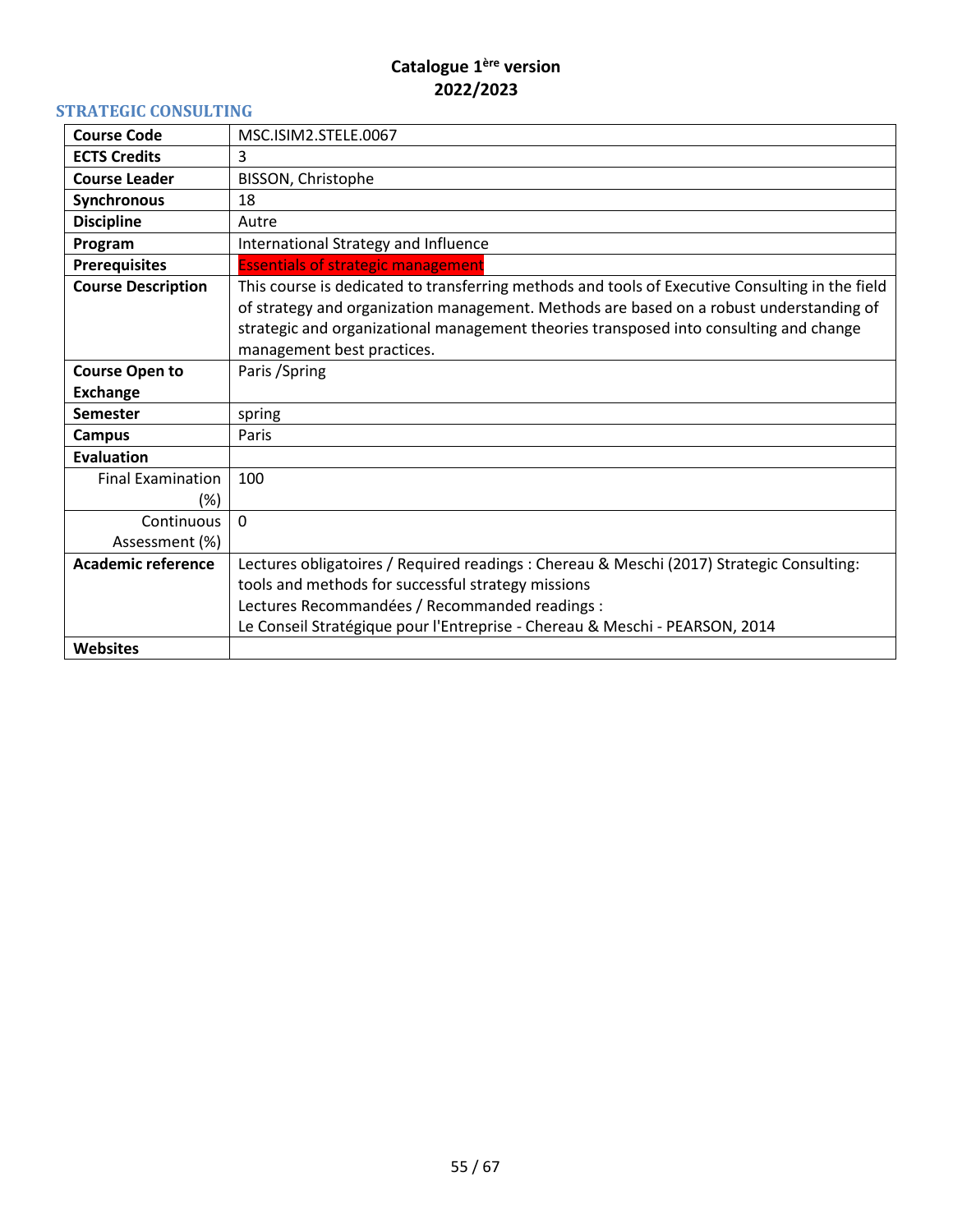#### <span id="page-54-0"></span>**STRATEGIC CONSULTING**

| <b>Course Code</b>        | MSC.ISIM2.STELE.0067                                                                            |
|---------------------------|-------------------------------------------------------------------------------------------------|
| <b>ECTS Credits</b>       | 3                                                                                               |
| <b>Course Leader</b>      | BISSON, Christophe                                                                              |
| <b>Synchronous</b>        | 18                                                                                              |
| <b>Discipline</b>         | Autre                                                                                           |
| Program                   | International Strategy and Influence                                                            |
| <b>Prerequisites</b>      | <b>Essentials of strategic management</b>                                                       |
| <b>Course Description</b> | This course is dedicated to transferring methods and tools of Executive Consulting in the field |
|                           | of strategy and organization management. Methods are based on a robust understanding of         |
|                           | strategic and organizational management theories transposed into consulting and change          |
|                           | management best practices.                                                                      |
| <b>Course Open to</b>     | Paris / Spring                                                                                  |
| <b>Exchange</b>           |                                                                                                 |
| <b>Semester</b>           | spring                                                                                          |
| <b>Campus</b>             | Paris                                                                                           |
| Evaluation                |                                                                                                 |
| <b>Final Examination</b>  | 100                                                                                             |
| $(\%)$                    |                                                                                                 |
| Continuous                | $\Omega$                                                                                        |
| Assessment (%)            |                                                                                                 |
| <b>Academic reference</b> | Lectures obligatoires / Required readings : Chereau & Meschi (2017) Strategic Consulting:       |
|                           | tools and methods for successful strategy missions                                              |
|                           | Lectures Recommandées / Recommanded readings :                                                  |
|                           | Le Conseil Stratégique pour l'Entreprise - Chereau & Meschi - PEARSON, 2014                     |
| <b>Websites</b>           |                                                                                                 |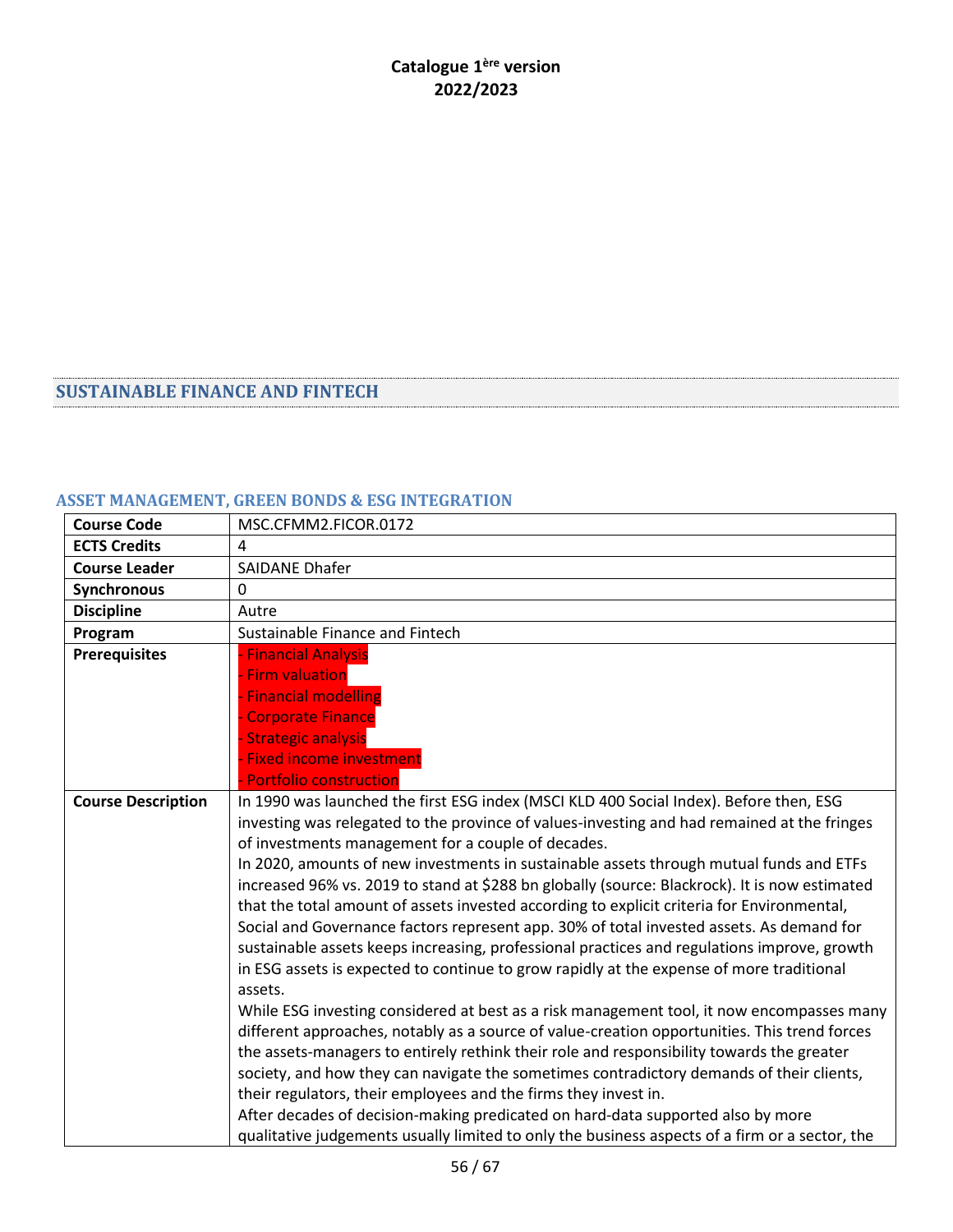#### <span id="page-55-0"></span>**SUSTAINABLE FINANCE AND FINTECH**

# <span id="page-55-1"></span>**ASSET MANAGEMENT, GREEN BONDS & ESG INTEGRATION**

| <b>Course Code</b>        | MSC.CFMM2.FICOR.0172                                                                                                                                                                                                                                                                                                                                                                                                                                                                                                                                                                                                                                                                                                                                                                                                                                                                                                                                                                                                                                                                                                                                                                                                                                                                                                                                                                                                                                                                  |
|---------------------------|---------------------------------------------------------------------------------------------------------------------------------------------------------------------------------------------------------------------------------------------------------------------------------------------------------------------------------------------------------------------------------------------------------------------------------------------------------------------------------------------------------------------------------------------------------------------------------------------------------------------------------------------------------------------------------------------------------------------------------------------------------------------------------------------------------------------------------------------------------------------------------------------------------------------------------------------------------------------------------------------------------------------------------------------------------------------------------------------------------------------------------------------------------------------------------------------------------------------------------------------------------------------------------------------------------------------------------------------------------------------------------------------------------------------------------------------------------------------------------------|
| <b>ECTS Credits</b>       | 4                                                                                                                                                                                                                                                                                                                                                                                                                                                                                                                                                                                                                                                                                                                                                                                                                                                                                                                                                                                                                                                                                                                                                                                                                                                                                                                                                                                                                                                                                     |
| <b>Course Leader</b>      | <b>SAIDANE Dhafer</b>                                                                                                                                                                                                                                                                                                                                                                                                                                                                                                                                                                                                                                                                                                                                                                                                                                                                                                                                                                                                                                                                                                                                                                                                                                                                                                                                                                                                                                                                 |
| Synchronous               | $\mathbf{0}$                                                                                                                                                                                                                                                                                                                                                                                                                                                                                                                                                                                                                                                                                                                                                                                                                                                                                                                                                                                                                                                                                                                                                                                                                                                                                                                                                                                                                                                                          |
| <b>Discipline</b>         | Autre                                                                                                                                                                                                                                                                                                                                                                                                                                                                                                                                                                                                                                                                                                                                                                                                                                                                                                                                                                                                                                                                                                                                                                                                                                                                                                                                                                                                                                                                                 |
| Program                   | Sustainable Finance and Fintech                                                                                                                                                                                                                                                                                                                                                                                                                                                                                                                                                                                                                                                                                                                                                                                                                                                                                                                                                                                                                                                                                                                                                                                                                                                                                                                                                                                                                                                       |
| <b>Prerequisites</b>      | <b>Financial Analysis</b><br><b>Firm valuation</b><br><b>Financial modelling</b><br><b>Corporate Finance</b><br><b>Strategic analysis</b><br><b>Fixed income investment</b><br><b>Portfolio construction</b>                                                                                                                                                                                                                                                                                                                                                                                                                                                                                                                                                                                                                                                                                                                                                                                                                                                                                                                                                                                                                                                                                                                                                                                                                                                                          |
| <b>Course Description</b> | In 1990 was launched the first ESG index (MSCI KLD 400 Social Index). Before then, ESG<br>investing was relegated to the province of values-investing and had remained at the fringes<br>of investments management for a couple of decades.<br>In 2020, amounts of new investments in sustainable assets through mutual funds and ETFs<br>increased 96% vs. 2019 to stand at \$288 bn globally (source: Blackrock). It is now estimated<br>that the total amount of assets invested according to explicit criteria for Environmental,<br>Social and Governance factors represent app. 30% of total invested assets. As demand for<br>sustainable assets keeps increasing, professional practices and regulations improve, growth<br>in ESG assets is expected to continue to grow rapidly at the expense of more traditional<br>assets.<br>While ESG investing considered at best as a risk management tool, it now encompasses many<br>different approaches, notably as a source of value-creation opportunities. This trend forces<br>the assets-managers to entirely rethink their role and responsibility towards the greater<br>society, and how they can navigate the sometimes contradictory demands of their clients,<br>their regulators, their employees and the firms they invest in.<br>After decades of decision-making predicated on hard-data supported also by more<br>qualitative judgements usually limited to only the business aspects of a firm or a sector, the |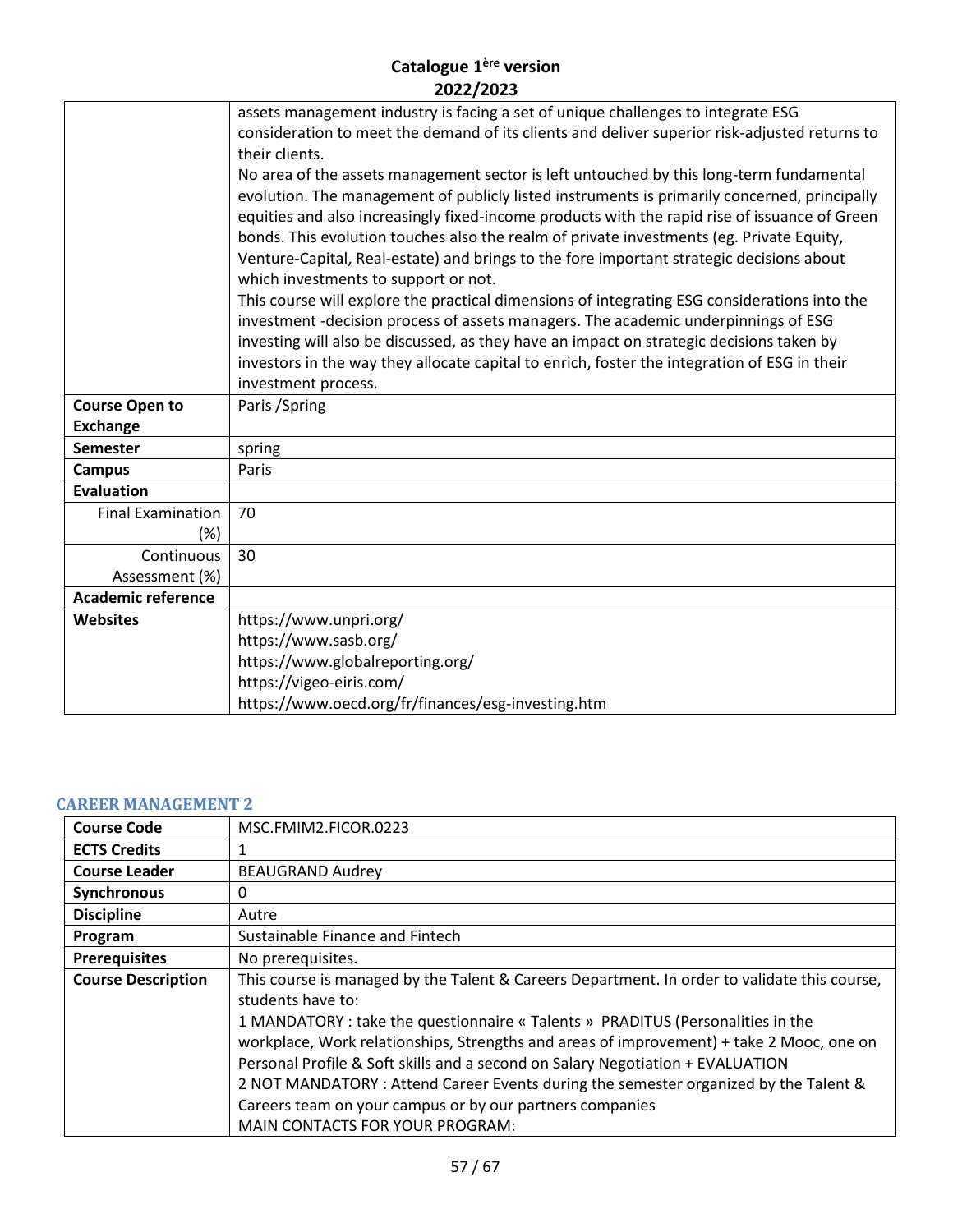|                           | assets management industry is facing a set of unique challenges to integrate ESG              |
|---------------------------|-----------------------------------------------------------------------------------------------|
|                           | consideration to meet the demand of its clients and deliver superior risk-adjusted returns to |
|                           | their clients.                                                                                |
|                           | No area of the assets management sector is left untouched by this long-term fundamental       |
|                           | evolution. The management of publicly listed instruments is primarily concerned, principally  |
|                           | equities and also increasingly fixed-income products with the rapid rise of issuance of Green |
|                           | bonds. This evolution touches also the realm of private investments (eg. Private Equity,      |
|                           | Venture-Capital, Real-estate) and brings to the fore important strategic decisions about      |
|                           | which investments to support or not.                                                          |
|                           | This course will explore the practical dimensions of integrating ESG considerations into the  |
|                           | investment -decision process of assets managers. The academic underpinnings of ESG            |
|                           | investing will also be discussed, as they have an impact on strategic decisions taken by      |
|                           | investors in the way they allocate capital to enrich, foster the integration of ESG in their  |
|                           | investment process.                                                                           |
| <b>Course Open to</b>     | Paris / Spring                                                                                |
| <b>Exchange</b>           |                                                                                               |
| <b>Semester</b>           | spring                                                                                        |
| <b>Campus</b>             | Paris                                                                                         |
| <b>Evaluation</b>         |                                                                                               |
| <b>Final Examination</b>  | 70                                                                                            |
| (%)                       |                                                                                               |
| Continuous                | 30                                                                                            |
| Assessment (%)            |                                                                                               |
| <b>Academic reference</b> |                                                                                               |
| <b>Websites</b>           | https://www.unpri.org/                                                                        |
|                           | https://www.sasb.org/                                                                         |
|                           | https://www.globalreporting.org/                                                              |
|                           | https://vigeo-eiris.com/                                                                      |
|                           | https://www.oecd.org/fr/finances/esg-investing.htm                                            |

#### <span id="page-56-0"></span>**CAREER MANAGEMENT 2**

| <b>Course Code</b>        | MSC.FMIM2.FICOR.0223                                                                         |
|---------------------------|----------------------------------------------------------------------------------------------|
| <b>ECTS Credits</b>       |                                                                                              |
| <b>Course Leader</b>      | <b>BEAUGRAND Audrey</b>                                                                      |
| Synchronous               | 0                                                                                            |
| <b>Discipline</b>         | Autre                                                                                        |
| Program                   | Sustainable Finance and Fintech                                                              |
| <b>Prerequisites</b>      | No prerequisites.                                                                            |
| <b>Course Description</b> | This course is managed by the Talent & Careers Department. In order to validate this course, |
|                           | students have to:                                                                            |
|                           | 1 MANDATORY : take the questionnaire « Talents » PRADITUS (Personalities in the              |
|                           | workplace, Work relationships, Strengths and areas of improvement) + take 2 Mooc, one on     |
|                           | Personal Profile & Soft skills and a second on Salary Negotiation + EVALUATION               |
|                           | 2 NOT MANDATORY : Attend Career Events during the semester organized by the Talent &         |
|                           | Careers team on your campus or by our partners companies                                     |
|                           | <b>MAIN CONTACTS FOR YOUR PROGRAM:</b>                                                       |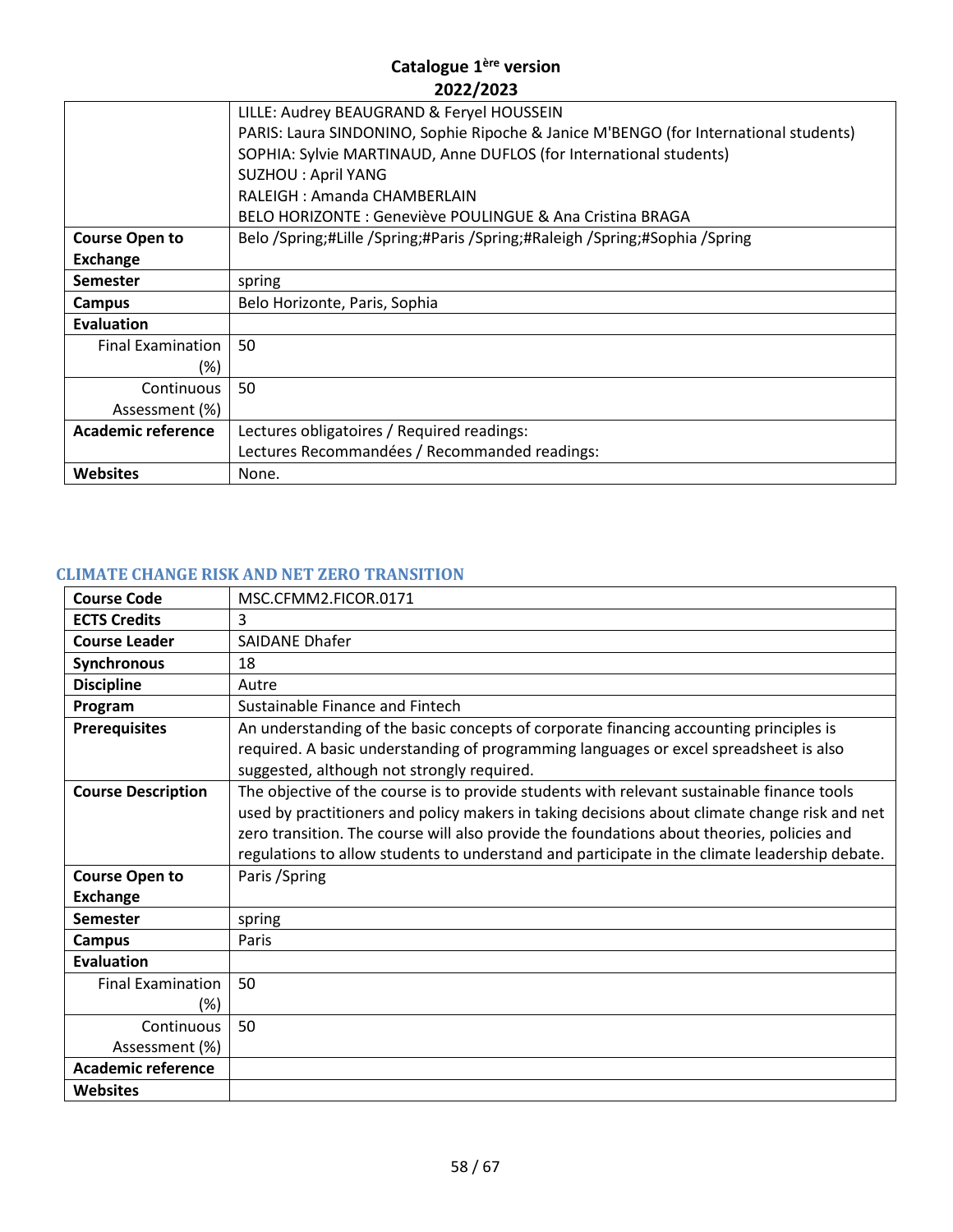|                           | LILLE: Audrey BEAUGRAND & Feryel HOUSSEIN                                            |
|---------------------------|--------------------------------------------------------------------------------------|
|                           | PARIS: Laura SINDONINO, Sophie Ripoche & Janice M'BENGO (for International students) |
|                           | SOPHIA: Sylvie MARTINAUD, Anne DUFLOS (for International students)                   |
|                           | <b>SUZHOU: April YANG</b>                                                            |
|                           | RALEIGH: Amanda CHAMBERLAIN                                                          |
|                           | BELO HORIZONTE: Geneviève POULINGUE & Ana Cristina BRAGA                             |
| <b>Course Open to</b>     | Belo /Spring;#Lille /Spring;#Paris /Spring;#Raleigh /Spring;#Sophia /Spring          |
| <b>Exchange</b>           |                                                                                      |
| <b>Semester</b>           | spring                                                                               |
| Campus                    | Belo Horizonte, Paris, Sophia                                                        |
| <b>Evaluation</b>         |                                                                                      |
| <b>Final Examination</b>  | 50                                                                                   |
| (%)                       |                                                                                      |
| Continuous                | 50                                                                                   |
| Assessment (%)            |                                                                                      |
| <b>Academic reference</b> | Lectures obligatoires / Required readings:                                           |
|                           | Lectures Recommandées / Recommanded readings:                                        |
| <b>Websites</b>           | None.                                                                                |
|                           |                                                                                      |

# <span id="page-57-0"></span>**CLIMATE CHANGE RISK AND NET ZERO TRANSITION**

| <b>Course Code</b>        | MSC.CFMM2.FICOR.0171                                                                          |
|---------------------------|-----------------------------------------------------------------------------------------------|
| <b>ECTS Credits</b>       | 3                                                                                             |
| <b>Course Leader</b>      | <b>SAIDANE Dhafer</b>                                                                         |
| Synchronous               | 18                                                                                            |
| <b>Discipline</b>         | Autre                                                                                         |
| Program                   | Sustainable Finance and Fintech                                                               |
| <b>Prerequisites</b>      | An understanding of the basic concepts of corporate financing accounting principles is        |
|                           | required. A basic understanding of programming languages or excel spreadsheet is also         |
|                           | suggested, although not strongly required.                                                    |
| <b>Course Description</b> | The objective of the course is to provide students with relevant sustainable finance tools    |
|                           | used by practitioners and policy makers in taking decisions about climate change risk and net |
|                           | zero transition. The course will also provide the foundations about theories, policies and    |
|                           | regulations to allow students to understand and participate in the climate leadership debate. |
| <b>Course Open to</b>     | Paris / Spring                                                                                |
| <b>Exchange</b>           |                                                                                               |
| <b>Semester</b>           | spring                                                                                        |
| <b>Campus</b>             | Paris                                                                                         |
| Evaluation                |                                                                                               |
| <b>Final Examination</b>  | 50                                                                                            |
| (%)                       |                                                                                               |
| Continuous                | 50                                                                                            |
| Assessment (%)            |                                                                                               |
| <b>Academic reference</b> |                                                                                               |
| <b>Websites</b>           |                                                                                               |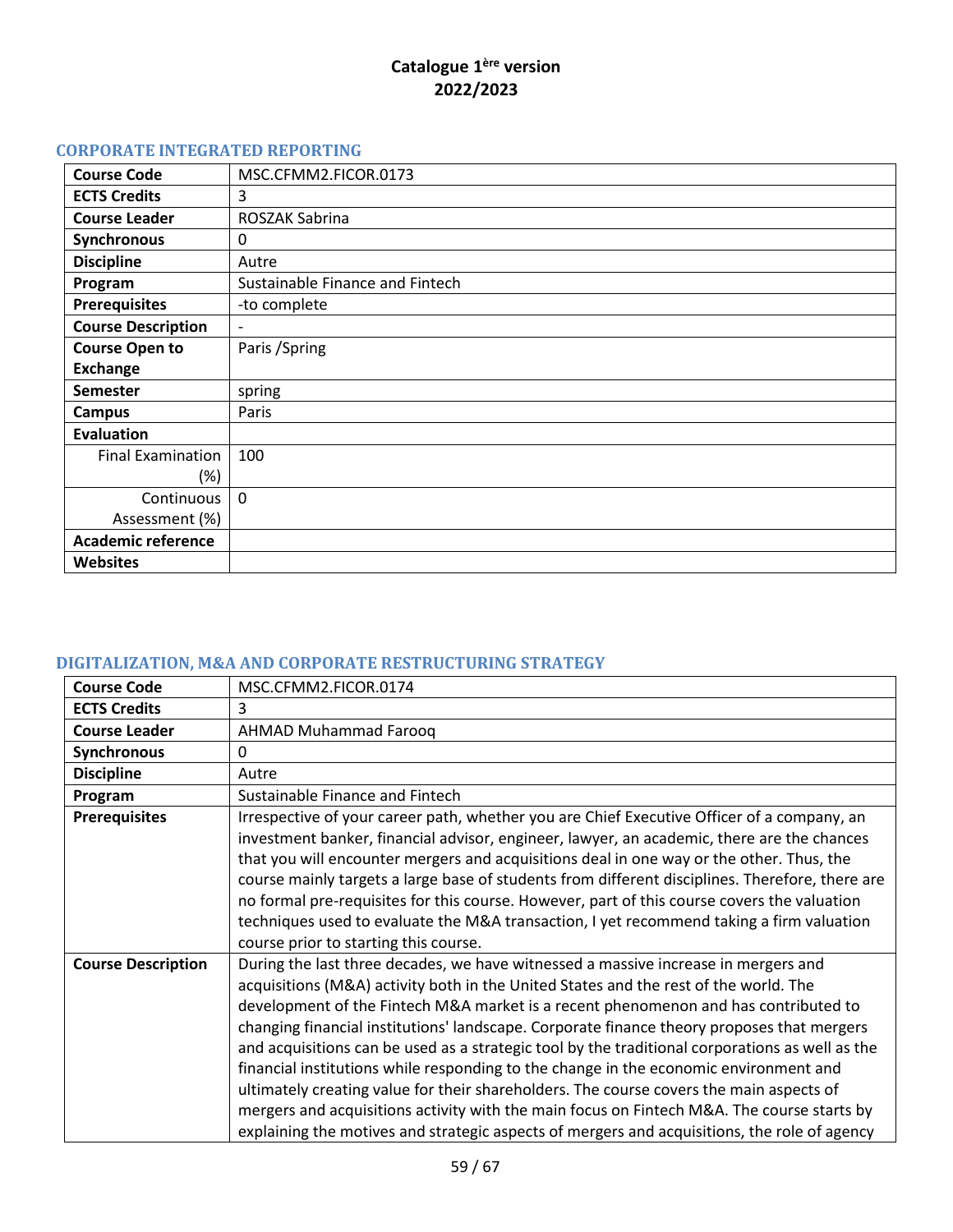# <span id="page-58-0"></span>**CORPORATE INTEGRATED REPORTING**

| <b>Course Code</b>        | MSC.CFMM2.FICOR.0173            |
|---------------------------|---------------------------------|
| <b>ECTS Credits</b>       | 3                               |
| <b>Course Leader</b>      | ROSZAK Sabrina                  |
| Synchronous               | 0                               |
| <b>Discipline</b>         | Autre                           |
| Program                   | Sustainable Finance and Fintech |
| <b>Prerequisites</b>      | -to complete                    |
| <b>Course Description</b> |                                 |
| <b>Course Open to</b>     | Paris / Spring                  |
| <b>Exchange</b>           |                                 |
| <b>Semester</b>           | spring                          |
| Campus                    | Paris                           |
| <b>Evaluation</b>         |                                 |
| <b>Final Examination</b>  | 100                             |
| $(\%)$                    |                                 |
| Continuous                | $\Omega$                        |
| Assessment (%)            |                                 |
| <b>Academic reference</b> |                                 |
| <b>Websites</b>           |                                 |

# <span id="page-58-1"></span>**DIGITALIZATION, M&A AND CORPORATE RESTRUCTURING STRATEGY**

| <b>Course Code</b>        | MSC.CFMM2.FICOR.0174                                                                                                                                                                                                                                                                                                                                                                                                                                                                                                                                                                                                                                                                                                                                                                                                                                 |
|---------------------------|------------------------------------------------------------------------------------------------------------------------------------------------------------------------------------------------------------------------------------------------------------------------------------------------------------------------------------------------------------------------------------------------------------------------------------------------------------------------------------------------------------------------------------------------------------------------------------------------------------------------------------------------------------------------------------------------------------------------------------------------------------------------------------------------------------------------------------------------------|
| <b>ECTS Credits</b>       | 3                                                                                                                                                                                                                                                                                                                                                                                                                                                                                                                                                                                                                                                                                                                                                                                                                                                    |
| <b>Course Leader</b>      | <b>AHMAD Muhammad Farooq</b>                                                                                                                                                                                                                                                                                                                                                                                                                                                                                                                                                                                                                                                                                                                                                                                                                         |
| Synchronous               | 0                                                                                                                                                                                                                                                                                                                                                                                                                                                                                                                                                                                                                                                                                                                                                                                                                                                    |
| <b>Discipline</b>         | Autre                                                                                                                                                                                                                                                                                                                                                                                                                                                                                                                                                                                                                                                                                                                                                                                                                                                |
| Program                   | Sustainable Finance and Fintech                                                                                                                                                                                                                                                                                                                                                                                                                                                                                                                                                                                                                                                                                                                                                                                                                      |
| <b>Prerequisites</b>      | Irrespective of your career path, whether you are Chief Executive Officer of a company, an<br>investment banker, financial advisor, engineer, lawyer, an academic, there are the chances<br>that you will encounter mergers and acquisitions deal in one way or the other. Thus, the<br>course mainly targets a large base of students from different disciplines. Therefore, there are<br>no formal pre-requisites for this course. However, part of this course covers the valuation<br>techniques used to evaluate the M&A transaction, I yet recommend taking a firm valuation<br>course prior to starting this course.                                                                                                                                                                                                                          |
| <b>Course Description</b> | During the last three decades, we have witnessed a massive increase in mergers and<br>acquisitions (M&A) activity both in the United States and the rest of the world. The<br>development of the Fintech M&A market is a recent phenomenon and has contributed to<br>changing financial institutions' landscape. Corporate finance theory proposes that mergers<br>and acquisitions can be used as a strategic tool by the traditional corporations as well as the<br>financial institutions while responding to the change in the economic environment and<br>ultimately creating value for their shareholders. The course covers the main aspects of<br>mergers and acquisitions activity with the main focus on Fintech M&A. The course starts by<br>explaining the motives and strategic aspects of mergers and acquisitions, the role of agency |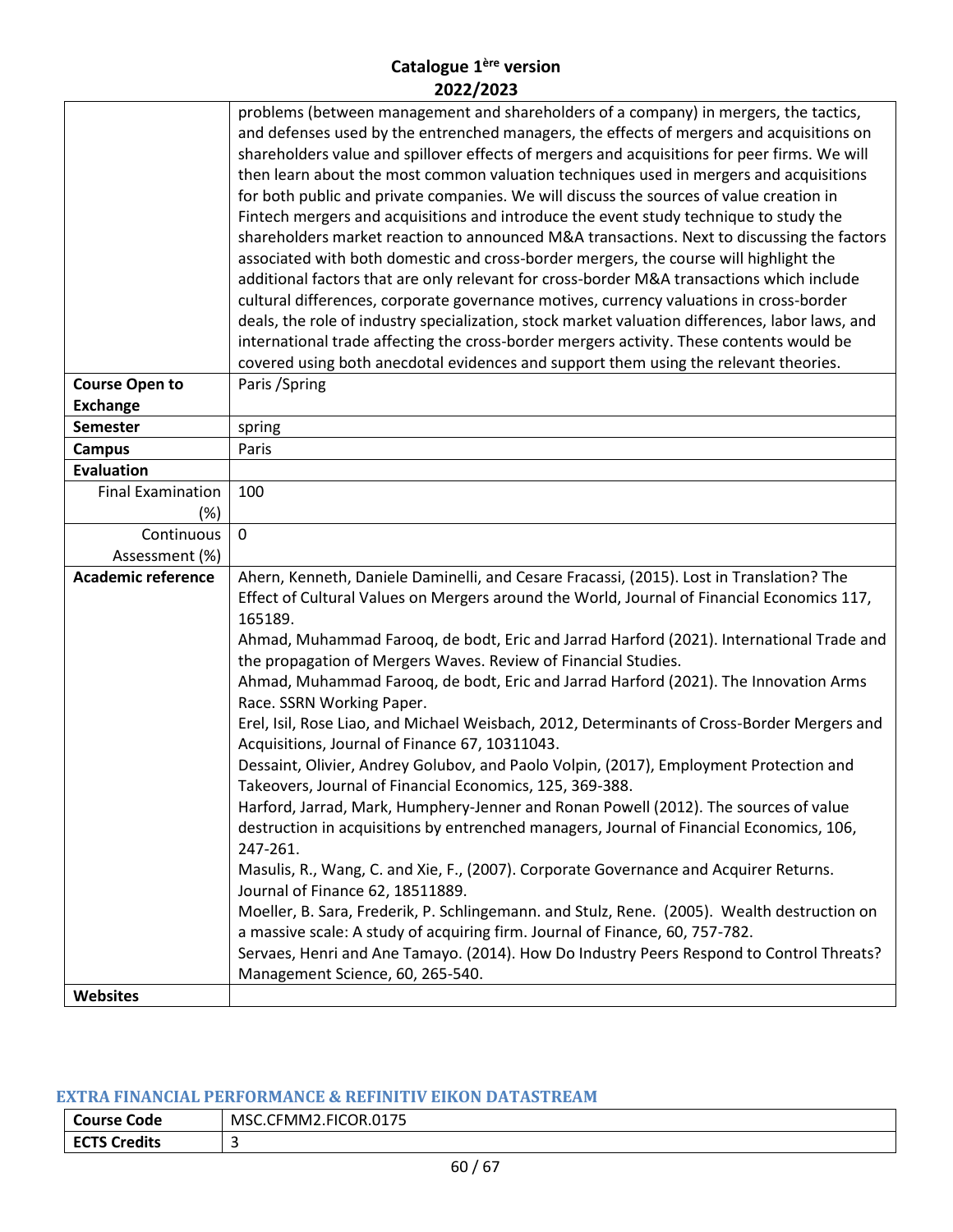|                                    | problems (between management and shareholders of a company) in mergers, the tactics,            |
|------------------------------------|-------------------------------------------------------------------------------------------------|
|                                    | and defenses used by the entrenched managers, the effects of mergers and acquisitions on        |
|                                    | shareholders value and spillover effects of mergers and acquisitions for peer firms. We will    |
|                                    | then learn about the most common valuation techniques used in mergers and acquisitions          |
|                                    | for both public and private companies. We will discuss the sources of value creation in         |
|                                    | Fintech mergers and acquisitions and introduce the event study technique to study the           |
|                                    | shareholders market reaction to announced M&A transactions. Next to discussing the factors      |
|                                    | associated with both domestic and cross-border mergers, the course will highlight the           |
|                                    | additional factors that are only relevant for cross-border M&A transactions which include       |
|                                    | cultural differences, corporate governance motives, currency valuations in cross-border         |
|                                    | deals, the role of industry specialization, stock market valuation differences, labor laws, and |
|                                    | international trade affecting the cross-border mergers activity. These contents would be        |
|                                    | covered using both anecdotal evidences and support them using the relevant theories.            |
|                                    |                                                                                                 |
| <b>Course Open to</b>              | Paris / Spring                                                                                  |
| <b>Exchange</b>                    |                                                                                                 |
| <b>Semester</b>                    | spring                                                                                          |
| <b>Campus</b><br><b>Evaluation</b> | Paris                                                                                           |
| <b>Final Examination</b>           | 100                                                                                             |
|                                    |                                                                                                 |
| (%)                                | $\mathbf 0$                                                                                     |
| Continuous                         |                                                                                                 |
| Assessment (%)                     |                                                                                                 |
| <b>Academic reference</b>          | Ahern, Kenneth, Daniele Daminelli, and Cesare Fracassi, (2015). Lost in Translation? The        |
|                                    | Effect of Cultural Values on Mergers around the World, Journal of Financial Economics 117,      |
|                                    | 165189.                                                                                         |
|                                    | Ahmad, Muhammad Farooq, de bodt, Eric and Jarrad Harford (2021). International Trade and        |
|                                    | the propagation of Mergers Waves. Review of Financial Studies.                                  |
|                                    | Ahmad, Muhammad Farooq, de bodt, Eric and Jarrad Harford (2021). The Innovation Arms            |
|                                    | Race. SSRN Working Paper.                                                                       |
|                                    | Erel, Isil, Rose Liao, and Michael Weisbach, 2012, Determinants of Cross-Border Mergers and     |
|                                    | Acquisitions, Journal of Finance 67, 10311043.                                                  |
|                                    | Dessaint, Olivier, Andrey Golubov, and Paolo Volpin, (2017), Employment Protection and          |
|                                    | Takeovers, Journal of Financial Economics, 125, 369-388.                                        |
|                                    | Harford, Jarrad, Mark, Humphery-Jenner and Ronan Powell (2012). The sources of value            |
|                                    | destruction in acquisitions by entrenched managers, Journal of Financial Economics, 106,        |
|                                    | 247-261.                                                                                        |
|                                    | Masulis, R., Wang, C. and Xie, F., (2007). Corporate Governance and Acquirer Returns.           |
|                                    | Journal of Finance 62, 18511889.                                                                |
|                                    | Moeller, B. Sara, Frederik, P. Schlingemann. and Stulz, Rene. (2005). Wealth destruction on     |
|                                    | a massive scale: A study of acquiring firm. Journal of Finance, 60, 757-782.                    |
|                                    | Servaes, Henri and Ane Tamayo. (2014). How Do Industry Peers Respond to Control Threats?        |
|                                    | Management Science, 60, 265-540.                                                                |
| Websites                           |                                                                                                 |

# <span id="page-59-0"></span>**EXTRA FINANCIAL PERFORMANCE & REFINITIV EIKON DATASTREAM**

| <b>Course</b><br>Code                 | <b>FICOR.0175</b><br>THMM2.1<br>MSC.CF |
|---------------------------------------|----------------------------------------|
| <b>TS Credits</b><br>ECT <sup>'</sup> |                                        |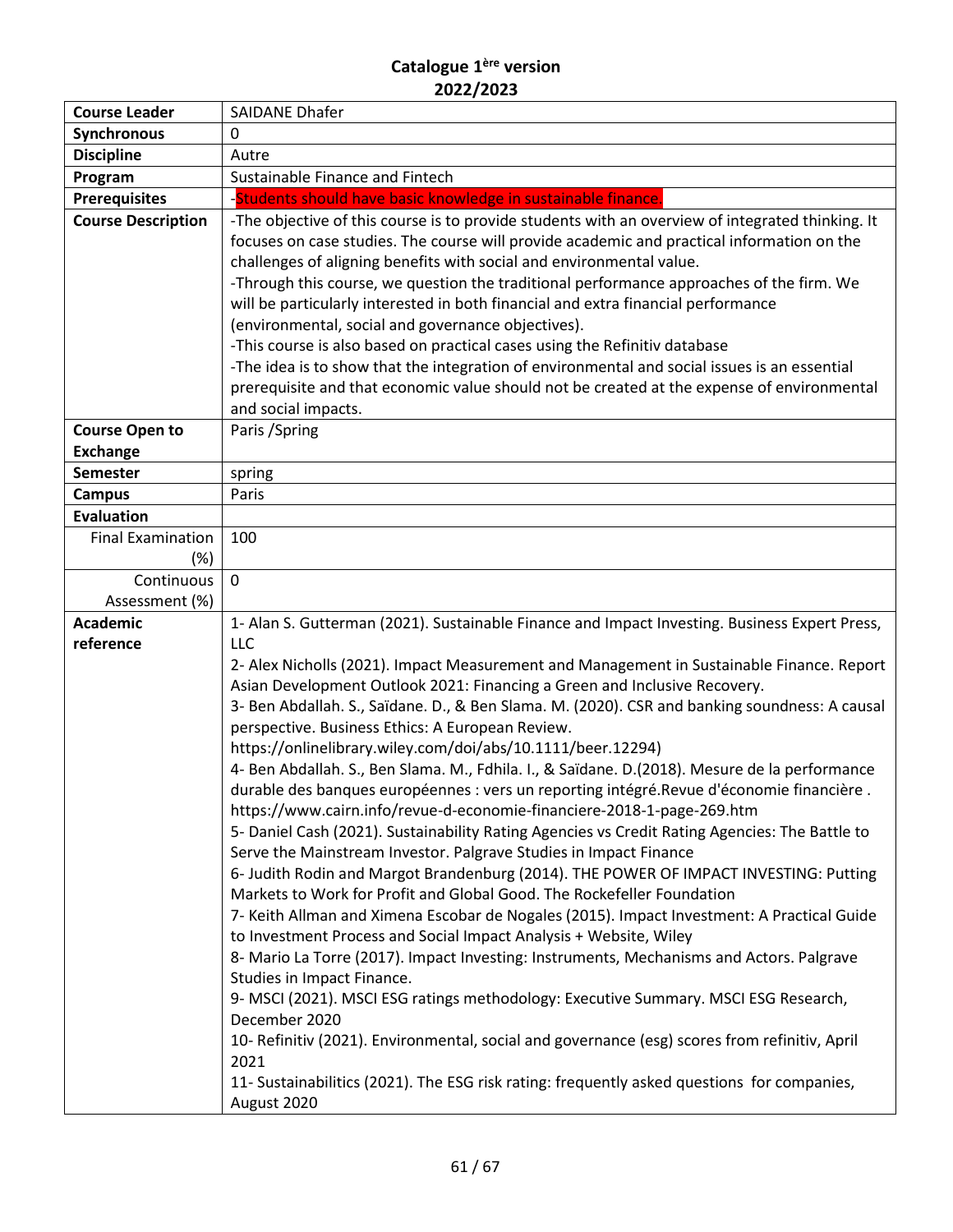| <b>Course Leader</b>                     | <b>SAIDANE Dhafer</b>                                                                                                                                                                                                                                                                                                                                                                                                                                                                                                                                                                                                                                                                       |
|------------------------------------------|---------------------------------------------------------------------------------------------------------------------------------------------------------------------------------------------------------------------------------------------------------------------------------------------------------------------------------------------------------------------------------------------------------------------------------------------------------------------------------------------------------------------------------------------------------------------------------------------------------------------------------------------------------------------------------------------|
| <b>Synchronous</b>                       | 0                                                                                                                                                                                                                                                                                                                                                                                                                                                                                                                                                                                                                                                                                           |
| <b>Discipline</b>                        | Autre                                                                                                                                                                                                                                                                                                                                                                                                                                                                                                                                                                                                                                                                                       |
| Program                                  | Sustainable Finance and Fintech                                                                                                                                                                                                                                                                                                                                                                                                                                                                                                                                                                                                                                                             |
| <b>Prerequisites</b>                     | -Students should have basic knowledge in sustainable finance.                                                                                                                                                                                                                                                                                                                                                                                                                                                                                                                                                                                                                               |
| <b>Course Description</b>                | -The objective of this course is to provide students with an overview of integrated thinking. It<br>focuses on case studies. The course will provide academic and practical information on the<br>challenges of aligning benefits with social and environmental value.<br>-Through this course, we question the traditional performance approaches of the firm. We<br>will be particularly interested in both financial and extra financial performance<br>(environmental, social and governance objectives).<br>-This course is also based on practical cases using the Refinitiv database<br>-The idea is to show that the integration of environmental and social issues is an essential |
|                                          | prerequisite and that economic value should not be created at the expense of environmental                                                                                                                                                                                                                                                                                                                                                                                                                                                                                                                                                                                                  |
|                                          | and social impacts.                                                                                                                                                                                                                                                                                                                                                                                                                                                                                                                                                                                                                                                                         |
| <b>Course Open to</b><br><b>Exchange</b> | Paris / Spring                                                                                                                                                                                                                                                                                                                                                                                                                                                                                                                                                                                                                                                                              |
| <b>Semester</b>                          | spring                                                                                                                                                                                                                                                                                                                                                                                                                                                                                                                                                                                                                                                                                      |
| <b>Campus</b>                            | Paris                                                                                                                                                                                                                                                                                                                                                                                                                                                                                                                                                                                                                                                                                       |
| <b>Evaluation</b>                        |                                                                                                                                                                                                                                                                                                                                                                                                                                                                                                                                                                                                                                                                                             |
| <b>Final Examination</b>                 | 100                                                                                                                                                                                                                                                                                                                                                                                                                                                                                                                                                                                                                                                                                         |
| (%)                                      |                                                                                                                                                                                                                                                                                                                                                                                                                                                                                                                                                                                                                                                                                             |
| Continuous                               | $\mathbf 0$                                                                                                                                                                                                                                                                                                                                                                                                                                                                                                                                                                                                                                                                                 |
| Assessment (%)                           |                                                                                                                                                                                                                                                                                                                                                                                                                                                                                                                                                                                                                                                                                             |
| <b>Academic</b>                          | 1- Alan S. Gutterman (2021). Sustainable Finance and Impact Investing. Business Expert Press,                                                                                                                                                                                                                                                                                                                                                                                                                                                                                                                                                                                               |
| reference                                | <b>LLC</b>                                                                                                                                                                                                                                                                                                                                                                                                                                                                                                                                                                                                                                                                                  |
|                                          | 2- Alex Nicholls (2021). Impact Measurement and Management in Sustainable Finance. Report<br>Asian Development Outlook 2021: Financing a Green and Inclusive Recovery.                                                                                                                                                                                                                                                                                                                                                                                                                                                                                                                      |
|                                          | 3- Ben Abdallah. S., Saïdane. D., & Ben Slama. M. (2020). CSR and banking soundness: A causal<br>perspective. Business Ethics: A European Review.                                                                                                                                                                                                                                                                                                                                                                                                                                                                                                                                           |
|                                          | https://onlinelibrary.wiley.com/doi/abs/10.1111/beer.12294)                                                                                                                                                                                                                                                                                                                                                                                                                                                                                                                                                                                                                                 |
|                                          | 4- Ben Abdallah. S., Ben Slama. M., Fdhila. I., & Saïdane. D.(2018). Mesure de la performance<br>durable des banques européennes : vers un reporting intégré.Revue d'économie financière.                                                                                                                                                                                                                                                                                                                                                                                                                                                                                                   |
|                                          | https://www.cairn.info/revue-d-economie-financiere-2018-1-page-269.htm                                                                                                                                                                                                                                                                                                                                                                                                                                                                                                                                                                                                                      |
|                                          | 5- Daniel Cash (2021). Sustainability Rating Agencies vs Credit Rating Agencies: The Battle to                                                                                                                                                                                                                                                                                                                                                                                                                                                                                                                                                                                              |
|                                          | Serve the Mainstream Investor. Palgrave Studies in Impact Finance                                                                                                                                                                                                                                                                                                                                                                                                                                                                                                                                                                                                                           |
|                                          | 6- Judith Rodin and Margot Brandenburg (2014). THE POWER OF IMPACT INVESTING: Putting                                                                                                                                                                                                                                                                                                                                                                                                                                                                                                                                                                                                       |
|                                          | Markets to Work for Profit and Global Good. The Rockefeller Foundation                                                                                                                                                                                                                                                                                                                                                                                                                                                                                                                                                                                                                      |
|                                          | 7- Keith Allman and Ximena Escobar de Nogales (2015). Impact Investment: A Practical Guide                                                                                                                                                                                                                                                                                                                                                                                                                                                                                                                                                                                                  |
|                                          | to Investment Process and Social Impact Analysis + Website, Wiley<br>8- Mario La Torre (2017). Impact Investing: Instruments, Mechanisms and Actors. Palgrave                                                                                                                                                                                                                                                                                                                                                                                                                                                                                                                               |
|                                          | Studies in Impact Finance.                                                                                                                                                                                                                                                                                                                                                                                                                                                                                                                                                                                                                                                                  |
|                                          | 9- MSCI (2021). MSCI ESG ratings methodology: Executive Summary. MSCI ESG Research,                                                                                                                                                                                                                                                                                                                                                                                                                                                                                                                                                                                                         |
|                                          | December 2020                                                                                                                                                                                                                                                                                                                                                                                                                                                                                                                                                                                                                                                                               |
|                                          | 10- Refinitiv (2021). Environmental, social and governance (esg) scores from refinitiv, April                                                                                                                                                                                                                                                                                                                                                                                                                                                                                                                                                                                               |
|                                          | 2021                                                                                                                                                                                                                                                                                                                                                                                                                                                                                                                                                                                                                                                                                        |
|                                          | 11- Sustainabilitics (2021). The ESG risk rating: frequently asked questions for companies,<br>August 2020                                                                                                                                                                                                                                                                                                                                                                                                                                                                                                                                                                                  |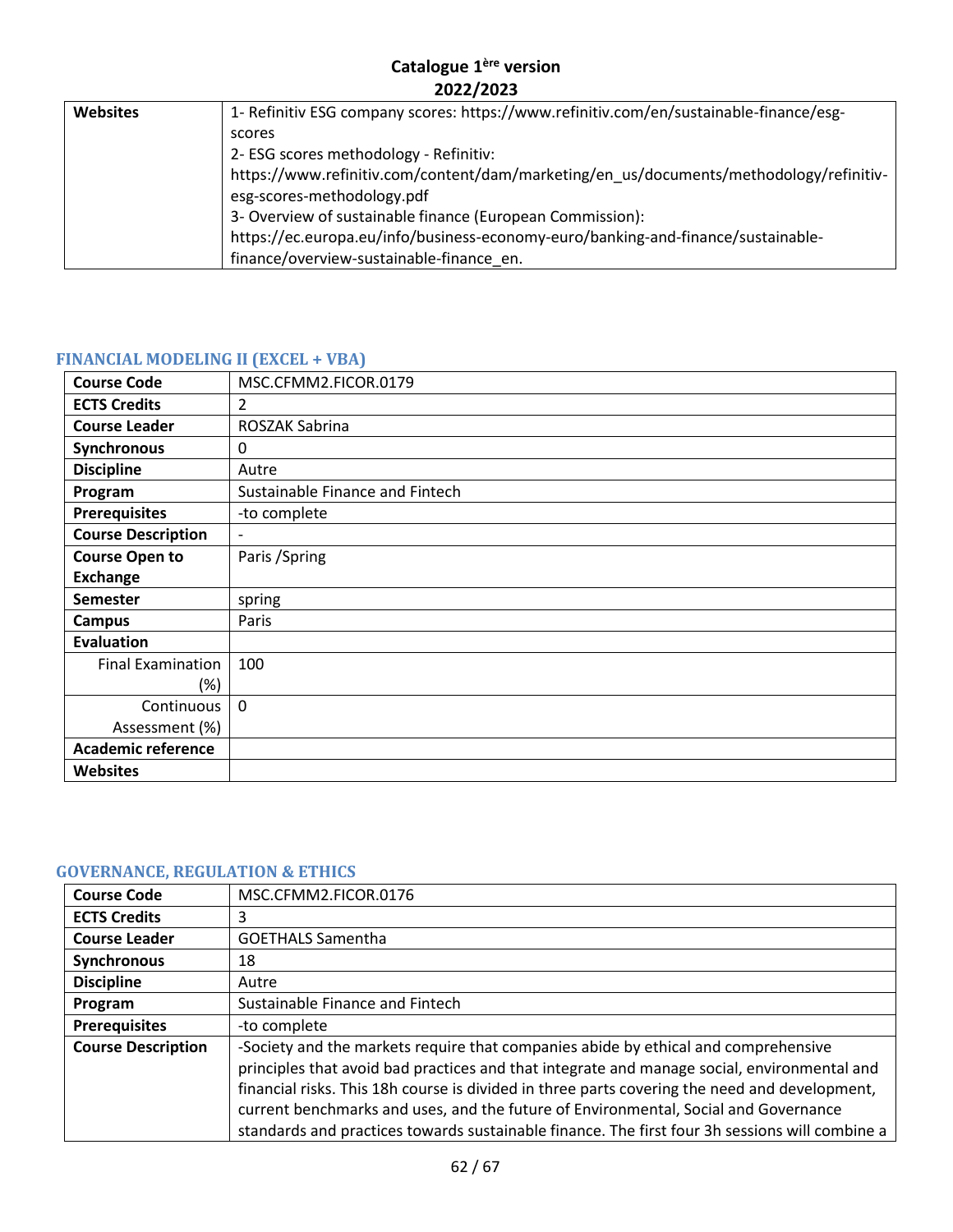| <b>Websites</b> | 1- Refinitiv ESG company scores: https://www.refinitiv.com/en/sustainable-finance/esg- |
|-----------------|----------------------------------------------------------------------------------------|
|                 | scores                                                                                 |
|                 | 2- ESG scores methodology - Refinitiv:                                                 |
|                 | https://www.refinitiv.com/content/dam/marketing/en_us/documents/methodology/refinitiv- |
|                 | esg-scores-methodology.pdf                                                             |
|                 | 3- Overview of sustainable finance (European Commission):                              |
|                 | https://ec.europa.eu/info/business-economy-euro/banking-and-finance/sustainable-       |
|                 | finance/overview-sustainable-finance en.                                               |

# <span id="page-61-0"></span>**FINANCIAL MODELING II (EXCEL + VBA)**

| <b>Course Code</b>        | MSC.CFMM2.FICOR.0179            |
|---------------------------|---------------------------------|
| <b>ECTS Credits</b>       | 2                               |
| <b>Course Leader</b>      | ROSZAK Sabrina                  |
| Synchronous               | 0                               |
| <b>Discipline</b>         | Autre                           |
| Program                   | Sustainable Finance and Fintech |
| <b>Prerequisites</b>      | -to complete                    |
| <b>Course Description</b> | $\overline{a}$                  |
| <b>Course Open to</b>     | Paris / Spring                  |
| <b>Exchange</b>           |                                 |
| <b>Semester</b>           | spring                          |
| Campus                    | Paris                           |
| <b>Evaluation</b>         |                                 |
| <b>Final Examination</b>  | 100                             |
| $(\%)$                    |                                 |
| Continuous                | $\mathbf 0$                     |
| Assessment (%)            |                                 |
| <b>Academic reference</b> |                                 |
| <b>Websites</b>           |                                 |

# <span id="page-61-1"></span>**GOVERNANCE, REGULATION & ETHICS**

| <b>Course Code</b>        | MSC.CFMM2.FICOR.0176                                                                           |
|---------------------------|------------------------------------------------------------------------------------------------|
| <b>ECTS Credits</b>       | 3                                                                                              |
| <b>Course Leader</b>      | <b>GOETHALS Samentha</b>                                                                       |
| <b>Synchronous</b>        | 18                                                                                             |
| <b>Discipline</b>         | Autre                                                                                          |
| Program                   | Sustainable Finance and Fintech                                                                |
| <b>Prerequisites</b>      | -to complete                                                                                   |
| <b>Course Description</b> | -Society and the markets require that companies abide by ethical and comprehensive             |
|                           | principles that avoid bad practices and that integrate and manage social, environmental and    |
|                           | financial risks. This 18h course is divided in three parts covering the need and development,  |
|                           | current benchmarks and uses, and the future of Environmental, Social and Governance            |
|                           | standards and practices towards sustainable finance. The first four 3h sessions will combine a |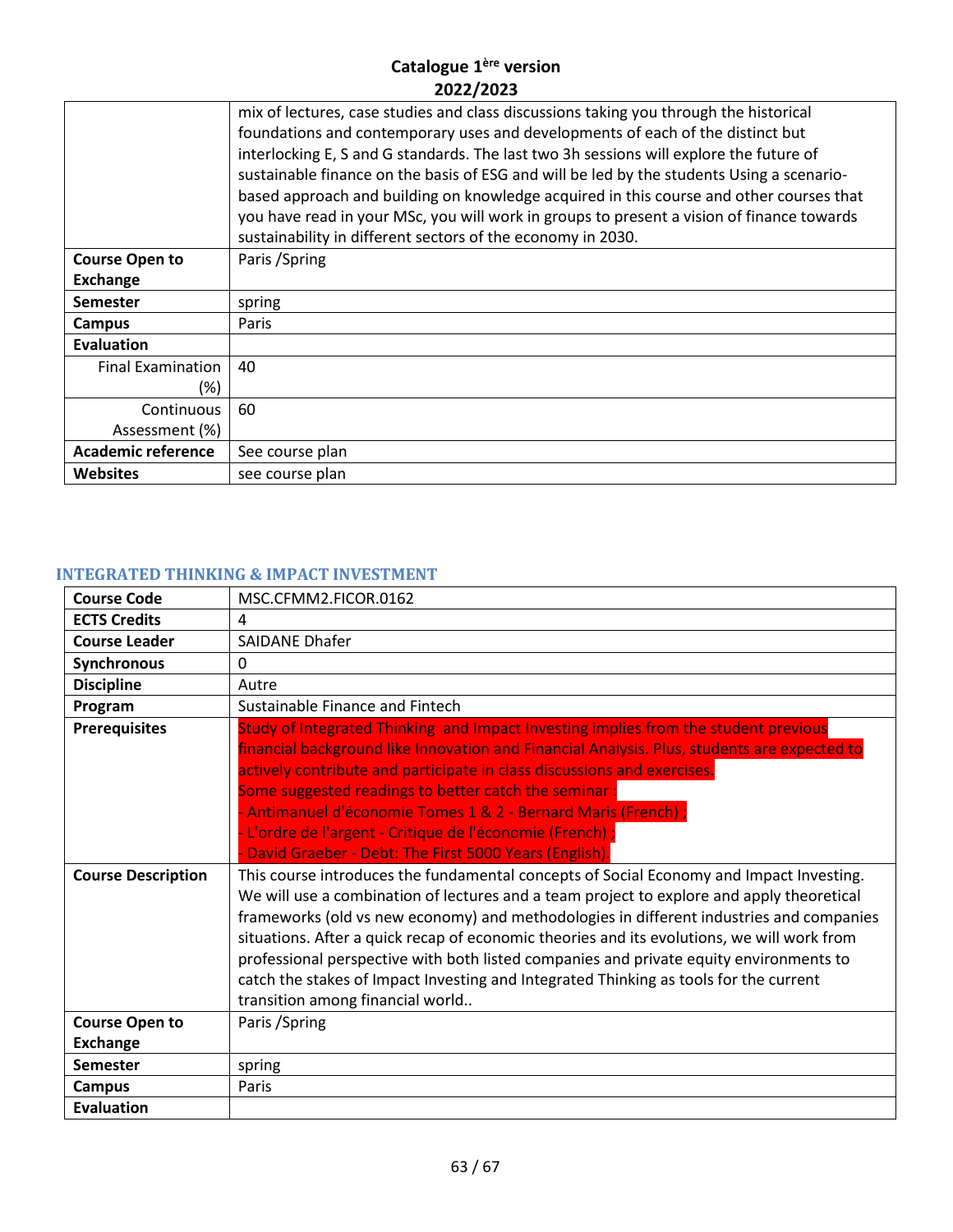|                           | mix of lectures, case studies and class discussions taking you through the historical     |
|---------------------------|-------------------------------------------------------------------------------------------|
|                           | foundations and contemporary uses and developments of each of the distinct but            |
|                           | interlocking E, S and G standards. The last two 3h sessions will explore the future of    |
|                           | sustainable finance on the basis of ESG and will be led by the students Using a scenario- |
|                           | based approach and building on knowledge acquired in this course and other courses that   |
|                           | you have read in your MSc, you will work in groups to present a vision of finance towards |
|                           | sustainability in different sectors of the economy in 2030.                               |
| <b>Course Open to</b>     | Paris / Spring                                                                            |
| <b>Exchange</b>           |                                                                                           |
| <b>Semester</b>           | spring                                                                                    |
| Campus                    | Paris                                                                                     |
| <b>Evaluation</b>         |                                                                                           |
| <b>Final Examination</b>  | 40                                                                                        |
| (%)                       |                                                                                           |
| Continuous                | 60                                                                                        |
| Assessment (%)            |                                                                                           |
| <b>Academic reference</b> | See course plan                                                                           |
| <b>Websites</b>           | see course plan                                                                           |
|                           |                                                                                           |

# <span id="page-62-0"></span>**INTEGRATED THINKING & IMPACT INVESTMENT**

| <b>Course Code</b>        | MSC.CFMM2.FICOR.0162                                                                                                                                                                                                                                                                                                                                                                                                                                                                                                                                                                                 |
|---------------------------|------------------------------------------------------------------------------------------------------------------------------------------------------------------------------------------------------------------------------------------------------------------------------------------------------------------------------------------------------------------------------------------------------------------------------------------------------------------------------------------------------------------------------------------------------------------------------------------------------|
| <b>ECTS Credits</b>       | 4                                                                                                                                                                                                                                                                                                                                                                                                                                                                                                                                                                                                    |
| <b>Course Leader</b>      | <b>SAIDANE Dhafer</b>                                                                                                                                                                                                                                                                                                                                                                                                                                                                                                                                                                                |
| Synchronous               | $\mathbf{0}$                                                                                                                                                                                                                                                                                                                                                                                                                                                                                                                                                                                         |
| <b>Discipline</b>         | Autre                                                                                                                                                                                                                                                                                                                                                                                                                                                                                                                                                                                                |
| Program                   | Sustainable Finance and Fintech                                                                                                                                                                                                                                                                                                                                                                                                                                                                                                                                                                      |
| <b>Prerequisites</b>      | Study of Integrated Thinking and Impact Investing implies from the student previous<br>financial background like Innovation and Financial Analysis. Plus, students are expected to<br>actively contribute and participate in class discussions and exercises.<br>Some suggested readings to better catch the seminar:<br>- Antimanuel d'économie Tomes 1 & 2 - Bernard Maris (French) ;<br>- L'ordre de l'argent - Critique de l'économie (French) ;<br>David Graeber - Debt: The First 5000 Years (English)                                                                                         |
| <b>Course Description</b> | This course introduces the fundamental concepts of Social Economy and Impact Investing.<br>We will use a combination of lectures and a team project to explore and apply theoretical<br>frameworks (old vs new economy) and methodologies in different industries and companies<br>situations. After a quick recap of economic theories and its evolutions, we will work from<br>professional perspective with both listed companies and private equity environments to<br>catch the stakes of Impact Investing and Integrated Thinking as tools for the current<br>transition among financial world |
| <b>Course Open to</b>     | Paris / Spring                                                                                                                                                                                                                                                                                                                                                                                                                                                                                                                                                                                       |
| <b>Exchange</b>           |                                                                                                                                                                                                                                                                                                                                                                                                                                                                                                                                                                                                      |
| <b>Semester</b>           | spring                                                                                                                                                                                                                                                                                                                                                                                                                                                                                                                                                                                               |
| <b>Campus</b>             | Paris                                                                                                                                                                                                                                                                                                                                                                                                                                                                                                                                                                                                |
| Evaluation                |                                                                                                                                                                                                                                                                                                                                                                                                                                                                                                                                                                                                      |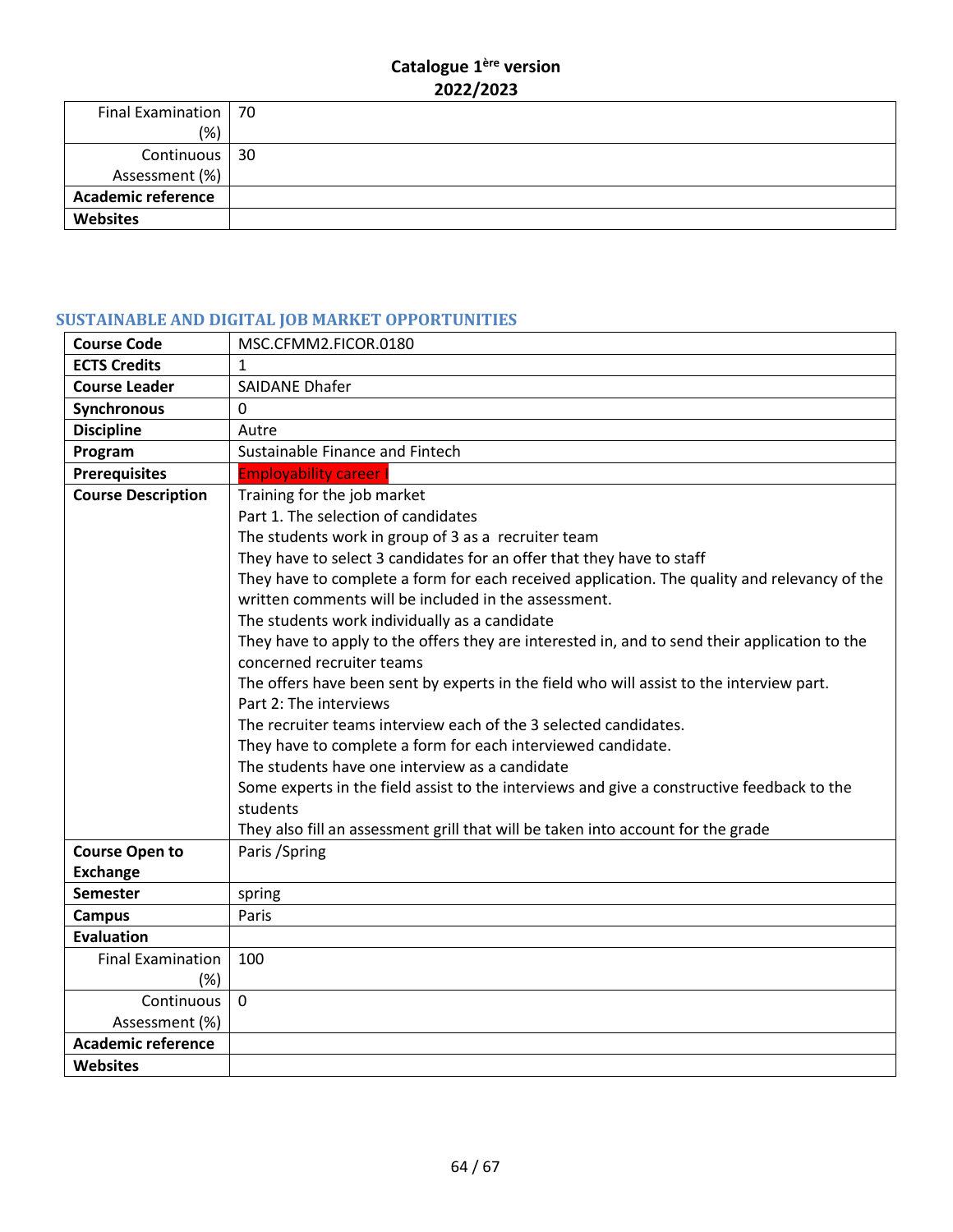| Final Examination   70    |  |
|---------------------------|--|
| (% )                      |  |
| Continuous   30           |  |
| Assessment (%)            |  |
| <b>Academic reference</b> |  |
| <b>Websites</b>           |  |

# <span id="page-63-0"></span>**SUSTAINABLE AND DIGITAL JOB MARKET OPPORTUNITIES**

| <b>Course Code</b>        | MSC.CFMM2.FICOR.0180                                                                          |
|---------------------------|-----------------------------------------------------------------------------------------------|
| <b>ECTS Credits</b>       | $\mathbf{1}$                                                                                  |
| <b>Course Leader</b>      | <b>SAIDANE Dhafer</b>                                                                         |
| Synchronous               | $\Omega$                                                                                      |
| <b>Discipline</b>         | Autre                                                                                         |
| Program                   | Sustainable Finance and Fintech                                                               |
| <b>Prerequisites</b>      | <b>Employability career</b>                                                                   |
| <b>Course Description</b> | Training for the job market                                                                   |
|                           | Part 1. The selection of candidates                                                           |
|                           | The students work in group of 3 as a recruiter team                                           |
|                           | They have to select 3 candidates for an offer that they have to staff                         |
|                           | They have to complete a form for each received application. The quality and relevancy of the  |
|                           | written comments will be included in the assessment.                                          |
|                           | The students work individually as a candidate                                                 |
|                           | They have to apply to the offers they are interested in, and to send their application to the |
|                           | concerned recruiter teams                                                                     |
|                           | The offers have been sent by experts in the field who will assist to the interview part.      |
|                           | Part 2: The interviews                                                                        |
|                           | The recruiter teams interview each of the 3 selected candidates.                              |
|                           | They have to complete a form for each interviewed candidate.                                  |
|                           | The students have one interview as a candidate                                                |
|                           | Some experts in the field assist to the interviews and give a constructive feedback to the    |
|                           | students                                                                                      |
|                           | They also fill an assessment grill that will be taken into account for the grade              |
| <b>Course Open to</b>     | Paris / Spring                                                                                |
| <b>Exchange</b>           |                                                                                               |
| Semester                  | spring                                                                                        |
| <b>Campus</b>             | Paris                                                                                         |
| <b>Evaluation</b>         |                                                                                               |
| <b>Final Examination</b>  | 100                                                                                           |
| $(\%)$                    |                                                                                               |
| Continuous                | $\Omega$                                                                                      |
| Assessment (%)            |                                                                                               |
| <b>Academic reference</b> |                                                                                               |
| <b>Websites</b>           |                                                                                               |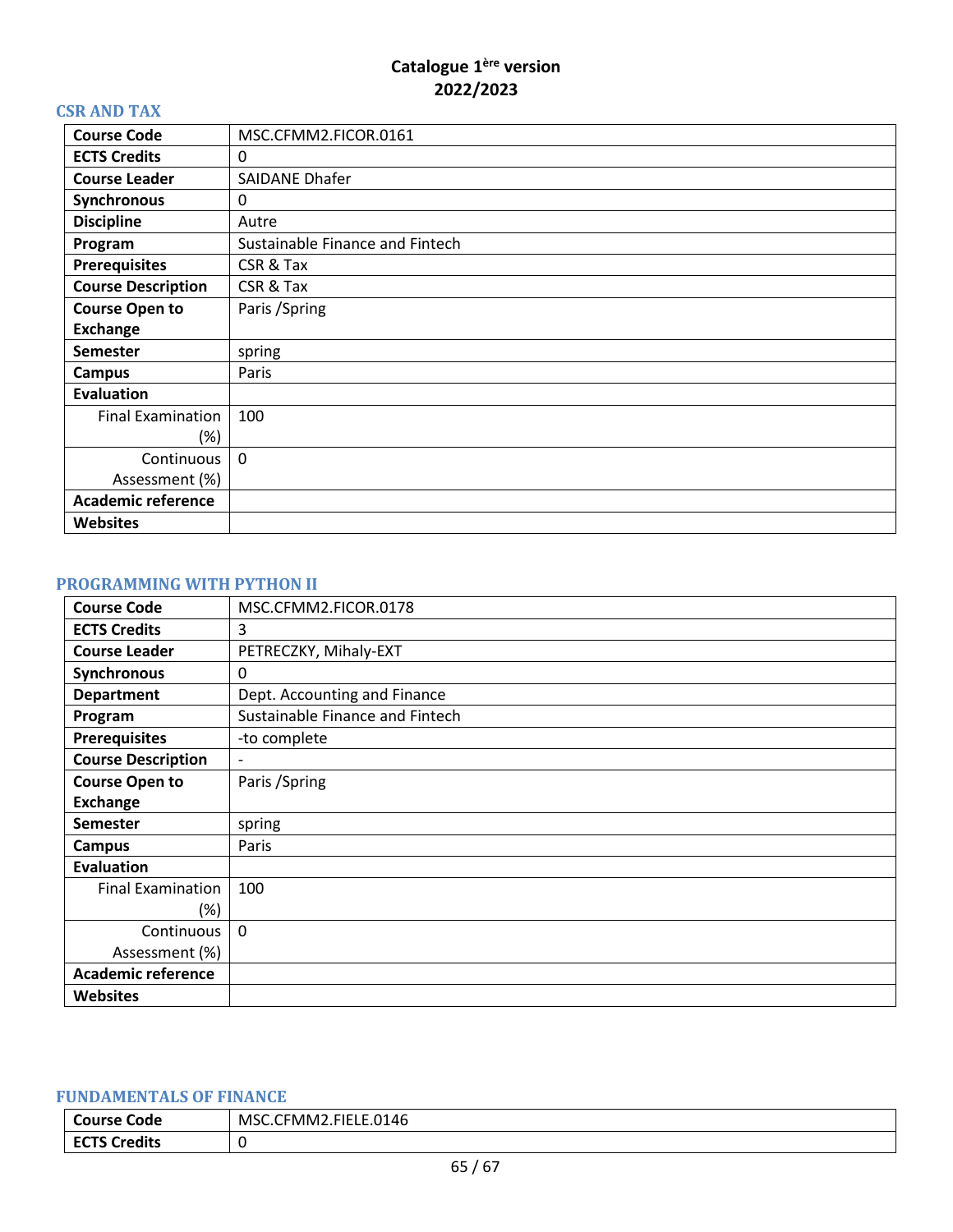#### <span id="page-64-0"></span>**CSR AND TAX**

| <b>Course Code</b>        | MSC.CFMM2.FICOR.0161            |
|---------------------------|---------------------------------|
| <b>ECTS Credits</b>       | 0                               |
| <b>Course Leader</b>      | <b>SAIDANE Dhafer</b>           |
| Synchronous               | 0                               |
| <b>Discipline</b>         | Autre                           |
| Program                   | Sustainable Finance and Fintech |
| <b>Prerequisites</b>      | CSR & Tax                       |
| <b>Course Description</b> | CSR & Tax                       |
| <b>Course Open to</b>     | Paris / Spring                  |
| <b>Exchange</b>           |                                 |
| <b>Semester</b>           | spring                          |
| Campus                    | Paris                           |
| <b>Evaluation</b>         |                                 |
| <b>Final Examination</b>  | 100                             |
| (%)                       |                                 |
| Continuous                | $\mathbf{0}$                    |
| Assessment (%)            |                                 |
| <b>Academic reference</b> |                                 |
| <b>Websites</b>           |                                 |

# <span id="page-64-1"></span>**PROGRAMMING WITH PYTHON II**

| <b>Course Code</b>        | MSC.CFMM2.FICOR.0178            |
|---------------------------|---------------------------------|
| <b>ECTS Credits</b>       | 3                               |
| <b>Course Leader</b>      | PETRECZKY, Mihaly-EXT           |
| Synchronous               | 0                               |
| <b>Department</b>         | Dept. Accounting and Finance    |
| Program                   | Sustainable Finance and Fintech |
| <b>Prerequisites</b>      | -to complete                    |
| <b>Course Description</b> | -                               |
| <b>Course Open to</b>     | Paris / Spring                  |
| <b>Exchange</b>           |                                 |
| <b>Semester</b>           | spring                          |
| <b>Campus</b>             | Paris                           |
| <b>Evaluation</b>         |                                 |
| <b>Final Examination</b>  | 100                             |
| (%)                       |                                 |
| Continuous                | $\mathbf{0}$                    |
| Assessment (%)            |                                 |
| <b>Academic reference</b> |                                 |
| <b>Websites</b>           |                                 |

#### <span id="page-64-2"></span>**FUNDAMENTALS OF FINANCE**

| <b>Course</b><br>Code       | LE.0146<br><b>EMM7</b><br><b>EIEL</b><br><b>MSC</b> |
|-----------------------------|-----------------------------------------------------|
| <b>ECTS Credits</b><br>EUIJ |                                                     |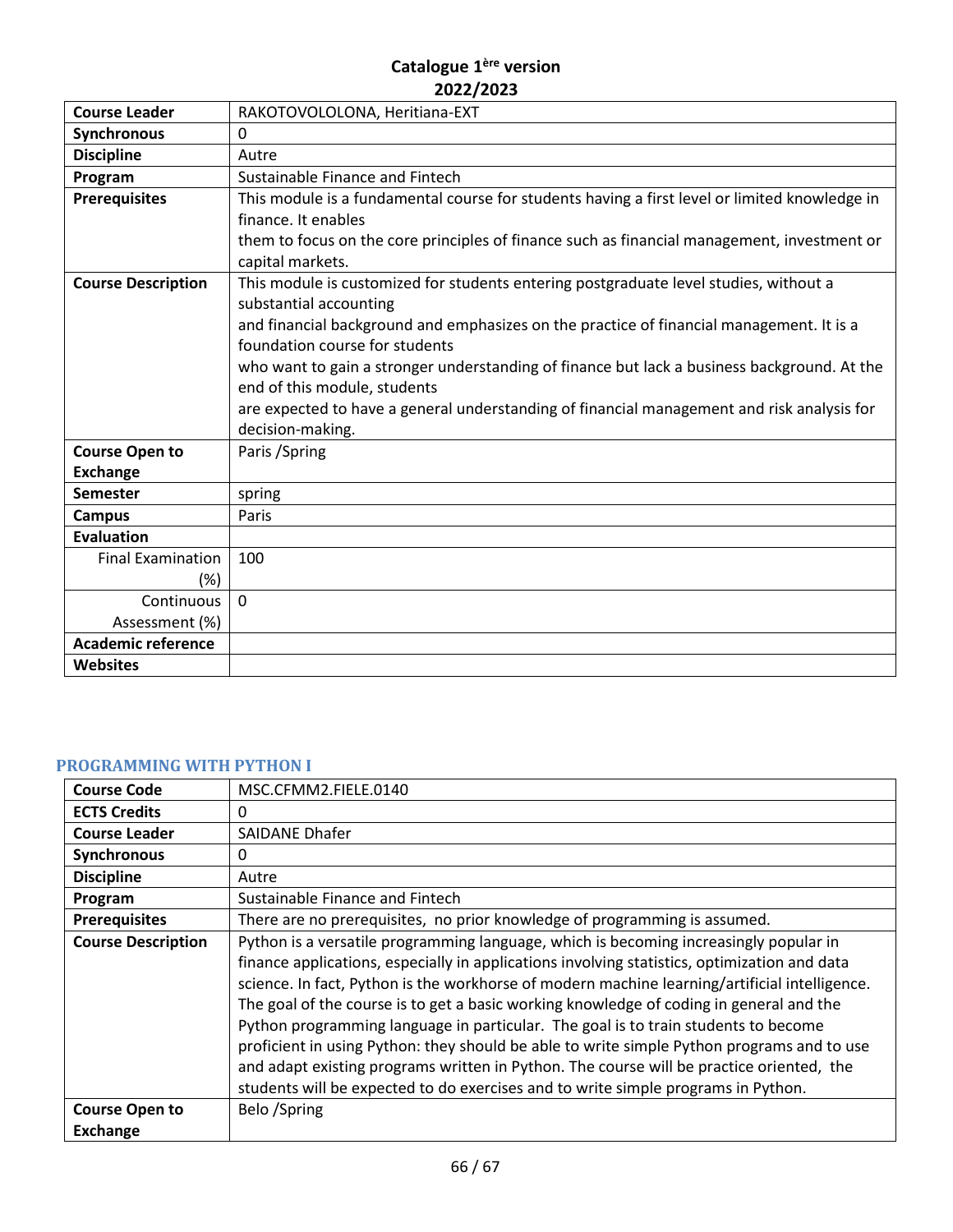| <b>Course Leader</b>      | RAKOTOVOLOLONA, Heritiana-EXT                                                                 |
|---------------------------|-----------------------------------------------------------------------------------------------|
| Synchronous               | 0                                                                                             |
| <b>Discipline</b>         | Autre                                                                                         |
| Program                   | Sustainable Finance and Fintech                                                               |
| <b>Prerequisites</b>      | This module is a fundamental course for students having a first level or limited knowledge in |
|                           | finance. It enables                                                                           |
|                           | them to focus on the core principles of finance such as financial management, investment or   |
|                           | capital markets.                                                                              |
| <b>Course Description</b> | This module is customized for students entering postgraduate level studies, without a         |
|                           | substantial accounting                                                                        |
|                           | and financial background and emphasizes on the practice of financial management. It is a      |
|                           | foundation course for students                                                                |
|                           | who want to gain a stronger understanding of finance but lack a business background. At the   |
|                           | end of this module, students                                                                  |
|                           | are expected to have a general understanding of financial management and risk analysis for    |
|                           | decision-making.                                                                              |
| <b>Course Open to</b>     | Paris / Spring                                                                                |
| <b>Exchange</b>           |                                                                                               |
| <b>Semester</b>           | spring                                                                                        |
| <b>Campus</b>             | Paris                                                                                         |
| <b>Evaluation</b>         |                                                                                               |
| <b>Final Examination</b>  | 100                                                                                           |
| (%)                       |                                                                                               |
| Continuous                | $\mathbf 0$                                                                                   |
| Assessment (%)            |                                                                                               |
| <b>Academic reference</b> |                                                                                               |
| <b>Websites</b>           |                                                                                               |

# <span id="page-65-0"></span>**PROGRAMMING WITH PYTHON I**

| <b>Course Code</b>        | MSC.CFMM2.FIELE.0140                                                                                                                                                                                                                                                                                                                                                                                                                                                                                                                                                                                                                                                                                                                                   |
|---------------------------|--------------------------------------------------------------------------------------------------------------------------------------------------------------------------------------------------------------------------------------------------------------------------------------------------------------------------------------------------------------------------------------------------------------------------------------------------------------------------------------------------------------------------------------------------------------------------------------------------------------------------------------------------------------------------------------------------------------------------------------------------------|
| <b>ECTS Credits</b>       | 0                                                                                                                                                                                                                                                                                                                                                                                                                                                                                                                                                                                                                                                                                                                                                      |
| <b>Course Leader</b>      | SAIDANE Dhafer                                                                                                                                                                                                                                                                                                                                                                                                                                                                                                                                                                                                                                                                                                                                         |
| Synchronous               | 0                                                                                                                                                                                                                                                                                                                                                                                                                                                                                                                                                                                                                                                                                                                                                      |
| <b>Discipline</b>         | Autre                                                                                                                                                                                                                                                                                                                                                                                                                                                                                                                                                                                                                                                                                                                                                  |
| Program                   | Sustainable Finance and Fintech                                                                                                                                                                                                                                                                                                                                                                                                                                                                                                                                                                                                                                                                                                                        |
| <b>Prerequisites</b>      | There are no prerequisites, no prior knowledge of programming is assumed.                                                                                                                                                                                                                                                                                                                                                                                                                                                                                                                                                                                                                                                                              |
| <b>Course Description</b> | Python is a versatile programming language, which is becoming increasingly popular in<br>finance applications, especially in applications involving statistics, optimization and data<br>science. In fact, Python is the workhorse of modern machine learning/artificial intelligence.<br>The goal of the course is to get a basic working knowledge of coding in general and the<br>Python programming language in particular. The goal is to train students to become<br>proficient in using Python: they should be able to write simple Python programs and to use<br>and adapt existing programs written in Python. The course will be practice oriented, the<br>students will be expected to do exercises and to write simple programs in Python. |
| <b>Course Open to</b>     | Belo /Spring                                                                                                                                                                                                                                                                                                                                                                                                                                                                                                                                                                                                                                                                                                                                           |
| <b>Exchange</b>           |                                                                                                                                                                                                                                                                                                                                                                                                                                                                                                                                                                                                                                                                                                                                                        |